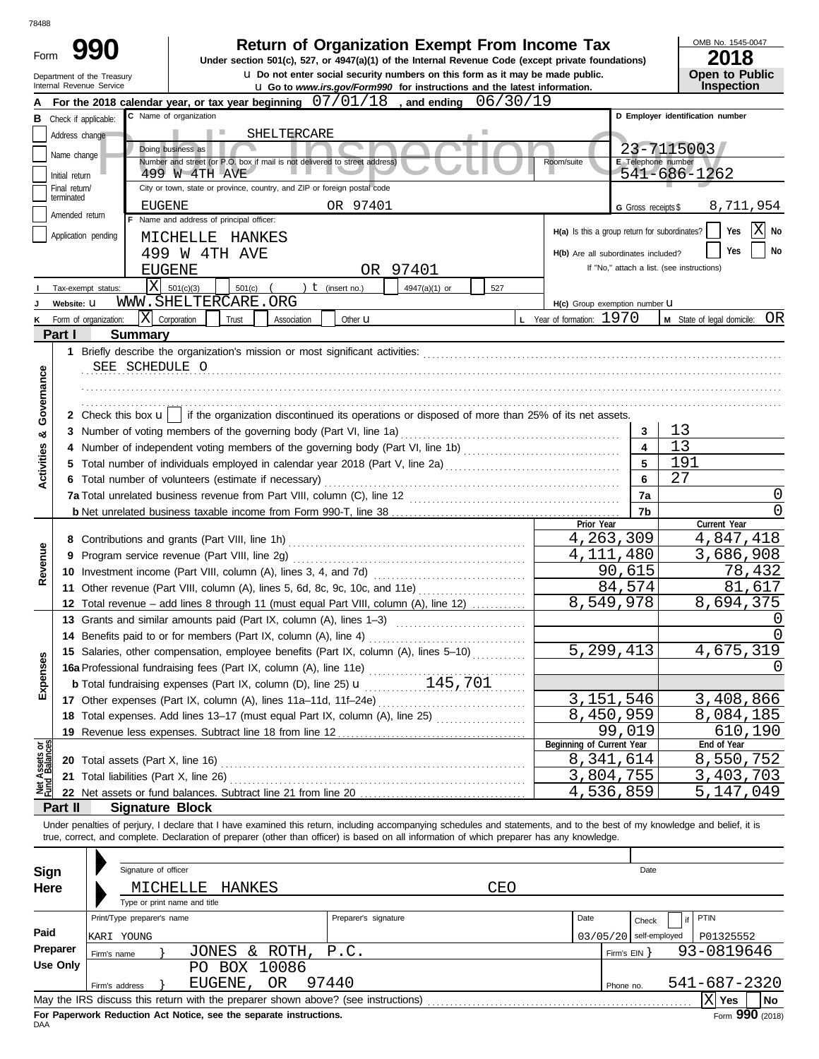| 78488              |                                 |                                                        |                                                                                                                                                                            |                                                                                                                                                                                                                                                    |     |                                               |                           |                                            |
|--------------------|---------------------------------|--------------------------------------------------------|----------------------------------------------------------------------------------------------------------------------------------------------------------------------------|----------------------------------------------------------------------------------------------------------------------------------------------------------------------------------------------------------------------------------------------------|-----|-----------------------------------------------|---------------------------|--------------------------------------------|
| Form               |                                 |                                                        |                                                                                                                                                                            | <b>Return of Organization Exempt From Income Tax</b><br>Under section 501(c), 527, or 4947(a)(1) of the Internal Revenue Code (except private foundations)<br><b>u</b> Do not enter social security numbers on this form as it may be made public. |     |                                               |                           | OMB No. 1545-0047<br>2018                  |
|                    |                                 | Department of the Treasury<br>Internal Revenue Service |                                                                                                                                                                            | <b>u</b> Go to www.irs.gov/Form990 for instructions and the latest information.                                                                                                                                                                    |     |                                               |                           | <b>Open to Public</b><br><b>Inspection</b> |
| А                  |                                 |                                                        | For the 2018 calendar year, or tax year beginning $07/01/18$ , and ending $06/30/19$                                                                                       |                                                                                                                                                                                                                                                    |     |                                               |                           |                                            |
|                    |                                 | <b>B</b> Check if applicable:                          | C Name of organization                                                                                                                                                     |                                                                                                                                                                                                                                                    |     |                                               |                           | D Employer identification number           |
|                    | Address change                  |                                                        | SHELTERCARE<br>ш                                                                                                                                                           |                                                                                                                                                                                                                                                    |     |                                               |                           |                                            |
|                    | Name change                     |                                                        | Doing business as                                                                                                                                                          |                                                                                                                                                                                                                                                    |     |                                               |                           | 23-7115003                                 |
|                    |                                 |                                                        | Number and street (or P.O. box if mail is not delivered to street address)<br>499 W 4TH AVE                                                                                |                                                                                                                                                                                                                                                    |     | Room/suite                                    | E Telephone number        | $541 - 686 - 1262$                         |
|                    | Initial return<br>Final return/ |                                                        | City or town, state or province, country, and ZIP or foreign postal code                                                                                                   |                                                                                                                                                                                                                                                    |     |                                               |                           |                                            |
|                    | terminated                      |                                                        | EUGENE                                                                                                                                                                     | OR 97401                                                                                                                                                                                                                                           |     |                                               |                           | 8,711,954                                  |
|                    | Amended return                  |                                                        | F Name and address of principal officer:                                                                                                                                   |                                                                                                                                                                                                                                                    |     |                                               | G Gross receipts \$       |                                            |
|                    |                                 | Application pending                                    | MICHELLE<br>HANKES                                                                                                                                                         |                                                                                                                                                                                                                                                    |     | H(a) Is this a group return for subordinates? |                           | Yes<br>No                                  |
|                    |                                 |                                                        | 499 W 4TH AVE                                                                                                                                                              |                                                                                                                                                                                                                                                    |     | H(b) Are all subordinates included?           |                           | No<br>Yes                                  |
|                    |                                 |                                                        | <b>EUGENE</b>                                                                                                                                                              | OR 97401                                                                                                                                                                                                                                           |     |                                               |                           | If "No," attach a list. (see instructions) |
|                    |                                 | X<br>Tax-exempt status:                                | 501(c)(3)<br>501(c)                                                                                                                                                        | $t$ (insert no.)<br>4947(a)(1) or                                                                                                                                                                                                                  | 527 |                                               |                           |                                            |
|                    | Website: U                      |                                                        | WWW.SHELTERCARE.ORG                                                                                                                                                        |                                                                                                                                                                                                                                                    |     | H(c) Group exemption number LI                |                           |                                            |
|                    |                                 | K Form of organization:                                | X Corporation<br>Trust<br>Association                                                                                                                                      | Other <b>u</b>                                                                                                                                                                                                                                     |     | L Year of formation: 1970                     |                           | M State of legal domicile: OR              |
|                    | Part I                          | <b>Summary</b>                                         |                                                                                                                                                                            |                                                                                                                                                                                                                                                    |     |                                               |                           |                                            |
|                    |                                 |                                                        |                                                                                                                                                                            |                                                                                                                                                                                                                                                    |     |                                               |                           |                                            |
|                    |                                 | SEE SCHEDULE O                                         |                                                                                                                                                                            |                                                                                                                                                                                                                                                    |     |                                               |                           |                                            |
|                    |                                 |                                                        |                                                                                                                                                                            |                                                                                                                                                                                                                                                    |     |                                               |                           |                                            |
|                    |                                 |                                                        |                                                                                                                                                                            |                                                                                                                                                                                                                                                    |     |                                               |                           |                                            |
| Governance         |                                 |                                                        | 2 Check this box $\mathbf{u}$   if the organization discontinued its operations or disposed of more than 25% of its net assets.                                            |                                                                                                                                                                                                                                                    |     |                                               |                           |                                            |
| య                  |                                 |                                                        |                                                                                                                                                                            |                                                                                                                                                                                                                                                    |     |                                               | 3                         | 13                                         |
|                    |                                 |                                                        |                                                                                                                                                                            |                                                                                                                                                                                                                                                    |     |                                               | $\overline{\mathbf{A}}$   | 13                                         |
| Activities         |                                 |                                                        |                                                                                                                                                                            |                                                                                                                                                                                                                                                    |     |                                               | 5                         | 191                                        |
|                    |                                 | 6 Total number of volunteers (estimate if necessary)   | 6                                                                                                                                                                          | 27                                                                                                                                                                                                                                                 |     |                                               |                           |                                            |
|                    |                                 |                                                        | 7a Total unrelated business revenue from Part VIII, column (C), line 12                                                                                                    |                                                                                                                                                                                                                                                    |     |                                               | 7a                        | O                                          |
|                    |                                 |                                                        |                                                                                                                                                                            |                                                                                                                                                                                                                                                    |     |                                               | 7b                        | 0                                          |
|                    |                                 |                                                        |                                                                                                                                                                            |                                                                                                                                                                                                                                                    |     | Prior Year                                    |                           | Current Year                               |
|                    |                                 |                                                        |                                                                                                                                                                            |                                                                                                                                                                                                                                                    |     |                                               | 4,263,309                 | 4,847,418                                  |
|                    |                                 |                                                        | 9 Program service revenue (Part VIII, line 2g)                                                                                                                             |                                                                                                                                                                                                                                                    |     | 4,111,480                                     |                           | 3,686,908                                  |
| Revenue            |                                 |                                                        |                                                                                                                                                                            |                                                                                                                                                                                                                                                    |     |                                               | 90,615                    | 78,432                                     |
|                    |                                 |                                                        | 11 Other revenue (Part VIII, column (A), lines 5, 6d, 8c, 9c, 10c, and 11e)                                                                                                |                                                                                                                                                                                                                                                    |     |                                               | 84,574                    | 81<br>617                                  |
|                    |                                 |                                                        | 12 Total revenue – add lines 8 through 11 (must equal Part VIII, column (A), line 12)                                                                                      |                                                                                                                                                                                                                                                    |     |                                               | 8,549,978                 | 8,694,375                                  |
|                    |                                 |                                                        | 13 Grants and similar amounts paid (Part IX, column (A), lines 1–3)                                                                                                        |                                                                                                                                                                                                                                                    |     |                                               |                           | U<br>$\Omega$                              |
|                    |                                 |                                                        | 14 Benefits paid to or for members (Part IX, column (A), line 4)                                                                                                           |                                                                                                                                                                                                                                                    |     |                                               | 5,299,413                 |                                            |
|                    |                                 |                                                        | 15 Salaries, other compensation, employee benefits (Part IX, column (A), lines 5-10)                                                                                       |                                                                                                                                                                                                                                                    |     |                                               |                           | 4,675,319<br>$\left( \right)$              |
| Expenses           |                                 |                                                        |                                                                                                                                                                            |                                                                                                                                                                                                                                                    |     |                                               |                           |                                            |
|                    |                                 |                                                        |                                                                                                                                                                            |                                                                                                                                                                                                                                                    |     |                                               | 3, 151, 546               | 3,408,866                                  |
|                    |                                 |                                                        |                                                                                                                                                                            |                                                                                                                                                                                                                                                    |     |                                               | $\overline{8}$ , 450, 959 | 8,084,185                                  |
|                    |                                 |                                                        | 18 Total expenses. Add lines 13-17 (must equal Part IX, column (A), line 25)<br>19 Revenue less expenses. Subtract line 18 from line 12                                    |                                                                                                                                                                                                                                                    |     |                                               | 99,019                    | 610,190                                    |
| σg                 |                                 |                                                        |                                                                                                                                                                            |                                                                                                                                                                                                                                                    |     | Beginning of Current Year                     |                           | End of Year                                |
| Assets<br>1 Balanc |                                 |                                                        |                                                                                                                                                                            |                                                                                                                                                                                                                                                    |     |                                               | 8,341,614                 | 8,550,752                                  |
|                    |                                 |                                                        | 21 Total liabilities (Part X, line 26)                                                                                                                                     |                                                                                                                                                                                                                                                    |     |                                               | 3,804,755                 | 3,403,703                                  |
| 횢                  |                                 |                                                        |                                                                                                                                                                            |                                                                                                                                                                                                                                                    |     |                                               | 4,536,859                 | 5,147,049                                  |
|                    | Part II                         |                                                        | <b>Signature Block</b>                                                                                                                                                     |                                                                                                                                                                                                                                                    |     |                                               |                           |                                            |
|                    |                                 |                                                        | Under penalties of perjury, I declare that I have examined this return, including accompanying schedules and statements, and to the best of my knowledge and belief, it is |                                                                                                                                                                                                                                                    |     |                                               |                           |                                            |
|                    |                                 |                                                        | true, correct, and complete. Declaration of preparer (other than officer) is based on all information of which preparer has any knowledge.                                 |                                                                                                                                                                                                                                                    |     |                                               |                           |                                            |
|                    |                                 |                                                        |                                                                                                                                                                            |                                                                                                                                                                                                                                                    |     |                                               |                           |                                            |
| <b>Sign</b>        |                                 | Signature of officer                                   |                                                                                                                                                                            |                                                                                                                                                                                                                                                    |     |                                               | Date                      |                                            |
| Here               |                                 |                                                        | HANKES<br>MICHELLE                                                                                                                                                         |                                                                                                                                                                                                                                                    | CEO |                                               |                           |                                            |
|                    |                                 |                                                        | Type or print name and title                                                                                                                                               |                                                                                                                                                                                                                                                    |     |                                               |                           |                                            |
|                    |                                 | Print/Type preparer's name                             |                                                                                                                                                                            | Preparer's signature                                                                                                                                                                                                                               |     | Date                                          | Check                     | PTIN                                       |
| Paid               |                                 | KARI YOUNG                                             |                                                                                                                                                                            |                                                                                                                                                                                                                                                    |     |                                               | $03/05/20$ self-employed  | P01325552                                  |
|                    | Preparer                        | Firm's name                                            | JONES & ROTH,                                                                                                                                                              | P.C.                                                                                                                                                                                                                                               |     |                                               | Firm's $EIN$ }            | 93-0819646                                 |
|                    | <b>Use Only</b>                 |                                                        | PO BOX 10086                                                                                                                                                               |                                                                                                                                                                                                                                                    |     |                                               |                           |                                            |
|                    |                                 | Firm's address                                         | EUGENE, OR                                                                                                                                                                 | 97440                                                                                                                                                                                                                                              |     |                                               | Phone no.                 | 541-687-2320                               |
|                    |                                 |                                                        |                                                                                                                                                                            |                                                                                                                                                                                                                                                    |     |                                               |                           | $ X $ Yes<br>  No                          |

| Sign     |                                                                                                         | Signature of officer |                              |                              |     |  |                | Date                     |  |              |  |  |  |
|----------|---------------------------------------------------------------------------------------------------------|----------------------|------------------------------|------------------------------|-----|--|----------------|--------------------------|--|--------------|--|--|--|
| Here     |                                                                                                         | MICHELLE             | HANKES                       |                              | CEO |  |                |                          |  |              |  |  |  |
|          |                                                                                                         |                      | Type or print name and title |                              |     |  |                |                          |  |              |  |  |  |
|          | Print/Type preparer's name                                                                              |                      |                              | Preparer's signature<br>Date |     |  |                | Check                    |  | PTIN         |  |  |  |
| Paid     | KARI YOUNG                                                                                              |                      |                              |                              |     |  |                | $03/05/20$ self-employed |  | P01325552    |  |  |  |
| Preparer | Firm's name                                                                                             |                      | JONES & ROTH, P.C.           |                              |     |  | Firm's $EIN$ } |                          |  | 93-0819646   |  |  |  |
| Use Only |                                                                                                         |                      | BOX 10086<br>PΟ              |                              |     |  |                |                          |  |              |  |  |  |
|          | Firm's address                                                                                          |                      | 0R<br>EUGENE,                | 97440                        |     |  | Phone no.      |                          |  | 541-687-2320 |  |  |  |
|          | ιXΙ<br>  No<br>May the IRS discuss this return with the preparer shown above? (see instructions)<br>Yes |                      |                              |                              |     |  |                |                          |  |              |  |  |  |
|          |                                                                                                         |                      |                              |                              |     |  |                |                          |  |              |  |  |  |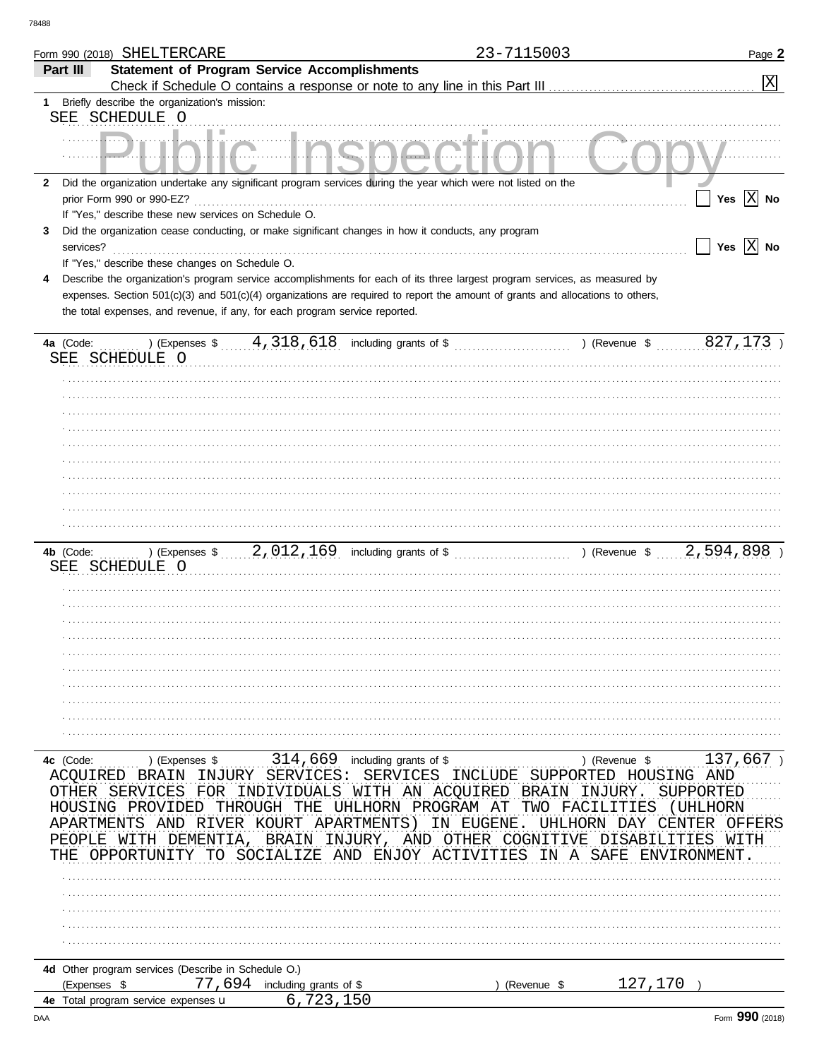|                         | Form 990 (2018) SHELTERCARE                                    |                                                                                                              | 23-7115003                                                                                                                     | Page 2                                                                                                                                                                                                                                                      |
|-------------------------|----------------------------------------------------------------|--------------------------------------------------------------------------------------------------------------|--------------------------------------------------------------------------------------------------------------------------------|-------------------------------------------------------------------------------------------------------------------------------------------------------------------------------------------------------------------------------------------------------------|
| Part III                |                                                                | <b>Statement of Program Service Accomplishments</b>                                                          |                                                                                                                                |                                                                                                                                                                                                                                                             |
|                         |                                                                |                                                                                                              | Check if Schedule O contains a response or note to any line in this Part III [11] [11] [11] [11] [11] [11] [1                  | $\vert X \vert$                                                                                                                                                                                                                                             |
| 1                       | Briefly describe the organization's mission:<br>SEE SCHEDULE O |                                                                                                              |                                                                                                                                |                                                                                                                                                                                                                                                             |
|                         |                                                                |                                                                                                              |                                                                                                                                |                                                                                                                                                                                                                                                             |
|                         |                                                                |                                                                                                              |                                                                                                                                |                                                                                                                                                                                                                                                             |
| 2                       |                                                                | Did the organization undertake any significant program services during the year which were not listed on the |                                                                                                                                |                                                                                                                                                                                                                                                             |
|                         | prior Form 990 or 990-EZ?                                      |                                                                                                              |                                                                                                                                | Yes $ X $ No                                                                                                                                                                                                                                                |
| 3                       | If "Yes," describe these new services on Schedule O.           | Did the organization cease conducting, or make significant changes in how it conducts, any program           |                                                                                                                                |                                                                                                                                                                                                                                                             |
| services?               |                                                                |                                                                                                              |                                                                                                                                | Yes $ \overline{X} $ No                                                                                                                                                                                                                                     |
|                         | If "Yes," describe these changes on Schedule O.                |                                                                                                              |                                                                                                                                |                                                                                                                                                                                                                                                             |
|                         |                                                                |                                                                                                              | Describe the organization's program service accomplishments for each of its three largest program services, as measured by     |                                                                                                                                                                                                                                                             |
|                         |                                                                |                                                                                                              | expenses. Section 501(c)(3) and 501(c)(4) organizations are required to report the amount of grants and allocations to others, |                                                                                                                                                                                                                                                             |
|                         |                                                                | the total expenses, and revenue, if any, for each program service reported.                                  |                                                                                                                                |                                                                                                                                                                                                                                                             |
| 4a (Code:               |                                                                | ) (Expenses $\frac{4}{318}$ , $\frac{518}{18}$ including grants of $\frac{6}{3}$                             |                                                                                                                                | 827,173<br>) (Revenue \$                                                                                                                                                                                                                                    |
|                         | SEE SCHEDULE O                                                 |                                                                                                              |                                                                                                                                |                                                                                                                                                                                                                                                             |
|                         |                                                                |                                                                                                              |                                                                                                                                |                                                                                                                                                                                                                                                             |
|                         |                                                                |                                                                                                              |                                                                                                                                |                                                                                                                                                                                                                                                             |
|                         |                                                                |                                                                                                              |                                                                                                                                |                                                                                                                                                                                                                                                             |
|                         |                                                                |                                                                                                              |                                                                                                                                |                                                                                                                                                                                                                                                             |
|                         |                                                                |                                                                                                              |                                                                                                                                |                                                                                                                                                                                                                                                             |
|                         |                                                                |                                                                                                              |                                                                                                                                |                                                                                                                                                                                                                                                             |
|                         |                                                                |                                                                                                              |                                                                                                                                |                                                                                                                                                                                                                                                             |
|                         |                                                                |                                                                                                              |                                                                                                                                |                                                                                                                                                                                                                                                             |
|                         |                                                                |                                                                                                              |                                                                                                                                |                                                                                                                                                                                                                                                             |
|                         |                                                                |                                                                                                              |                                                                                                                                |                                                                                                                                                                                                                                                             |
| 4b (Code:               |                                                                |                                                                                                              |                                                                                                                                | ) (Expenses $\frac{1}{2}$ , 012, 169 including grants of $\frac{1}{2}$ , 012, 169 including grants of $\frac{1}{2}$ , 012, 169 including grants of $\frac{1}{2}$ , 012, 012, 169 including grants of $\frac{1}{2}$ , 000 including $\frac{1}{2}$ , 000 incl |
|                         | SEE SCHEDULE O                                                 |                                                                                                              |                                                                                                                                |                                                                                                                                                                                                                                                             |
|                         |                                                                |                                                                                                              |                                                                                                                                |                                                                                                                                                                                                                                                             |
|                         |                                                                |                                                                                                              |                                                                                                                                |                                                                                                                                                                                                                                                             |
|                         |                                                                |                                                                                                              |                                                                                                                                |                                                                                                                                                                                                                                                             |
|                         |                                                                |                                                                                                              |                                                                                                                                |                                                                                                                                                                                                                                                             |
|                         |                                                                |                                                                                                              |                                                                                                                                |                                                                                                                                                                                                                                                             |
|                         |                                                                |                                                                                                              |                                                                                                                                |                                                                                                                                                                                                                                                             |
|                         |                                                                |                                                                                                              |                                                                                                                                |                                                                                                                                                                                                                                                             |
|                         |                                                                |                                                                                                              |                                                                                                                                |                                                                                                                                                                                                                                                             |
|                         |                                                                |                                                                                                              |                                                                                                                                |                                                                                                                                                                                                                                                             |
| 4c (Code:               | ) (Expenses \$                                                 | 314,669 including grants of \$                                                                               |                                                                                                                                | 137,667<br>) (Revenue \$                                                                                                                                                                                                                                    |
| ACOUIRED                | BRAIN                                                          | INJURY SERVICES:<br><b>SERVICES</b>                                                                          |                                                                                                                                | INCLUDE SUPPORTED HOUSING AND                                                                                                                                                                                                                               |
| <b>OTHER</b><br>HOUSING | <b>SERVICES</b><br>FOR<br>PROVIDED<br>THROUGH                  | INDIVIDUALS<br>UHLHORN PROGRAM<br>THE                                                                        | WITH AN ACQUIRED<br>BRAIN<br>TWO<br>AT                                                                                         | INJURY<br>SUPPORTED<br>FACILITIES<br>( UHLHORN                                                                                                                                                                                                              |
| APARTMENTS              | RIVER<br>AND                                                   | KOURT<br>APARTMENTS)                                                                                         | UHLHORN<br>ΙN<br>EUGENE                                                                                                        | DAY<br>CENTER<br>OFFERS                                                                                                                                                                                                                                     |
| PEOPLE                  | WITH<br>DEMENTIA                                               | <b>BRAIN</b><br>INJURY,                                                                                      | AND OTHER<br>COGNITIVE                                                                                                         | DISABILITIES<br>WITH                                                                                                                                                                                                                                        |
| THE                     | OPPORTUNITY<br>TO.                                             | SOCIALIZE AND                                                                                                | ENJOY ACTIVITIES<br>ΙN.<br>A                                                                                                   | SAFE<br>ENVIRONMENT                                                                                                                                                                                                                                         |
|                         |                                                                |                                                                                                              |                                                                                                                                |                                                                                                                                                                                                                                                             |
|                         |                                                                |                                                                                                              |                                                                                                                                |                                                                                                                                                                                                                                                             |
|                         |                                                                |                                                                                                              |                                                                                                                                |                                                                                                                                                                                                                                                             |
|                         |                                                                |                                                                                                              |                                                                                                                                |                                                                                                                                                                                                                                                             |
|                         |                                                                |                                                                                                              |                                                                                                                                |                                                                                                                                                                                                                                                             |
|                         | 4d Other program services (Describe in Schedule O.)            |                                                                                                              |                                                                                                                                |                                                                                                                                                                                                                                                             |
| (Expenses \$            |                                                                | 77,694 including grants of \$                                                                                | (Revenue \$                                                                                                                    | 127,170                                                                                                                                                                                                                                                     |
|                         | 4e Total program service expenses u                            | 6,723,150                                                                                                    |                                                                                                                                | ^^^                                                                                                                                                                                                                                                         |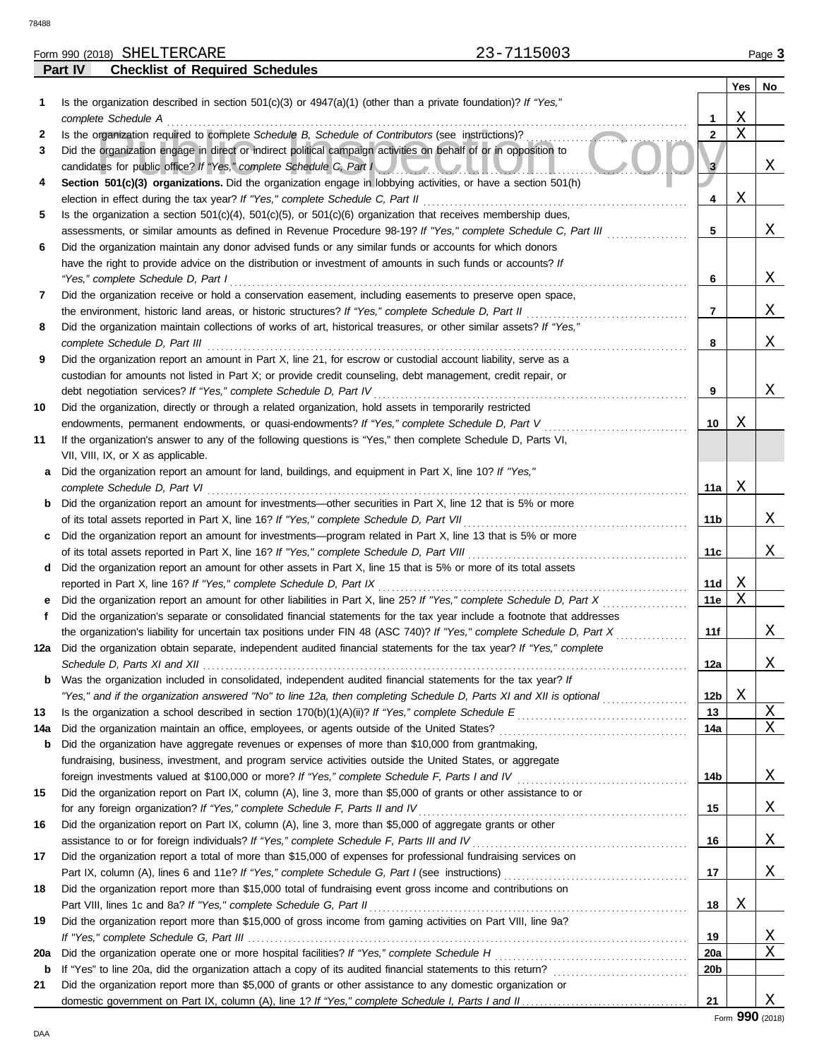78488

**Part IV Checklist of Required Schedules**

| SHELTERCARE<br>Form 990<br>(2018) | $F \cap \cap \cap$<br>$\overline{\phantom{0}}$<br>ט ט ר | Page |
|-----------------------------------|---------------------------------------------------------|------|
| ___<br>$\sim$ $\sim$<br>.<br>--   |                                                         |      |

|     |                                                                                                                                                                                                         |                | Yes | No.      |
|-----|---------------------------------------------------------------------------------------------------------------------------------------------------------------------------------------------------------|----------------|-----|----------|
| 1   | Is the organization described in section $501(c)(3)$ or $4947(a)(1)$ (other than a private foundation)? If "Yes,"                                                                                       |                |     |          |
|     | complete Schedule A                                                                                                                                                                                     | 1              | X   |          |
| 2   | Is the organization required to complete Schedule B, Schedule of Contributors (see instructions)?                                                                                                       | $\overline{2}$ | X   |          |
| 3   | Did the organization engage in direct or indirect political campaign activities on behalf of or in opposition to<br>candidates for public office? If "Yes," complete Schedule C, Part I                 |                |     | Χ        |
| 4   | Section 501(c)(3) organizations. Did the organization engage in lobbying activities, or have a section 501(h)<br>election in effect during the tax year? If "Yes," complete Schedule C, Part II         | 4              | Χ   |          |
| 5   | Is the organization a section $501(c)(4)$ , $501(c)(5)$ , or $501(c)(6)$ organization that receives membership dues,                                                                                    |                |     |          |
|     | assessments, or similar amounts as defined in Revenue Procedure 98-19? If "Yes," complete Schedule C, Part III                                                                                          | 5              |     | Χ        |
| 6   | Did the organization maintain any donor advised funds or any similar funds or accounts for which donors                                                                                                 |                |     |          |
|     | have the right to provide advice on the distribution or investment of amounts in such funds or accounts? If                                                                                             |                |     |          |
|     | "Yes," complete Schedule D, Part I                                                                                                                                                                      | 6              |     | Χ        |
| 7   | Did the organization receive or hold a conservation easement, including easements to preserve open space,                                                                                               |                |     |          |
|     | the environment, historic land areas, or historic structures? If "Yes," complete Schedule D, Part II                                                                                                    | 7              |     | Χ        |
| 8   | Did the organization maintain collections of works of art, historical treasures, or other similar assets? If "Yes,"                                                                                     |                |     |          |
|     | complete Schedule D, Part III                                                                                                                                                                           | 8              |     | Χ        |
| 9   | Did the organization report an amount in Part X, line 21, for escrow or custodial account liability, serve as a                                                                                         |                |     |          |
|     | custodian for amounts not listed in Part X; or provide credit counseling, debt management, credit repair, or                                                                                            |                |     |          |
|     | debt negotiation services? If "Yes," complete Schedule D, Part IV                                                                                                                                       | 9              |     | Χ        |
| 10  | Did the organization, directly or through a related organization, hold assets in temporarily restricted                                                                                                 |                |     |          |
|     | endowments, permanent endowments, or quasi-endowments? If "Yes," complete Schedule D, Part V                                                                                                            | 10             | Χ   |          |
| 11  | If the organization's answer to any of the following questions is "Yes," then complete Schedule D, Parts VI,                                                                                            |                |     |          |
|     | VII, VIII, IX, or X as applicable.                                                                                                                                                                      |                |     |          |
| а   | Did the organization report an amount for land, buildings, and equipment in Part X, line 10? If "Yes,"                                                                                                  |                |     |          |
|     | complete Schedule D, Part VI                                                                                                                                                                            | 11a            | X   |          |
| b   | Did the organization report an amount for investments—other securities in Part X, line 12 that is 5% or more                                                                                            |                |     | Χ        |
|     | of its total assets reported in Part X, line 16? If "Yes," complete Schedule D, Part VII<br>Did the organization report an amount for investments—program related in Part X, line 13 that is 5% or more | 11b            |     |          |
| c   | of its total assets reported in Part X, line 16? If "Yes," complete Schedule D, Part VIII                                                                                                               | 11c            |     | Χ        |
| d   | Did the organization report an amount for other assets in Part X, line 15 that is 5% or more of its total assets                                                                                        |                |     |          |
|     | reported in Part X, line 16? If "Yes," complete Schedule D, Part IX                                                                                                                                     | 11d            | Χ   |          |
|     | Did the organization report an amount for other liabilities in Part X, line 25? If "Yes," complete Schedule D, Part X                                                                                   | 11e            | X   |          |
| f   | Did the organization's separate or consolidated financial statements for the tax year include a footnote that addresses                                                                                 |                |     |          |
|     | the organization's liability for uncertain tax positions under FIN 48 (ASC 740)? If "Yes," complete Schedule D, Part X                                                                                  | 11f            |     | Χ        |
| 12a | Did the organization obtain separate, independent audited financial statements for the tax year? If "Yes," complete                                                                                     |                |     |          |
|     | Schedule D, Parts XI and XII                                                                                                                                                                            | 12a            |     | Χ        |
|     | Was the organization included in consolidated, independent audited financial statements for the tax year? If                                                                                            |                |     |          |
|     | "Yes," and if the organization answered "No" to line 12a, then completing Schedule D, Parts XI and XII is optional                                                                                      | 12b            | Χ   |          |
| 13  | Is the organization a school described in section $170(b)(1)(A)(ii)?$ If "Yes," complete Schedule E                                                                                                     | 13             |     | Χ        |
| 14a | Did the organization maintain an office, employees, or agents outside of the United States?                                                                                                             | 14a            |     | Χ        |
| b   | Did the organization have aggregate revenues or expenses of more than \$10,000 from grantmaking,                                                                                                        |                |     |          |
|     | fundraising, business, investment, and program service activities outside the United States, or aggregate                                                                                               |                |     |          |
|     | foreign investments valued at \$100,000 or more? If "Yes," complete Schedule F, Parts I and IV                                                                                                          | 14b            |     | X        |
| 15  | Did the organization report on Part IX, column (A), line 3, more than \$5,000 of grants or other assistance to or                                                                                       |                |     |          |
| 16  | for any foreign organization? If "Yes," complete Schedule F, Parts II and IV<br>Did the organization report on Part IX, column (A), line 3, more than \$5,000 of aggregate grants or other              | 15             |     | Χ        |
|     | assistance to or for foreign individuals? If "Yes," complete Schedule F, Parts III and IV                                                                                                               | 16             |     | Χ        |
| 17  | Did the organization report a total of more than \$15,000 of expenses for professional fundraising services on                                                                                          |                |     |          |
|     |                                                                                                                                                                                                         | 17             |     | Χ        |
| 18  | Did the organization report more than \$15,000 total of fundraising event gross income and contributions on                                                                                             |                |     |          |
|     | Part VIII, lines 1c and 8a? If "Yes," complete Schedule G, Part II                                                                                                                                      | 18             | Χ   |          |
| 19  | Did the organization report more than \$15,000 of gross income from gaming activities on Part VIII, line 9a?                                                                                            |                |     |          |
|     |                                                                                                                                                                                                         | 19             |     | <u>X</u> |
| 20a | Did the organization operate one or more hospital facilities? If "Yes," complete Schedule H                                                                                                             | 20a            |     | Χ        |
| b   | If "Yes" to line 20a, did the organization attach a copy of its audited financial statements to this return?                                                                                            | 20b            |     |          |
| 21  | Did the organization report more than \$5,000 of grants or other assistance to any domestic organization or                                                                                             |                |     |          |
|     |                                                                                                                                                                                                         | 21             |     | Χ        |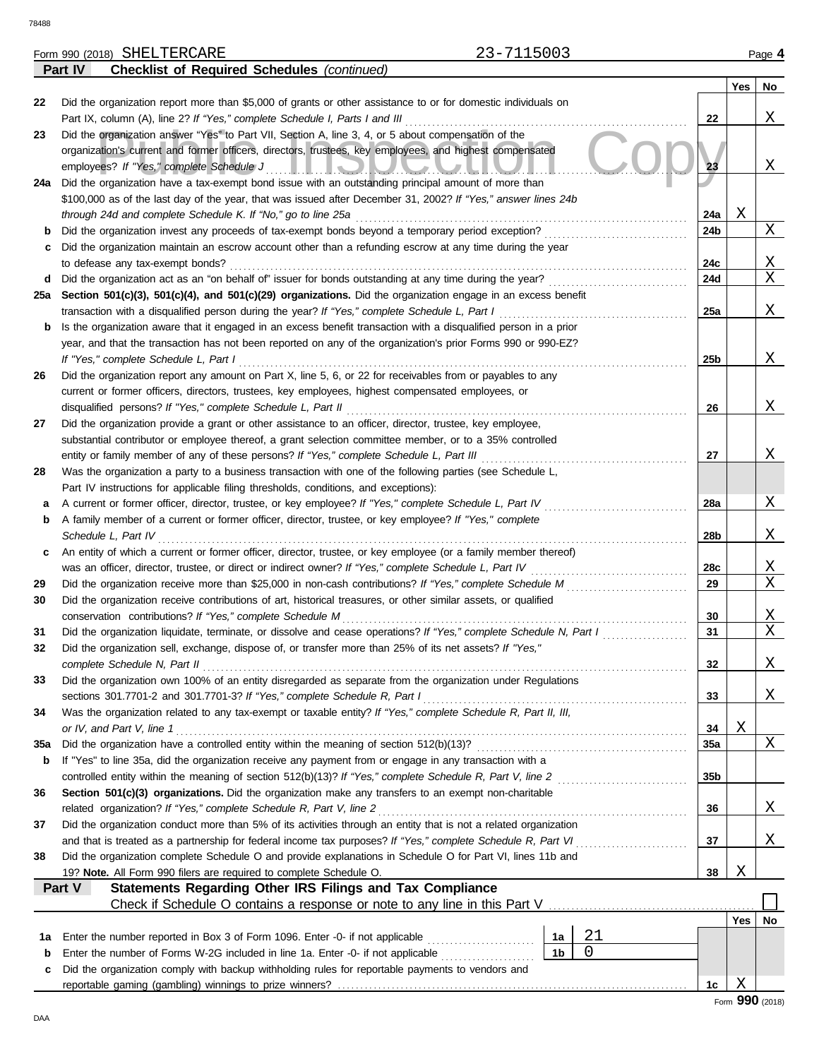**Part IV Checklist of Required Schedules** *(continued)*

|     |                                                                                                                                                                                         |                 | Yes | No              |
|-----|-----------------------------------------------------------------------------------------------------------------------------------------------------------------------------------------|-----------------|-----|-----------------|
| 22  | Did the organization report more than \$5,000 of grants or other assistance to or for domestic individuals on                                                                           |                 |     |                 |
|     | Part IX, column (A), line 2? If "Yes," complete Schedule I, Parts I and III                                                                                                             | 22              |     | X               |
| 23  | Did the organization answer "Yes" to Part VII, Section A, line 3, 4, or 5 about compensation of the                                                                                     |                 |     |                 |
|     | organization's current and former officers, directors, trustees, key employees, and highest compensated                                                                                 |                 |     |                 |
| 24a | employees? If "Yes," complete Schedule J<br><u>IIIOUUCHU</u><br>Did the organization have a tax-exempt bond issue with an outstanding principal amount of more than                     | 23              |     | X               |
|     | \$100,000 as of the last day of the year, that was issued after December 31, 2002? If "Yes," answer lines 24b                                                                           |                 |     |                 |
|     | through 24d and complete Schedule K. If "No," go to line 25a                                                                                                                            | 24a             | Χ   |                 |
| b   | Did the organization invest any proceeds of tax-exempt bonds beyond a temporary period exception?                                                                                       | 24b             |     | X               |
| c   | Did the organization maintain an escrow account other than a refunding escrow at any time during the year                                                                               |                 |     |                 |
|     | to defease any tax-exempt bonds?                                                                                                                                                        | 24c             |     | Χ               |
| d   | Did the organization act as an "on behalf of" issuer for bonds outstanding at any time during the year?                                                                                 | 24d             |     | X               |
| 25a | Section 501(c)(3), 501(c)(4), and 501(c)(29) organizations. Did the organization engage in an excess benefit                                                                            |                 |     |                 |
|     | transaction with a disqualified person during the year? If "Yes," complete Schedule L, Part I                                                                                           | 25a             |     | Χ               |
| b   | Is the organization aware that it engaged in an excess benefit transaction with a disqualified person in a prior                                                                        |                 |     |                 |
|     | year, and that the transaction has not been reported on any of the organization's prior Forms 990 or 990-EZ?                                                                            |                 |     |                 |
|     | If "Yes," complete Schedule L, Part I                                                                                                                                                   | 25 <sub>b</sub> |     | X               |
| 26  | Did the organization report any amount on Part X, line 5, 6, or 22 for receivables from or payables to any                                                                              |                 |     |                 |
|     | current or former officers, directors, trustees, key employees, highest compensated employees, or                                                                                       |                 |     |                 |
|     | disqualified persons? If "Yes," complete Schedule L, Part II                                                                                                                            | 26              |     | X               |
| 27  | Did the organization provide a grant or other assistance to an officer, director, trustee, key employee,                                                                                |                 |     |                 |
|     | substantial contributor or employee thereof, a grant selection committee member, or to a 35% controlled                                                                                 |                 |     |                 |
|     | entity or family member of any of these persons? If "Yes," complete Schedule L, Part III                                                                                                | 27              |     | X               |
| 28  | Was the organization a party to a business transaction with one of the following parties (see Schedule L,                                                                               |                 |     |                 |
|     | Part IV instructions for applicable filing thresholds, conditions, and exceptions):                                                                                                     |                 |     |                 |
| а   | A current or former officer, director, trustee, or key employee? If "Yes," complete Schedule L, Part IV                                                                                 | 28a             |     | X               |
| b   | A family member of a current or former officer, director, trustee, or key employee? If "Yes," complete                                                                                  |                 |     |                 |
|     | Schedule L, Part IV                                                                                                                                                                     | 28b             |     | Χ               |
| c   | An entity of which a current or former officer, director, trustee, or key employee (or a family member thereof)                                                                         |                 |     |                 |
|     |                                                                                                                                                                                         | 28c             |     | Χ               |
| 29  | Did the organization receive more than \$25,000 in non-cash contributions? If "Yes," complete Schedule M                                                                                | 29              |     | Χ               |
| 30  | Did the organization receive contributions of art, historical treasures, or other similar assets, or qualified                                                                          |                 |     |                 |
|     | conservation contributions? If "Yes," complete Schedule M                                                                                                                               | 30              |     | Χ               |
| 31  | Did the organization liquidate, terminate, or dissolve and cease operations? If "Yes," complete Schedule N, Part I                                                                      | 31              |     | X               |
| 32  | Did the organization sell, exchange, dispose of, or transfer more than 25% of its net assets? If "Yes,"                                                                                 |                 |     |                 |
|     | complete Schedule N, Part II                                                                                                                                                            | 32              |     | Χ               |
| 33  | Did the organization own 100% of an entity disregarded as separate from the organization under Regulations<br>sections 301.7701-2 and 301.7701-3? If "Yes," complete Schedule R, Part I |                 |     | Χ               |
| 34  | Was the organization related to any tax-exempt or taxable entity? If "Yes," complete Schedule R, Part II, III,                                                                          | 33              |     |                 |
|     | or IV, and Part V, line 1                                                                                                                                                               | 34              | Χ   |                 |
| 35a |                                                                                                                                                                                         | 35a             |     | Χ               |
| b   | If "Yes" to line 35a, did the organization receive any payment from or engage in any transaction with a                                                                                 |                 |     |                 |
|     |                                                                                                                                                                                         | 35 <sub>b</sub> |     |                 |
| 36  | Section 501(c)(3) organizations. Did the organization make any transfers to an exempt non-charitable                                                                                    |                 |     |                 |
|     | related organization? If "Yes," complete Schedule R, Part V, line 2                                                                                                                     | 36              |     | Χ               |
| 37  | Did the organization conduct more than 5% of its activities through an entity that is not a related organization                                                                        |                 |     |                 |
|     | and that is treated as a partnership for federal income tax purposes? If "Yes," complete Schedule R, Part VI                                                                            | 37              |     | Χ               |
| 38  | Did the organization complete Schedule O and provide explanations in Schedule O for Part VI, lines 11b and                                                                              |                 |     |                 |
|     | 19? Note. All Form 990 filers are required to complete Schedule O.                                                                                                                      | 38              | Χ   |                 |
|     | <b>Statements Regarding Other IRS Filings and Tax Compliance</b><br>Part V                                                                                                              |                 |     |                 |
|     | Check if Schedule O contains a response or note to any line in this Part V                                                                                                              |                 |     |                 |
|     |                                                                                                                                                                                         |                 | Yes | No              |
| 1а  | 21<br>Enter the number reported in Box 3 of Form 1096. Enter -0- if not applicable [<br>1a                                                                                              |                 |     |                 |
| b   | 0<br>1 <sub>b</sub><br>Enter the number of Forms W-2G included in line 1a. Enter -0- if not applicable                                                                                  |                 |     |                 |
| c   | Did the organization comply with backup withholding rules for reportable payments to vendors and                                                                                        |                 |     |                 |
|     |                                                                                                                                                                                         | 1c              | Χ   |                 |
|     |                                                                                                                                                                                         |                 |     | Form 990 (2018) |

DAA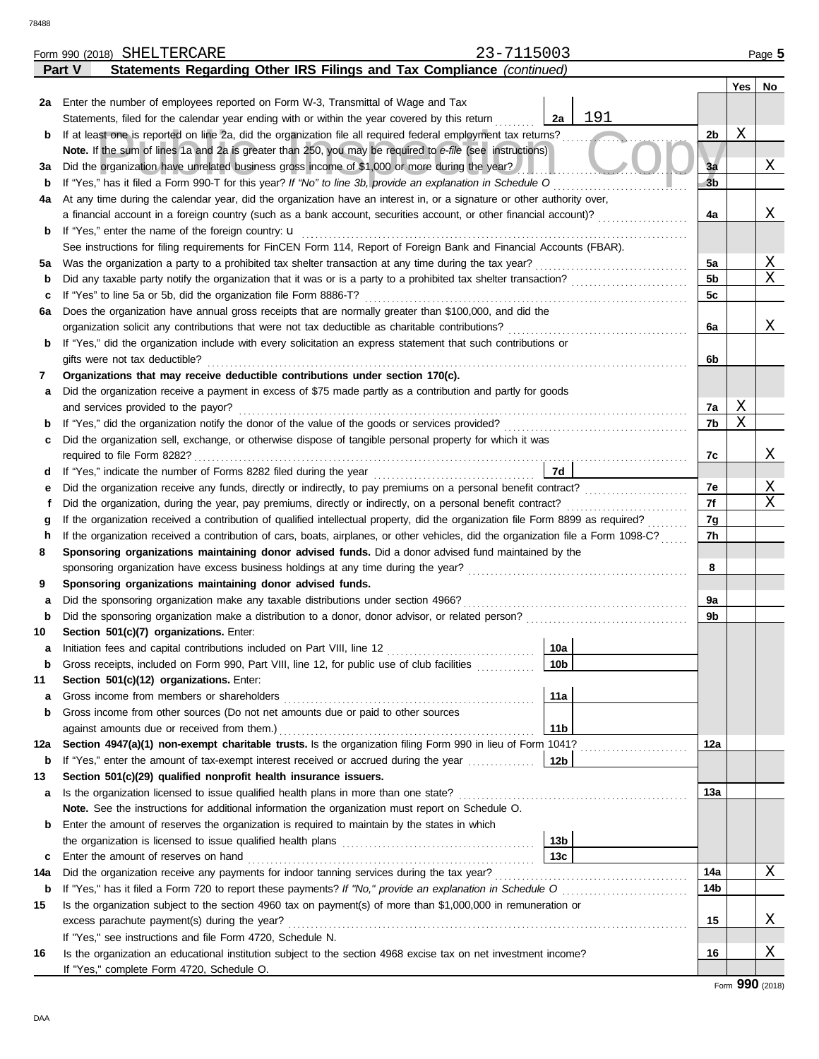|             | 23-7115003<br>Form 990 (2018) SHELTERCARE                                                                                                                    |                 |                |     |    |  |  |  |
|-------------|--------------------------------------------------------------------------------------------------------------------------------------------------------------|-----------------|----------------|-----|----|--|--|--|
|             | Statements Regarding Other IRS Filings and Tax Compliance (continued)<br>Part V                                                                              |                 |                |     |    |  |  |  |
|             |                                                                                                                                                              |                 |                | Yes | No |  |  |  |
|             | 2a Enter the number of employees reported on Form W-3, Transmittal of Wage and Tax                                                                           |                 |                |     |    |  |  |  |
|             | Statements, filed for the calendar year ending with or within the year covered by this return                                                                | 191<br>2a       |                | Χ   |    |  |  |  |
| b           | If at least one is reported on line 2a, did the organization file all required federal employment tax returns?                                               |                 |                |     |    |  |  |  |
|             | Note. If the sum of lines 1a and 2a is greater than 250, you may be required to e-file (see instructions)                                                    |                 |                |     |    |  |  |  |
| За          | Did the organization have unrelated business gross income of \$1,000 or more during the year?                                                                |                 | 3a             |     | Χ  |  |  |  |
| b           | If "Yes," has it filed a Form 990-T for this year? If "No" to line 3b, provide an explanation in Schedule O                                                  |                 | 3 <sub>b</sub> |     |    |  |  |  |
| 4a          | At any time during the calendar year, did the organization have an interest in, or a signature or other authority over,                                      |                 |                |     |    |  |  |  |
|             | a financial account in a foreign country (such as a bank account, securities account, or other financial account)?                                           |                 | 4a             |     | Χ  |  |  |  |
| b           | If "Yes," enter the name of the foreign country: <b>u</b>                                                                                                    |                 |                |     |    |  |  |  |
|             | See instructions for filing requirements for FinCEN Form 114, Report of Foreign Bank and Financial Accounts (FBAR).                                          |                 |                |     |    |  |  |  |
| 5a          | Was the organization a party to a prohibited tax shelter transaction at any time during the tax year?                                                        |                 | 5a             |     | Χ  |  |  |  |
| b           | Did any taxable party notify the organization that it was or is a party to a prohibited tax shelter transaction?                                             |                 | 5b             |     | Χ  |  |  |  |
| c           | If "Yes" to line 5a or 5b, did the organization file Form 8886-T?                                                                                            |                 | 5c             |     |    |  |  |  |
| 6а          | Does the organization have annual gross receipts that are normally greater than \$100,000, and did the                                                       |                 |                |     |    |  |  |  |
|             | organization solicit any contributions that were not tax deductible as charitable contributions?                                                             |                 | 6a             |     | Χ  |  |  |  |
| b           | If "Yes," did the organization include with every solicitation an express statement that such contributions or                                               |                 |                |     |    |  |  |  |
|             | gifts were not tax deductible?                                                                                                                               |                 | 6b             |     |    |  |  |  |
| 7           | Organizations that may receive deductible contributions under section 170(c).                                                                                |                 |                |     |    |  |  |  |
| а           | Did the organization receive a payment in excess of \$75 made partly as a contribution and partly for goods                                                  |                 |                | Χ   |    |  |  |  |
|             | and services provided to the payor?                                                                                                                          |                 | 7a<br>7b       | X   |    |  |  |  |
| b           | Did the organization sell, exchange, or otherwise dispose of tangible personal property for which it was                                                     |                 |                |     |    |  |  |  |
| c           |                                                                                                                                                              |                 | 7c             |     | Χ  |  |  |  |
| d           |                                                                                                                                                              | 7d              |                |     |    |  |  |  |
| е           |                                                                                                                                                              |                 | 7e             |     | Χ  |  |  |  |
| t           | Did the organization, during the year, pay premiums, directly or indirectly, on a personal benefit contract?                                                 |                 | 7f             |     | Χ  |  |  |  |
| g           | If the organization received a contribution of qualified intellectual property, did the organization file Form 8899 as required?                             |                 | 7g             |     |    |  |  |  |
| h           | If the organization received a contribution of cars, boats, airplanes, or other vehicles, did the organization file a Form 1098-C?                           |                 | 7h             |     |    |  |  |  |
| 8           | Sponsoring organizations maintaining donor advised funds. Did a donor advised fund maintained by the                                                         |                 |                |     |    |  |  |  |
|             |                                                                                                                                                              |                 | 8              |     |    |  |  |  |
| 9           | Sponsoring organizations maintaining donor advised funds.                                                                                                    |                 |                |     |    |  |  |  |
| а           | Did the sponsoring organization make any taxable distributions under section 4966?                                                                           |                 | 9a             |     |    |  |  |  |
| $\mathbf b$ | Did the sponsoring organization make a distribution to a donor, donor advisor, or related person?                                                            |                 | 9b             |     |    |  |  |  |
| 10          | Section 501(c)(7) organizations. Enter:                                                                                                                      |                 |                |     |    |  |  |  |
|             |                                                                                                                                                              | 10a             |                |     |    |  |  |  |
| b           | Gross receipts, included on Form 990, Part VIII, line 12, for public use of club facilities                                                                  | 10 <sub>b</sub> |                |     |    |  |  |  |
| 11          | Section 501(c)(12) organizations. Enter:                                                                                                                     |                 |                |     |    |  |  |  |
| а           | Gross income from members or shareholders                                                                                                                    | 11a             |                |     |    |  |  |  |
| b           | Gross income from other sources (Do not net amounts due or paid to other sources                                                                             |                 |                |     |    |  |  |  |
|             | against amounts due or received from them.)                                                                                                                  | 11 <sub>b</sub> |                |     |    |  |  |  |
| 12a         | Section 4947(a)(1) non-exempt charitable trusts. Is the organization filing Form 990 in lieu of Form 1041?                                                   |                 | 12a            |     |    |  |  |  |
| b           | If "Yes," enter the amount of tax-exempt interest received or accrued during the year                                                                        | 12b             |                |     |    |  |  |  |
| 13          | Section 501(c)(29) qualified nonprofit health insurance issuers.                                                                                             |                 |                |     |    |  |  |  |
| а           | Is the organization licensed to issue qualified health plans in more than one state?                                                                         |                 | 13а            |     |    |  |  |  |
|             | Note. See the instructions for additional information the organization must report on Schedule O.                                                            |                 |                |     |    |  |  |  |
| b           | Enter the amount of reserves the organization is required to maintain by the states in which                                                                 |                 |                |     |    |  |  |  |
|             |                                                                                                                                                              | 13 <sub>b</sub> |                |     |    |  |  |  |
| c           | Enter the amount of reserves on hand                                                                                                                         | 13c             |                |     |    |  |  |  |
| 14a         | Did the organization receive any payments for indoor tanning services during the tax year?                                                                   |                 | 14a            |     | Χ  |  |  |  |
| b           | If "Yes," has it filed a Form 720 to report these payments? If "No," provide an explanation in Schedule O                                                    |                 | 14b            |     |    |  |  |  |
| 15          | Is the organization subject to the section 4960 tax on payment(s) of more than \$1,000,000 in remuneration or                                                |                 |                |     |    |  |  |  |
|             | excess parachute payment(s) during the year?                                                                                                                 |                 | 15             |     | Χ  |  |  |  |
|             | If "Yes," see instructions and file Form 4720, Schedule N.                                                                                                   |                 | 16             |     | Χ  |  |  |  |
| 16          | Is the organization an educational institution subject to the section 4968 excise tax on net investment income?<br>If "Yes," complete Form 4720, Schedule O. |                 |                |     |    |  |  |  |
|             |                                                                                                                                                              |                 |                |     |    |  |  |  |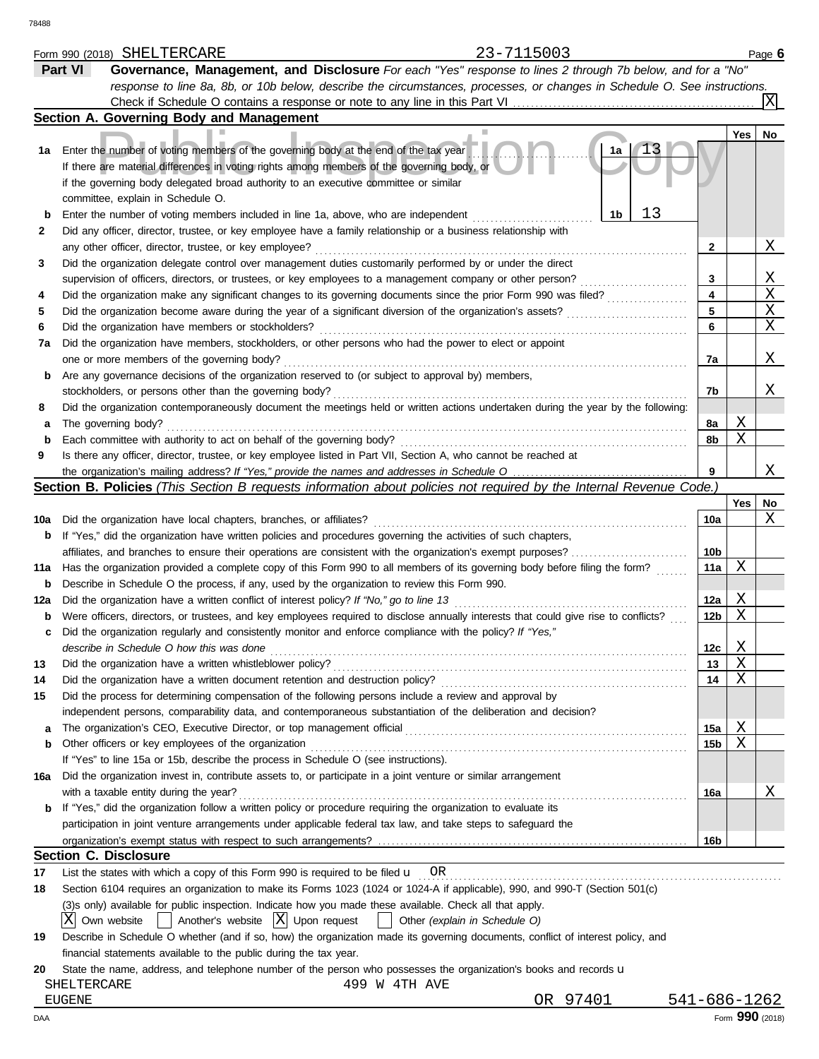|     | 23-7115003<br>Form 990 (2018) SHELTERCARE                                                                                                                                                                                                                                       |                 |     | Page 6          |
|-----|---------------------------------------------------------------------------------------------------------------------------------------------------------------------------------------------------------------------------------------------------------------------------------|-----------------|-----|-----------------|
|     | Governance, Management, and Disclosure For each "Yes" response to lines 2 through 7b below, and for a "No"<br>Part VI                                                                                                                                                           |                 |     |                 |
|     | response to line 8a, 8b, or 10b below, describe the circumstances, processes, or changes in Schedule O. See instructions.                                                                                                                                                       |                 |     |                 |
|     | Check if Schedule O contains a response or note to any line in this Part VI                                                                                                                                                                                                     |                 |     | X               |
|     | Section A. Governing Body and Management                                                                                                                                                                                                                                        |                 |     |                 |
|     |                                                                                                                                                                                                                                                                                 |                 | Yes | <b>No</b>       |
| 1a  | Enter the number of voting members of the governing body at the end of the tax year<br>1a<br>If there are material differences in voting rights among members of the governing body, or<br>if the governing body delegated broad authority to an executive committee or similar |                 |     |                 |
|     | committee, explain in Schedule O.                                                                                                                                                                                                                                               |                 |     |                 |
| b   | 13<br>1b<br>Enter the number of voting members included in line 1a, above, who are independent                                                                                                                                                                                  |                 |     |                 |
| 2   | Did any officer, director, trustee, or key employee have a family relationship or a business relationship with                                                                                                                                                                  |                 |     |                 |
|     | any other officer, director, trustee, or key employee?                                                                                                                                                                                                                          | 2               |     | Χ               |
| 3   | Did the organization delegate control over management duties customarily performed by or under the direct                                                                                                                                                                       |                 |     |                 |
|     | supervision of officers, directors, or trustees, or key employees to a management company or other person?                                                                                                                                                                      | 3               |     | Χ               |
| 4   | Did the organization make any significant changes to its governing documents since the prior Form 990 was filed?                                                                                                                                                                | 4               |     | X               |
| 5   | Did the organization become aware during the year of a significant diversion of the organization's assets?                                                                                                                                                                      | 5               |     | Χ               |
| 6   | Did the organization have members or stockholders?                                                                                                                                                                                                                              | 6               |     | Χ               |
| 7a  | Did the organization have members, stockholders, or other persons who had the power to elect or appoint                                                                                                                                                                         |                 |     |                 |
|     | one or more members of the governing body?                                                                                                                                                                                                                                      | 7a              |     | Χ               |
| b   | Are any governance decisions of the organization reserved to (or subject to approval by) members,                                                                                                                                                                               |                 |     |                 |
|     | stockholders, or persons other than the governing body?                                                                                                                                                                                                                         | 7b              |     | Χ               |
| 8   | Did the organization contemporaneously document the meetings held or written actions undertaken during the year by the following:                                                                                                                                               |                 |     |                 |
| a   | The governing body?                                                                                                                                                                                                                                                             | 8a              | Χ   |                 |
| b   | Each committee with authority to act on behalf of the governing body?                                                                                                                                                                                                           | 8b              | Χ   |                 |
| 9   | Is there any officer, director, trustee, or key employee listed in Part VII, Section A, who cannot be reached at                                                                                                                                                                |                 |     |                 |
|     |                                                                                                                                                                                                                                                                                 | 9               |     | Χ               |
|     | Section B. Policies (This Section B requests information about policies not required by the Internal Revenue Code.)                                                                                                                                                             |                 |     |                 |
|     |                                                                                                                                                                                                                                                                                 |                 | Yes | No              |
| 10a | Did the organization have local chapters, branches, or affiliates?                                                                                                                                                                                                              | 10a             |     | Χ               |
| b   | If "Yes," did the organization have written policies and procedures governing the activities of such chapters,                                                                                                                                                                  |                 |     |                 |
|     | affiliates, and branches to ensure their operations are consistent with the organization's exempt purposes?                                                                                                                                                                     | 10b             |     |                 |
| 11a | Has the organization provided a complete copy of this Form 990 to all members of its governing body before filing the form?                                                                                                                                                     | 11a             | Χ   |                 |
| b   | Describe in Schedule O the process, if any, used by the organization to review this Form 990.                                                                                                                                                                                   |                 |     |                 |
| 12a | Did the organization have a written conflict of interest policy? If "No," go to line 13                                                                                                                                                                                         | 12a             | Χ   |                 |
| b   | Were officers, directors, or trustees, and key employees required to disclose annually interests that could give rise to conflicts?                                                                                                                                             | 12 <sub>b</sub> | Χ   |                 |
| с   | Did the organization regularly and consistently monitor and enforce compliance with the policy? If "Yes,"                                                                                                                                                                       |                 |     |                 |
|     | describe in Schedule O how this was done                                                                                                                                                                                                                                        | 12c             | Χ   |                 |
| 13  | Did the organization have a written whistleblower policy?                                                                                                                                                                                                                       | 13              | X   |                 |
| 14  | Did the organization have a written document retention and destruction policy?                                                                                                                                                                                                  | 14              | Χ   |                 |
| 15  | Did the process for determining compensation of the following persons include a review and approval by                                                                                                                                                                          |                 |     |                 |
|     | independent persons, comparability data, and contemporaneous substantiation of the deliberation and decision?                                                                                                                                                                   |                 |     |                 |
| а   |                                                                                                                                                                                                                                                                                 | 15a             | Χ   |                 |
| b   | Other officers or key employees of the organization                                                                                                                                                                                                                             | 15b             | Χ   |                 |
|     | If "Yes" to line 15a or 15b, describe the process in Schedule O (see instructions).                                                                                                                                                                                             |                 |     |                 |
| 16a | Did the organization invest in, contribute assets to, or participate in a joint venture or similar arrangement                                                                                                                                                                  |                 |     |                 |
|     | with a taxable entity during the year?                                                                                                                                                                                                                                          | 16a             |     | Χ               |
| b   | If "Yes," did the organization follow a written policy or procedure requiring the organization to evaluate its                                                                                                                                                                  |                 |     |                 |
|     | participation in joint venture arrangements under applicable federal tax law, and take steps to safeguard the                                                                                                                                                                   |                 |     |                 |
|     |                                                                                                                                                                                                                                                                                 | 16b             |     |                 |
|     | <b>Section C. Disclosure</b>                                                                                                                                                                                                                                                    |                 |     |                 |
| 17  | List the states with which a copy of this Form 990 is required to be filed $\mathbf{u}$ OR                                                                                                                                                                                      |                 |     |                 |
| 18  | Section 6104 requires an organization to make its Forms 1023 (1024 or 1024-A if applicable), 990, and 990-T (Section 501(c)                                                                                                                                                     |                 |     |                 |
|     | (3)s only) available for public inspection. Indicate how you made these available. Check all that apply.                                                                                                                                                                        |                 |     |                 |
|     | ΣI<br>$\vert$ Another's website $\vert X \vert$ Upon request<br>Own website<br>Other (explain in Schedule O)                                                                                                                                                                    |                 |     |                 |
| 19  | Describe in Schedule O whether (and if so, how) the organization made its governing documents, conflict of interest policy, and                                                                                                                                                 |                 |     |                 |
|     | financial statements available to the public during the tax year.                                                                                                                                                                                                               |                 |     |                 |
| 20  | State the name, address, and telephone number of the person who possesses the organization's books and records u                                                                                                                                                                |                 |     |                 |
|     | SHELTERCARE<br>499 W 4TH AVE                                                                                                                                                                                                                                                    |                 |     |                 |
|     | OR 97401<br><b>EUGENE</b>                                                                                                                                                                                                                                                       | 541-686-1262    |     |                 |
| DAA |                                                                                                                                                                                                                                                                                 |                 |     | Form 990 (2018) |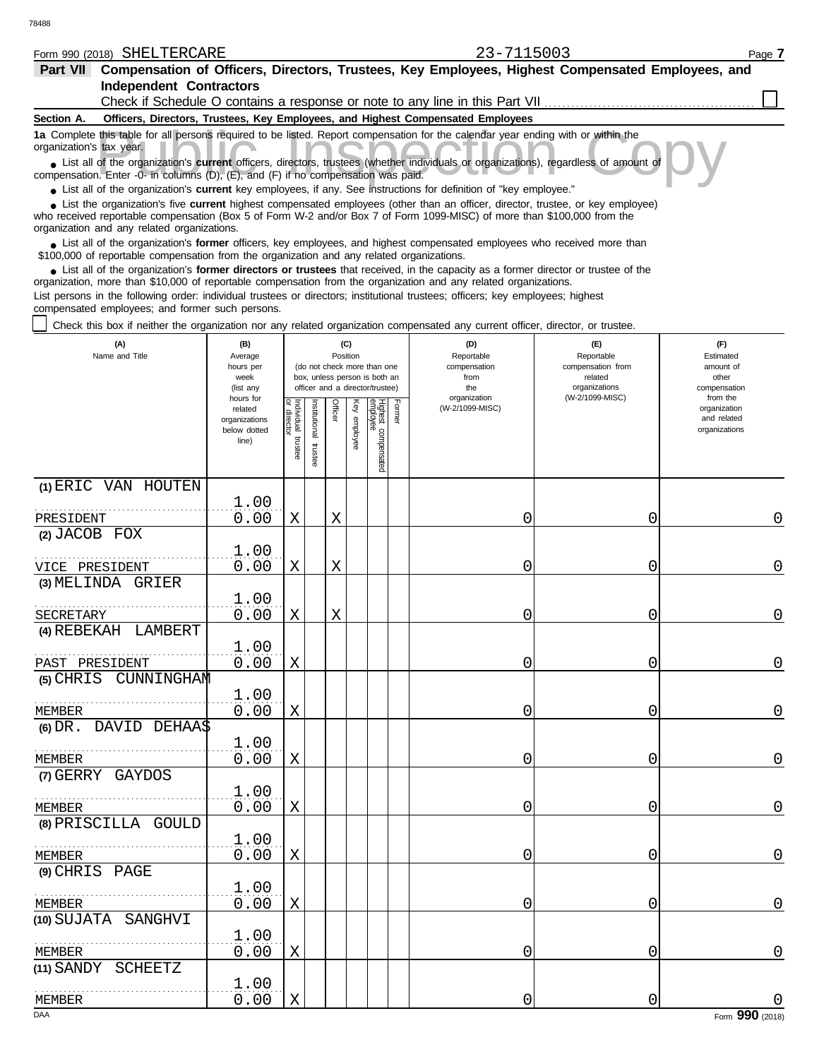#### Form 990 (2018) Page **7** SHELTERCARE 23-7115003

| -7115003 |  |
|----------|--|
|          |  |

| Part VII                 | Compensation of Officers, Directors, Trustees, Key Employees, Highest Compensated Employees, and                                                                                                                                                                                                           |
|--------------------------|------------------------------------------------------------------------------------------------------------------------------------------------------------------------------------------------------------------------------------------------------------------------------------------------------------|
|                          | <b>Independent Contractors</b>                                                                                                                                                                                                                                                                             |
|                          | Check if Schedule O contains a response or note to any line in this Part VII                                                                                                                                                                                                                               |
| Section A.               | Officers, Directors, Trustees, Key Employees, and Highest Compensated Employees                                                                                                                                                                                                                            |
| organization's tax year. | 1a Complete this table for all persons required to be listed. Report compensation for the calendar year ending with or within the                                                                                                                                                                          |
|                          | List all of the organization's current officers, directors, trustees (whether individuals or organizations), regardless of amount of<br>compensation. Enter -0- in columns (D), (E), and (F) if no compensation was paid.                                                                                  |
|                          | • List all of the organization's current key employees, if any. See instructions for definition of "key employee."                                                                                                                                                                                         |
|                          | • List the organization's five current highest compensated employees (other than an officer, director, trustee, or key employee)<br>who received reportable compensation (Box 5 of Form W-2 and/or Box 7 of Form 1099-MISC) of more than \$100,000 from the<br>organization and any related organizations. |
|                          | • List all of the organization's former officers, key employees, and highest compensated employees who received more than<br>\$100,000 of reportable compensation from the organization and any related organizations.                                                                                     |
|                          | • List all of the organization's <b>former directors or trustees</b> that received, in the capacity as a former director or trustee of the<br>organization, more than \$10,000 of reportable compensation from the organization and any related organizations.                                             |

List persons in the following order: individual trustees or directors; institutional trustees; officers; key employees; highest compensated employees; and former such persons.

Check this box if neither the organization nor any related organization compensated any current officer, director, or trustee.

| (A)<br>Name and Title            | (B)<br>Average<br>hours per<br>week<br>(list any<br>hours for |                                      |                          | (C)<br>Position |              | (do not check more than one<br>box, unless person is both an<br>officer and a director/trustee) |        | (D)<br>Reportable<br>compensation<br>from<br>the<br>organization | (E)<br>Reportable<br>compensation from<br>related<br>organizations<br>(W-2/1099-MISC) | (F)<br>Estimated<br>amount of<br>other<br>compensation<br>from the |
|----------------------------------|---------------------------------------------------------------|--------------------------------------|--------------------------|-----------------|--------------|-------------------------------------------------------------------------------------------------|--------|------------------------------------------------------------------|---------------------------------------------------------------------------------------|--------------------------------------------------------------------|
|                                  | related<br>organizations<br>below dotted<br>line)             | Individual<br>or director<br>trustee | Institutional<br>trustee | Officer         | Key employee | Highest compensated<br>employee                                                                 | Former | (W-2/1099-MISC)                                                  |                                                                                       | organization<br>and related<br>organizations                       |
| (1) ERIC VAN HOUTEN<br>PRESIDENT | 1.00<br>0.00                                                  | $\mathbf X$                          |                          | X               |              |                                                                                                 |        | 0                                                                | 0                                                                                     | 0                                                                  |
| (2) JACOB FOX                    |                                                               |                                      |                          |                 |              |                                                                                                 |        |                                                                  |                                                                                       |                                                                    |
| VICE PRESIDENT                   | 1.00<br>0.00                                                  | Χ                                    |                          | Χ               |              |                                                                                                 |        | 0                                                                | 0                                                                                     | 0                                                                  |
| (3) MELINDA GRIER                |                                                               |                                      |                          |                 |              |                                                                                                 |        |                                                                  |                                                                                       |                                                                    |
| SECRETARY                        | 1.00<br>0.00                                                  | $\mathbf X$                          |                          | X               |              |                                                                                                 |        | 0                                                                | 0                                                                                     | $\overline{0}$                                                     |
| (4) REBEKAH LAMBERT              |                                                               |                                      |                          |                 |              |                                                                                                 |        |                                                                  |                                                                                       |                                                                    |
| PAST PRESIDENT                   | 1.00<br>0.00                                                  | X                                    |                          |                 |              |                                                                                                 |        | 0                                                                | 0                                                                                     | 0                                                                  |
| $(5)$ CHRIS<br>CUNNINGHAM        |                                                               |                                      |                          |                 |              |                                                                                                 |        |                                                                  |                                                                                       |                                                                    |
| <b>MEMBER</b>                    | 1.00<br>0.00                                                  | Χ                                    |                          |                 |              |                                                                                                 |        | 0                                                                | 0                                                                                     | 0                                                                  |
| (6) DR. DAVID DEHAA\$            |                                                               |                                      |                          |                 |              |                                                                                                 |        |                                                                  |                                                                                       |                                                                    |
| <b>MEMBER</b>                    | 1.00<br>0.00                                                  | $\mathbf X$                          |                          |                 |              |                                                                                                 |        | 0                                                                | 0                                                                                     | $\overline{0}$                                                     |
| (7) GERRY GAYDOS                 | 1.00                                                          |                                      |                          |                 |              |                                                                                                 |        |                                                                  |                                                                                       |                                                                    |
| <b>MEMBER</b>                    | 0.00                                                          | X                                    |                          |                 |              |                                                                                                 |        | 0                                                                | 0                                                                                     | 0                                                                  |
| (8) PRISCILLA GOULD              | 1.00                                                          |                                      |                          |                 |              |                                                                                                 |        |                                                                  |                                                                                       |                                                                    |
| 1.1.1.1.1.1<br>MEMBER            | 0.00                                                          | X                                    |                          |                 |              |                                                                                                 |        | 0                                                                | 0                                                                                     | $\Omega$                                                           |
| (9) CHRIS PAGE                   | 1.00                                                          |                                      |                          |                 |              |                                                                                                 |        |                                                                  |                                                                                       |                                                                    |
| MEMBER                           | 0.00                                                          | Χ                                    |                          |                 |              |                                                                                                 |        | 0                                                                | 0                                                                                     | $\overline{0}$                                                     |
| SANGHVI<br>(10) SUJATA           | 1.00                                                          |                                      |                          |                 |              |                                                                                                 |        |                                                                  |                                                                                       |                                                                    |
| <b>MEMBER</b>                    | 0.00                                                          | X                                    |                          |                 |              |                                                                                                 |        | 0                                                                | 0                                                                                     | $\mathbf 0$                                                        |
| <b>SCHEETZ</b><br>(11) SANDY     | 1.00                                                          |                                      |                          |                 |              |                                                                                                 |        |                                                                  |                                                                                       |                                                                    |
| <b>MEMBER</b>                    | 0.00                                                          | $\mathbf X$                          |                          |                 |              |                                                                                                 |        | 0                                                                | 0                                                                                     |                                                                    |
| DAA                              |                                                               |                                      |                          |                 |              |                                                                                                 |        |                                                                  |                                                                                       | Form 990 (2018)                                                    |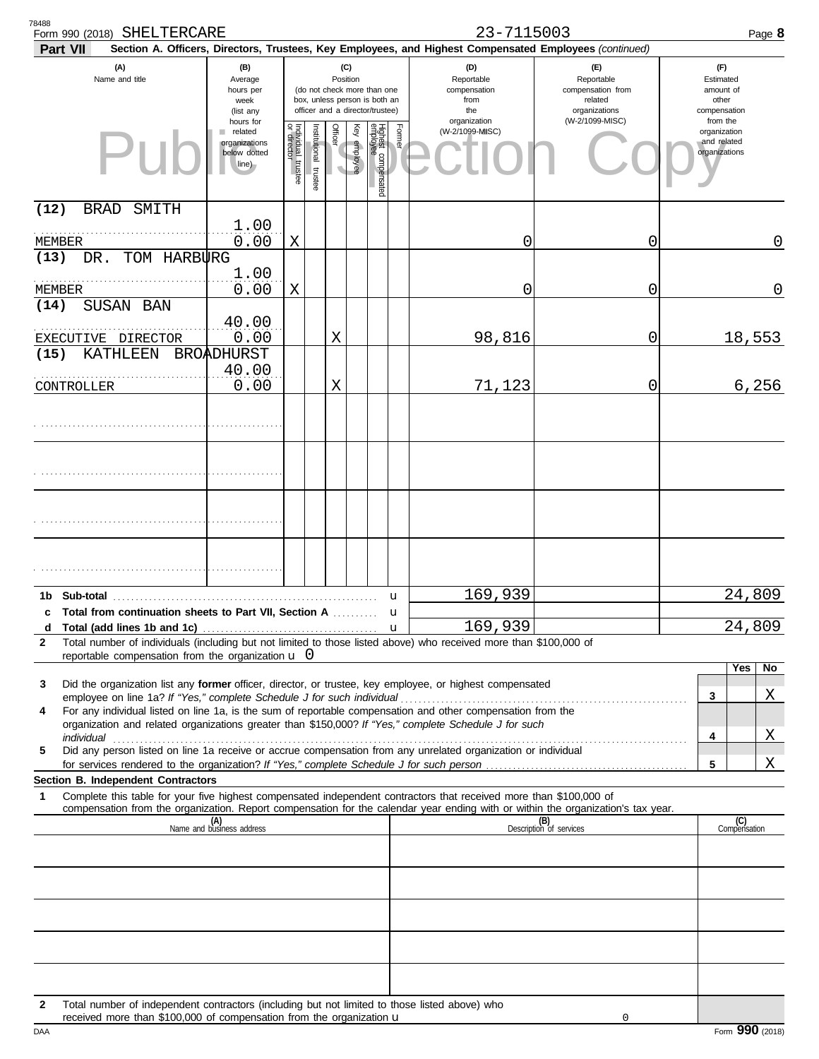| 78488<br>Form 990 (2018) SHELTERCARE                                                                                                                                                                                                                        |                                                               |                                   |                      |                 |              |                                                                                                 |                   | 23-7115003                                                                                             |                                                                                                  |                                                                    | Page 8              |
|-------------------------------------------------------------------------------------------------------------------------------------------------------------------------------------------------------------------------------------------------------------|---------------------------------------------------------------|-----------------------------------|----------------------|-----------------|--------------|-------------------------------------------------------------------------------------------------|-------------------|--------------------------------------------------------------------------------------------------------|--------------------------------------------------------------------------------------------------|--------------------------------------------------------------------|---------------------|
| <b>Part VII</b>                                                                                                                                                                                                                                             |                                                               |                                   |                      |                 |              |                                                                                                 |                   | Section A. Officers, Directors, Trustees, Key Employees, and Highest Compensated Employees (continued) |                                                                                                  |                                                                    |                     |
| (A)<br>Name and title                                                                                                                                                                                                                                       | (B)<br>Average<br>hours per<br>week<br>(list any<br>hours for |                                   |                      | (C)<br>Position |              | (do not check more than one<br>box, unless person is both an<br>officer and a director/trustee) |                   | (D)<br>Reportable<br>compensation<br>from<br>the<br>organization                                       | $(\mathsf{F})$<br>Reportable<br>compensation from<br>related<br>organizations<br>(W-2/1099-MISC) | (F)<br>Estimated<br>amount of<br>other<br>compensation<br>from the |                     |
| PII                                                                                                                                                                                                                                                         | related<br>organizations<br>below dotted<br>line)             | Individual trustee<br>or director | nstitutional trustee | Officer         | Key employee | Highest compensated<br>employee                                                                 | Former            | (W-2/1099-MISC)                                                                                        |                                                                                                  | organization<br>and related<br>organizations                       |                     |
| (12)<br><b>BRAD</b><br>SMITH                                                                                                                                                                                                                                |                                                               |                                   |                      |                 |              |                                                                                                 |                   |                                                                                                        |                                                                                                  |                                                                    |                     |
| MEMBER                                                                                                                                                                                                                                                      | 1.00<br>0.00                                                  | Χ                                 |                      |                 |              |                                                                                                 |                   | 0                                                                                                      | 0                                                                                                |                                                                    | 0                   |
| TOM HARBURG<br>(13)<br>DR.                                                                                                                                                                                                                                  |                                                               |                                   |                      |                 |              |                                                                                                 |                   |                                                                                                        |                                                                                                  |                                                                    |                     |
| MEMBER                                                                                                                                                                                                                                                      | 1.00<br>0.00                                                  | Χ                                 |                      |                 |              |                                                                                                 |                   | 0                                                                                                      | 0                                                                                                |                                                                    | 0                   |
| (14)<br>SUSAN BAN                                                                                                                                                                                                                                           |                                                               |                                   |                      |                 |              |                                                                                                 |                   |                                                                                                        |                                                                                                  |                                                                    |                     |
|                                                                                                                                                                                                                                                             | 40.00<br>0.00                                                 |                                   |                      |                 |              |                                                                                                 |                   |                                                                                                        |                                                                                                  |                                                                    |                     |
| EXECUTIVE DIRECTOR<br>(15)<br>KATHLEEN                                                                                                                                                                                                                      | BROADHURST                                                    |                                   |                      | X               |              |                                                                                                 |                   | 98,816                                                                                                 | 0                                                                                                |                                                                    | 18,553              |
|                                                                                                                                                                                                                                                             | 40.00                                                         |                                   |                      |                 |              |                                                                                                 |                   |                                                                                                        |                                                                                                  |                                                                    |                     |
| CONTROLLER                                                                                                                                                                                                                                                  | 0.00                                                          |                                   |                      | X               |              |                                                                                                 |                   | 71,123                                                                                                 | 0                                                                                                |                                                                    | 6, 256              |
|                                                                                                                                                                                                                                                             |                                                               |                                   |                      |                 |              |                                                                                                 |                   |                                                                                                        |                                                                                                  |                                                                    |                     |
|                                                                                                                                                                                                                                                             |                                                               |                                   |                      |                 |              |                                                                                                 |                   |                                                                                                        |                                                                                                  |                                                                    |                     |
|                                                                                                                                                                                                                                                             |                                                               |                                   |                      |                 |              |                                                                                                 |                   |                                                                                                        |                                                                                                  |                                                                    |                     |
|                                                                                                                                                                                                                                                             |                                                               |                                   |                      |                 |              |                                                                                                 |                   |                                                                                                        |                                                                                                  |                                                                    |                     |
|                                                                                                                                                                                                                                                             |                                                               |                                   |                      |                 |              |                                                                                                 |                   |                                                                                                        |                                                                                                  |                                                                    |                     |
|                                                                                                                                                                                                                                                             |                                                               |                                   |                      |                 |              |                                                                                                 |                   |                                                                                                        |                                                                                                  |                                                                    |                     |
|                                                                                                                                                                                                                                                             |                                                               |                                   |                      |                 |              |                                                                                                 |                   |                                                                                                        |                                                                                                  |                                                                    |                     |
| Sub-total<br>1b                                                                                                                                                                                                                                             |                                                               |                                   |                      |                 |              |                                                                                                 | u                 | 169,939                                                                                                |                                                                                                  |                                                                    | 24,809              |
| Total from continuation sheets to Part VII, Section A<br>c<br>d                                                                                                                                                                                             |                                                               |                                   |                      |                 |              |                                                                                                 | u<br>$\mathbf{u}$ | 169,939                                                                                                |                                                                                                  |                                                                    | 24,809              |
| Total number of individuals (including but not limited to those listed above) who received more than \$100,000 of<br>$\mathbf{2}$                                                                                                                           |                                                               |                                   |                      |                 |              |                                                                                                 |                   |                                                                                                        |                                                                                                  |                                                                    |                     |
| reportable compensation from the organization $\mathbf{u}$ 0                                                                                                                                                                                                |                                                               |                                   |                      |                 |              |                                                                                                 |                   |                                                                                                        |                                                                                                  |                                                                    | Yes<br>No           |
| Did the organization list any former officer, director, or trustee, key employee, or highest compensated<br>3                                                                                                                                               |                                                               |                                   |                      |                 |              |                                                                                                 |                   |                                                                                                        |                                                                                                  | 3                                                                  | X                   |
| For any individual listed on line 1a, is the sum of reportable compensation and other compensation from the<br>4                                                                                                                                            |                                                               |                                   |                      |                 |              |                                                                                                 |                   |                                                                                                        |                                                                                                  |                                                                    |                     |
| organization and related organizations greater than \$150,000? If "Yes," complete Schedule J for such                                                                                                                                                       |                                                               |                                   |                      |                 |              |                                                                                                 |                   |                                                                                                        |                                                                                                  | 4                                                                  | X                   |
| Did any person listed on line 1a receive or accrue compensation from any unrelated organization or individual<br>5                                                                                                                                          |                                                               |                                   |                      |                 |              |                                                                                                 |                   |                                                                                                        |                                                                                                  | 5                                                                  | Χ                   |
| <b>Section B. Independent Contractors</b>                                                                                                                                                                                                                   |                                                               |                                   |                      |                 |              |                                                                                                 |                   |                                                                                                        |                                                                                                  |                                                                    |                     |
| Complete this table for your five highest compensated independent contractors that received more than \$100,000 of<br>1<br>compensation from the organization. Report compensation for the calendar year ending with or within the organization's tax year. |                                                               |                                   |                      |                 |              |                                                                                                 |                   |                                                                                                        |                                                                                                  |                                                                    |                     |
|                                                                                                                                                                                                                                                             | (A)<br>Name and business address                              |                                   |                      |                 |              |                                                                                                 |                   |                                                                                                        | (B)<br>Description of services                                                                   |                                                                    | (C)<br>Compensation |
|                                                                                                                                                                                                                                                             |                                                               |                                   |                      |                 |              |                                                                                                 |                   |                                                                                                        |                                                                                                  |                                                                    |                     |
|                                                                                                                                                                                                                                                             |                                                               |                                   |                      |                 |              |                                                                                                 |                   |                                                                                                        |                                                                                                  |                                                                    |                     |
|                                                                                                                                                                                                                                                             |                                                               |                                   |                      |                 |              |                                                                                                 |                   |                                                                                                        |                                                                                                  |                                                                    |                     |
|                                                                                                                                                                                                                                                             |                                                               |                                   |                      |                 |              |                                                                                                 |                   |                                                                                                        |                                                                                                  |                                                                    |                     |
|                                                                                                                                                                                                                                                             |                                                               |                                   |                      |                 |              |                                                                                                 |                   |                                                                                                        |                                                                                                  |                                                                    |                     |
|                                                                                                                                                                                                                                                             |                                                               |                                   |                      |                 |              |                                                                                                 |                   |                                                                                                        |                                                                                                  |                                                                    |                     |
|                                                                                                                                                                                                                                                             |                                                               |                                   |                      |                 |              |                                                                                                 |                   |                                                                                                        |                                                                                                  |                                                                    |                     |
| Total number of independent contractors (including but not limited to those listed above) who<br>2<br>received more than \$100,000 of compensation from the organization $\mathbf u$                                                                        |                                                               |                                   |                      |                 |              |                                                                                                 |                   |                                                                                                        | 0                                                                                                |                                                                    |                     |

DAA Form 990 (2018)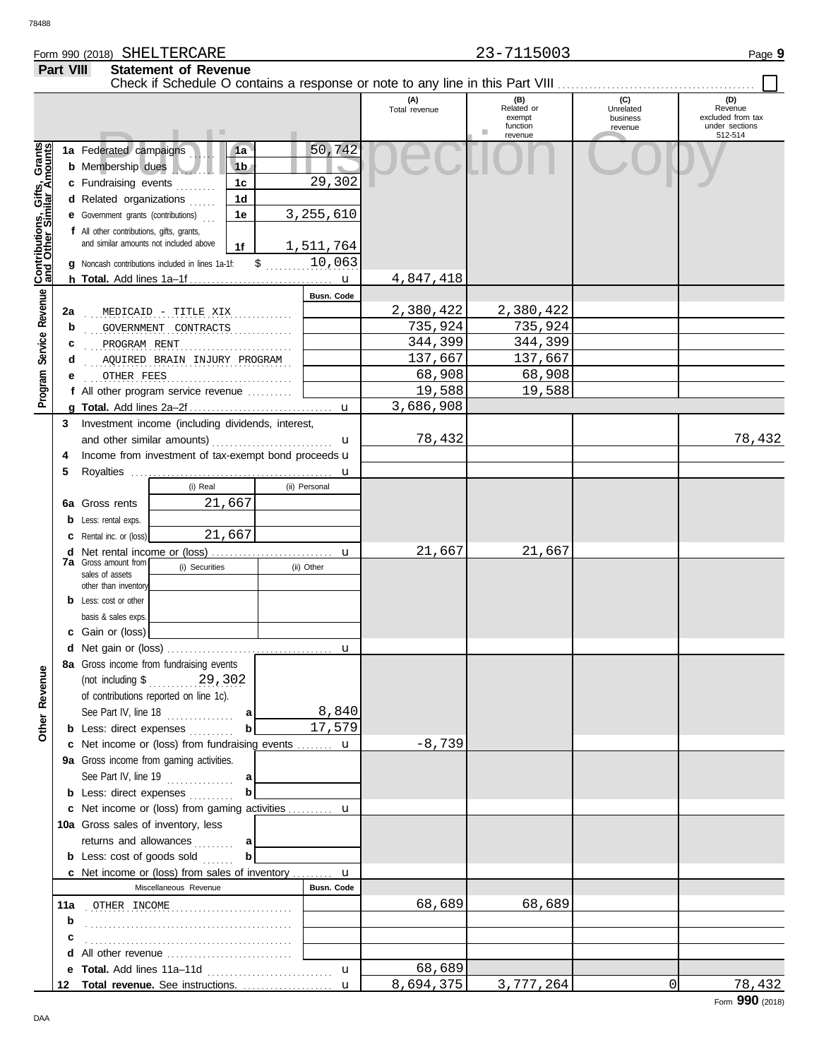### Form 990 (2018) Page **9** SHELTERCARE 23-7115003 **Part VIII Statement of Revenue**

|                              |     |                                                                                                                                                                                                                                                                                                                                                                       |                                        |                  | (A)<br>Total revenue | (B)<br>Related or<br>exempt<br>function | (C)<br>Unrelated<br>business<br>revenue | (D)<br>Revenue<br>excluded from tax<br>under sections |
|------------------------------|-----|-----------------------------------------------------------------------------------------------------------------------------------------------------------------------------------------------------------------------------------------------------------------------------------------------------------------------------------------------------------------------|----------------------------------------|------------------|----------------------|-----------------------------------------|-----------------------------------------|-------------------------------------------------------|
|                              |     | . .                                                                                                                                                                                                                                                                                                                                                                   |                                        |                  |                      | revenue                                 |                                         | 512-514                                               |
| Contributions, Gifts, Grants |     | 1a Federated campaigns<br><b>b</b> Membership dues<br>c Fundraising events                                                                                                                                                                                                                                                                                            | 1a<br>1 <sub>b</sub><br>1 <sup>c</sup> | 50,742<br>29,302 |                      |                                         |                                         |                                                       |
|                              |     | d Related organizations                                                                                                                                                                                                                                                                                                                                               | 1 <sub>d</sub>                         |                  |                      |                                         |                                         |                                                       |
|                              |     | <b>e</b> Government grants (contributions)                                                                                                                                                                                                                                                                                                                            | 1e                                     | 3,255,610        |                      |                                         |                                         |                                                       |
|                              |     | f All other contributions, gifts, grants,                                                                                                                                                                                                                                                                                                                             |                                        |                  |                      |                                         |                                         |                                                       |
|                              |     | and similar amounts not included above                                                                                                                                                                                                                                                                                                                                | 1f                                     | 1,511,764        |                      |                                         |                                         |                                                       |
|                              |     | Noncash contributions included in lines 1a-1f:                                                                                                                                                                                                                                                                                                                        |                                        | 10,063           |                      |                                         |                                         |                                                       |
|                              |     |                                                                                                                                                                                                                                                                                                                                                                       | $\mathsf{S}$ .                         |                  |                      |                                         |                                         |                                                       |
|                              |     |                                                                                                                                                                                                                                                                                                                                                                       |                                        |                  | 4,847,418            |                                         |                                         |                                                       |
| Service Revenue              |     |                                                                                                                                                                                                                                                                                                                                                                       |                                        | Busn, Code       |                      |                                         |                                         |                                                       |
|                              | 2a  | MEDICAID - TITLE XIX                                                                                                                                                                                                                                                                                                                                                  | .                                      |                  | 2,380,422            | 2,380,422                               |                                         |                                                       |
|                              | b   | GOVERNMENT CONTRACTS                                                                                                                                                                                                                                                                                                                                                  | .                                      |                  | 735,924              | 735,924                                 |                                         |                                                       |
|                              | с   | PROGRAM RENT                                                                                                                                                                                                                                                                                                                                                          |                                        |                  | 344,399              | 344,399                                 |                                         |                                                       |
|                              | d   | AQUIRED BRAIN INJURY PROGRAM                                                                                                                                                                                                                                                                                                                                          |                                        |                  | 137,667              | 137,667                                 |                                         |                                                       |
|                              | е   | OTHER FEES                                                                                                                                                                                                                                                                                                                                                            |                                        |                  | 68,908               | 68,908                                  |                                         |                                                       |
| Program                      |     | f All other program service revenue                                                                                                                                                                                                                                                                                                                                   |                                        |                  | 19,588               | 19,588                                  |                                         |                                                       |
|                              |     |                                                                                                                                                                                                                                                                                                                                                                       |                                        |                  | 3,686,908            |                                         |                                         |                                                       |
|                              | 3   | Investment income (including dividends, interest,                                                                                                                                                                                                                                                                                                                     |                                        |                  |                      |                                         |                                         |                                                       |
|                              |     |                                                                                                                                                                                                                                                                                                                                                                       |                                        | u                | 78,432               |                                         |                                         | 78,432                                                |
|                              | 4   | Income from investment of tax-exempt bond proceeds <b>u</b>                                                                                                                                                                                                                                                                                                           |                                        |                  |                      |                                         |                                         |                                                       |
|                              | 5   |                                                                                                                                                                                                                                                                                                                                                                       |                                        |                  |                      |                                         |                                         |                                                       |
|                              |     | (i) Real                                                                                                                                                                                                                                                                                                                                                              |                                        | (ii) Personal    |                      |                                         |                                         |                                                       |
|                              | 6а  | 21,667<br>Gross rents                                                                                                                                                                                                                                                                                                                                                 |                                        |                  |                      |                                         |                                         |                                                       |
|                              | b   | Less: rental exps.                                                                                                                                                                                                                                                                                                                                                    |                                        |                  |                      |                                         |                                         |                                                       |
|                              |     | 21,667<br><b>c</b> Rental inc. or (loss)                                                                                                                                                                                                                                                                                                                              |                                        |                  |                      |                                         |                                         |                                                       |
|                              | d   |                                                                                                                                                                                                                                                                                                                                                                       |                                        |                  | 21,667               | 21,667                                  |                                         |                                                       |
|                              |     | <b>7a</b> Gross amount from<br>(i) Securities                                                                                                                                                                                                                                                                                                                         |                                        | (ii) Other       |                      |                                         |                                         |                                                       |
|                              |     | sales of assets                                                                                                                                                                                                                                                                                                                                                       |                                        |                  |                      |                                         |                                         |                                                       |
|                              |     | other than inventory<br><b>b</b> Less: cost or other                                                                                                                                                                                                                                                                                                                  |                                        |                  |                      |                                         |                                         |                                                       |
|                              |     | basis & sales exps.                                                                                                                                                                                                                                                                                                                                                   |                                        |                  |                      |                                         |                                         |                                                       |
|                              |     | c Gain or (loss)                                                                                                                                                                                                                                                                                                                                                      |                                        |                  |                      |                                         |                                         |                                                       |
|                              |     |                                                                                                                                                                                                                                                                                                                                                                       |                                        |                  |                      |                                         |                                         |                                                       |
|                              |     | 8a Gross income from fundraising events                                                                                                                                                                                                                                                                                                                               |                                        |                  |                      |                                         |                                         |                                                       |
| g                            |     |                                                                                                                                                                                                                                                                                                                                                                       |                                        |                  |                      |                                         |                                         |                                                       |
| Reven                        |     | (not including $\frac{1}{2}$ , 29, 302                                                                                                                                                                                                                                                                                                                                |                                        |                  |                      |                                         |                                         |                                                       |
|                              |     | of contributions reported on line 1c).                                                                                                                                                                                                                                                                                                                                |                                        | 8,840            |                      |                                         |                                         |                                                       |
| <b>Other</b>                 |     | See Part IV, line 18<br>.                                                                                                                                                                                                                                                                                                                                             | a<br>$\mathbf{b}$                      | 17,579           |                      |                                         |                                         |                                                       |
|                              |     | <b>b</b> Less: direct expenses                                                                                                                                                                                                                                                                                                                                        |                                        |                  | $-8,739$             |                                         |                                         |                                                       |
|                              |     | c Net income or (loss) from fundraising events  u                                                                                                                                                                                                                                                                                                                     |                                        |                  |                      |                                         |                                         |                                                       |
|                              |     | 9a Gross income from gaming activities.                                                                                                                                                                                                                                                                                                                               |                                        |                  |                      |                                         |                                         |                                                       |
|                              |     | See Part IV, line 19 $\ldots$                                                                                                                                                                                                                                                                                                                                         | a <br>$\mathbf b$                      |                  |                      |                                         |                                         |                                                       |
|                              |     | <b>b</b> Less: direct expenses                                                                                                                                                                                                                                                                                                                                        |                                        |                  |                      |                                         |                                         |                                                       |
|                              |     | c Net income or (loss) from gaming activities  u                                                                                                                                                                                                                                                                                                                      |                                        |                  |                      |                                         |                                         |                                                       |
|                              |     | 10a Gross sales of inventory, less                                                                                                                                                                                                                                                                                                                                    |                                        |                  |                      |                                         |                                         |                                                       |
|                              |     | returns and allowances<br>.                                                                                                                                                                                                                                                                                                                                           | a                                      |                  |                      |                                         |                                         |                                                       |
|                              |     | <b>b</b> Less: cost of goods sold                                                                                                                                                                                                                                                                                                                                     | b                                      |                  |                      |                                         |                                         |                                                       |
|                              |     | <b>c</b> Net income or (loss) from sales of inventory $\mathbf{u}$                                                                                                                                                                                                                                                                                                    |                                        |                  |                      |                                         |                                         |                                                       |
|                              |     | Miscellaneous Revenue                                                                                                                                                                                                                                                                                                                                                 |                                        | Busn. Code       |                      |                                         |                                         |                                                       |
|                              | 11a | $\begin{minipage}{.4\linewidth} \begin{tabular}{l} \bf{OTHER} & \bf{INCOME} \\ \bf{C1} & \bf{C2} \\ \bf{D3} & \bf{D4} \\ \bf{D5} & \bf{D5} \\ \bf{D6} & \bf{D7} \\ \bf{D8} & \bf{D8} \\ \bf{D9} & \bf{D8} \\ \bf{D9} & \bf{D9} \\ \bf{D1} & \bf{D9} \\ \bf{D1} & \bf{D9} \\ \bf{D1} & \bf{D9} \\ \bf{D1} & \bf{D1} \\ \bf{D2} & \bf{D1} \\ \bf{D1} & \bf{D2} \\ \bf{$ |                                        |                  | 68,689               | 68,689                                  |                                         |                                                       |
|                              | b   |                                                                                                                                                                                                                                                                                                                                                                       |                                        |                  |                      |                                         |                                         |                                                       |
|                              |     |                                                                                                                                                                                                                                                                                                                                                                       |                                        |                  |                      |                                         |                                         |                                                       |
|                              |     | d All other revenue                                                                                                                                                                                                                                                                                                                                                   |                                        |                  |                      |                                         |                                         |                                                       |
|                              |     |                                                                                                                                                                                                                                                                                                                                                                       |                                        | $\mathbf{u}$     | 68,689               |                                         |                                         |                                                       |
|                              | 12  |                                                                                                                                                                                                                                                                                                                                                                       |                                        |                  | 8,694,375            | 3,777,264                               | $\Omega$                                | 78,432                                                |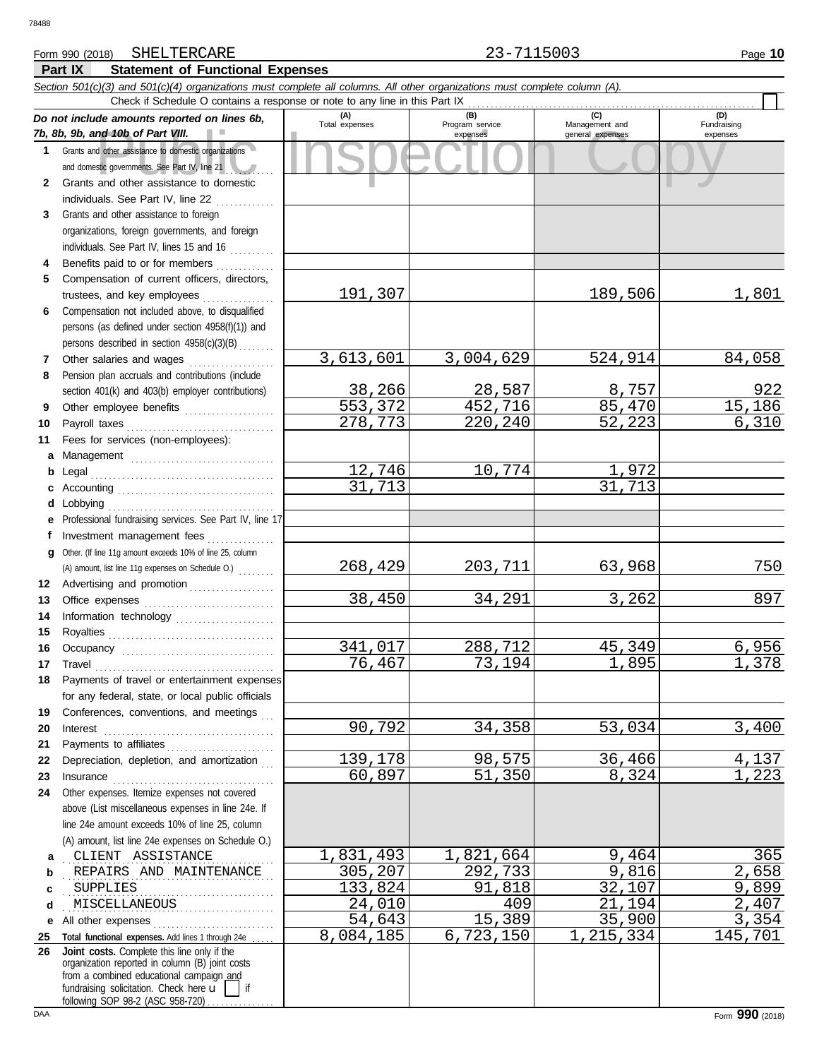#### Form 990 (2018) SHELTERCARE **23-7115003** Page 10 SHELTERCARE 23-7115003

**Part IX Statement of Functional Expenses**

|              | Section 501(c)(3) and 501(c)(4) organizations must complete all columns. All other organizations must complete column (A).                                                                                                                                                                                                                                                                                                                                                                                                  |                       |                        |                  |                |
|--------------|-----------------------------------------------------------------------------------------------------------------------------------------------------------------------------------------------------------------------------------------------------------------------------------------------------------------------------------------------------------------------------------------------------------------------------------------------------------------------------------------------------------------------------|-----------------------|------------------------|------------------|----------------|
|              | Check if Schedule O contains a response or note to any line in this Part IX                                                                                                                                                                                                                                                                                                                                                                                                                                                 |                       |                        | (C)              | (D)            |
|              | Do not include amounts reported on lines 6b,<br>7b, 8b, 9b, and 10b of Part VIII.                                                                                                                                                                                                                                                                                                                                                                                                                                           | (A)<br>Total expenses | (B)<br>Program service | Management and   | Fundraising    |
| $\mathbf 1$  | Grants and other assistance to domestic organizations                                                                                                                                                                                                                                                                                                                                                                                                                                                                       |                       | expenses               | general expenses | expenses       |
|              | and domestic governments. See Part IV, line 21                                                                                                                                                                                                                                                                                                                                                                                                                                                                              |                       |                        |                  |                |
| $\mathbf{2}$ | Grants and other assistance to domestic                                                                                                                                                                                                                                                                                                                                                                                                                                                                                     |                       |                        |                  |                |
|              | individuals. See Part IV, line 22                                                                                                                                                                                                                                                                                                                                                                                                                                                                                           |                       |                        |                  |                |
| 3            | Grants and other assistance to foreign                                                                                                                                                                                                                                                                                                                                                                                                                                                                                      |                       |                        |                  |                |
|              | organizations, foreign governments, and foreign                                                                                                                                                                                                                                                                                                                                                                                                                                                                             |                       |                        |                  |                |
|              | individuals. See Part IV, lines 15 and 16                                                                                                                                                                                                                                                                                                                                                                                                                                                                                   |                       |                        |                  |                |
| 4            | Benefits paid to or for members                                                                                                                                                                                                                                                                                                                                                                                                                                                                                             |                       |                        |                  |                |
| 5            | Compensation of current officers, directors,                                                                                                                                                                                                                                                                                                                                                                                                                                                                                |                       |                        |                  |                |
|              | trustees, and key employees<br>an an Dùbhaich an Dùbhaich an Dùbhaich an Dùbhaich an Dùbhaich an Dùbhaich an Dùbhaich an Dùbhaich an Dùbhaich<br>Bailte an Dùbhaich an Dùbhaich an Dùbhaich an Dùbhaich an Dùbhaich an Dùbhaich an Dùbhaich an Dùbhaich an Dùbh                                                                                                                                                                                                                                                             | 191,307               |                        | 189,506          | 1,801          |
| 6            | Compensation not included above, to disqualified                                                                                                                                                                                                                                                                                                                                                                                                                                                                            |                       |                        |                  |                |
|              | persons (as defined under section 4958(f)(1)) and                                                                                                                                                                                                                                                                                                                                                                                                                                                                           |                       |                        |                  |                |
|              | persons described in section 4958(c)(3)(B)                                                                                                                                                                                                                                                                                                                                                                                                                                                                                  |                       |                        |                  |                |
| 7            | Other salaries and wages                                                                                                                                                                                                                                                                                                                                                                                                                                                                                                    | 3,613,601             | 3,004,629              | 524,914          | 84,058         |
| 8            | Pension plan accruals and contributions (include                                                                                                                                                                                                                                                                                                                                                                                                                                                                            |                       |                        |                  |                |
|              | section 401(k) and 403(b) employer contributions)                                                                                                                                                                                                                                                                                                                                                                                                                                                                           | 38,266                | 28,587                 | 8,757            | 922            |
| 9            | Other employee benefits                                                                                                                                                                                                                                                                                                                                                                                                                                                                                                     | 553,372               | 452,716                | 85,470           | 15,186         |
| 10           | Payroll taxes                                                                                                                                                                                                                                                                                                                                                                                                                                                                                                               | 278,773               | 220,240                | 52, 223          | 6,310          |
| 11           | Fees for services (non-employees):                                                                                                                                                                                                                                                                                                                                                                                                                                                                                          |                       |                        |                  |                |
| а            | Management                                                                                                                                                                                                                                                                                                                                                                                                                                                                                                                  |                       |                        |                  |                |
| b            |                                                                                                                                                                                                                                                                                                                                                                                                                                                                                                                             | 12,746                | 10,774                 | 1,972            |                |
| c            |                                                                                                                                                                                                                                                                                                                                                                                                                                                                                                                             | 31,713                |                        | 31,713           |                |
| d            | Lobbying                                                                                                                                                                                                                                                                                                                                                                                                                                                                                                                    |                       |                        |                  |                |
| е            | Professional fundraising services. See Part IV, line 17                                                                                                                                                                                                                                                                                                                                                                                                                                                                     |                       |                        |                  |                |
| f            | Investment management fees<br>Other. (If line 11g amount exceeds 10% of line 25, column                                                                                                                                                                                                                                                                                                                                                                                                                                     |                       |                        |                  |                |
| g            | (A) amount, list line 11g expenses on Schedule O.)                                                                                                                                                                                                                                                                                                                                                                                                                                                                          | 268,429               | 203,711                | 63,968           | 750            |
| 12           | Advertising and promotion                                                                                                                                                                                                                                                                                                                                                                                                                                                                                                   |                       |                        |                  |                |
| 13           |                                                                                                                                                                                                                                                                                                                                                                                                                                                                                                                             | 38,450                | 34,291                 | 3,262            | 897            |
| 14           | Information technology                                                                                                                                                                                                                                                                                                                                                                                                                                                                                                      |                       |                        |                  |                |
| 15           |                                                                                                                                                                                                                                                                                                                                                                                                                                                                                                                             |                       |                        |                  |                |
| 16           |                                                                                                                                                                                                                                                                                                                                                                                                                                                                                                                             | 341,017               | 288,712                | 45,349           | 6,956          |
| 17           | $\begin{minipage}[c]{0.9\linewidth} \begin{tabular}{l} \textbf{Travel} \end{tabular} \end{minipage} \end{minipage} \begin{minipage}[c]{0.9\linewidth} \begin{tabular}{l} \textbf{True} \end{tabular} \end{minipage} \end{minipage} \begin{minipage}[c]{0.9\linewidth} \begin{tabular}{l} \textbf{True} \end{tabular} \end{minipage} \end{minipage} \begin{minipage}[c]{0.9\linewidth} \begin{tabular}{l} \textbf{True} \end{tabular} \end{minipage} \end{minipage} \begin{minipage}[c]{0.9\linewidth} \begin{tabular}{l} \$ | 76,467                | 73,194                 | 1,895            | 1,378          |
| 18           | Payments of travel or entertainment expenses                                                                                                                                                                                                                                                                                                                                                                                                                                                                                |                       |                        |                  |                |
|              | for any federal, state, or local public officials                                                                                                                                                                                                                                                                                                                                                                                                                                                                           |                       |                        |                  |                |
| 19           | Conferences, conventions, and meetings                                                                                                                                                                                                                                                                                                                                                                                                                                                                                      |                       |                        |                  |                |
| 20           | $\textbf{Interest} \hspace{0.05in} \ldots \hspace{0.05in} \ldots \hspace{0.05in} \ldots \hspace{0.05in} \ldots \hspace{0.05in} \ldots \hspace{0.05in} \ldots \hspace{0.05in} \ldots \hspace{0.05in} \ldots \hspace{0.05in} \ldots \hspace{0.05in} \ldots$                                                                                                                                                                                                                                                                   | 90,792                | 34,358                 | 53,034           | 3,400          |
| 21           | Payments to affiliates                                                                                                                                                                                                                                                                                                                                                                                                                                                                                                      |                       |                        |                  |                |
| 22           | Depreciation, depletion, and amortization                                                                                                                                                                                                                                                                                                                                                                                                                                                                                   | 139,178               | 98,575                 | 36,466           | 4,137          |
| 23           | $In surface \begin{tabular}{@{}l@{}} \hline \multicolumn{3}{c}{\textbf{}} & \multicolumn{3}{c}{\textbf{}} \\ \multicolumn{3}{c}{\textbf{}} & \multicolumn{3}{c}{\textbf{}} \\ \multicolumn{3}{c}{\textbf{}} & \multicolumn{3}{c}{\textbf{}} \\ \multicolumn{3}{c}{\textbf{}} & \multicolumn{3}{c}{\textbf{}} \\ \multicolumn{3}{c}{\textbf{}} & \multicolumn{3}{c}{\textbf{}} \\ \multicolumn{3}{c}{\textbf{}} & \multicolumn{3}{c}{\textbf{}} \\ \multicolumn{3}{c}{\textbf{}} & \multicolumn{3}{c$                        | 60,897                | 51,350                 | 8,324            | 1,223          |
| 24           | Other expenses. Itemize expenses not covered                                                                                                                                                                                                                                                                                                                                                                                                                                                                                |                       |                        |                  |                |
|              | above (List miscellaneous expenses in line 24e. If                                                                                                                                                                                                                                                                                                                                                                                                                                                                          |                       |                        |                  |                |
|              | line 24e amount exceeds 10% of line 25, column                                                                                                                                                                                                                                                                                                                                                                                                                                                                              |                       |                        |                  |                |
|              | (A) amount, list line 24e expenses on Schedule O.)                                                                                                                                                                                                                                                                                                                                                                                                                                                                          |                       |                        |                  |                |
| а            | CLIENT ASSISTANCE                                                                                                                                                                                                                                                                                                                                                                                                                                                                                                           | 1,831,493             | 1,821,664              | 9,464            | 365            |
| b            | REPAIRS AND MAINTENANCE                                                                                                                                                                                                                                                                                                                                                                                                                                                                                                     | 305,207<br>133,824    | 292,733<br>91,818      | 9,816<br>32,107  | 2,658<br>9,899 |
| c            | <b>SUPPLIES</b><br>MISCELLANEOUS                                                                                                                                                                                                                                                                                                                                                                                                                                                                                            | 24,010                | 409                    | 21,194           | 2,407          |
| d            | .                                                                                                                                                                                                                                                                                                                                                                                                                                                                                                                           | 54,643                | 15,389                 | 35,900           | 3,354          |
| е            | All other expenses<br>Total functional expenses. Add lines 1 through 24e                                                                                                                                                                                                                                                                                                                                                                                                                                                    | 8,084,185             | 6, 723, 150            | 1,215,334        | 145,701        |
| 25<br>26     | Joint costs. Complete this line only if the                                                                                                                                                                                                                                                                                                                                                                                                                                                                                 |                       |                        |                  |                |
|              | organization reported in column (B) joint costs                                                                                                                                                                                                                                                                                                                                                                                                                                                                             |                       |                        |                  |                |
|              | from a combined educational campaign and<br>fundraising solicitation. Check here $\mathbf{u}$     if                                                                                                                                                                                                                                                                                                                                                                                                                        |                       |                        |                  |                |
|              | following SOP 98-2 (ASC 958-720)                                                                                                                                                                                                                                                                                                                                                                                                                                                                                            |                       |                        |                  |                |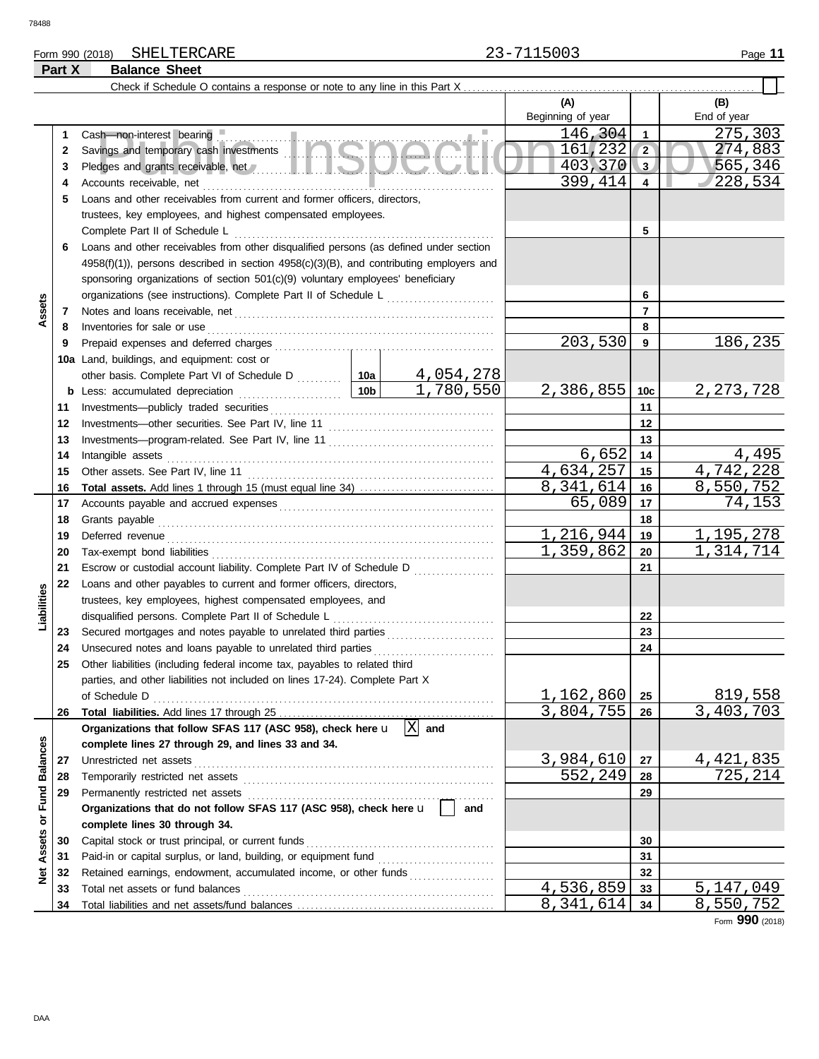## Form 990 (2018) Page **11** SHELTERCARE 23-7115003 **Part X Balance Sheet**

|                  |    |                                                                                                                                                                                                                                      |                 |                  | (A)                       |                         | (B)                          |
|------------------|----|--------------------------------------------------------------------------------------------------------------------------------------------------------------------------------------------------------------------------------------|-----------------|------------------|---------------------------|-------------------------|------------------------------|
|                  |    |                                                                                                                                                                                                                                      |                 |                  | Beginning of year         |                         | End of year                  |
|                  | 1  | Cash-non-interest bearing                                                                                                                                                                                                            |                 |                  | 146,304                   | $\mathbf{1}$            | 275,303                      |
|                  | 2  | Cash—non-interest pearing<br>Savings and temporary cash investments                                                                                                                                                                  |                 |                  | 161, 232                  | $\overline{2}$          | 274,883                      |
|                  | 3  |                                                                                                                                                                                                                                      |                 |                  | 403,370                   | 3                       | 565,346                      |
|                  | 4  | Accounts receivable, net                                                                                                                                                                                                             |                 |                  | 399, 414                  | $\overline{\mathbf{4}}$ | 228,534                      |
|                  | 5  | Loans and other receivables from current and former officers, directors,                                                                                                                                                             |                 |                  |                           |                         |                              |
|                  |    | trustees, key employees, and highest compensated employees.                                                                                                                                                                          |                 |                  |                           |                         |                              |
|                  |    | Complete Part II of Schedule L                                                                                                                                                                                                       |                 |                  |                           | 5                       |                              |
|                  | 6  | Loans and other receivables from other disqualified persons (as defined under section                                                                                                                                                |                 |                  |                           |                         |                              |
|                  |    | $4958(f)(1)$ , persons described in section $4958(c)(3)(B)$ , and contributing employers and                                                                                                                                         |                 |                  |                           |                         |                              |
|                  |    | sponsoring organizations of section 501(c)(9) voluntary employees' beneficiary                                                                                                                                                       |                 |                  |                           |                         |                              |
|                  |    | organizations (see instructions). Complete Part II of Schedule L                                                                                                                                                                     |                 |                  |                           | 6                       |                              |
| Assets           | 7  |                                                                                                                                                                                                                                      |                 |                  |                           | 7                       |                              |
|                  | 8  | Inventories for sale or use                                                                                                                                                                                                          |                 |                  |                           | 8                       |                              |
|                  | 9  |                                                                                                                                                                                                                                      |                 |                  | 203,530                   | 9                       | 186,235                      |
|                  |    | 10a Land, buildings, and equipment: cost or                                                                                                                                                                                          |                 |                  |                           |                         |                              |
|                  |    | other basis. Complete Part VI of Schedule D  10a                                                                                                                                                                                     |                 | <u>4,054,278</u> |                           |                         |                              |
|                  |    | <b>b</b> Less: accumulated depreciation                                                                                                                                                                                              | 10 <sub>b</sub> | 1,780,550        | 2,386,855                 | 10c                     | 2, 273, 728                  |
|                  | 11 |                                                                                                                                                                                                                                      |                 |                  |                           | 11                      |                              |
|                  | 12 |                                                                                                                                                                                                                                      |                 |                  |                           | 12                      |                              |
|                  | 13 |                                                                                                                                                                                                                                      |                 |                  |                           | 13                      |                              |
|                  | 14 | Intangible assets                                                                                                                                                                                                                    |                 |                  | 6,652                     | 14                      | 4,495                        |
|                  | 15 |                                                                                                                                                                                                                                      |                 |                  | 4,634,257                 | 15                      | 4,742,228                    |
|                  | 16 | Total assets. Add lines 1 through 15 (must equal line 34)                                                                                                                                                                            |                 |                  | 8,341,614                 | 16                      | 8,550,752                    |
|                  | 17 |                                                                                                                                                                                                                                      |                 |                  | 65,089                    | 17                      | 74,153                       |
|                  | 18 | Grants payable                                                                                                                                                                                                                       |                 |                  |                           | 18                      |                              |
|                  | 19 | Deferred revenue <b>contract and the contract of the contract of the contract of the contract of the contract of the contract of the contract of the contract of the contract of the contract of the contract of the contract of</b> |                 |                  | 1, 216, 944               | 19                      | 1,195,278                    |
|                  | 20 |                                                                                                                                                                                                                                      |                 |                  | 1,359,862                 | 20                      | $\overline{1}$ , 314, 714    |
|                  | 21 | Escrow or custodial account liability. Complete Part IV of Schedule D                                                                                                                                                                |                 |                  |                           | 21                      |                              |
|                  | 22 | Loans and other payables to current and former officers, directors,                                                                                                                                                                  |                 |                  |                           |                         |                              |
|                  |    | trustees, key employees, highest compensated employees, and                                                                                                                                                                          |                 |                  |                           |                         |                              |
| Liabilities      |    | disqualified persons. Complete Part II of Schedule L <sub>1111111111111111111111111111111</sub>                                                                                                                                      |                 |                  |                           | 22                      |                              |
|                  | 23 | Secured mortgages and notes payable to unrelated third parties [[[[[[[[[[[[[[[[[[[[[[[[[[[[[]]]]]]]]                                                                                                                                 |                 |                  |                           | 23                      |                              |
|                  | 24 | Unsecured notes and loans payable to unrelated third parties                                                                                                                                                                         |                 |                  |                           | 24                      |                              |
|                  | 25 | Other liabilities (including federal income tax, payables to related third                                                                                                                                                           |                 |                  |                           |                         |                              |
|                  |    | parties, and other liabilities not included on lines 17-24). Complete Part X                                                                                                                                                         |                 |                  |                           |                         |                              |
|                  |    | of Schedule D                                                                                                                                                                                                                        |                 |                  | 1,162,860                 | 25                      | 819,558                      |
|                  | 26 |                                                                                                                                                                                                                                      |                 |                  | $\overline{3}$ , 804, 755 | 26                      | 3,403,703                    |
|                  |    | Organizations that follow SFAS 117 (ASC 958), check here u                                                                                                                                                                           |                 | and              |                           |                         |                              |
|                  |    | complete lines 27 through 29, and lines 33 and 34.                                                                                                                                                                                   |                 |                  |                           |                         |                              |
|                  | 27 | Unrestricted net assets                                                                                                                                                                                                              |                 |                  | 3,984,610                 | 27                      | <u>4,421,835</u><br>725, 214 |
|                  | 28 | Temporarily restricted net assets                                                                                                                                                                                                    |                 |                  | 552,249                   | 28                      |                              |
| or Fund Balances | 29 | Permanently restricted net assets<br>Organizations that do not follow SFAS 117 (ASC 958), check here u                                                                                                                               |                 | and              |                           | 29                      |                              |
|                  |    |                                                                                                                                                                                                                                      |                 |                  |                           |                         |                              |
|                  | 30 | complete lines 30 through 34.<br>Capital stock or trust principal, or current funds                                                                                                                                                  |                 |                  |                           | 30                      |                              |
| Assets           | 31 | Paid-in or capital surplus, or land, building, or equipment fund                                                                                                                                                                     |                 |                  |                           | 31                      |                              |
|                  | 32 | Retained earnings, endowment, accumulated income, or other funds                                                                                                                                                                     |                 |                  |                           | 32                      |                              |
| ğ                | 33 | Total net assets or fund balances                                                                                                                                                                                                    |                 |                  | 4,536,859                 | 33                      | 5,147,049                    |
|                  | 34 |                                                                                                                                                                                                                                      |                 |                  | 8,341,614                 | 34                      | 8,550,752                    |
|                  |    |                                                                                                                                                                                                                                      |                 |                  |                           |                         |                              |

Form **990** (2018)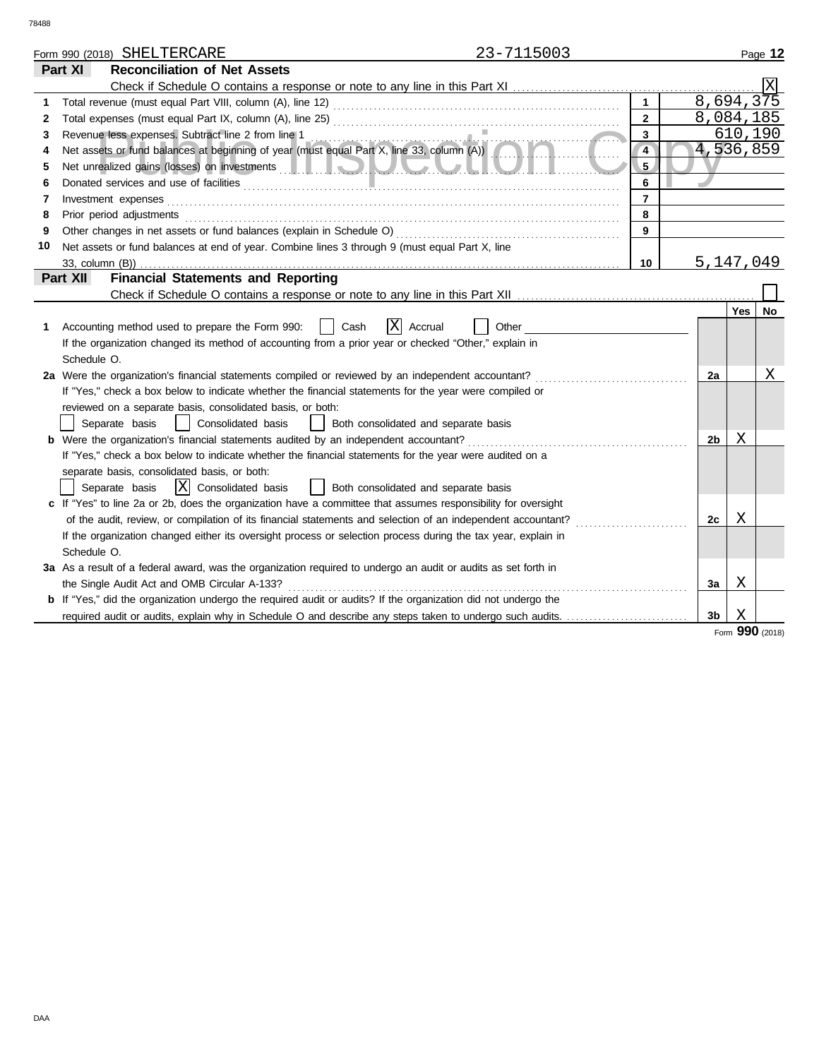|    |                       | Form 990 (2018) SHELTERCARE                                                                                                                     | 23-7115003 |                |                        |         | Page 12 |
|----|-----------------------|-------------------------------------------------------------------------------------------------------------------------------------------------|------------|----------------|------------------------|---------|---------|
|    | Part XI               | <b>Reconciliation of Net Assets</b>                                                                                                             |            |                |                        |         |         |
|    |                       |                                                                                                                                                 |            |                |                        |         |         |
| 1  |                       |                                                                                                                                                 |            | $\mathbf{1}$   | $8,694,3\overline{75}$ |         |         |
| 2  |                       |                                                                                                                                                 |            | $\overline{2}$ | 8,084,185              |         |         |
| 3  |                       | Revenue less expenses. Subtract line 2 from line 1                                                                                              |            | $\mathbf{3}$   |                        | 610,190 |         |
| 4  |                       | Revenue less expenses. Subtract line 2 from line 1<br>Net assets or fund balances at beginning of year (must equal Part X, line 33, column (A)) |            | $\overline{4}$ | 4,536,859              |         |         |
| 5  |                       |                                                                                                                                                 |            | 5.             |                        |         |         |
| 6  |                       |                                                                                                                                                 |            | 6              |                        |         |         |
| 7  |                       | Investment expenses                                                                                                                             |            | $\overline{7}$ |                        |         |         |
| 8  |                       | Prior period adjustments                                                                                                                        |            | 8              |                        |         |         |
| 9  |                       | Other changes in net assets or fund balances (explain in Schedule O)                                                                            |            | 9              |                        |         |         |
| 10 |                       | Net assets or fund balances at end of year. Combine lines 3 through 9 (must equal Part X, line                                                  |            |                |                        |         |         |
|    | $33$ , column $(B)$ ) |                                                                                                                                                 |            | 10             | 5, 147, 049            |         |         |
|    | Part XII              | <b>Financial Statements and Reporting</b>                                                                                                       |            |                |                        |         |         |
|    |                       |                                                                                                                                                 |            |                |                        |         |         |
|    |                       |                                                                                                                                                 |            |                |                        | Yes     | No      |
|    |                       | ΙX<br>Cash<br>Accounting method used to prepare the Form 990:<br>Accrual                                                                        | Other      |                |                        |         |         |
|    |                       | If the organization changed its method of accounting from a prior year or checked "Other," explain in                                           |            |                |                        |         |         |
|    | Schedule O.           |                                                                                                                                                 |            |                |                        |         |         |
|    |                       | 2a Were the organization's financial statements compiled or reviewed by an independent accountant?                                              |            |                | 2a                     |         | Χ       |
|    |                       | If "Yes," check a box below to indicate whether the financial statements for the year were compiled or                                          |            |                |                        |         |         |
|    |                       | reviewed on a separate basis, consolidated basis, or both:                                                                                      |            |                |                        |         |         |
|    |                       | Separate basis<br>  Consolidated basis<br>  Both consolidated and separate basis                                                                |            |                |                        |         |         |
|    |                       | <b>b</b> Were the organization's financial statements audited by an independent accountant?                                                     |            |                | 2b                     | Χ       |         |
|    |                       | If "Yes," check a box below to indicate whether the financial statements for the year were audited on a                                         |            |                |                        |         |         |
|    |                       | separate basis, consolidated basis, or both:                                                                                                    |            |                |                        |         |         |
|    |                       | X  Consolidated basis<br>  Both consolidated and separate basis<br>Separate basis                                                               |            |                |                        |         |         |
|    |                       | c If "Yes" to line 2a or 2b, does the organization have a committee that assumes responsibility for oversight                                   |            |                |                        |         |         |
|    |                       | of the audit, review, or compilation of its financial statements and selection of an independent accountant?                                    | .          |                | 2с                     | Χ       |         |
|    |                       | If the organization changed either its oversight process or selection process during the tax year, explain in                                   |            |                |                        |         |         |
|    | Schedule O.           |                                                                                                                                                 |            |                |                        |         |         |
|    |                       | 3a As a result of a federal award, was the organization required to undergo an audit or audits as set forth in                                  |            |                |                        |         |         |
|    |                       | the Single Audit Act and OMB Circular A-133?                                                                                                    |            |                | За                     | Χ       |         |
|    |                       | <b>b</b> If "Yes," did the organization undergo the required audit or audits? If the organization did not undergo the                           |            |                |                        |         |         |
|    |                       | required audit or audits, explain why in Schedule O and describe any steps taken to undergo such audits.                                        |            |                | 3 <sub>b</sub>         | X       |         |

Form **990** (2018)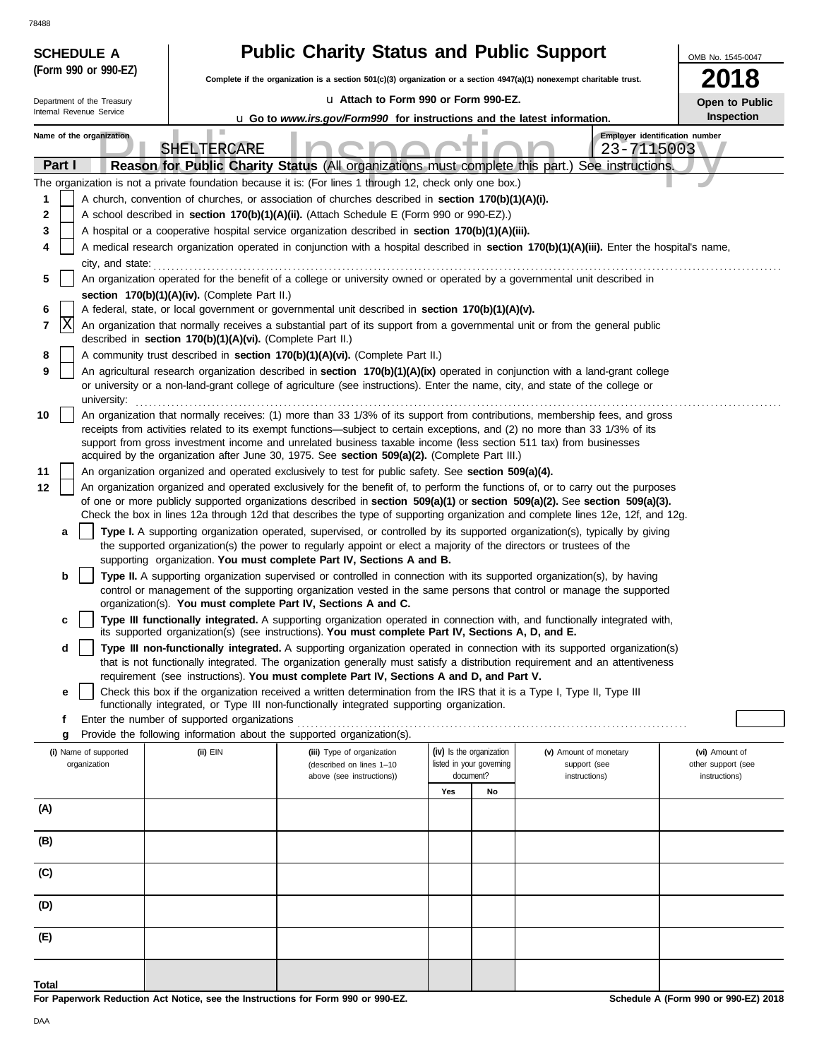78488

| 78488                                                  |                                                            |                                                                                                                                                                                                                    |                                       |                                                                                                                                                                                                                                                                 |                                     |
|--------------------------------------------------------|------------------------------------------------------------|--------------------------------------------------------------------------------------------------------------------------------------------------------------------------------------------------------------------|---------------------------------------|-----------------------------------------------------------------------------------------------------------------------------------------------------------------------------------------------------------------------------------------------------------------|-------------------------------------|
| <b>SCHEDULE A</b><br>(Form 990 or 990-EZ)              |                                                            | <b>Public Charity Status and Public Support</b>                                                                                                                                                                    |                                       |                                                                                                                                                                                                                                                                 | OMB No. 1545-0047                   |
|                                                        |                                                            | Complete if the organization is a section $501(c)(3)$ organization or a section $4947(a)(1)$ nonexempt charitable trust.                                                                                           |                                       |                                                                                                                                                                                                                                                                 | 18                                  |
| Department of the Treasury<br>Internal Revenue Service |                                                            | La Attach to Form 990 or Form 990-EZ.<br><b>u</b> Go to www.irs.gov/Form990 for instructions and the latest information.                                                                                           |                                       |                                                                                                                                                                                                                                                                 | Open to Public<br><b>Inspection</b> |
| Name of the organization                               |                                                            |                                                                                                                                                                                                                    |                                       | Employer identification number                                                                                                                                                                                                                                  |                                     |
|                                                        | SHELTERCARE                                                |                                                                                                                                                                                                                    |                                       | 23-7115003                                                                                                                                                                                                                                                      |                                     |
| Part I                                                 |                                                            | The organization is not a private foundation because it is: (For lines 1 through 12, check only one box.)                                                                                                          |                                       | Reason for Public Charity Status (All organizations must complete this part.) See instructions.                                                                                                                                                                 |                                     |
| 1                                                      |                                                            | A church, convention of churches, or association of churches described in section 170(b)(1)(A)(i).                                                                                                                 |                                       |                                                                                                                                                                                                                                                                 |                                     |
| 2                                                      |                                                            | A school described in section 170(b)(1)(A)(ii). (Attach Schedule E (Form 990 or 990-EZ).)                                                                                                                          |                                       |                                                                                                                                                                                                                                                                 |                                     |
| 3                                                      |                                                            | A hospital or a cooperative hospital service organization described in section 170(b)(1)(A)(iii).                                                                                                                  |                                       |                                                                                                                                                                                                                                                                 |                                     |
| 4<br>city, and state:                                  |                                                            |                                                                                                                                                                                                                    |                                       | A medical research organization operated in conjunction with a hospital described in section 170(b)(1)(A)(iii). Enter the hospital's name,                                                                                                                      |                                     |
| 5                                                      |                                                            | An organization operated for the benefit of a college or university owned or operated by a governmental unit described in                                                                                          |                                       |                                                                                                                                                                                                                                                                 |                                     |
| 6                                                      | section 170(b)(1)(A)(iv). (Complete Part II.)              | A federal, state, or local government or governmental unit described in section 170(b)(1)(A)(v).                                                                                                                   |                                       |                                                                                                                                                                                                                                                                 |                                     |
| X<br>7                                                 |                                                            |                                                                                                                                                                                                                    |                                       | An organization that normally receives a substantial part of its support from a governmental unit or from the general public                                                                                                                                    |                                     |
|                                                        | described in section 170(b)(1)(A)(vi). (Complete Part II.) |                                                                                                                                                                                                                    |                                       |                                                                                                                                                                                                                                                                 |                                     |
| 8<br>9                                                 |                                                            | A community trust described in section 170(b)(1)(A)(vi). (Complete Part II.)                                                                                                                                       |                                       | An agricultural research organization described in section 170(b)(1)(A)(ix) operated in conjunction with a land-grant college                                                                                                                                   |                                     |
|                                                        |                                                            | or university or a non-land-grant college of agriculture (see instructions). Enter the name, city, and state of the college or                                                                                     |                                       |                                                                                                                                                                                                                                                                 |                                     |
| university:<br>10                                      |                                                            |                                                                                                                                                                                                                    |                                       | An organization that normally receives: (1) more than 33 1/3% of its support from contributions, membership fees, and gross                                                                                                                                     |                                     |
|                                                        |                                                            | receipts from activities related to its exempt functions—subject to certain exceptions, and (2) no more than 33 1/3% of its                                                                                        |                                       |                                                                                                                                                                                                                                                                 |                                     |
|                                                        |                                                            | support from gross investment income and unrelated business taxable income (less section 511 tax) from businesses<br>acquired by the organization after June 30, 1975. See section 509(a)(2). (Complete Part III.) |                                       |                                                                                                                                                                                                                                                                 |                                     |
| 11                                                     |                                                            | An organization organized and operated exclusively to test for public safety. See section 509(a)(4).                                                                                                               |                                       |                                                                                                                                                                                                                                                                 |                                     |
| 12                                                     |                                                            |                                                                                                                                                                                                                    |                                       | An organization organized and operated exclusively for the benefit of, to perform the functions of, or to carry out the purposes<br>of one or more publicly supported organizations described in section 509(a)(1) or section 509(a)(2). See section 509(a)(3). |                                     |
|                                                        |                                                            |                                                                                                                                                                                                                    |                                       | Check the box in lines 12a through 12d that describes the type of supporting organization and complete lines 12e, 12f, and 12g.                                                                                                                                 |                                     |
| a                                                      |                                                            | the supported organization(s) the power to regularly appoint or elect a majority of the directors or trustees of the<br>supporting organization. You must complete Part IV, Sections A and B.                      |                                       | Type I. A supporting organization operated, supervised, or controlled by its supported organization(s), typically by giving                                                                                                                                     |                                     |
| b                                                      |                                                            | Type II. A supporting organization supervised or controlled in connection with its supported organization(s), by having                                                                                            |                                       |                                                                                                                                                                                                                                                                 |                                     |
|                                                        |                                                            | organization(s). You must complete Part IV, Sections A and C.                                                                                                                                                      |                                       | control or management of the supporting organization vested in the same persons that control or manage the supported                                                                                                                                            |                                     |
|                                                        |                                                            | its supported organization(s) (see instructions). You must complete Part IV, Sections A, D, and E.                                                                                                                 |                                       | Type III functionally integrated. A supporting organization operated in connection with, and functionally integrated with,                                                                                                                                      |                                     |
| d                                                      |                                                            |                                                                                                                                                                                                                    |                                       | Type III non-functionally integrated. A supporting organization operated in connection with its supported organization(s)                                                                                                                                       |                                     |
|                                                        |                                                            | requirement (see instructions). You must complete Part IV, Sections A and D, and Part V.                                                                                                                           |                                       | that is not functionally integrated. The organization generally must satisfy a distribution requirement and an attentiveness                                                                                                                                    |                                     |
| е                                                      |                                                            | Check this box if the organization received a written determination from the IRS that it is a Type I, Type II, Type III                                                                                            |                                       |                                                                                                                                                                                                                                                                 |                                     |
| f                                                      | Enter the number of supported organizations                | functionally integrated, or Type III non-functionally integrated supporting organization.                                                                                                                          |                                       |                                                                                                                                                                                                                                                                 |                                     |
| g                                                      |                                                            | Provide the following information about the supported organization(s).                                                                                                                                             |                                       |                                                                                                                                                                                                                                                                 |                                     |
| (i) Name of supported                                  | (ii) EIN                                                   | (iii) Type of organization                                                                                                                                                                                         | (iv) Is the organization              | (v) Amount of monetary                                                                                                                                                                                                                                          | (vi) Amount of                      |
| organization                                           |                                                            | (described on lines 1-10<br>above (see instructions))                                                                                                                                                              | listed in your governing<br>document? | support (see<br>instructions)                                                                                                                                                                                                                                   | other support (see<br>instructions) |
|                                                        |                                                            |                                                                                                                                                                                                                    | Yes<br>No                             |                                                                                                                                                                                                                                                                 |                                     |
| (A)                                                    |                                                            |                                                                                                                                                                                                                    |                                       |                                                                                                                                                                                                                                                                 |                                     |
| (B)                                                    |                                                            |                                                                                                                                                                                                                    |                                       |                                                                                                                                                                                                                                                                 |                                     |
| (C)                                                    |                                                            |                                                                                                                                                                                                                    |                                       |                                                                                                                                                                                                                                                                 |                                     |
| (D)                                                    |                                                            |                                                                                                                                                                                                                    |                                       |                                                                                                                                                                                                                                                                 |                                     |
| (E)                                                    |                                                            |                                                                                                                                                                                                                    |                                       |                                                                                                                                                                                                                                                                 |                                     |
| <b>Total</b>                                           |                                                            |                                                                                                                                                                                                                    |                                       |                                                                                                                                                                                                                                                                 |                                     |

**For Paperwork Reduction Act Notice, see the Instructions for Form 990 or 990-EZ.**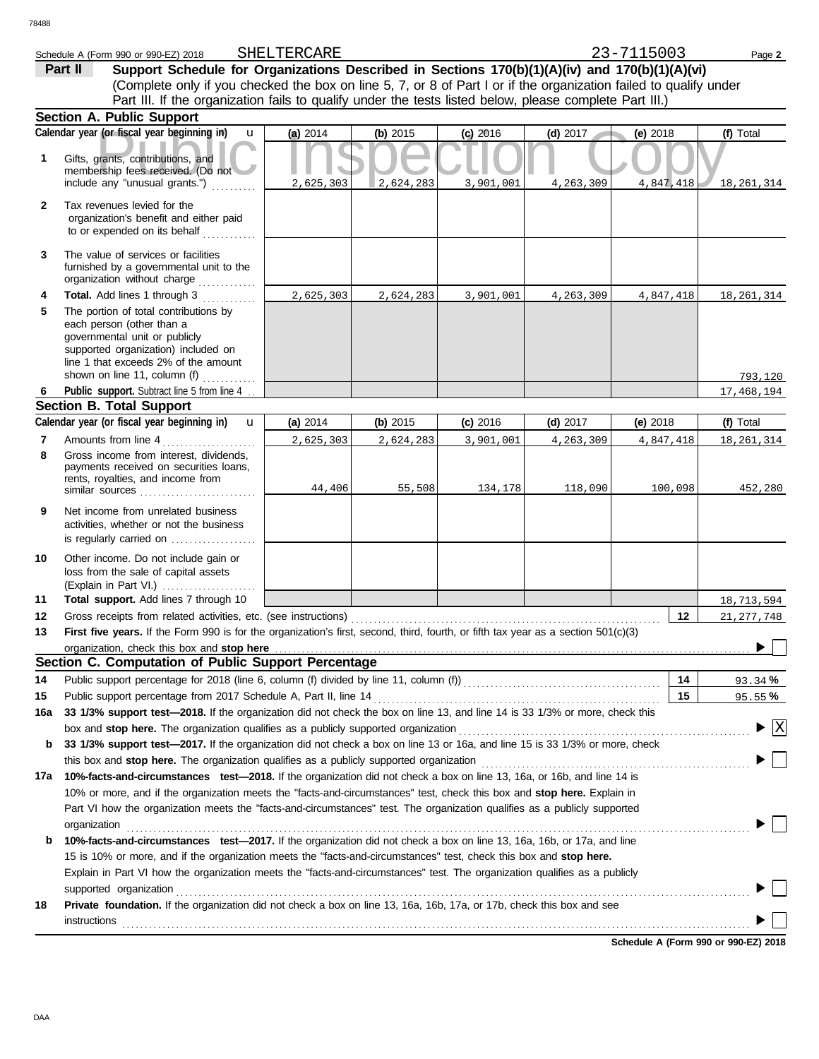| 23-7115003 |  |
|------------|--|

Schedule A (Form 990 or 990-EZ) 2018 SHELTERCARE<br>**Part II** Support Schedule for Organizations Described in Sections 170(b)(1)(A)(iv) and 170(b)(1)(A)(vi) (Complete only if you checked the box on line 5, 7, or 8 of Part I or if the organization failed to qualify under **Part II Support Schedule for Organizations Described in Sections 170(b)(1)(A)(iv) and 170(b)(1)(A)(vi)** Part III. If the organization fails to qualify under the tests listed below, please complete Part III.) SHELTERCARE 23-7115003

|              | <b>Section A. Public Support</b>                                                                                                                                                                                      |           |            |            |            |             |                                                           |
|--------------|-----------------------------------------------------------------------------------------------------------------------------------------------------------------------------------------------------------------------|-----------|------------|------------|------------|-------------|-----------------------------------------------------------|
|              | Calendar year (or fiscal year beginning in)<br>$\mathbf{u}$                                                                                                                                                           | (a) 2014  | (b) 2015   | $(c)$ 2016 | $(d)$ 2017 | (e) 2018    | (f) Total                                                 |
| 1            | Gifts, grants, contributions, and<br>membership fees received. (Do not<br>include any "unusual grants.")                                                                                                              | 2,625,303 | 2,624,283  | 3,901,001  | 4,263,309  | 4,847,418   | 18, 261, 314                                              |
| $\mathbf{2}$ | Tax revenues levied for the<br>organization's benefit and either paid<br>to or expended on its behalf                                                                                                                 |           |            |            |            |             |                                                           |
| 3            | The value of services or facilities<br>furnished by a governmental unit to the<br>organization without charge                                                                                                         |           |            |            |            |             |                                                           |
| 4            | Total. Add lines 1 through 3                                                                                                                                                                                          | 2,625,303 | 2,624,283  | 3,901,001  | 4,263,309  | 4,847,418   | 18, 261, 314                                              |
| 5            | The portion of total contributions by<br>each person (other than a<br>governmental unit or publicly<br>supported organization) included on<br>line 1 that exceeds 2% of the amount                                    |           |            |            |            |             |                                                           |
|              | shown on line 11, column (f)                                                                                                                                                                                          |           |            |            |            |             | 793,120                                                   |
| 6            | Public support. Subtract line 5 from line 4                                                                                                                                                                           |           |            |            |            |             | 17,468,194                                                |
|              | <b>Section B. Total Support</b>                                                                                                                                                                                       |           |            |            |            |             |                                                           |
|              | Calendar year (or fiscal year beginning in)<br>$\mathbf{u}$                                                                                                                                                           | (a) 2014  | (b) $2015$ | $(c)$ 2016 | (d) $2017$ | (e) $2018$  | (f) Total                                                 |
| 7            | Amounts from line 4                                                                                                                                                                                                   | 2,625,303 | 2,624,283  | 3,901,001  | 4,263,309  | 4, 847, 418 | 18, 261, 314                                              |
| 8            | Gross income from interest, dividends,<br>payments received on securities loans,<br>rents, royalties, and income from                                                                                                 | 44,406    | 55,508     | 134,178    | 118,090    | 100,098     | 452,280                                                   |
| 9            | Net income from unrelated business<br>activities, whether or not the business<br>is regularly carried on                                                                                                              |           |            |            |            |             |                                                           |
| 10           | Other income. Do not include gain or<br>loss from the sale of capital assets<br>(Explain in Part VI.)                                                                                                                 |           |            |            |            |             |                                                           |
| 11           | Total support. Add lines 7 through 10                                                                                                                                                                                 |           |            |            |            |             | 18,713,594                                                |
| 12           | Gross receipts from related activities, etc. (see instructions)                                                                                                                                                       |           |            |            |            | 12          | 21, 277, 748                                              |
| 13           | First five years. If the Form 990 is for the organization's first, second, third, fourth, or fifth tax year as a section 501(c)(3)                                                                                    |           |            |            |            |             |                                                           |
|              | organization, check this box and stop here                                                                                                                                                                            |           |            |            |            |             |                                                           |
|              | Section C. Computation of Public Support Percentage                                                                                                                                                                   |           |            |            |            |             |                                                           |
| 14           | Public support percentage for 2018 (line 6, column (f) divided by line 11, column (f)) [[[[[[[[[[[[[[[[[[[[[[                                                                                                         |           |            |            |            | 14          | 93.34%                                                    |
| 15           | Public support percentage from 2017 Schedule A, Part II, line 14                                                                                                                                                      |           |            |            |            | 15          | 95.55%                                                    |
|              | 16a 33 1/3% support test-2018. If the organization did not check the box on line 13, and line 14 is 33 1/3% or more, check this<br>box and stop here. The organization qualifies as a publicly supported organization |           |            |            |            |             | $\blacktriangleright \lceil \overline{\mathrm{X}} \rceil$ |
| b            | 33 1/3% support test-2017. If the organization did not check a box on line 13 or 16a, and line 15 is 33 1/3% or more, check                                                                                           |           |            |            |            |             |                                                           |
|              | this box and stop here. The organization qualifies as a publicly supported organization                                                                                                                               |           |            |            |            |             |                                                           |
| 17а          | 10%-facts-and-circumstances test-2018. If the organization did not check a box on line 13, 16a, or 16b, and line 14 is                                                                                                |           |            |            |            |             |                                                           |
|              | 10% or more, and if the organization meets the "facts-and-circumstances" test, check this box and stop here. Explain in                                                                                               |           |            |            |            |             |                                                           |
|              | Part VI how the organization meets the "facts-and-circumstances" test. The organization qualifies as a publicly supported                                                                                             |           |            |            |            |             |                                                           |
|              | organization                                                                                                                                                                                                          |           |            |            |            |             |                                                           |
| b            | 10%-facts-and-circumstances test-2017. If the organization did not check a box on line 13, 16a, 16b, or 17a, and line                                                                                                 |           |            |            |            |             |                                                           |
|              | 15 is 10% or more, and if the organization meets the "facts-and-circumstances" test, check this box and stop here.                                                                                                    |           |            |            |            |             |                                                           |
|              | Explain in Part VI how the organization meets the "facts-and-circumstances" test. The organization qualifies as a publicly                                                                                            |           |            |            |            |             |                                                           |
|              | supported organization                                                                                                                                                                                                |           |            |            |            |             |                                                           |
| 18           | Private foundation. If the organization did not check a box on line 13, 16a, 16b, 17a, or 17b, check this box and see                                                                                                 |           |            |            |            |             |                                                           |
|              | instructions                                                                                                                                                                                                          |           |            |            |            |             |                                                           |
|              |                                                                                                                                                                                                                       |           |            |            |            |             |                                                           |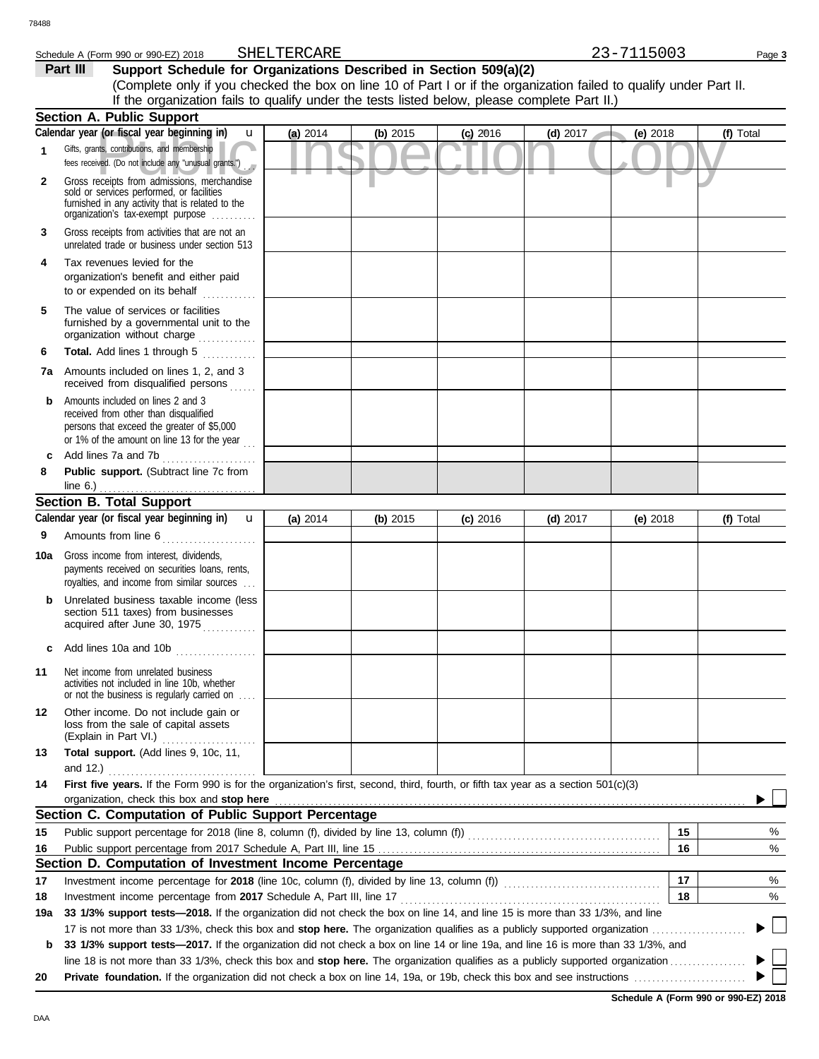#### Schedule A (Form 990 or 990-EZ) 2018 SHELTERCARE 23-7115003 Page 3 SHELTERCARE

**Part III** Support Schedule for Organizations Described in Section 509(a)(2)

(Complete only if you checked the box on line 10 of Part I or if the organization failed to qualify under Part II. If the organization fails to qualify under the tests listed below, please complete Part II.)

|     | <b>Section A. Public Support</b>                                                                                                                                                  |          |          |            |            |            |                          |
|-----|-----------------------------------------------------------------------------------------------------------------------------------------------------------------------------------|----------|----------|------------|------------|------------|--------------------------|
|     | Calendar year (or fiscal year beginning in)<br>u                                                                                                                                  | (a) 2014 | (b) 2015 | $(c)$ 2016 | $(d)$ 2017 | (e) 2018   | (f) Total                |
| 1   | Gifts, grants, contributions, and membership<br>fees received. (Do not include any "unusual grants.")                                                                             |          |          |            |            |            |                          |
| 2   | Gross receipts from admissions, merchandise<br>sold or services performed, or facilities<br>furnished in any activity that is related to the<br>organization's fax-exempt purpose |          |          |            |            |            |                          |
| 3   | Gross receipts from activities that are not an<br>unrelated trade or business under section 513                                                                                   |          |          |            |            |            |                          |
| 4   | Tax revenues levied for the<br>organization's benefit and either paid<br>to or expended on its behalf                                                                             |          |          |            |            |            |                          |
| 5   | The value of services or facilities<br>furnished by a governmental unit to the<br>organization without charge                                                                     |          |          |            |            |            |                          |
| 6   | Total. Add lines 1 through 5                                                                                                                                                      |          |          |            |            |            |                          |
| 7a  | Amounts included on lines 1, 2, and 3<br>received from disqualified persons                                                                                                       |          |          |            |            |            |                          |
| b   | Amounts included on lines 2 and 3<br>received from other than disqualified<br>persons that exceed the greater of \$5,000<br>or 1% of the amount on line 13 for the year $\ldots$  |          |          |            |            |            |                          |
| c   | Add lines 7a and 7b                                                                                                                                                               |          |          |            |            |            |                          |
| 8   | Public support. (Subtract line 7c from<br>line $6.$ )                                                                                                                             |          |          |            |            |            |                          |
|     | <b>Section B. Total Support</b>                                                                                                                                                   |          |          |            |            |            |                          |
|     | Calendar year (or fiscal year beginning in)<br>$\mathbf{u}$                                                                                                                       | (a) 2014 | (b) 2015 | $(c)$ 2016 | (d) $2017$ | (e) $2018$ | (f) Total                |
| 9   | Amounts from line 6                                                                                                                                                               |          |          |            |            |            |                          |
| 10a | Gross income from interest, dividends,<br>payments received on securities loans, rents,<br>royalties, and income from similar sources                                             |          |          |            |            |            |                          |
| b   | Unrelated business taxable income (less<br>section 511 taxes) from businesses<br>acquired after June 30, 1975                                                                     |          |          |            |            |            |                          |
|     | Add lines 10a and 10b                                                                                                                                                             |          |          |            |            |            |                          |
| 11  | Net income from unrelated business<br>activities not included in line 10b, whether<br>or not the business is regularly carried on                                                 |          |          |            |            |            |                          |
| 12  | Other income. Do not include gain or<br>loss from the sale of capital assets<br>(Explain in Part VI.)                                                                             |          |          |            |            |            |                          |
| 13  | Total support. (Add lines 9, 10c, 11,<br>and $12.$ )                                                                                                                              |          |          |            |            |            |                          |
| 14  | First five years. If the Form 990 is for the organization's first, second, third, fourth, or fifth tax year as a section 501(c)(3)<br>organization, check this box and stop here  |          |          |            |            |            |                          |
|     | Section C. Computation of Public Support Percentage                                                                                                                               |          |          |            |            |            |                          |
| 15  |                                                                                                                                                                                   |          |          |            |            | 15         | %                        |
| 16  |                                                                                                                                                                                   |          |          |            |            | 16         | %                        |
|     | Section D. Computation of Investment Income Percentage                                                                                                                            |          |          |            |            |            |                          |
| 17  | Investment income percentage for 2018 (line 10c, column (f), divided by line 13, column (f)) [[[[[[[[[[[[[[[[                                                                     |          |          |            |            | 17         | %                        |
| 18  | Investment income percentage from 2017 Schedule A, Part III, line 17                                                                                                              |          |          |            |            | 18         | %                        |
| 19а | 33 1/3% support tests-2018. If the organization did not check the box on line 14, and line 15 is more than 33 1/3%, and line                                                      |          |          |            |            |            |                          |
|     |                                                                                                                                                                                   |          |          |            |            |            | $\overline{\phantom{a}}$ |
| b   | 33 1/3% support tests-2017. If the organization did not check a box on line 14 or line 19a, and line 16 is more than 33 1/3%, and                                                 |          |          |            |            |            |                          |
|     |                                                                                                                                                                                   |          |          |            |            |            |                          |
| 20  |                                                                                                                                                                                   |          |          |            |            |            |                          |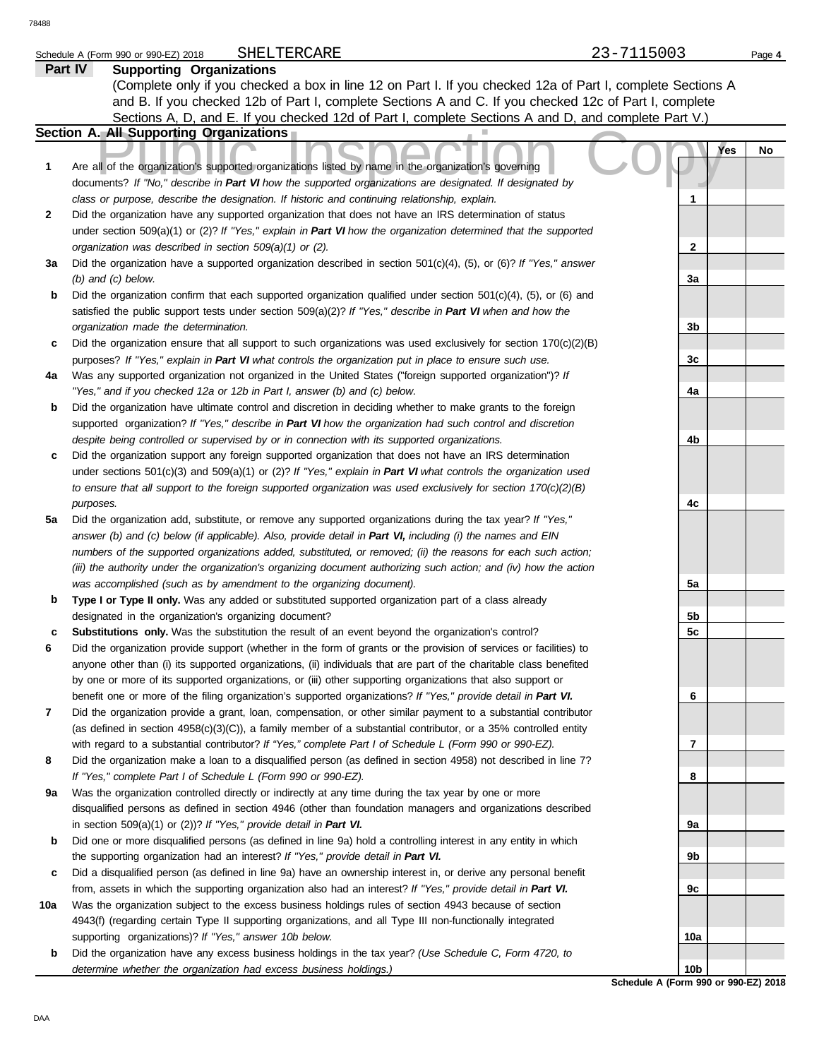|     | SHELTERCARE<br>Schedule A (Form 990 or 990-EZ) 2018                                                                      | 23-7115003                                    | Page 4 |
|-----|--------------------------------------------------------------------------------------------------------------------------|-----------------------------------------------|--------|
|     | Part IV<br><b>Supporting Organizations</b>                                                                               |                                               |        |
|     | (Complete only if you checked a box in line 12 on Part I. If you checked 12a of Part I, complete Sections A              |                                               |        |
|     | and B. If you checked 12b of Part I, complete Sections A and C. If you checked 12c of Part I, complete                   |                                               |        |
|     | Sections A, D, and E. If you checked 12d of Part I, complete Sections A and D, and complete Part V.)                     |                                               |        |
|     | Section A. All Supporting Organizations                                                                                  |                                               |        |
| 1   | Are all of the organization's supported organizations listed by name in the organization's governing                     | Yes                                           | No     |
|     | documents? If "No," describe in Part VI how the supported organizations are designated. If designated by                 |                                               |        |
|     | class or purpose, describe the designation. If historic and continuing relationship, explain.                            | 1                                             |        |
| 2   | Did the organization have any supported organization that does not have an IRS determination of status                   |                                               |        |
|     | under section 509(a)(1) or (2)? If "Yes," explain in Part VI how the organization determined that the supported          |                                               |        |
|     | organization was described in section 509(a)(1) or (2).                                                                  | 2                                             |        |
| За  | Did the organization have a supported organization described in section $501(c)(4)$ , (5), or (6)? If "Yes," answer      |                                               |        |
|     | $(b)$ and $(c)$ below.                                                                                                   | За                                            |        |
| b   | Did the organization confirm that each supported organization qualified under section $501(c)(4)$ , $(5)$ , or $(6)$ and |                                               |        |
|     | satisfied the public support tests under section 509(a)(2)? If "Yes," describe in Part VI when and how the               |                                               |        |
|     | organization made the determination.                                                                                     | 3b                                            |        |
| с   | Did the organization ensure that all support to such organizations was used exclusively for section $170(c)(2)(B)$       |                                               |        |
|     | purposes? If "Yes," explain in Part VI what controls the organization put in place to ensure such use.                   | 3c                                            |        |
| 4a  | Was any supported organization not organized in the United States ("foreign supported organization")? If                 |                                               |        |
|     | "Yes," and if you checked 12a or 12b in Part I, answer (b) and (c) below.                                                | 4a                                            |        |
| b   | Did the organization have ultimate control and discretion in deciding whether to make grants to the foreign              |                                               |        |
|     | supported organization? If "Yes," describe in Part VI how the organization had such control and discretion               |                                               |        |
|     | despite being controlled or supervised by or in connection with its supported organizations.                             | 4b                                            |        |
| с   | Did the organization support any foreign supported organization that does not have an IRS determination                  |                                               |        |
|     | under sections $501(c)(3)$ and $509(a)(1)$ or (2)? If "Yes," explain in Part VI what controls the organization used      |                                               |        |
|     | to ensure that all support to the foreign supported organization was used exclusively for section $170(c)(2)(B)$         |                                               |        |
|     | purposes.                                                                                                                | 4с                                            |        |
| 5a  | Did the organization add, substitute, or remove any supported organizations during the tax year? If "Yes,"               |                                               |        |
|     | answer (b) and (c) below (if applicable). Also, provide detail in Part VI, including (i) the names and EIN               |                                               |        |
|     | numbers of the supported organizations added, substituted, or removed; (ii) the reasons for each such action;            |                                               |        |
|     | (iii) the authority under the organization's organizing document authorizing such action; and (iv) how the action        |                                               |        |
|     | was accomplished (such as by amendment to the organizing document).                                                      | 5a                                            |        |
| b   | Type I or Type II only. Was any added or substituted supported organization part of a class already                      |                                               |        |
|     | designated in the organization's organizing document?                                                                    | 5b                                            |        |
| с   | Substitutions only. Was the substitution the result of an event beyond the organization's control?                       | 5c                                            |        |
| 6   | Did the organization provide support (whether in the form of grants or the provision of services or facilities) to       |                                               |        |
|     | anyone other than (i) its supported organizations, (ii) individuals that are part of the charitable class benefited      |                                               |        |
|     | by one or more of its supported organizations, or (iii) other supporting organizations that also support or              |                                               |        |
|     | benefit one or more of the filing organization's supported organizations? If "Yes," provide detail in Part VI.           | 6                                             |        |
| 7   | Did the organization provide a grant, loan, compensation, or other similar payment to a substantial contributor          |                                               |        |
|     | (as defined in section 4958(c)(3)(C)), a family member of a substantial contributor, or a 35% controlled entity          |                                               |        |
|     | with regard to a substantial contributor? If "Yes," complete Part I of Schedule L (Form 990 or 990-EZ).                  | 7                                             |        |
| 8   | Did the organization make a loan to a disqualified person (as defined in section 4958) not described in line 7?          |                                               |        |
|     | If "Yes," complete Part I of Schedule L (Form 990 or 990-EZ).                                                            | 8                                             |        |
| 9a  | Was the organization controlled directly or indirectly at any time during the tax year by one or more                    |                                               |        |
|     | disqualified persons as defined in section 4946 (other than foundation managers and organizations described              |                                               |        |
|     | in section $509(a)(1)$ or (2))? If "Yes," provide detail in Part VI.                                                     | 9a                                            |        |
| b   | Did one or more disqualified persons (as defined in line 9a) hold a controlling interest in any entity in which          |                                               |        |
|     | the supporting organization had an interest? If "Yes," provide detail in Part VI.                                        | 9b                                            |        |
| с   | Did a disqualified person (as defined in line 9a) have an ownership interest in, or derive any personal benefit          |                                               |        |
|     | from, assets in which the supporting organization also had an interest? If "Yes," provide detail in Part VI.             | 9c                                            |        |
| 10a | Was the organization subject to the excess business holdings rules of section 4943 because of section                    |                                               |        |
|     | 4943(f) (regarding certain Type II supporting organizations, and all Type III non-functionally integrated                |                                               |        |
|     | supporting organizations)? If "Yes," answer 10b below.                                                                   | 10a                                           |        |
| b   | Did the organization have any excess business holdings in the tax year? (Use Schedule C, Form 4720, to                   |                                               |        |
|     | determine whether the organization had excess business holdings.)                                                        | 10b<br><b>Cohodulo A (Form 000 or 000 E7)</b> |        |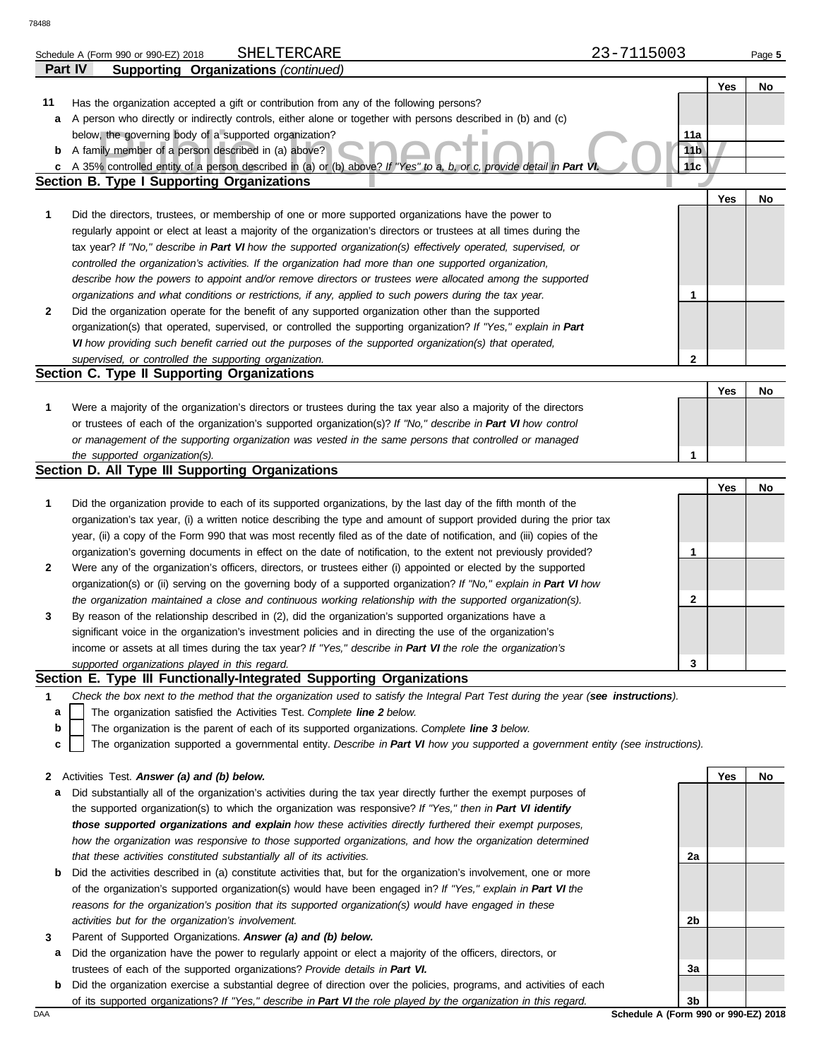|    |                                                                                                                                   | 23-7115003      |     |        |
|----|-----------------------------------------------------------------------------------------------------------------------------------|-----------------|-----|--------|
|    | SHELTERCARE<br>Schedule A (Form 990 or 990-EZ) 2018<br><b>Part IV</b>                                                             |                 |     | Page 5 |
|    | <b>Supporting Organizations (continued)</b>                                                                                       |                 |     |        |
|    |                                                                                                                                   |                 | Yes | No     |
| 11 | Has the organization accepted a gift or contribution from any of the following persons?                                           |                 |     |        |
| а  | A person who directly or indirectly controls, either alone or together with persons described in (b) and (c)                      |                 |     |        |
|    | below, the governing body of a supported organization?                                                                            | 11a             |     |        |
| b  | A family member of a person described in (a) above?                                                                               | 11 <sub>b</sub> |     |        |
| c  | A 35% controlled entity of a person described in (a) or (b) above? If "Yes" to a, b, or c, provide detail in Part VI              | 11c             |     |        |
|    | <b>Section B. Type I Supporting Organizations</b>                                                                                 |                 |     |        |
|    |                                                                                                                                   |                 | Yes | No     |
| 1  | Did the directors, trustees, or membership of one or more supported organizations have the power to                               |                 |     |        |
|    | regularly appoint or elect at least a majority of the organization's directors or trustees at all times during the                |                 |     |        |
|    | tax year? If "No," describe in Part VI how the supported organization(s) effectively operated, supervised, or                     |                 |     |        |
|    | controlled the organization's activities. If the organization had more than one supported organization,                           |                 |     |        |
|    | describe how the powers to appoint and/or remove directors or trustees were allocated among the supported                         |                 |     |        |
|    | organizations and what conditions or restrictions, if any, applied to such powers during the tax year.                            | 1               |     |        |
| 2  | Did the organization operate for the benefit of any supported organization other than the supported                               |                 |     |        |
|    | organization(s) that operated, supervised, or controlled the supporting organization? If "Yes," explain in Part                   |                 |     |        |
|    | VI how providing such benefit carried out the purposes of the supported organization(s) that operated,                            |                 |     |        |
|    | supervised, or controlled the supporting organization.                                                                            | $\mathbf{2}$    |     |        |
|    | Section C. Type II Supporting Organizations                                                                                       |                 |     |        |
|    |                                                                                                                                   |                 | Yes | No     |
| 1  | Were a majority of the organization's directors or trustees during the tax year also a majority of the directors                  |                 |     |        |
|    | or trustees of each of the organization's supported organization(s)? If "No," describe in Part VI how control                     |                 |     |        |
|    | or management of the supporting organization was vested in the same persons that controlled or managed                            |                 |     |        |
|    | the supported organization(s).                                                                                                    |                 |     |        |
|    |                                                                                                                                   | 1               |     |        |
|    | Section D. All Type III Supporting Organizations                                                                                  |                 |     |        |
|    |                                                                                                                                   |                 |     | No     |
| 1  |                                                                                                                                   |                 | Yes |        |
|    | Did the organization provide to each of its supported organizations, by the last day of the fifth month of the                    |                 |     |        |
|    | organization's tax year, (i) a written notice describing the type and amount of support provided during the prior tax             |                 |     |        |
|    | year, (ii) a copy of the Form 990 that was most recently filed as of the date of notification, and (iii) copies of the            |                 |     |        |
|    | organization's governing documents in effect on the date of notification, to the extent not previously provided?                  | 1               |     |        |
| 2  | Were any of the organization's officers, directors, or trustees either (i) appointed or elected by the supported                  |                 |     |        |
|    | organization(s) or (ii) serving on the governing body of a supported organization? If "No," explain in Part VI how                |                 |     |        |
|    | the organization maintained a close and continuous working relationship with the supported organization(s).                       | 2               |     |        |
| 3  | By reason of the relationship described in (2), did the organization's supported organizations have a                             |                 |     |        |
|    | significant voice in the organization's investment policies and in directing the use of the organization's                        |                 |     |        |
|    | income or assets at all times during the tax year? If "Yes," describe in Part VI the role the organization's                      |                 |     |        |
|    | supported organizations played in this regard.                                                                                    | 3               |     |        |
|    | Section E. Type III Functionally-Integrated Supporting Organizations                                                              |                 |     |        |
| 1  | Check the box next to the method that the organization used to satisfy the Integral Part Test during the year (see instructions). |                 |     |        |
| а  | The organization satisfied the Activities Test. Complete line 2 below.                                                            |                 |     |        |
| b  | The organization is the parent of each of its supported organizations. Complete line 3 below.                                     |                 |     |        |
| c  | The organization supported a governmental entity. Describe in Part VI how you supported a government entity (see instructions).   |                 |     |        |
|    |                                                                                                                                   |                 |     |        |
|    | 2 Activities Test. Answer (a) and (b) below.                                                                                      |                 | Yes | No     |
| а  | Did substantially all of the organization's activities during the tax year directly further the exempt purposes of                |                 |     |        |
|    | the supported organization(s) to which the organization was responsive? If "Yes," then in Part VI identify                        |                 |     |        |
|    | those supported organizations and explain how these activities directly furthered their exempt purposes,                          |                 |     |        |
|    | how the organization was responsive to those supported organizations, and how the organization determined                         |                 |     |        |
|    | that these activities constituted substantially all of its activities.                                                            | 2a              |     |        |
| b  | Did the activities described in (a) constitute activities that, but for the organization's involvement, one or more               |                 |     |        |
|    | of the organization's supported organization(s) would have been engaged in? If "Yes," explain in Part VI the                      |                 |     |        |

- **3** *activities but for the organization's involvement.* Parent of Supported Organizations. *Answer (a) and (b) below.*
	- **a** Did the organization have the power to regularly appoint or elect a majority of the officers, directors, or trustees of each of the supported organizations? *Provide details in Part VI.*
	- **b** Did the organization exercise a substantial degree of direction over the policies, programs, and activities of each of its supported organizations? *If "Yes," describe in Part VI the role played by the organization in this regard.*

DAA **Schedule A (Form 990 or 990-EZ) 2018 3b**

**2b**

**3a**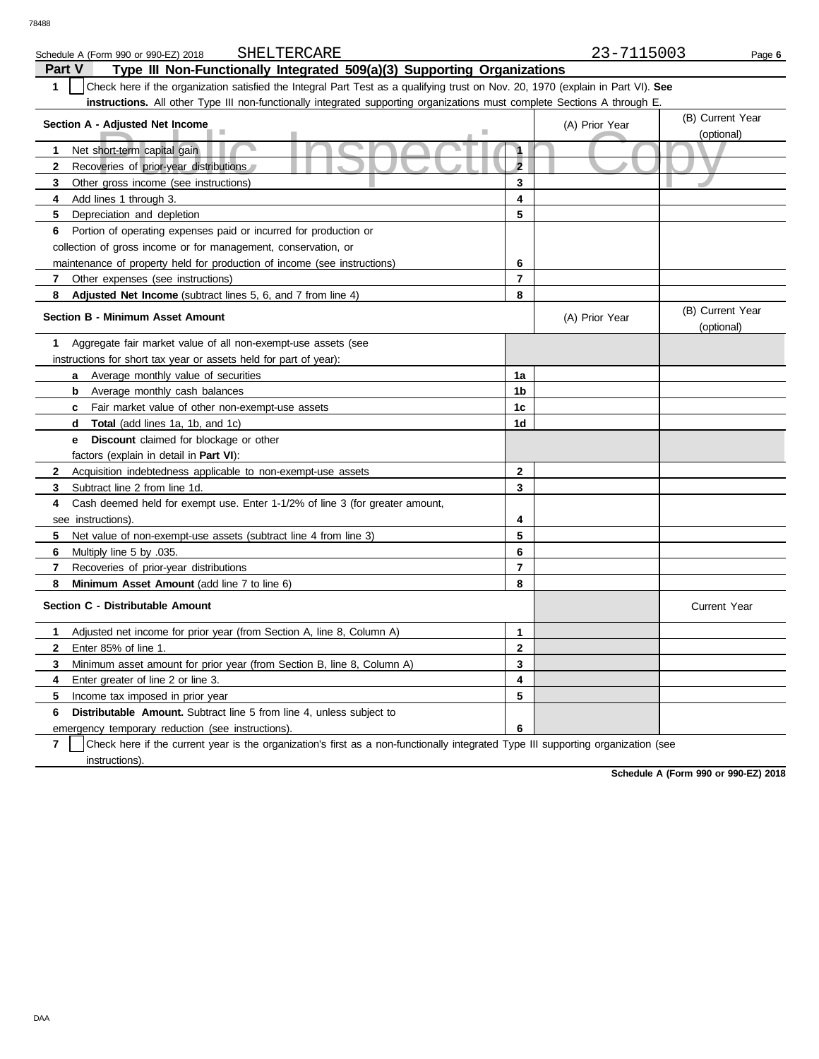| SHELTERCARE<br>Schedule A (Form 990 or 990-EZ) 2018                                                                                   |                     | 23-7115003     | Page 6                         |  |  |  |
|---------------------------------------------------------------------------------------------------------------------------------------|---------------------|----------------|--------------------------------|--|--|--|
| Type III Non-Functionally Integrated 509(a)(3) Supporting Organizations<br><b>Part V</b>                                              |                     |                |                                |  |  |  |
| Check here if the organization satisfied the Integral Part Test as a qualifying trust on Nov. 20, 1970 (explain in Part VI). See<br>1 |                     |                |                                |  |  |  |
| instructions. All other Type III non-functionally integrated supporting organizations must complete Sections A through E.             |                     |                |                                |  |  |  |
| Section A - Adjusted Net Income                                                                                                       |                     | (A) Prior Year | (B) Current Year               |  |  |  |
|                                                                                                                                       |                     |                | (optional)                     |  |  |  |
| Net short-term capital gain<br>1                                                                                                      | $\ddot{\mathbf{1}}$ |                |                                |  |  |  |
| Recoveries of prior-year distributions<br>2                                                                                           | $\overline{2}$      |                |                                |  |  |  |
| 3<br>Other gross income (see instructions)                                                                                            | 3                   |                |                                |  |  |  |
| 4<br>Add lines 1 through 3.                                                                                                           | 4                   |                |                                |  |  |  |
| 5<br>Depreciation and depletion                                                                                                       | 5                   |                |                                |  |  |  |
| Portion of operating expenses paid or incurred for production or<br>6                                                                 |                     |                |                                |  |  |  |
| collection of gross income or for management, conservation, or                                                                        |                     |                |                                |  |  |  |
| maintenance of property held for production of income (see instructions)                                                              | 6                   |                |                                |  |  |  |
| Other expenses (see instructions)<br>7                                                                                                | 7                   |                |                                |  |  |  |
| Adjusted Net Income (subtract lines 5, 6, and 7 from line 4)<br>8                                                                     | 8                   |                |                                |  |  |  |
| <b>Section B - Minimum Asset Amount</b>                                                                                               |                     | (A) Prior Year | (B) Current Year<br>(optional) |  |  |  |
| Aggregate fair market value of all non-exempt-use assets (see<br>1                                                                    |                     |                |                                |  |  |  |
| instructions for short tax year or assets held for part of year):                                                                     |                     |                |                                |  |  |  |
| a Average monthly value of securities                                                                                                 | 1a                  |                |                                |  |  |  |
| Average monthly cash balances<br>b                                                                                                    | 1b                  |                |                                |  |  |  |
| Fair market value of other non-exempt-use assets<br>$\mathbf{c}$                                                                      | 1c                  |                |                                |  |  |  |
| Total (add lines 1a, 1b, and 1c)<br>d                                                                                                 | 1d                  |                |                                |  |  |  |
| <b>Discount</b> claimed for blockage or other<br>е                                                                                    |                     |                |                                |  |  |  |
| factors (explain in detail in <b>Part VI)</b> :                                                                                       |                     |                |                                |  |  |  |
| Acquisition indebtedness applicable to non-exempt-use assets<br>$\mathbf{2}$                                                          | $\mathbf{2}$        |                |                                |  |  |  |
| Subtract line 2 from line 1d.<br>3                                                                                                    | 3                   |                |                                |  |  |  |
| Cash deemed held for exempt use. Enter 1-1/2% of line 3 (for greater amount,<br>4                                                     |                     |                |                                |  |  |  |
| see instructions).                                                                                                                    | 4                   |                |                                |  |  |  |
| 5<br>Net value of non-exempt-use assets (subtract line 4 from line 3)                                                                 | 5                   |                |                                |  |  |  |
| 6<br>.035. Multiply line 5 by                                                                                                         | 6                   |                |                                |  |  |  |
| $\overline{7}$<br>Recoveries of prior-year distributions                                                                              | $\overline{7}$      |                |                                |  |  |  |
| 8<br>Minimum Asset Amount (add line 7 to line 6)                                                                                      | 8                   |                |                                |  |  |  |
| Section C - Distributable Amount                                                                                                      |                     |                | <b>Current Year</b>            |  |  |  |
| Adjusted net income for prior year (from Section A, line 8, Column A)<br>1                                                            | 1                   |                |                                |  |  |  |
| $\mathbf{2}$<br>Enter 85% of line 1.                                                                                                  | $\mathbf 2$         |                |                                |  |  |  |
| Minimum asset amount for prior year (from Section B, line 8, Column A)<br>3                                                           | 3                   |                |                                |  |  |  |
| Enter greater of line 2 or line 3.<br>4                                                                                               | 4                   |                |                                |  |  |  |
| 5<br>Income tax imposed in prior year                                                                                                 | 5                   |                |                                |  |  |  |
| <b>Distributable Amount.</b> Subtract line 5 from line 4, unless subject to<br>6                                                      |                     |                |                                |  |  |  |
| emergency temporary reduction (see instructions).                                                                                     | 6                   |                |                                |  |  |  |

**7** instructions). Check here if the current year is the organization's first as a non-functionally integrated Type III supporting organization (see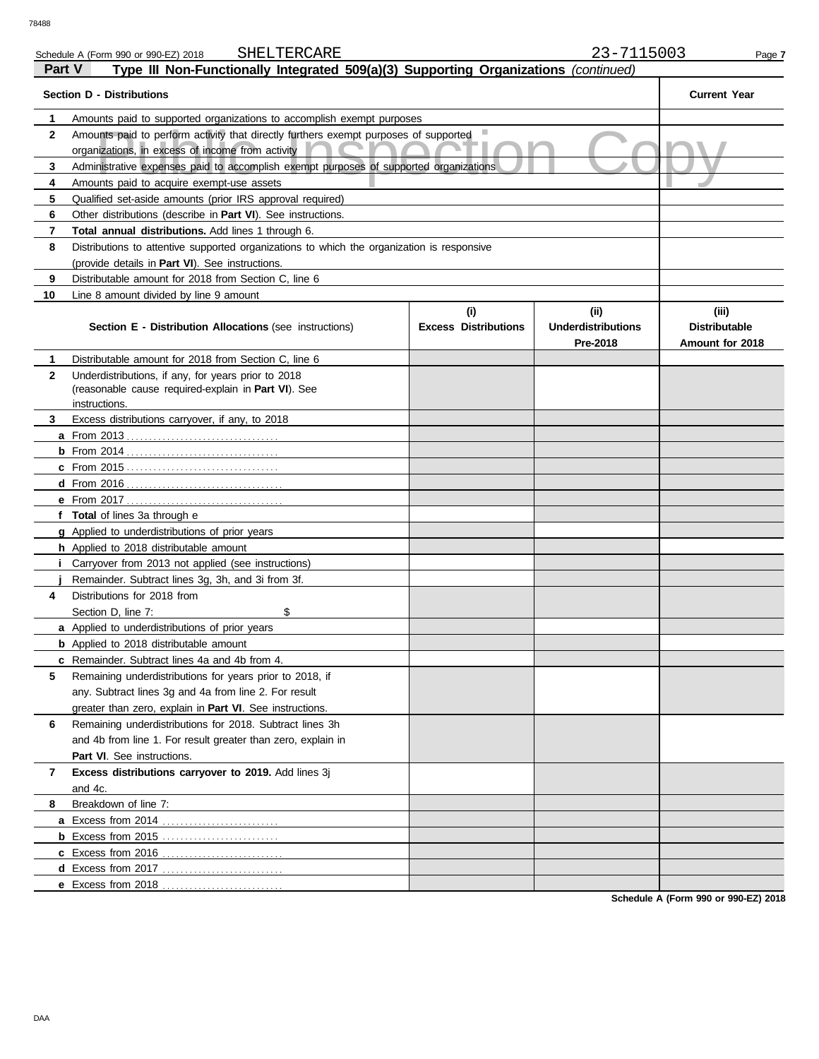| 78488        |                                                                                                                                               |                                    |                                       |                                                  |  |
|--------------|-----------------------------------------------------------------------------------------------------------------------------------------------|------------------------------------|---------------------------------------|--------------------------------------------------|--|
|              | SHELTERCARE<br>Schedule A (Form 990 or 990-EZ) 2018                                                                                           |                                    | 23-7115003                            | Page 7                                           |  |
| Part V       | Type III Non-Functionally Integrated 509(a)(3) Supporting Organizations (continued)                                                           |                                    |                                       |                                                  |  |
|              | <b>Section D - Distributions</b>                                                                                                              |                                    |                                       | <b>Current Year</b>                              |  |
| 1            | Amounts paid to supported organizations to accomplish exempt purposes                                                                         |                                    |                                       |                                                  |  |
| $\mathbf{2}$ | Amounts paid to perform activity that directly furthers exempt purposes of supported<br>organizations, in excess of income from activity      |                                    |                                       |                                                  |  |
| 3            | Administrative expenses paid to accomplish exempt purposes of supported organizations                                                         |                                    |                                       |                                                  |  |
| 4            | Amounts paid to acquire exempt-use assets                                                                                                     |                                    |                                       |                                                  |  |
| 5            | Qualified set-aside amounts (prior IRS approval required)                                                                                     |                                    |                                       |                                                  |  |
| 6            | Other distributions (describe in <b>Part VI</b> ). See instructions.                                                                          |                                    |                                       |                                                  |  |
| 7            | Total annual distributions. Add lines 1 through 6.                                                                                            |                                    |                                       |                                                  |  |
| 8            | Distributions to attentive supported organizations to which the organization is responsive<br>(provide details in Part VI). See instructions. |                                    |                                       |                                                  |  |
| 9            | Distributable amount for 2018 from Section C, line 6                                                                                          |                                    |                                       |                                                  |  |
| 10           | Line 8 amount divided by line 9 amount                                                                                                        |                                    |                                       |                                                  |  |
|              | Section E - Distribution Allocations (see instructions)                                                                                       | (i)<br><b>Excess Distributions</b> | (i)<br>Underdistributions<br>Pre-2018 | (iii)<br><b>Distributable</b><br>Amount for 2018 |  |
| 1            | Distributable amount for 2018 from Section C, line 6                                                                                          |                                    |                                       |                                                  |  |
| $\mathbf{2}$ | Underdistributions, if any, for years prior to 2018<br>(reasonable cause required-explain in Part VI). See<br>instructions.                   |                                    |                                       |                                                  |  |
| 3            | Excess distributions carryover, if any, to 2018                                                                                               |                                    |                                       |                                                  |  |
|              |                                                                                                                                               |                                    |                                       |                                                  |  |
|              |                                                                                                                                               |                                    |                                       |                                                  |  |
|              |                                                                                                                                               |                                    |                                       |                                                  |  |
|              | $d$ From 2016                                                                                                                                 |                                    |                                       |                                                  |  |
|              | e From 2017                                                                                                                                   |                                    |                                       |                                                  |  |
|              | f Total of lines 3a through e                                                                                                                 |                                    |                                       |                                                  |  |
|              | g Applied to underdistributions of prior years                                                                                                |                                    |                                       |                                                  |  |
|              | h Applied to 2018 distributable amount                                                                                                        |                                    |                                       |                                                  |  |
|              | Carryover from 2013 not applied (see instructions)                                                                                            |                                    |                                       |                                                  |  |
|              | Remainder. Subtract lines 3g, 3h, and 3i from 3f.                                                                                             |                                    |                                       |                                                  |  |
| 4            | Distributions for 2018 from                                                                                                                   |                                    |                                       |                                                  |  |

**8**

and 4c.

**5**

**7 Excess distributions carryover to 2019.** Add lines 3j

**a** Excess from 2014 . . . . . . . . . . . . . . . . . . . . . . . . . . **b** Excess from 2015 . . . . . . . . . . . . . . . . . . . . . . . . . . **c** Excess from 2016 . . . . . . . . . . . . . . . . . . . . . . . . . . . **d** Excess from 2017 . . . . . . . . . . . . . . . . . . . . . . . . . . . **e** Excess from 2018 . . . . . . . . . . . . . . . . . . . . . . . . . . .

Part VI. See instructions.

Breakdown of line 7:

**6** Remaining underdistributions for 2018. Subtract lines 3h

and 4b from line 1. For result greater than zero, explain in

Remaining underdistributions for years prior to 2018, if any. Subtract lines 3g and 4a from line 2. For result greater than zero, explain in **Part VI**. See instructions.

**a** Applied to underdistributions of prior years **b** Applied to 2018 distributable amount **c** Remainder. Subtract lines 4a and 4b from 4.

Section D, line 7: \$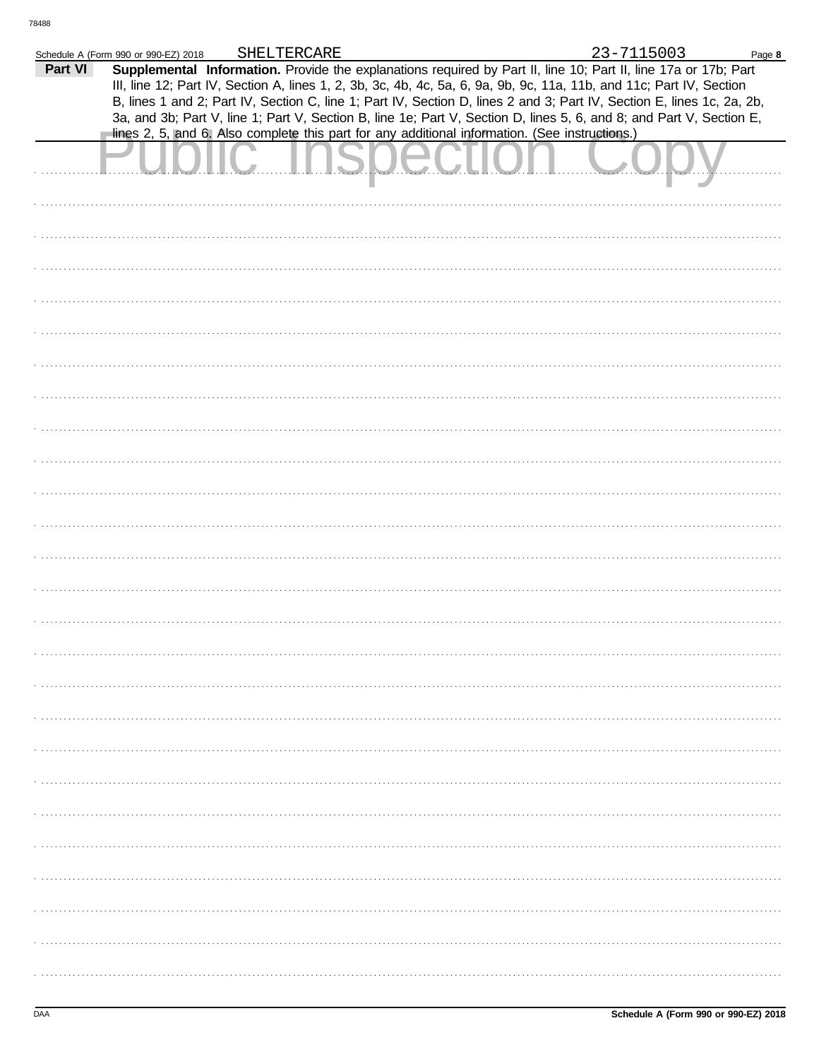|         | Schedule A (Form 990 or 990-EZ) 2018                                                           | SHELTERCARE |  | 23-7115003                                                                                                                                                                                                                              | Page 8 |
|---------|------------------------------------------------------------------------------------------------|-------------|--|-----------------------------------------------------------------------------------------------------------------------------------------------------------------------------------------------------------------------------------------|--------|
| Part VI |                                                                                                |             |  | Supplemental Information. Provide the explanations required by Part II, line 10; Part II, line 17a or 17b; Part<br>III, line 12; Part IV, Section A, lines 1, 2, 3b, 3c, 4b, 4c, 5a, 6, 9a, 9b, 9c, 11a, 11b, and 11c; Part IV, Section |        |
|         |                                                                                                |             |  | B, lines 1 and 2; Part IV, Section C, line 1; Part IV, Section D, lines 2 and 3; Part IV, Section E, lines 1c, 2a, 2b,                                                                                                                  |        |
|         |                                                                                                |             |  | 3a, and 3b; Part V, line 1; Part V, Section B, line 1e; Part V, Section D, lines 5, 6, and 8; and Part V, Section E,                                                                                                                    |        |
|         | lines 2, 5, and 6. Also complete this part for any additional information. (See instructions.) |             |  |                                                                                                                                                                                                                                         |        |
|         |                                                                                                |             |  |                                                                                                                                                                                                                                         |        |
|         |                                                                                                |             |  |                                                                                                                                                                                                                                         |        |
|         |                                                                                                |             |  |                                                                                                                                                                                                                                         |        |
|         |                                                                                                |             |  |                                                                                                                                                                                                                                         |        |
|         |                                                                                                |             |  |                                                                                                                                                                                                                                         |        |
|         |                                                                                                |             |  |                                                                                                                                                                                                                                         |        |
|         |                                                                                                |             |  |                                                                                                                                                                                                                                         |        |
|         |                                                                                                |             |  |                                                                                                                                                                                                                                         |        |
|         |                                                                                                |             |  |                                                                                                                                                                                                                                         |        |
|         |                                                                                                |             |  |                                                                                                                                                                                                                                         |        |
|         |                                                                                                |             |  |                                                                                                                                                                                                                                         |        |
|         |                                                                                                |             |  |                                                                                                                                                                                                                                         |        |
|         |                                                                                                |             |  |                                                                                                                                                                                                                                         |        |
|         |                                                                                                |             |  |                                                                                                                                                                                                                                         |        |
|         |                                                                                                |             |  |                                                                                                                                                                                                                                         |        |
|         |                                                                                                |             |  |                                                                                                                                                                                                                                         |        |
|         |                                                                                                |             |  |                                                                                                                                                                                                                                         |        |
|         |                                                                                                |             |  |                                                                                                                                                                                                                                         |        |
|         |                                                                                                |             |  |                                                                                                                                                                                                                                         |        |
|         |                                                                                                |             |  |                                                                                                                                                                                                                                         |        |
|         |                                                                                                |             |  |                                                                                                                                                                                                                                         |        |
|         |                                                                                                |             |  |                                                                                                                                                                                                                                         |        |
|         |                                                                                                |             |  |                                                                                                                                                                                                                                         |        |
|         |                                                                                                |             |  |                                                                                                                                                                                                                                         |        |
|         |                                                                                                |             |  |                                                                                                                                                                                                                                         |        |
|         |                                                                                                |             |  |                                                                                                                                                                                                                                         |        |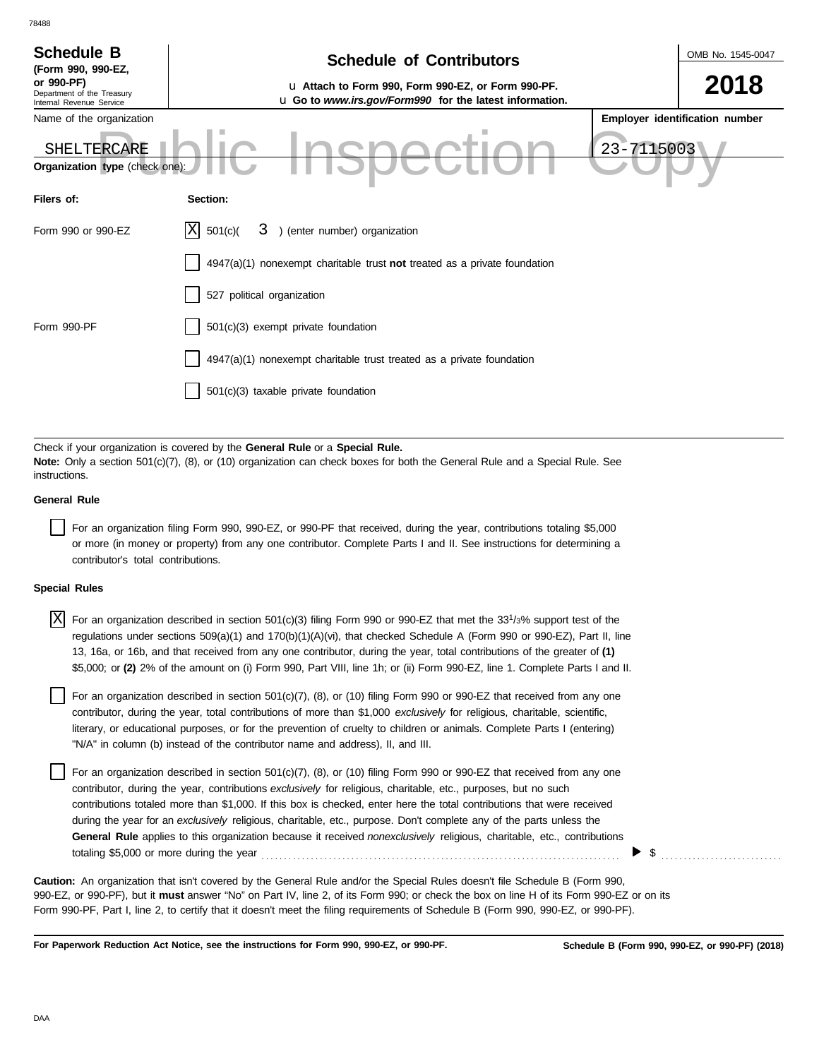| <b>Schedule B</b><br>(Form 990, 990-EZ,<br>or 990-PF)<br>Department of the Treasury<br>Internal Revenue Service | <b>Schedule of Contributors</b><br>u Attach to Form 990, Form 990-EZ, or Form 990-PF.<br>u Go to www.irs.gov/Form990 for the latest information. |            | OMB No. 1545-0047<br>2018      |
|-----------------------------------------------------------------------------------------------------------------|--------------------------------------------------------------------------------------------------------------------------------------------------|------------|--------------------------------|
| Name of the organization                                                                                        |                                                                                                                                                  |            | Employer identification number |
| SHELTERCARE<br>Organization type (check one):                                                                   |                                                                                                                                                  | 23-7115003 |                                |
| Filers of:                                                                                                      | Section:                                                                                                                                         |            |                                |
| Form 990 or 990-EZ                                                                                              | ΙXΙ<br>3 ) (enter number) organization<br>501(c)(                                                                                                |            |                                |
|                                                                                                                 | $4947(a)(1)$ nonexempt charitable trust not treated as a private foundation                                                                      |            |                                |
|                                                                                                                 | 527 political organization                                                                                                                       |            |                                |
| Form 990-PF                                                                                                     | 501(c)(3) exempt private foundation                                                                                                              |            |                                |
|                                                                                                                 | 4947(a)(1) nonexempt charitable trust treated as a private foundation                                                                            |            |                                |
|                                                                                                                 | 501(c)(3) taxable private foundation                                                                                                             |            |                                |

Check if your organization is covered by the **General Rule** or a **Special Rule. Note:** Only a section 501(c)(7), (8), or (10) organization can check boxes for both the General Rule and a Special Rule. See instructions.

## **General Rule**

78488

For an organization filing Form 990, 990-EZ, or 990-PF that received, during the year, contributions totaling \$5,000 or more (in money or property) from any one contributor. Complete Parts I and II. See instructions for determining a contributor's total contributions.

#### **Special Rules**

| $X$ For an organization described in section 501(c)(3) filing Form 990 or 990-EZ that met the 33 <sup>1</sup> /3% support test of the |
|---------------------------------------------------------------------------------------------------------------------------------------|
| regulations under sections 509(a)(1) and 170(b)(1)(A)(vi), that checked Schedule A (Form 990 or 990-EZ), Part II, line                |
| 13, 16a, or 16b, and that received from any one contributor, during the year, total contributions of the greater of (1)               |
| \$5,000; or (2) 2% of the amount on (i) Form 990, Part VIII, line 1h; or (ii) Form 990-EZ, line 1. Complete Parts I and II.           |

literary, or educational purposes, or for the prevention of cruelty to children or animals. Complete Parts I (entering) For an organization described in section  $501(c)(7)$ ,  $(8)$ , or  $(10)$  filing Form 990 or 990-EZ that received from any one contributor, during the year, total contributions of more than \$1,000 *exclusively* for religious, charitable, scientific, "N/A" in column (b) instead of the contributor name and address), II, and III.

For an organization described in section 501(c)(7), (8), or (10) filing Form 990 or 990-EZ that received from any one contributor, during the year, contributions *exclusively* for religious, charitable, etc., purposes, but no such contributions totaled more than \$1,000. If this box is checked, enter here the total contributions that were received during the year for an *exclusively* religious, charitable, etc., purpose. Don't complete any of the parts unless the **General Rule** applies to this organization because it received *nonexclusively* religious, charitable, etc., contributions totaling \$5,000 or more during the year . . . . . . . . . . . . . . . . . . . . . . . . . . . . . . . . . . . . . . . . . . . . . . . . . . . . . . . . . . . . . . . . . . . . . . . . . . . . . . . .

990-EZ, or 990-PF), but it **must** answer "No" on Part IV, line 2, of its Form 990; or check the box on line H of its Form 990-EZ or on its Form 990-PF, Part I, line 2, to certify that it doesn't meet the filing requirements of Schedule B (Form 990, 990-EZ, or 990-PF). **Caution:** An organization that isn't covered by the General Rule and/or the Special Rules doesn't file Schedule B (Form 990,

**For Paperwork Reduction Act Notice, see the instructions for Form 990, 990-EZ, or 990-PF.**

 $\blacktriangleright$   $\$\,$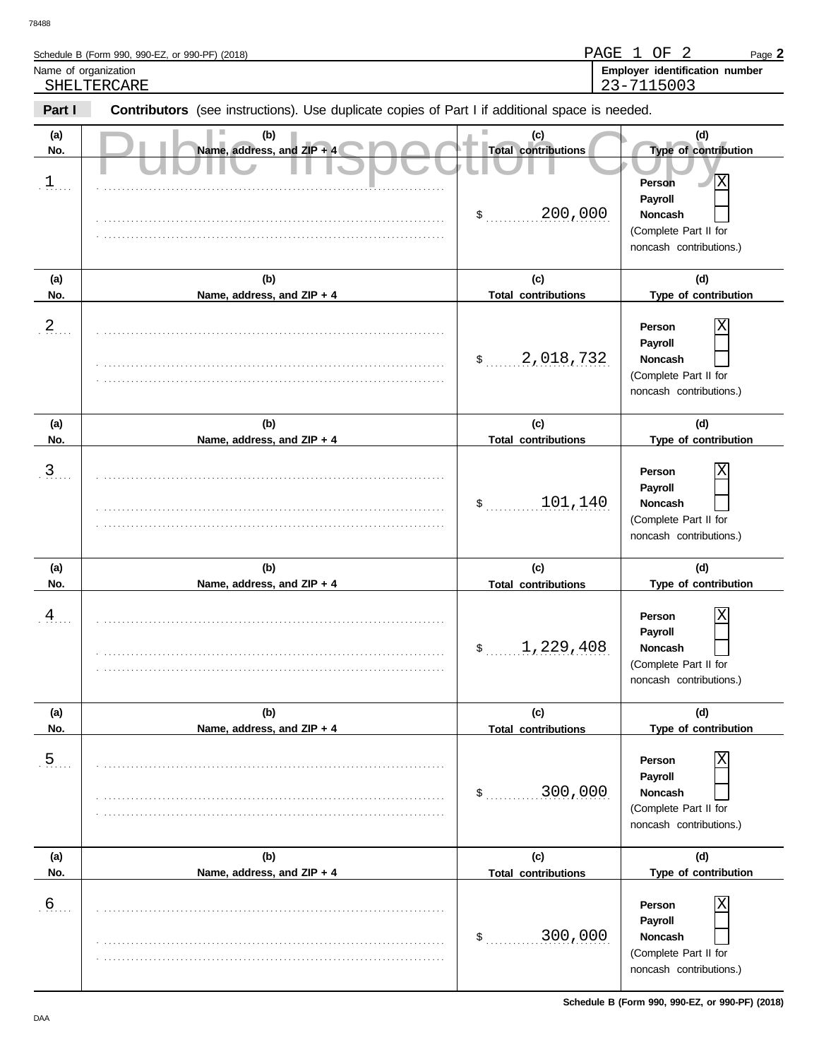| Schedule B (Form 990, 990-EZ, or 990-PF) (2018)                                                                 | PAGE 1<br>OF<br>Page 2                             |
|-----------------------------------------------------------------------------------------------------------------|----------------------------------------------------|
| Name of organization<br>SHELTERCARE                                                                             | Employer identification number<br>23-7115003       |
| Part I<br><b>Contributors</b> (see instructions). Use duplicate copies of Part I if additional space is needed. |                                                    |
| (a)<br>Name, address, and $ZIP + 4$<br>No.                                                                      | Total contributions<br><b>Type of contribution</b> |

| (a)<br>No.     | (b)<br>Name, address, and ZIP + 4 | (c)<br><b>Total contributions</b> | (d)<br>Type of contribution                                                                                 |
|----------------|-----------------------------------|-----------------------------------|-------------------------------------------------------------------------------------------------------------|
| 1              |                                   | 200,000<br>\$                     | $\overline{\mathrm{X}}$<br>Person<br>Payroll<br>Noncash<br>(Complete Part II for<br>noncash contributions.) |
| (a)<br>No.     | (b)<br>Name, address, and ZIP + 4 | (c)<br><b>Total contributions</b> | (d)<br>Type of contribution                                                                                 |
| $\frac{2}{2}$  |                                   | 2,018,732<br>\$                   | Х<br>Person<br>Payroll<br>Noncash<br>(Complete Part II for<br>noncash contributions.)                       |
| (a)            | (b)                               | (c)                               | (d)                                                                                                         |
| No.            | Name, address, and ZIP + 4        | <b>Total contributions</b>        | Type of contribution                                                                                        |
| $\frac{3}{2}$  |                                   | 101,140<br>\$                     | Х<br>Person<br>Payroll<br>Noncash<br>(Complete Part II for<br>noncash contributions.)                       |
|                |                                   |                                   |                                                                                                             |
| (a)            | (b)                               | (c)                               | (d)                                                                                                         |
| No.            | Name, address, and ZIP + 4        | <b>Total contributions</b>        | Type of contribution                                                                                        |
| $\frac{4}{1}$  |                                   | 1,229,408<br>\$                   | Χ<br>Person<br>Payroll<br>Noncash<br>(Complete Part II for<br>noncash contributions.)                       |
| (a)            | (b)                               | (c)                               | (d)                                                                                                         |
| No.            | Name, address, and ZIP + 4        | <u><b>Total contributions</b></u> | Type of contribution                                                                                        |
| $\overline{5}$ |                                   | 300,000<br>\$                     | X<br>Person<br>Payroll<br>Noncash<br>(Complete Part II for<br>noncash contributions.)                       |
| (a)            | (b)                               | (c)                               | (d)                                                                                                         |
| No.            | Name, address, and ZIP + 4        | <b>Total contributions</b>        | Type of contribution                                                                                        |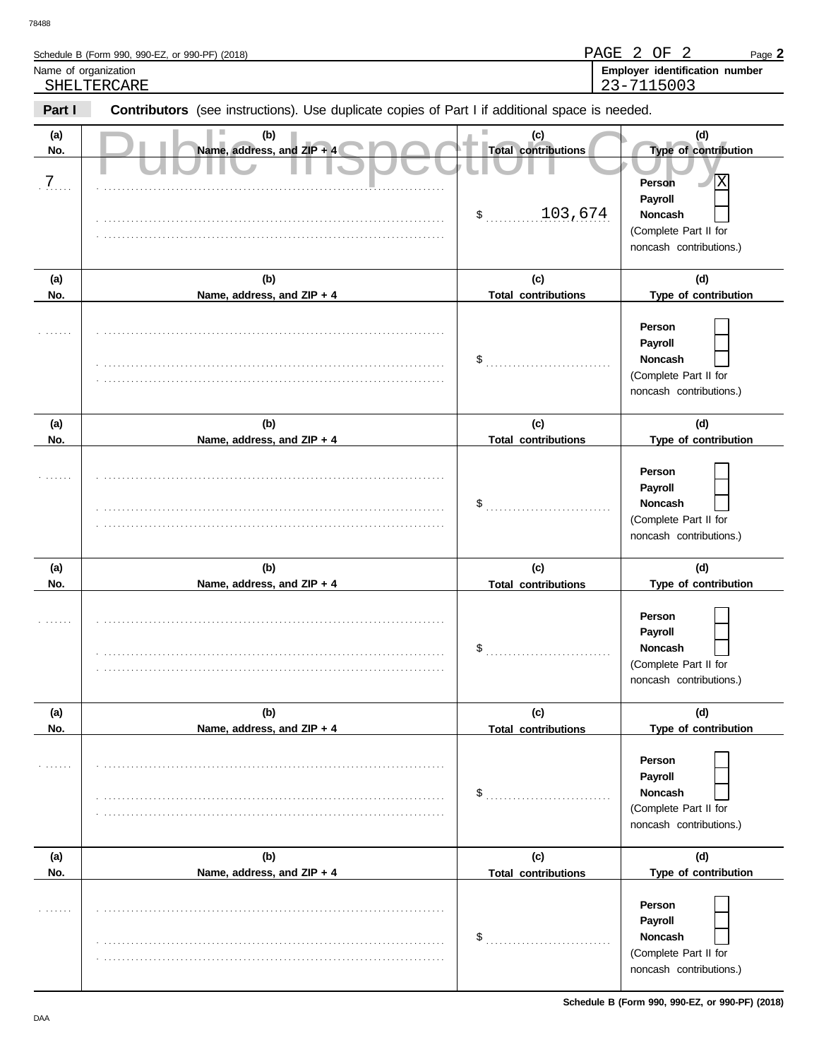|                            | Schedule B (Form 990, 990-EZ, or 990-PF) (2018)                                                |                                                                | PAGE 2 OF 2<br>Page 2                                                                                                |
|----------------------------|------------------------------------------------------------------------------------------------|----------------------------------------------------------------|----------------------------------------------------------------------------------------------------------------------|
| Name of organization       |                                                                                                |                                                                | Employer identification number                                                                                       |
|                            | SHELTERCARE                                                                                    |                                                                | 23-7115003                                                                                                           |
| Part I                     | Contributors (see instructions). Use duplicate copies of Part I if additional space is needed. |                                                                |                                                                                                                      |
| (a)<br>No.<br>$\cdot$ 7. . | (b)<br>Name, address, and ZIP + 4                                                              | (c)<br><b>Total contributions</b><br>103,674<br>$\mathsf{s}$ . | (d)<br>Type of contribution<br>X<br>Person<br>Payroll<br>Noncash<br>(Complete Part II for<br>noncash contributions.) |
| (a)                        | (b)                                                                                            | (c)                                                            | (d)                                                                                                                  |
| No.                        | Name, address, and ZIP + 4                                                                     | <b>Total contributions</b>                                     | Type of contribution                                                                                                 |
|                            |                                                                                                | \$                                                             | Person<br>Payroll<br>Noncash<br>(Complete Part II for<br>noncash contributions.)                                     |
| (a)                        | (b)                                                                                            | (c)                                                            | (d)                                                                                                                  |
| No.                        | Name, address, and ZIP + 4                                                                     | <b>Total contributions</b>                                     | Type of contribution                                                                                                 |
|                            |                                                                                                | \$                                                             | Person<br>Payroll<br>Noncash<br>(Complete Part II for<br>noncash contributions.)                                     |
| (a)                        | (b)                                                                                            | (c)                                                            | (d)                                                                                                                  |
| No.                        | Name, address, and ZIP + 4                                                                     | <b>Total contributions</b>                                     | Type of contribution                                                                                                 |
|                            |                                                                                                | $\mathfrak{s}$                                                 | Person<br>Payroll<br><b>Noncash</b><br>(Complete Part II for<br>noncash contributions.)                              |
| (a)                        | (b)                                                                                            | (c)                                                            | (d)                                                                                                                  |
| No.                        | Name, address, and ZIP + 4                                                                     | <b>Total contributions</b>                                     | Type of contribution                                                                                                 |
| .                          |                                                                                                | \$                                                             | Person<br>Payroll<br><b>Noncash</b><br>(Complete Part II for<br>noncash contributions.)                              |
| (a)                        | (b)                                                                                            | (c)                                                            | (d)                                                                                                                  |
| No.                        | Name, address, and ZIP + 4                                                                     | <b>Total contributions</b>                                     | Type of contribution                                                                                                 |
| .                          |                                                                                                | \$                                                             | Person<br>Payroll<br>Noncash                                                                                         |

. . . . . . . . . . . . . . . . . . . . . . . . . . . . . . . . . . . . . . . . . . . . . . . . . . . . . . . . . . . . . . . . . . . . . . . . . . . . . . . . . . . . . . . . . . . . . . . . . . . . . . . . . . . . . . . . . . . . . . . . . . . . . . . . . . . . . . . . . . . . . . . . . . . . . . . . . .

**Schedule B (Form 990, 990-EZ, or 990-PF) (2018)**

(Complete Part II for noncash contributions.)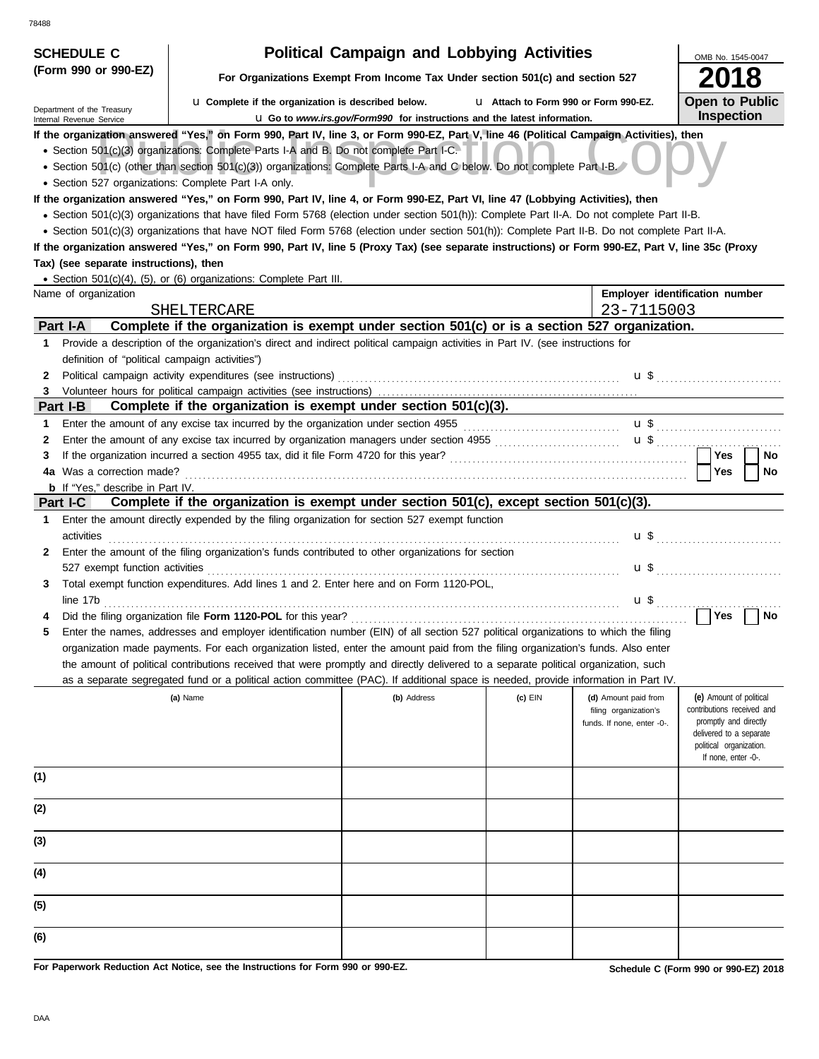| <b>SCHEDULE C</b>                                         |                                                                                                                                                                                                                                                                                                                                                                                                                                                                                                                                                                                      | <b>Political Campaign and Lobbying Activities</b>                               |                                       |                                                                             | OMB No. 1545-0047                                                                                                                                           |
|-----------------------------------------------------------|--------------------------------------------------------------------------------------------------------------------------------------------------------------------------------------------------------------------------------------------------------------------------------------------------------------------------------------------------------------------------------------------------------------------------------------------------------------------------------------------------------------------------------------------------------------------------------------|---------------------------------------------------------------------------------|---------------------------------------|-----------------------------------------------------------------------------|-------------------------------------------------------------------------------------------------------------------------------------------------------------|
| (Form 990 or 990-EZ)                                      |                                                                                                                                                                                                                                                                                                                                                                                                                                                                                                                                                                                      | For Organizations Exempt From Income Tax Under section 501(c) and section 527   |                                       |                                                                             | 018                                                                                                                                                         |
| Department of the Treasury<br>Internal Revenue Service    | <b>u</b> Complete if the organization is described below.                                                                                                                                                                                                                                                                                                                                                                                                                                                                                                                            | <b>u</b> Go to www.irs.gov/Form990 for instructions and the latest information. | L1 Attach to Form 990 or Form 990-EZ. |                                                                             | <b>Open to Public</b><br><b>Inspection</b>                                                                                                                  |
|                                                           | If the organization answered "Yes," on Form 990, Part IV, line 3, or Form 990-EZ, Part V, line 46 (Political Campaign Activities), then<br>• Section 501(c)(3) organizations: Complete Parts I-A and B. Do not complete Part I-C.<br>• Section 501(c) (other than section 501(c)(3)) organizations: Complete Parts I-A and C below. Do not complete Part I-B.<br>• Section 527 organizations: Complete Part I-A only.                                                                                                                                                                |                                                                                 |                                       |                                                                             |                                                                                                                                                             |
|                                                           | If the organization answered "Yes," on Form 990, Part IV, line 4, or Form 990-EZ, Part VI, line 47 (Lobbying Activities), then<br>· Section 501(c)(3) organizations that have filed Form 5768 (election under section 501(h)): Complete Part II-A. Do not complete Part II-B.<br>• Section 501(c)(3) organizations that have NOT filed Form 5768 (election under section 501(h)): Complete Part II-B. Do not complete Part II-A.<br>If the organization answered "Yes," on Form 990, Part IV, line 5 (Proxy Tax) (see separate instructions) or Form 990-EZ, Part V, line 35c (Proxy |                                                                                 |                                       |                                                                             |                                                                                                                                                             |
| Tax) (see separate instructions), then                    |                                                                                                                                                                                                                                                                                                                                                                                                                                                                                                                                                                                      |                                                                                 |                                       |                                                                             |                                                                                                                                                             |
|                                                           | • Section 501(c)(4), (5), or (6) organizations: Complete Part III.                                                                                                                                                                                                                                                                                                                                                                                                                                                                                                                   |                                                                                 |                                       |                                                                             |                                                                                                                                                             |
| Name of organization                                      |                                                                                                                                                                                                                                                                                                                                                                                                                                                                                                                                                                                      |                                                                                 |                                       |                                                                             | Employer identification number                                                                                                                              |
| Part I-A                                                  | SHELTERCARE<br>Complete if the organization is exempt under section 501(c) or is a section 527 organization.                                                                                                                                                                                                                                                                                                                                                                                                                                                                         |                                                                                 |                                       | 23-7115003                                                                  |                                                                                                                                                             |
| 1.<br>definition of "political campaign activities")<br>2 | Provide a description of the organization's direct and indirect political campaign activities in Part IV. (see instructions for                                                                                                                                                                                                                                                                                                                                                                                                                                                      |                                                                                 |                                       |                                                                             |                                                                                                                                                             |
| 3                                                         |                                                                                                                                                                                                                                                                                                                                                                                                                                                                                                                                                                                      |                                                                                 |                                       |                                                                             |                                                                                                                                                             |
| Part I-B                                                  | Complete if the organization is exempt under section 501(c)(3).                                                                                                                                                                                                                                                                                                                                                                                                                                                                                                                      |                                                                                 |                                       |                                                                             |                                                                                                                                                             |
| 1<br>2<br>3<br><b>b</b> If "Yes," describe in Part IV.    |                                                                                                                                                                                                                                                                                                                                                                                                                                                                                                                                                                                      |                                                                                 |                                       |                                                                             | Yes<br>No<br>Yes<br>No                                                                                                                                      |
| <b>Part I-C</b>                                           | Complete if the organization is exempt under section 501(c), except section 501(c)(3).                                                                                                                                                                                                                                                                                                                                                                                                                                                                                               |                                                                                 |                                       |                                                                             |                                                                                                                                                             |
| 1<br>activities                                           | Enter the amount directly expended by the filing organization for section 527 exempt function                                                                                                                                                                                                                                                                                                                                                                                                                                                                                        |                                                                                 |                                       |                                                                             |                                                                                                                                                             |
| 2                                                         | Enter the amount of the filing organization's funds contributed to other organizations for section                                                                                                                                                                                                                                                                                                                                                                                                                                                                                   |                                                                                 |                                       |                                                                             |                                                                                                                                                             |
| 3                                                         | Total exempt function expenditures. Add lines 1 and 2. Enter here and on Form 1120-POL,<br>line 17b                                                                                                                                                                                                                                                                                                                                                                                                                                                                                  |                                                                                 |                                       |                                                                             |                                                                                                                                                             |
|                                                           |                                                                                                                                                                                                                                                                                                                                                                                                                                                                                                                                                                                      |                                                                                 |                                       |                                                                             | Yes<br>No                                                                                                                                                   |
|                                                           | Enter the names, addresses and employer identification number (EIN) of all section 527 political organizations to which the filing<br>organization made payments. For each organization listed, enter the amount paid from the filing organization's funds. Also enter<br>the amount of political contributions received that were promptly and directly delivered to a separate political organization, such                                                                                                                                                                        |                                                                                 |                                       |                                                                             |                                                                                                                                                             |
|                                                           | as a separate segregated fund or a political action committee (PAC). If additional space is needed, provide information in Part IV.                                                                                                                                                                                                                                                                                                                                                                                                                                                  |                                                                                 |                                       |                                                                             |                                                                                                                                                             |
|                                                           | (a) Name                                                                                                                                                                                                                                                                                                                                                                                                                                                                                                                                                                             | (b) Address                                                                     | (c) EIN                               | (d) Amount paid from<br>filing organization's<br>funds. If none, enter -0-. | (e) Amount of political<br>contributions received and<br>promptly and directly<br>delivered to a separate<br>political organization.<br>If none, enter -0-. |
| (1)                                                       |                                                                                                                                                                                                                                                                                                                                                                                                                                                                                                                                                                                      |                                                                                 |                                       |                                                                             |                                                                                                                                                             |
| (2)                                                       |                                                                                                                                                                                                                                                                                                                                                                                                                                                                                                                                                                                      |                                                                                 |                                       |                                                                             |                                                                                                                                                             |
| (3)                                                       |                                                                                                                                                                                                                                                                                                                                                                                                                                                                                                                                                                                      |                                                                                 |                                       |                                                                             |                                                                                                                                                             |
| (4)                                                       |                                                                                                                                                                                                                                                                                                                                                                                                                                                                                                                                                                                      |                                                                                 |                                       |                                                                             |                                                                                                                                                             |
| (5)                                                       |                                                                                                                                                                                                                                                                                                                                                                                                                                                                                                                                                                                      |                                                                                 |                                       |                                                                             |                                                                                                                                                             |
| (6)                                                       |                                                                                                                                                                                                                                                                                                                                                                                                                                                                                                                                                                                      |                                                                                 |                                       |                                                                             |                                                                                                                                                             |

**For Paperwork Reduction Act Notice, see the Instructions for Form 990 or 990-EZ.**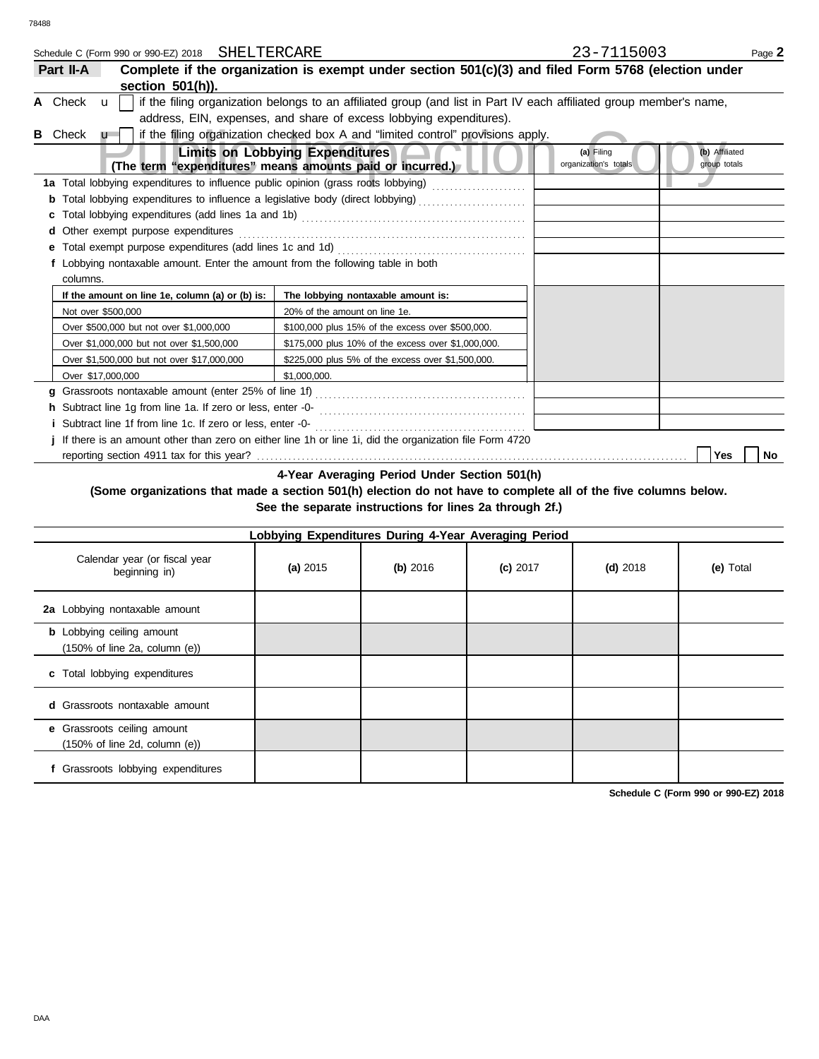| Schedule C (Form 990 or 990-EZ) 2018 SHELTERCARE                              |                                                                                                                                                                                                                                     | 23-7115003                                                            | Page 2 |
|-------------------------------------------------------------------------------|-------------------------------------------------------------------------------------------------------------------------------------------------------------------------------------------------------------------------------------|-----------------------------------------------------------------------|--------|
| Part II-A                                                                     | Complete if the organization is exempt under section 501(c)(3) and filed Form 5768 (election under                                                                                                                                  |                                                                       |        |
| section 501(h)).                                                              |                                                                                                                                                                                                                                     |                                                                       |        |
| A Check<br>$\mathbf{u}$                                                       | if the filing organization belongs to an affiliated group (and list in Part IV each affiliated group member's name,                                                                                                                 |                                                                       |        |
|                                                                               | address, EIN, expenses, and share of excess lobbying expenditures).                                                                                                                                                                 |                                                                       |        |
| <b>B</b> Check<br>$\mathbf{u}$                                                | if the filing organization checked box A and "limited control" provisions apply.                                                                                                                                                    |                                                                       |        |
|                                                                               | <b>Limits on Lobbying Expenditures</b><br>(The term "expenditures" means amounts paid or incurred.)                                                                                                                                 | (b) Affiliated<br>(a) Filing<br>organization's totals<br>group totals |        |
|                                                                               | 1a Total lobbying expenditures to influence public opinion (grass roots lobbying) [[[[[[[[[[[[[[[[[[[[[[[[[[[                                                                                                                       |                                                                       |        |
|                                                                               |                                                                                                                                                                                                                                     |                                                                       |        |
|                                                                               |                                                                                                                                                                                                                                     |                                                                       |        |
| Other exempt purpose expenditures                                             |                                                                                                                                                                                                                                     |                                                                       |        |
|                                                                               |                                                                                                                                                                                                                                     |                                                                       |        |
| Lobbying nontaxable amount. Enter the amount from the following table in both |                                                                                                                                                                                                                                     |                                                                       |        |
| columns.                                                                      |                                                                                                                                                                                                                                     |                                                                       |        |
| If the amount on line 1e, column (a) or (b) is:                               | The lobbying nontaxable amount is:                                                                                                                                                                                                  |                                                                       |        |
| Not over \$500,000                                                            | 20% of the amount on line 1e.                                                                                                                                                                                                       |                                                                       |        |
| Over \$500,000 but not over \$1,000,000                                       | \$100,000 plus 15% of the excess over \$500,000.                                                                                                                                                                                    |                                                                       |        |
| Over \$1,000,000 but not over \$1,500,000                                     | \$175,000 plus 10% of the excess over \$1,000,000.                                                                                                                                                                                  |                                                                       |        |
| Over \$1,500,000 but not over \$17,000,000                                    | \$225,000 plus 5% of the excess over \$1,500,000.                                                                                                                                                                                   |                                                                       |        |
| Over \$17,000,000                                                             | \$1.000.000.                                                                                                                                                                                                                        |                                                                       |        |
|                                                                               |                                                                                                                                                                                                                                     |                                                                       |        |
|                                                                               | h Subtract line 1g from line 1a. If zero or less, enter -0-<br>[2010]<br>12. Contract line 1g from line 1a. If zero or less, enter -0-<br>2. Contract line 3. The series of the series of the series of the series of the series of |                                                                       |        |
| Subtract line 1f from line 1c. If zero or less, enter -0-                     |                                                                                                                                                                                                                                     |                                                                       |        |
|                                                                               | j If there is an amount other than zero on either line 1h or line 1i, did the organization file Form 4720                                                                                                                           |                                                                       |        |
|                                                                               |                                                                                                                                                                                                                                     | Yes                                                                   | No     |
|                                                                               |                                                                                                                                                                                                                                     |                                                                       |        |

**4-Year Averaging Period Under Section 501(h)**

**(Some organizations that made a section 501(h) election do not have to complete all of the five columns below. See the separate instructions for lines 2a through 2f.)**

| Lobbying Expenditures During 4-Year Averaging Period                                   |            |            |            |            |           |  |
|----------------------------------------------------------------------------------------|------------|------------|------------|------------|-----------|--|
| Calendar year (or fiscal year<br>beginning in)                                         | (a) $2015$ | $(b)$ 2016 | $(c)$ 2017 | $(d)$ 2018 | (e) Total |  |
| 2a Lobbying nontaxable amount                                                          |            |            |            |            |           |  |
| <b>b</b> Lobbying ceiling amount<br>$(150\% \text{ of line } 2a, \text{ column } (e))$ |            |            |            |            |           |  |
| c Total lobbying expenditures                                                          |            |            |            |            |           |  |
| <b>d</b> Grassroots nontaxable amount                                                  |            |            |            |            |           |  |
| e Grassroots ceiling amount<br>$(150\% \text{ of line 2d, column (e))}$                |            |            |            |            |           |  |
| f Grassroots lobbying expenditures                                                     |            |            |            |            |           |  |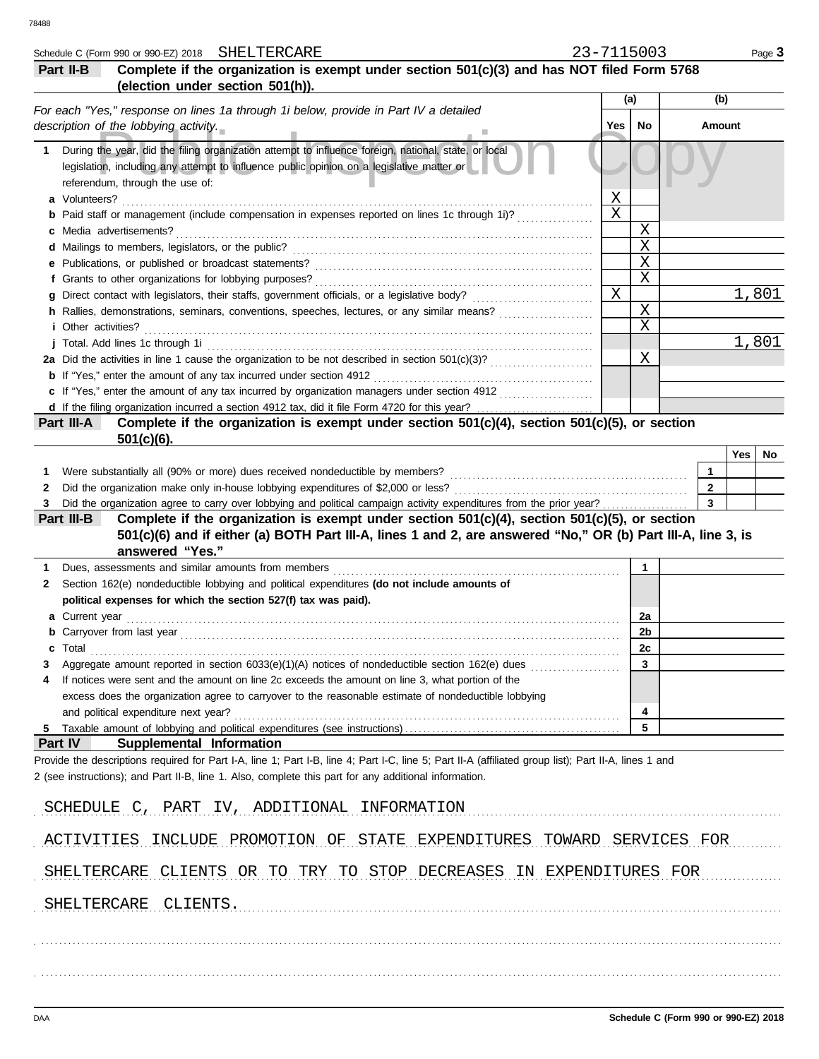|    | Schedule C (Form 990 or 990-EZ) 2018 SHELTERCARE                                                                                                                                                                                                               | 23-7115003 |                            |              |     | Page 3               |
|----|----------------------------------------------------------------------------------------------------------------------------------------------------------------------------------------------------------------------------------------------------------------|------------|----------------------------|--------------|-----|----------------------|
|    | Complete if the organization is exempt under section 501(c)(3) and has NOT filed Form 5768<br>Part II-B                                                                                                                                                        |            |                            |              |     |                      |
|    | (election under section 501(h)).                                                                                                                                                                                                                               |            |                            |              |     |                      |
|    | For each "Yes," response on lines 1a through 1i below, provide in Part IV a detailed                                                                                                                                                                           |            | (a)                        | (b)          |     |                      |
|    | description of the lobbying activity.                                                                                                                                                                                                                          | Yes        | No                         | Amount       |     |                      |
| 1. | During the year, did the filing organization attempt to influence foreign, national, state, or local<br>legislation, including any attempt to influence public opinion on a legislative matter or<br>referendum, through the use of:                           |            |                            |              |     |                      |
|    | a Volunteers?                                                                                                                                                                                                                                                  | Χ          |                            |              |     |                      |
|    | Paid staff or management (include compensation in expenses reported on lines 1c through 1i)?                                                                                                                                                                   | X          |                            |              |     |                      |
|    | Media advertisements?                                                                                                                                                                                                                                          |            | X                          |              |     |                      |
|    | d Mailings to members, legislators, or the public?                                                                                                                                                                                                             |            | $\mathbf X$<br>$\mathbf X$ |              |     |                      |
|    | e Publications, or published or broadcast statements?<br>f Grants to other organizations for lobbying purposes?                                                                                                                                                |            | $\mathbf X$                |              |     |                      |
|    | Direct contact with legislators, their staffs, government officials, or a legislative body?                                                                                                                                                                    | X          |                            |              |     | $\overline{1}$ , 801 |
|    | h Rallies, demonstrations, seminars, conventions, speeches, lectures, or any similar means?                                                                                                                                                                    |            | $\mathbf X$                |              |     |                      |
|    | <i>i</i> Other activities?                                                                                                                                                                                                                                     |            | X                          |              |     |                      |
|    | j Total. Add lines 1c through 1i                                                                                                                                                                                                                               |            |                            |              |     | 1,801                |
|    |                                                                                                                                                                                                                                                                |            | Χ                          |              |     |                      |
|    | <b>b</b> If "Yes," enter the amount of any tax incurred under section 4912                                                                                                                                                                                     |            |                            |              |     |                      |
|    | c If "Yes," enter the amount of any tax incurred by organization managers under section 4912                                                                                                                                                                   |            |                            |              |     |                      |
|    | Complete if the organization is exempt under section 501(c)(4), section 501(c)(5), or section<br>Part III-A                                                                                                                                                    |            |                            |              |     |                      |
|    | $501(c)(6)$ .                                                                                                                                                                                                                                                  |            |                            |              |     |                      |
|    |                                                                                                                                                                                                                                                                |            |                            |              | Yes | No                   |
| 1. | Were substantially all (90% or more) dues received nondeductible by members?                                                                                                                                                                                   |            |                            | $\mathbf{1}$ |     |                      |
| 2  | Did the organization make only in-house lobbying expenditures of \$2,000 or less?                                                                                                                                                                              |            |                            | $\mathbf{2}$ |     |                      |
| 3  | Did the organization agree to carry over lobbying and political campaign activity expenditures from the prior year?                                                                                                                                            |            |                            | 3            |     |                      |
|    | Complete if the organization is exempt under section 501(c)(4), section 501(c)(5), or section<br>Part III-B<br>501(c)(6) and if either (a) BOTH Part III-A, lines 1 and 2, are answered "No," OR (b) Part III-A, line 3, is                                    |            |                            |              |     |                      |
|    | answered "Yes."                                                                                                                                                                                                                                                |            |                            |              |     |                      |
|    | Dues, assessments and similar amounts from members                                                                                                                                                                                                             |            | 1                          |              |     |                      |
| 2  | Section 162(e) nondeductible lobbying and political expenditures (do not include amounts of                                                                                                                                                                    |            |                            |              |     |                      |
|    | political expenses for which the section 527(f) tax was paid).                                                                                                                                                                                                 |            |                            |              |     |                      |
|    | Current year                                                                                                                                                                                                                                                   |            | 2a                         |              |     |                      |
|    | <b>b</b> Carryover from last year <i>manufacture content of the care content of the care content of the care content of the content of the content of the content of the content of the content of the content of the content of the </i>                      |            | 2b                         |              |     |                      |
|    | Total                                                                                                                                                                                                                                                          |            | <u>zc</u>                  |              |     |                      |
| З  | Aggregate amount reported in section 6033(e)(1)(A) notices of nondeductible section 162(e) dues                                                                                                                                                                |            | 3                          |              |     |                      |
| 4  | If notices were sent and the amount on line 2c exceeds the amount on line 3, what portion of the                                                                                                                                                               |            |                            |              |     |                      |
|    | excess does the organization agree to carryover to the reasonable estimate of nondeductible lobbying                                                                                                                                                           |            |                            |              |     |                      |
| 5  | and political expenditure next year?                                                                                                                                                                                                                           |            | 4<br>5                     |              |     |                      |
|    | Part IV<br><b>Supplemental Information</b>                                                                                                                                                                                                                     |            |                            |              |     |                      |
|    | Provide the descriptions required for Part I-A, line 1; Part I-B, line 4; Part I-C, line 5; Part II-A (affiliated group list); Part II-A, lines 1 and<br>2 (see instructions); and Part II-B, line 1. Also, complete this part for any additional information. |            |                            |              |     |                      |
|    | SCHEDULE C, PART IV, ADDITIONAL INFORMATION                                                                                                                                                                                                                    |            |                            |              |     |                      |
|    | ACTIVITIES INCLUDE PROMOTION OF STATE EXPENDITURES TOWARD SERVICES FOR                                                                                                                                                                                         |            |                            |              |     |                      |
|    | SHELTERCARE CLIENTS OR TO TRY TO STOP DECREASES IN EXPENDITURES FOR                                                                                                                                                                                            |            |                            |              |     |                      |
|    | SHELTERCARE CLIENTS.                                                                                                                                                                                                                                           |            |                            |              |     |                      |
|    |                                                                                                                                                                                                                                                                |            |                            |              |     |                      |
|    |                                                                                                                                                                                                                                                                |            |                            |              |     |                      |
|    |                                                                                                                                                                                                                                                                |            |                            |              |     |                      |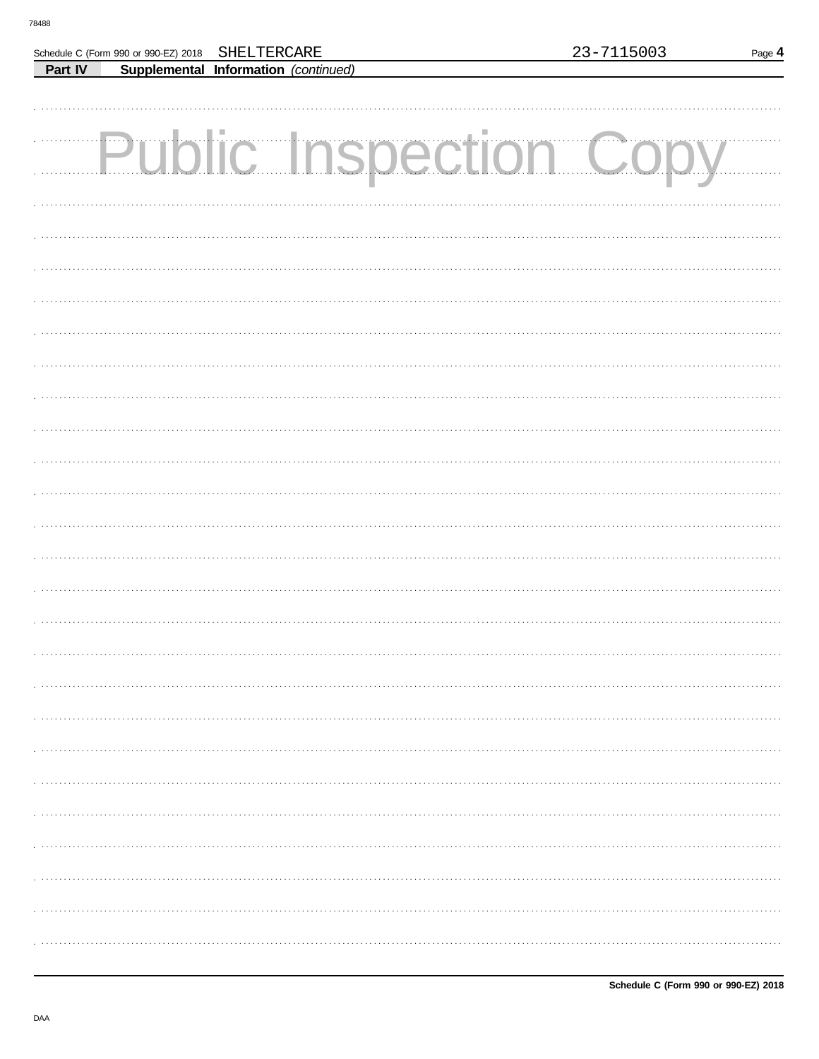Г

Part IV

Schedule C (Form 990 or 990-EZ) 2018

SHELTERCARE

Supplemental Information (continued)

| <b>Public Inspection Copy</b> |
|-------------------------------|
|                               |
|                               |
|                               |
|                               |
|                               |
|                               |
|                               |
|                               |
|                               |
|                               |
|                               |
|                               |
|                               |
|                               |
|                               |
|                               |
|                               |
|                               |
|                               |
|                               |
|                               |
|                               |
|                               |
|                               |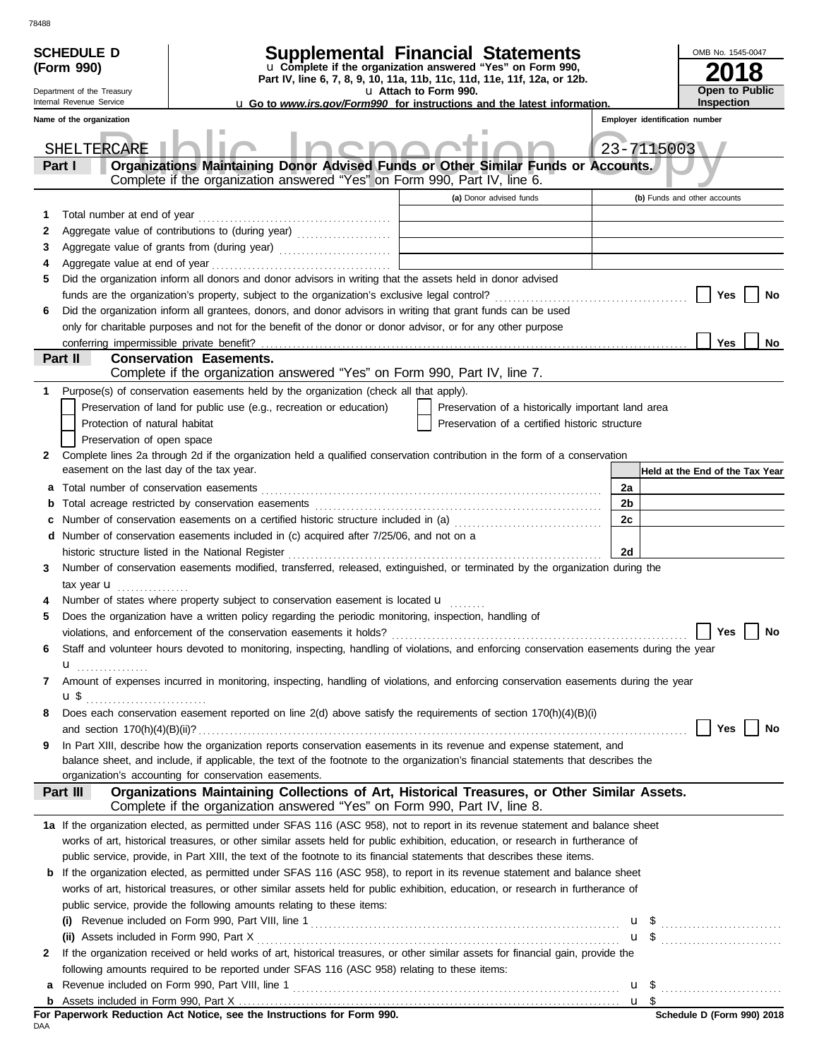|        | <b>SCHEDULE D</b>                         |                                                                                                                                           | Supplemental Financial Statements                          |                                                    | OMB No. 1545-0047                      |  |  |  |  |
|--------|-------------------------------------------|-------------------------------------------------------------------------------------------------------------------------------------------|------------------------------------------------------------|----------------------------------------------------|----------------------------------------|--|--|--|--|
|        | (Form 990)                                |                                                                                                                                           | u Complete if the organization answered "Yes" on Form 990, |                                                    |                                        |  |  |  |  |
|        | Department of the Treasury                | Part IV, line 6, 7, 8, 9, 10, 11a, 11b, 11c, 11d, 11e, 11f, 12a, or 12b.                                                                  | u Attach to Form 990.                                      |                                                    | Open to Public                         |  |  |  |  |
|        | Internal Revenue Service                  | <b>u</b> Go to www.irs.gov/Form990 for instructions and the latest information.                                                           |                                                            |                                                    | <b>Inspection</b>                      |  |  |  |  |
|        | Name of the organization                  |                                                                                                                                           |                                                            |                                                    | Employer identification number         |  |  |  |  |
|        |                                           |                                                                                                                                           |                                                            |                                                    |                                        |  |  |  |  |
|        | SHELTERCARE                               |                                                                                                                                           |                                                            | 23-7115003                                         |                                        |  |  |  |  |
|        | Part I                                    | Organizations Maintaining Donor Advised Funds or Other Similar Funds or Accounts.                                                         |                                                            |                                                    |                                        |  |  |  |  |
|        |                                           | Complete if the organization answered "Yes" on Form 990, Part IV, line 6.                                                                 |                                                            |                                                    |                                        |  |  |  |  |
|        |                                           |                                                                                                                                           | (a) Donor advised funds                                    |                                                    | (b) Funds and other accounts           |  |  |  |  |
| 1      | Total number at end of year               |                                                                                                                                           |                                                            |                                                    |                                        |  |  |  |  |
| 2      |                                           | Aggregate value of contributions to (during year) [11] Aggregate value of contributions to (during year)                                  |                                                            |                                                    |                                        |  |  |  |  |
| 3      |                                           | Aggregate value of grants from (during year)                                                                                              |                                                            |                                                    |                                        |  |  |  |  |
| 4      |                                           |                                                                                                                                           |                                                            |                                                    |                                        |  |  |  |  |
| 5      |                                           | Did the organization inform all donors and donor advisors in writing that the assets held in donor advised                                |                                                            |                                                    |                                        |  |  |  |  |
|        |                                           |                                                                                                                                           |                                                            |                                                    | Yes<br>No                              |  |  |  |  |
| 6      |                                           | Did the organization inform all grantees, donors, and donor advisors in writing that grant funds can be used                              |                                                            |                                                    |                                        |  |  |  |  |
|        |                                           | only for charitable purposes and not for the benefit of the donor or donor advisor, or for any other purpose                              |                                                            |                                                    |                                        |  |  |  |  |
|        |                                           |                                                                                                                                           |                                                            |                                                    | Yes<br>No                              |  |  |  |  |
|        | Part II                                   | <b>Conservation Easements.</b><br>Complete if the organization answered "Yes" on Form 990, Part IV, line 7.                               |                                                            |                                                    |                                        |  |  |  |  |
|        |                                           | Purpose(s) of conservation easements held by the organization (check all that apply).                                                     |                                                            |                                                    |                                        |  |  |  |  |
| 1.     |                                           | Preservation of land for public use (e.g., recreation or education)                                                                       |                                                            | Preservation of a historically important land area |                                        |  |  |  |  |
|        | Protection of natural habitat             |                                                                                                                                           | Preservation of a certified historic structure             |                                                    |                                        |  |  |  |  |
|        | Preservation of open space                |                                                                                                                                           |                                                            |                                                    |                                        |  |  |  |  |
| 2      |                                           | Complete lines 2a through 2d if the organization held a qualified conservation contribution in the form of a conservation                 |                                                            |                                                    |                                        |  |  |  |  |
|        | easement on the last day of the tax year. |                                                                                                                                           |                                                            |                                                    | Held at the End of the Tax Year        |  |  |  |  |
|        |                                           |                                                                                                                                           |                                                            | 2a                                                 |                                        |  |  |  |  |
| а<br>b |                                           |                                                                                                                                           |                                                            | 2b                                                 |                                        |  |  |  |  |
|        |                                           | Number of conservation easements on a certified historic structure included in (a) [[[[[ [ [ ]]]                                          |                                                            | 2с                                                 |                                        |  |  |  |  |
| c      |                                           | Number of conservation easements included in (c) acquired after 7/25/06, and not on a                                                     |                                                            |                                                    |                                        |  |  |  |  |
| d      |                                           | historic structure listed in the National Register                                                                                        |                                                            | 2d                                                 |                                        |  |  |  |  |
|        |                                           | Number of conservation easements modified, transferred, released, extinguished, or terminated by the organization during the              |                                                            |                                                    |                                        |  |  |  |  |
| 3      |                                           |                                                                                                                                           |                                                            |                                                    |                                        |  |  |  |  |
|        | tax year $\mathbf{u}$                     | Number of states where property subject to conservation easement is located u                                                             |                                                            |                                                    |                                        |  |  |  |  |
| 5      |                                           | Does the organization have a written policy regarding the periodic monitoring, inspection, handling of                                    |                                                            |                                                    |                                        |  |  |  |  |
|        |                                           | violations, and enforcement of the conservation easements it holds? $\Box$                                                                |                                                            |                                                    | Yes $\boxed{\phantom{a}}$<br><b>No</b> |  |  |  |  |
| 6      |                                           | Staff and volunteer hours devoted to monitoring, inspecting, handling of violations, and enforcing conservation easements during the year |                                                            |                                                    |                                        |  |  |  |  |
|        |                                           |                                                                                                                                           |                                                            |                                                    |                                        |  |  |  |  |
| 7      |                                           | Amount of expenses incurred in monitoring, inspecting, handling of violations, and enforcing conservation easements during the year       |                                                            |                                                    |                                        |  |  |  |  |
|        | $\mathbf{u}$ \$                           |                                                                                                                                           |                                                            |                                                    |                                        |  |  |  |  |
| 8      |                                           | Does each conservation easement reported on line 2(d) above satisfy the requirements of section 170(h)(4)(B)(i)                           |                                                            |                                                    |                                        |  |  |  |  |
|        |                                           |                                                                                                                                           |                                                            |                                                    | Yes<br>No                              |  |  |  |  |
| 9      |                                           | In Part XIII, describe how the organization reports conservation easements in its revenue and expense statement, and                      |                                                            |                                                    |                                        |  |  |  |  |
|        |                                           | balance sheet, and include, if applicable, the text of the footnote to the organization's financial statements that describes the         |                                                            |                                                    |                                        |  |  |  |  |
|        |                                           | organization's accounting for conservation easements.                                                                                     |                                                            |                                                    |                                        |  |  |  |  |
|        | Part III                                  | Organizations Maintaining Collections of Art, Historical Treasures, or Other Similar Assets.                                              |                                                            |                                                    |                                        |  |  |  |  |
|        |                                           | Complete if the organization answered "Yes" on Form 990, Part IV, line 8.                                                                 |                                                            |                                                    |                                        |  |  |  |  |
|        |                                           | 1a If the organization elected, as permitted under SFAS 116 (ASC 958), not to report in its revenue statement and balance sheet           |                                                            |                                                    |                                        |  |  |  |  |
|        |                                           | works of art, historical treasures, or other similar assets held for public exhibition, education, or research in furtherance of          |                                                            |                                                    |                                        |  |  |  |  |
|        |                                           | public service, provide, in Part XIII, the text of the footnote to its financial statements that describes these items.                   |                                                            |                                                    |                                        |  |  |  |  |
| b      |                                           | If the organization elected, as permitted under SFAS 116 (ASC 958), to report in its revenue statement and balance sheet                  |                                                            |                                                    |                                        |  |  |  |  |
|        |                                           | works of art, historical treasures, or other similar assets held for public exhibition, education, or research in furtherance of          |                                                            |                                                    |                                        |  |  |  |  |
|        |                                           | public service, provide the following amounts relating to these items:                                                                    |                                                            |                                                    |                                        |  |  |  |  |
|        |                                           |                                                                                                                                           |                                                            |                                                    |                                        |  |  |  |  |
|        |                                           |                                                                                                                                           |                                                            |                                                    | <b>u</b> \$                            |  |  |  |  |
| 2      |                                           | If the organization received or held works of art, historical treasures, or other similar assets for financial gain, provide the          |                                                            |                                                    |                                        |  |  |  |  |
|        |                                           | following amounts required to be reported under SFAS 116 (ASC 958) relating to these items:                                               |                                                            |                                                    |                                        |  |  |  |  |
| a      |                                           |                                                                                                                                           |                                                            | u <sup>s</sup>                                     |                                        |  |  |  |  |
| b      |                                           |                                                                                                                                           |                                                            | $u$ \$                                             |                                        |  |  |  |  |
| DAA    |                                           | For Paperwork Reduction Act Notice, see the Instructions for Form 990.                                                                    |                                                            |                                                    | Schedule D (Form 990) 2018             |  |  |  |  |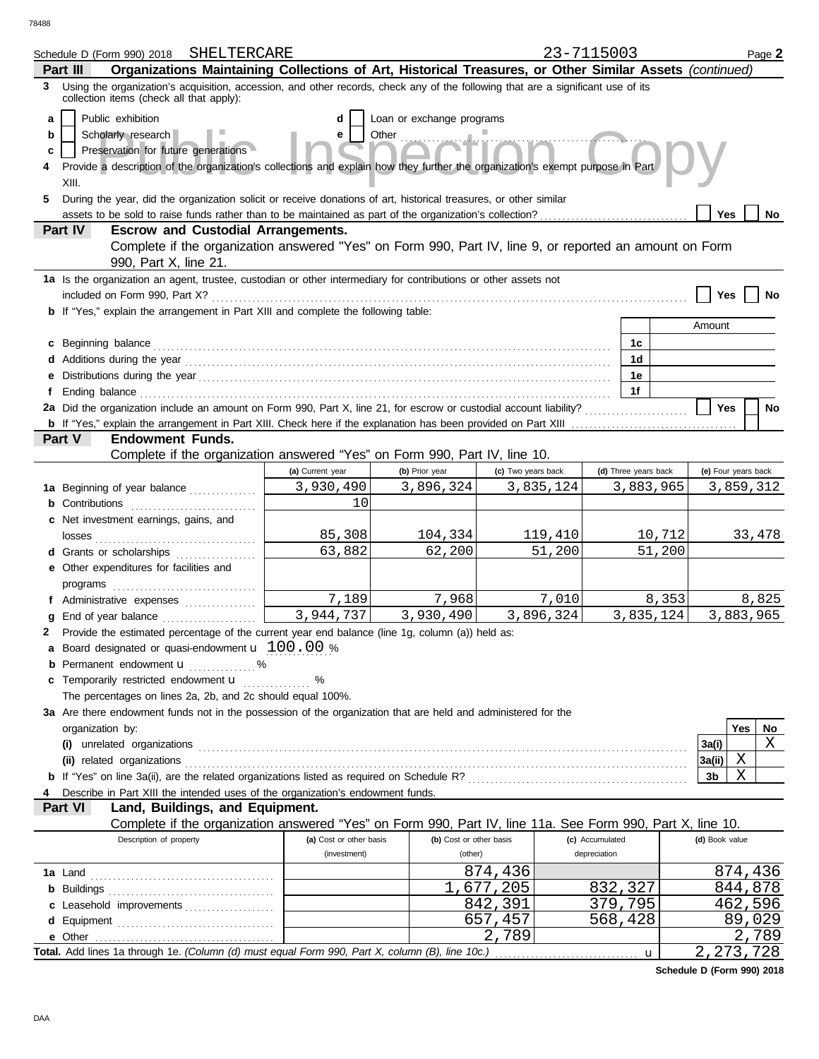78488

| Schedule D (Form 990) 2018 SHELTERCARE                                                                                                                                            |                              |                           |                    | 23-7115003           |        |                     |     | Page 2    |  |  |  |
|-----------------------------------------------------------------------------------------------------------------------------------------------------------------------------------|------------------------------|---------------------------|--------------------|----------------------|--------|---------------------|-----|-----------|--|--|--|
| Organizations Maintaining Collections of Art, Historical Treasures, or Other Similar Assets (continued)<br>Part III                                                               |                              |                           |                    |                      |        |                     |     |           |  |  |  |
| Using the organization's acquisition, accession, and other records, check any of the following that are a significant use of its<br>3<br>collection items (check all that apply): |                              |                           |                    |                      |        |                     |     |           |  |  |  |
| Public exhibition<br>a                                                                                                                                                            | d                            | Loan or exchange programs |                    |                      |        |                     |     |           |  |  |  |
| Scholarly research<br>b                                                                                                                                                           | е                            | Other                     |                    |                      |        |                     |     |           |  |  |  |
| Preservation for future generations<br>c                                                                                                                                          |                              |                           |                    |                      |        |                     |     |           |  |  |  |
| Provide a description of the organization's collections and explain how they further the organization's exempt purpose in Part<br>4                                               |                              |                           |                    |                      |        |                     |     |           |  |  |  |
| XIII.                                                                                                                                                                             |                              |                           |                    |                      |        |                     |     |           |  |  |  |
| During the year, did the organization solicit or receive donations of art, historical treasures, or other similar<br>5                                                            |                              |                           |                    |                      |        |                     |     |           |  |  |  |
|                                                                                                                                                                                   |                              |                           |                    |                      |        | Yes                 |     | <b>No</b> |  |  |  |
| <b>Escrow and Custodial Arrangements.</b><br>Part IV                                                                                                                              |                              |                           |                    |                      |        |                     |     |           |  |  |  |
| Complete if the organization answered "Yes" on Form 990, Part IV, line 9, or reported an amount on Form<br>990, Part X, line 21.                                                  |                              |                           |                    |                      |        |                     |     |           |  |  |  |
| 1a Is the organization an agent, trustee, custodian or other intermediary for contributions or other assets not                                                                   |                              |                           |                    |                      |        |                     |     |           |  |  |  |
| included on Form 990, Part X?                                                                                                                                                     |                              |                           |                    |                      |        | Yes                 |     | No        |  |  |  |
| <b>b</b> If "Yes," explain the arrangement in Part XIII and complete the following table:                                                                                         |                              |                           |                    |                      |        |                     |     |           |  |  |  |
|                                                                                                                                                                                   |                              |                           |                    |                      |        | Amount              |     |           |  |  |  |
| c Beginning balance                                                                                                                                                               |                              |                           |                    | 1c<br>1d             |        |                     |     |           |  |  |  |
|                                                                                                                                                                                   |                              |                           |                    | 1e                   |        |                     |     |           |  |  |  |
|                                                                                                                                                                                   |                              |                           |                    | 1f                   |        |                     |     |           |  |  |  |
| 2a Did the organization include an amount on Form 990, Part X, line 21, for escrow or custodial account liability?                                                                |                              |                           |                    |                      |        | <b>Yes</b>          |     | No        |  |  |  |
|                                                                                                                                                                                   |                              |                           |                    |                      |        |                     |     |           |  |  |  |
| Part V<br><b>Endowment Funds.</b>                                                                                                                                                 |                              |                           |                    |                      |        |                     |     |           |  |  |  |
| Complete if the organization answered "Yes" on Form 990, Part IV, line 10.                                                                                                        |                              |                           |                    |                      |        |                     |     |           |  |  |  |
|                                                                                                                                                                                   | (a) Current year             | (b) Prior year            | (c) Two years back | (d) Three years back |        | (e) Four years back |     |           |  |  |  |
| 1a Beginning of year balance                                                                                                                                                      | 3,930,490                    | 3,896,324                 | 3,835,124          | 3,883,965            |        |                     |     | 3,859,312 |  |  |  |
| <b>b</b> Contributions                                                                                                                                                            | 10                           |                           |                    |                      |        |                     |     |           |  |  |  |
| c Net investment earnings, gains, and                                                                                                                                             |                              |                           |                    |                      |        |                     |     |           |  |  |  |
| losses                                                                                                                                                                            | 85,308                       | 104,334                   | 119,410            |                      | 10,712 |                     |     | 33,478    |  |  |  |
| d Grants or scholarships                                                                                                                                                          | 63,882                       | 62,200                    | 51,200             |                      | 51,200 |                     |     |           |  |  |  |
| e Other expenditures for facilities and                                                                                                                                           |                              |                           |                    |                      |        |                     |     |           |  |  |  |
|                                                                                                                                                                                   |                              |                           |                    |                      |        |                     |     |           |  |  |  |
| f Administrative expenses                                                                                                                                                         | 7,189                        | 7,968                     | 7,010              |                      | 8,353  |                     |     | 8,825     |  |  |  |
| g End of year balance                                                                                                                                                             | $\overline{3,944,737}$       | 3,930,490                 | 3,896,324          | 3,835,124            |        |                     |     | 3,883,965 |  |  |  |
| 2 Provide the estimated percentage of the current year end balance (line 1g, column (a)) held as:                                                                                 |                              |                           |                    |                      |        |                     |     |           |  |  |  |
| <b>a</b> Board designated or quasi-endowment $\mathbf{u}$ 100.00 %                                                                                                                |                              |                           |                    |                      |        |                     |     |           |  |  |  |
| Permanent endowment <b>u</b> %                                                                                                                                                    |                              |                           |                    |                      |        |                     |     |           |  |  |  |
| c Temporarily restricted endowment <b>u</b> %                                                                                                                                     |                              |                           |                    |                      |        |                     |     |           |  |  |  |
| The percentages on lines 2a, 2b, and 2c should equal 100%.<br>3a Are there endowment funds not in the possession of the organization that are held and administered for the       |                              |                           |                    |                      |        |                     |     |           |  |  |  |
| organization by:                                                                                                                                                                  |                              |                           |                    |                      |        |                     | Yes | No.       |  |  |  |
|                                                                                                                                                                                   |                              |                           |                    |                      |        | 3a(i)               |     | X         |  |  |  |
| (ii) related organizations                                                                                                                                                        |                              |                           |                    |                      |        | 3a(ii)              | Χ   |           |  |  |  |
|                                                                                                                                                                                   |                              |                           |                    |                      |        | 3b                  | X   |           |  |  |  |
| Describe in Part XIII the intended uses of the organization's endowment funds.                                                                                                    |                              |                           |                    |                      |        |                     |     |           |  |  |  |
| Part VI<br>Land, Buildings, and Equipment.                                                                                                                                        |                              |                           |                    |                      |        |                     |     |           |  |  |  |
| Complete if the organization answered "Yes" on Form 990, Part IV, line 11a. See Form 990, Part X, line 10.                                                                        |                              |                           |                    |                      |        |                     |     |           |  |  |  |
| Description of property                                                                                                                                                           | (a) Cost or other basis      | (b) Cost or other basis   |                    | (c) Accumulated      |        | (d) Book value      |     |           |  |  |  |
|                                                                                                                                                                                   | (investment)                 | (other)                   |                    | depreciation         |        |                     |     |           |  |  |  |
|                                                                                                                                                                                   |                              |                           | 874,436            |                      |        |                     |     | 874,436   |  |  |  |
|                                                                                                                                                                                   |                              |                           | 1,677,205          | 832,327              |        | 844,878             |     |           |  |  |  |
| c Leasehold improvements                                                                                                                                                          |                              |                           | 842,391            | 379,795              |        |                     |     | 462,596   |  |  |  |
|                                                                                                                                                                                   | 568,428<br>89,029<br>657,457 |                           |                    |                      |        |                     |     |           |  |  |  |
| e Other                                                                                                                                                                           |                              |                           | 2,789              |                      |        |                     |     | 2,789     |  |  |  |
|                                                                                                                                                                                   |                              |                           |                    |                      | u      | 2, 273, 728         |     |           |  |  |  |

**Schedule D (Form 990) 2018**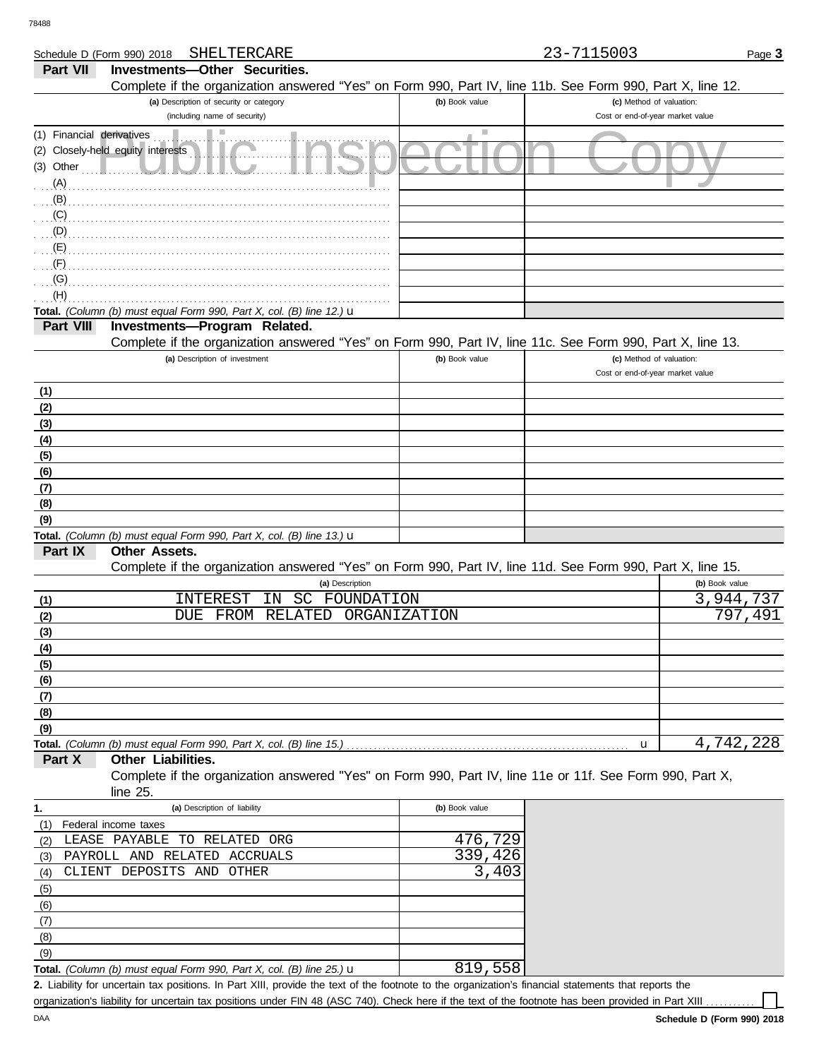DAA

|                           | SHELTERCARE<br>Schedule D (Form 990) 2018                                                                  |                | 23-7115003                       | Page 3         |
|---------------------------|------------------------------------------------------------------------------------------------------------|----------------|----------------------------------|----------------|
| Part VII                  | <b>Investments-Other Securities.</b>                                                                       |                |                                  |                |
|                           | Complete if the organization answered "Yes" on Form 990, Part IV, line 11b. See Form 990, Part X, line 12. |                |                                  |                |
|                           | (a) Description of security or category                                                                    | (b) Book value | (c) Method of valuation:         |                |
|                           | (including name of security)                                                                               |                | Cost or end-of-year market value |                |
| (1) Financial derivatives |                                                                                                            | ш              |                                  |                |
|                           | (2) Closely-held equity interests                                                                          |                |                                  |                |
|                           |                                                                                                            |                |                                  |                |
| (A)                       |                                                                                                            |                |                                  |                |
| (B)                       |                                                                                                            |                |                                  |                |
| (C)                       |                                                                                                            |                |                                  |                |
| $\bigcirc$ (D)            |                                                                                                            |                |                                  |                |
| (E)                       |                                                                                                            |                |                                  |                |
| (F)                       |                                                                                                            |                |                                  |                |
| (G)                       |                                                                                                            |                |                                  |                |
| (H)                       |                                                                                                            |                |                                  |                |
|                           | Total. (Column (b) must equal Form 990, Part X, col. (B) line 12.) u                                       |                |                                  |                |
| Part VIII                 | Investments-Program Related.                                                                               |                |                                  |                |
|                           | Complete if the organization answered "Yes" on Form 990, Part IV, line 11c. See Form 990, Part X, line 13. |                |                                  |                |
|                           | (a) Description of investment                                                                              | (b) Book value | (c) Method of valuation:         |                |
|                           |                                                                                                            |                | Cost or end-of-year market value |                |
| (1)                       |                                                                                                            |                |                                  |                |
| (2)                       |                                                                                                            |                |                                  |                |
| (3)                       |                                                                                                            |                |                                  |                |
| (4)                       |                                                                                                            |                |                                  |                |
| (5)                       |                                                                                                            |                |                                  |                |
| (6)                       |                                                                                                            |                |                                  |                |
| (7)                       |                                                                                                            |                |                                  |                |
| (8)                       |                                                                                                            |                |                                  |                |
| (9)                       | Total. (Column (b) must equal Form 990, Part X, col. (B) line 13.) $\mathbf u$                             |                |                                  |                |
| Part IX                   | Other Assets.                                                                                              |                |                                  |                |
|                           | Complete if the organization answered "Yes" on Form 990, Part IV, line 11d. See Form 990, Part X, line 15. |                |                                  |                |
|                           | (a) Description                                                                                            |                |                                  | (b) Book value |
| (1)                       | INTEREST<br>SC<br>ΙN<br>FOUNDATION                                                                         |                |                                  | 3,944,737      |
| (2)                       | FROM<br>RELATED<br>DUE                                                                                     | ORGANIZATION   |                                  | 797,491        |
| (3)                       |                                                                                                            |                |                                  |                |
| <u>(4)</u>                |                                                                                                            |                |                                  |                |
| <u>(5)</u>                |                                                                                                            |                |                                  |                |
| (6)                       |                                                                                                            |                |                                  |                |
| <u>(7)</u>                |                                                                                                            |                |                                  |                |
| (8)                       |                                                                                                            |                |                                  |                |
| (9)                       |                                                                                                            |                |                                  |                |
|                           | Total. (Column (b) must equal Form 990, Part X, col. (B) line 15.)                                         |                | u                                | 4,742,228      |
| Part X                    | Other Liabilities.                                                                                         |                |                                  |                |
|                           | Complete if the organization answered "Yes" on Form 990, Part IV, line 11e or 11f. See Form 990, Part X,   |                |                                  |                |
|                           | line 25.                                                                                                   |                |                                  |                |
| 1.                        | (a) Description of liability                                                                               | (b) Book value |                                  |                |
| (1)                       | Federal income taxes                                                                                       |                |                                  |                |
| (2)                       | LEASE PAYABLE TO RELATED ORG                                                                               | 476,729        |                                  |                |
| (3)                       | PAYROLL AND RELATED ACCRUALS                                                                               | 339,426        |                                  |                |
| (4)                       | CLIENT DEPOSITS AND<br>OTHER                                                                               | 3,403          |                                  |                |
| (5)                       |                                                                                                            |                |                                  |                |
| (6)                       |                                                                                                            |                |                                  |                |
| (7)                       |                                                                                                            |                |                                  |                |
| (8)                       |                                                                                                            |                |                                  |                |
| (9)                       |                                                                                                            |                |                                  |                |
|                           | Total. (Column (b) must equal Form 990, Part X, col. (B) line 25.) $\mathbf u$                             | 819,558        |                                  |                |

Liability for uncertain tax positions. In Part XIII, provide the text of the footnote to the organization's financial statements that reports the **2.** organization's liability for uncertain tax positions under FIN 48 (ASC 740). Check here if the text of the footnote has been provided in Part XIII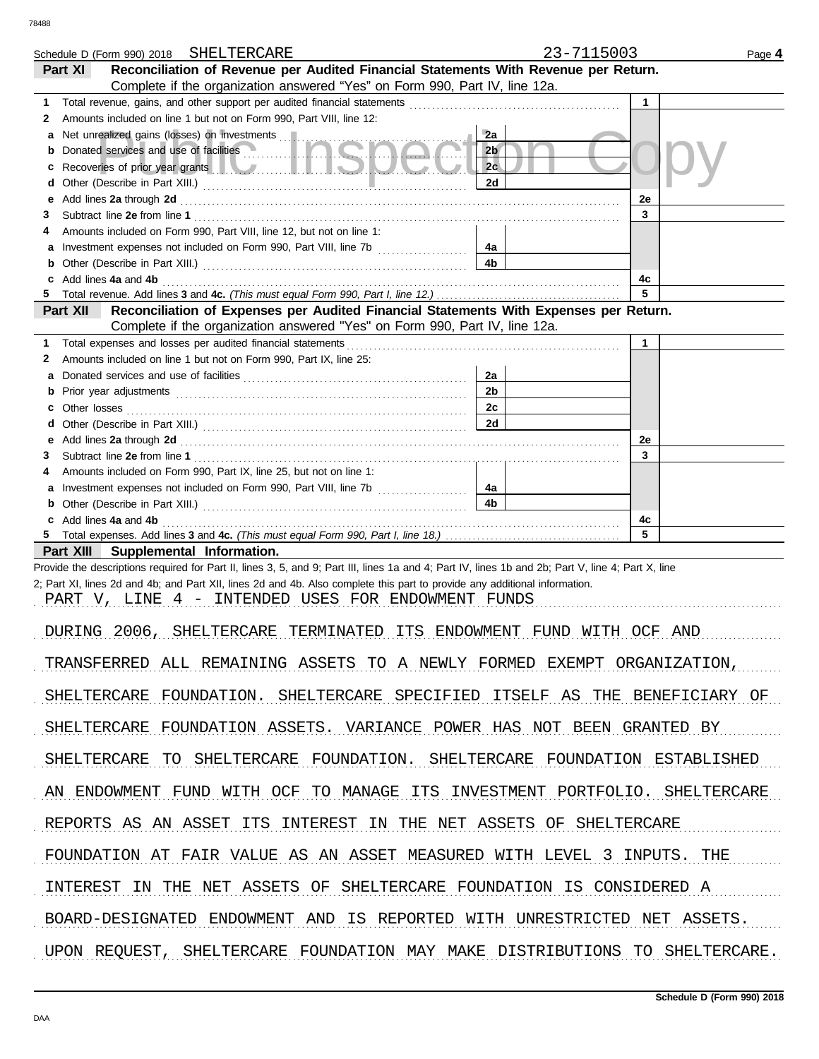|        | Schedule D (Form 990) 2018 SHELTERCARE                                                                                                                                                                                               | 23-7115003           |              | Page 4 |
|--------|--------------------------------------------------------------------------------------------------------------------------------------------------------------------------------------------------------------------------------------|----------------------|--------------|--------|
|        | Reconciliation of Revenue per Audited Financial Statements With Revenue per Return.<br>Part XI                                                                                                                                       |                      |              |        |
|        | Complete if the organization answered "Yes" on Form 990, Part IV, line 12a.                                                                                                                                                          |                      |              |        |
| 1<br>2 | Amounts included on line 1 but not on Form 990, Part VIII, line 12:                                                                                                                                                                  |                      | $\mathbf{1}$ |        |
| а      | Net unrealized gains (losses) on investments [11]                                                                                                                                                                                    | 2a                   |              |        |
| b      | Donated services and use of facilities                                                                                                                                                                                               | 2 <sub>b</sub>       |              |        |
| с      | Recoveries of prior year grants <b>All Constitution and Constitution</b> Recoveries of prior year                                                                                                                                    | 2c                   |              |        |
| d      |                                                                                                                                                                                                                                      | 2d                   |              |        |
| е      | Add lines 2a through 2d <b>contained a contained a contained a contained a contained a contained a contained a contained a contained a contained a contained a contained a contained a contained a contained a contained a conta</b> |                      | 2e           |        |
| З      |                                                                                                                                                                                                                                      |                      | 3            |        |
| 4      | Amounts included on Form 990, Part VIII, line 12, but not on line 1:                                                                                                                                                                 |                      |              |        |
| а<br>b |                                                                                                                                                                                                                                      | 4a<br>4 <sub>b</sub> |              |        |
| c      | Add lines 4a and 4b                                                                                                                                                                                                                  |                      | 4c           |        |
| 5      |                                                                                                                                                                                                                                      |                      | 5            |        |
|        | Reconciliation of Expenses per Audited Financial Statements With Expenses per Return.<br><b>Part XII</b>                                                                                                                             |                      |              |        |
|        | Complete if the organization answered "Yes" on Form 990, Part IV, line 12a.                                                                                                                                                          |                      |              |        |
| 1      | Total expenses and losses per audited financial statements                                                                                                                                                                           |                      | $\mathbf{1}$ |        |
| 2      | Amounts included on line 1 but not on Form 990, Part IX, line 25:                                                                                                                                                                    |                      |              |        |
| a<br>b |                                                                                                                                                                                                                                      | 2a<br>2 <sub>b</sub> |              |        |
| c.     |                                                                                                                                                                                                                                      | 2c                   |              |        |
| d      |                                                                                                                                                                                                                                      | 2d                   |              |        |
| е      | Add lines 2a through 2d [11] Additional Contract of Additional Contract of Additional Contract of Additional Contract of Additional Contract of Additional Contract of Additional Contract of Additional Contract of Additiona       |                      | 2e           |        |
| З      |                                                                                                                                                                                                                                      |                      | 3            |        |
| 4      | Amounts included on Form 990, Part IX, line 25, but not on line 1:                                                                                                                                                                   |                      |              |        |
| а      |                                                                                                                                                                                                                                      | 4a                   |              |        |
| b      |                                                                                                                                                                                                                                      | 4 <sub>b</sub>       |              |        |
| 5.     | c Add lines 4a and 4b                                                                                                                                                                                                                |                      | 4c<br>5      |        |
|        | Part XIII Supplemental Information.                                                                                                                                                                                                  |                      |              |        |
|        | Provide the descriptions required for Part II, lines 3, 5, and 9; Part III, lines 1a and 4; Part IV, lines 1b and 2b; Part V, line 4; Part X, line                                                                                   |                      |              |        |
|        | 2; Part XI, lines 2d and 4b; and Part XII, lines 2d and 4b. Also complete this part to provide any additional information.                                                                                                           |                      |              |        |
|        | PART V, LINE 4 - INTENDED USES FOR ENDOWMENT FUNDS                                                                                                                                                                                   |                      |              |        |
|        |                                                                                                                                                                                                                                      |                      |              |        |
|        | DURING 2006, SHELTERCARE TERMINATED ITS ENDOWMENT FUND WITH OCF AND                                                                                                                                                                  |                      |              |        |
|        | TRANSFERRED ALL REMAINING ASSETS TO A NEWLY FORMED EXEMPT ORGANIZATION,                                                                                                                                                              |                      |              |        |
|        | SHELTERCARE FOUNDATION. SHELTERCARE SPECIFIED ITSELF AS THE BENEFICIARY OF                                                                                                                                                           |                      |              |        |
|        | SHELTERCARE FOUNDATION ASSETS. VARIANCE POWER HAS NOT BEEN GRANTED BY                                                                                                                                                                |                      |              |        |
|        | SHELTERCARE TO SHELTERCARE FOUNDATION. SHELTERCARE FOUNDATION ESTABLISHED                                                                                                                                                            |                      |              |        |
|        | AN ENDOWMENT FUND WITH OCF TO MANAGE ITS INVESTMENT PORTFOLIO. SHELTERCARE                                                                                                                                                           |                      |              |        |
|        |                                                                                                                                                                                                                                      |                      |              |        |
|        | REPORTS AS AN ASSET ITS INTEREST IN THE NET ASSETS OF SHELTERCARE                                                                                                                                                                    |                      |              |        |
|        | FOUNDATION AT FAIR VALUE AS AN ASSET MEASURED WITH LEVEL 3 INPUTS. THE                                                                                                                                                               |                      |              |        |
|        | INTEREST IN THE NET ASSETS OF SHELTERCARE FOUNDATION IS CONSIDERED A                                                                                                                                                                 |                      |              |        |
|        | BOARD-DESIGNATED ENDOWMENT AND IS REPORTED WITH UNRESTRICTED NET ASSETS.                                                                                                                                                             |                      |              |        |
|        | UPON REQUEST, SHELTERCARE FOUNDATION MAY MAKE DISTRIBUTIONS TO SHELTERCARE.                                                                                                                                                          |                      |              |        |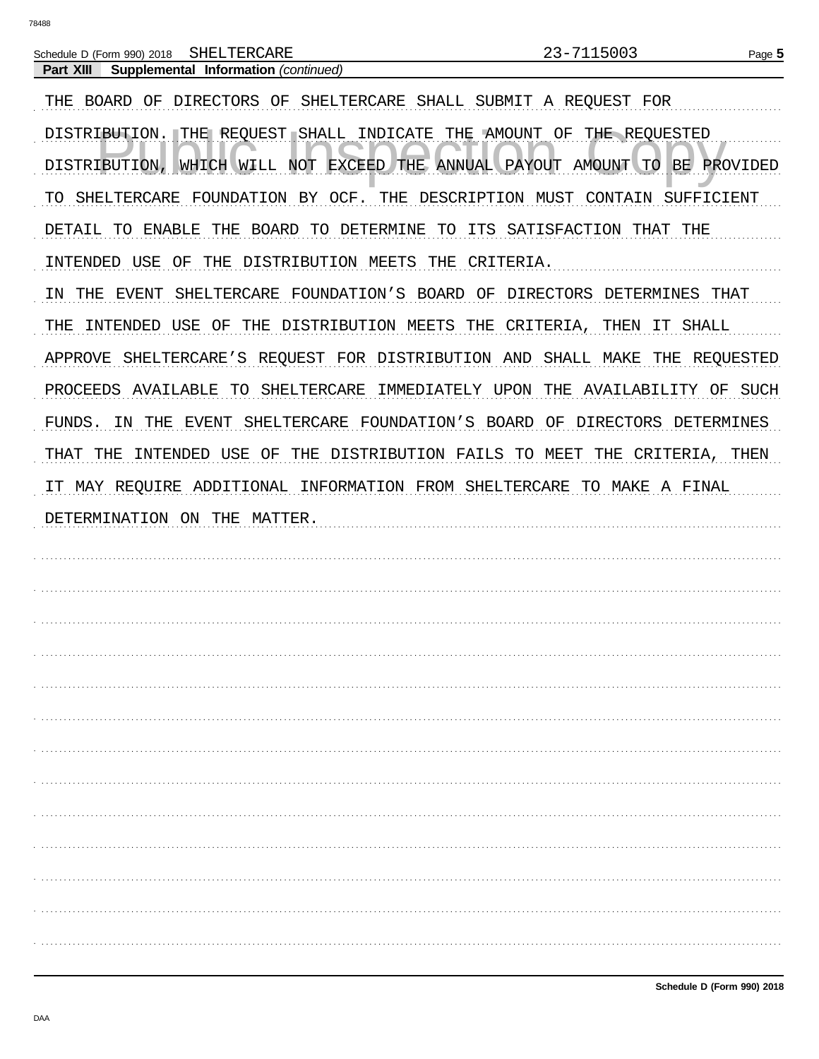Part XIII

Schedule D (Form 990) 2018 SHELTERCARE

Supplemental Information (continued)

23-7115003

THE BOARD OF DIRECTORS OF SHELTERCARE SHALL SUBMIT A REQUEST FOR DISTRIBUTION. THE REQUEST SHALL INDICATE THE AMOUNT OF THE REQUESTED DISTRIBUTION, WHICH WILL NOT EXCEED THE ANNUAL PAYOUT AMOUNT TO BE PROVIDED TO SHELTERCARE FOUNDATION BY OCF. THE DESCRIPTION MUST CONTAIN SUFFICIENT DETAIL TO ENABLE THE BOARD TO DETERMINE TO ITS SATISFACTION THAT THE INTENDED USE OF THE DISTRIBUTION MEETS THE CRITERIA. IN THE EVENT SHELTERCARE FOUNDATION'S BOARD OF DIRECTORS DETERMINES THAT THE INTENDED USE OF THE DISTRIBUTION MEETS THE CRITERIA, THEN IT SHALL APPROVE SHELTERCARE'S REQUEST FOR DISTRIBUTION AND SHALL MAKE THE REQUESTED PROCEEDS AVAILABLE TO SHELTERCARE IMMEDIATELY UPON THE AVAILABILITY OF SUCH FUNDS. IN THE EVENT SHELTERCARE FOUNDATION'S BOARD OF DIRECTORS DETERMINES THAT THE INTENDED USE OF THE DISTRIBUTION FAILS TO MEET THE CRITERIA, THEN IT MAY REQUIRE ADDITIONAL INFORMATION FROM SHELTERCARE TO MAKE A FINAL DETERMINATION ON THE MATTER.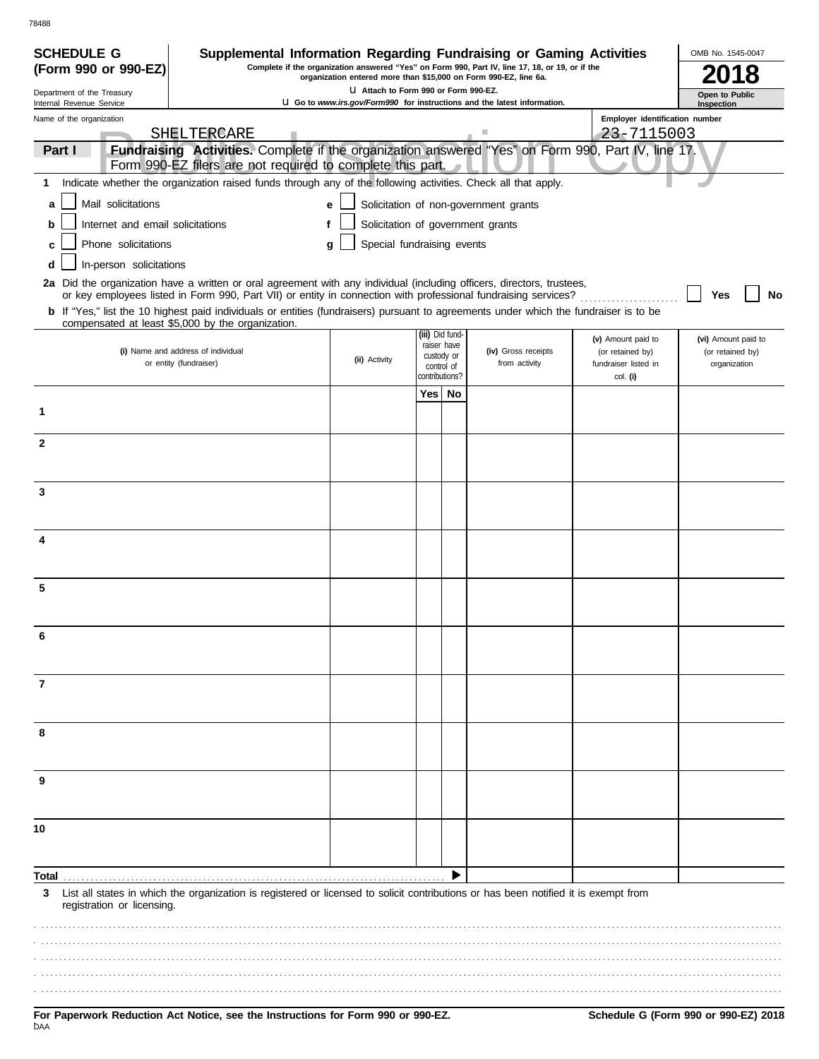| <b>SCHEDULE G</b>                                      | Supplemental Information Regarding Fundraising or Gaming Activities                                                                                                                                                                      |                                       |                              |                                |                                                                                                                                                                     |                                          | OMB No. 1545-0047                |
|--------------------------------------------------------|------------------------------------------------------------------------------------------------------------------------------------------------------------------------------------------------------------------------------------------|---------------------------------------|------------------------------|--------------------------------|---------------------------------------------------------------------------------------------------------------------------------------------------------------------|------------------------------------------|----------------------------------|
| (Form 990 or 990-EZ)                                   |                                                                                                                                                                                                                                          |                                       |                              |                                | Complete if the organization answered "Yes" on Form 990, Part IV, line 17, 18, or 19, or if the<br>organization entered more than \$15,000 on Form 990-EZ, line 6a. |                                          |                                  |
| Department of the Treasury<br>Internal Revenue Service |                                                                                                                                                                                                                                          | LI Attach to Form 990 or Form 990-EZ. |                              |                                | U Go to www.irs.gov/Form990 for instructions and the latest information.                                                                                            |                                          | Open to Public<br>Inspection     |
| Name of the organization                               |                                                                                                                                                                                                                                          |                                       |                              |                                |                                                                                                                                                                     | Employer identification number           |                                  |
| Part I                                                 | SHELTERCARE<br>Fundraising Activities. Complete if the organization answered "Yes" on Form 990, Part IV, line 17.                                                                                                                        |                                       |                              |                                |                                                                                                                                                                     | 23-7115003                               |                                  |
|                                                        | Form 990-EZ filers are not required to complete this part.                                                                                                                                                                               |                                       |                              |                                |                                                                                                                                                                     |                                          |                                  |
| 1                                                      | Indicate whether the organization raised funds through any of the following activities. Check all that apply.                                                                                                                            |                                       |                              |                                |                                                                                                                                                                     |                                          |                                  |
| Mail solicitations<br>a                                |                                                                                                                                                                                                                                          | e                                     |                              |                                | Solicitation of non-government grants                                                                                                                               |                                          |                                  |
| Internet and email solicitations<br>b                  |                                                                                                                                                                                                                                          |                                       |                              |                                | Solicitation of government grants                                                                                                                                   |                                          |                                  |
| Phone solicitations<br>c                               |                                                                                                                                                                                                                                          | Special fundraising events<br>a       |                              |                                |                                                                                                                                                                     |                                          |                                  |
| In-person solicitations<br>d                           |                                                                                                                                                                                                                                          |                                       |                              |                                |                                                                                                                                                                     |                                          |                                  |
|                                                        | 2a Did the organization have a written or oral agreement with any individual (including officers, directors, trustees,<br>or key employees listed in Form 990, Part VII) or entity in connection with professional fundraising services? |                                       |                              |                                |                                                                                                                                                                     |                                          | Yes<br>No                        |
|                                                        | b If "Yes," list the 10 highest paid individuals or entities (fundraisers) pursuant to agreements under which the fundraiser is to be<br>compensated at least \$5,000 by the organization.                                               |                                       |                              |                                |                                                                                                                                                                     |                                          |                                  |
|                                                        |                                                                                                                                                                                                                                          |                                       |                              | (iii) Did fund-<br>raiser have |                                                                                                                                                                     | (v) Amount paid to                       | (vi) Amount paid to              |
|                                                        | (i) Name and address of individual<br>or entity (fundraiser)                                                                                                                                                                             | (ii) Activity                         |                              | custody or                     | (iv) Gross receipts<br>from activity                                                                                                                                | (or retained by)<br>fundraiser listed in | (or retained by)<br>organization |
|                                                        |                                                                                                                                                                                                                                          |                                       | control of<br>contributions? |                                |                                                                                                                                                                     | col. (i)                                 |                                  |
|                                                        |                                                                                                                                                                                                                                          |                                       | Yes                          | No                             |                                                                                                                                                                     |                                          |                                  |
| 1                                                      |                                                                                                                                                                                                                                          |                                       |                              |                                |                                                                                                                                                                     |                                          |                                  |
| $\mathbf{2}$                                           |                                                                                                                                                                                                                                          |                                       |                              |                                |                                                                                                                                                                     |                                          |                                  |
|                                                        |                                                                                                                                                                                                                                          |                                       |                              |                                |                                                                                                                                                                     |                                          |                                  |
| 3                                                      |                                                                                                                                                                                                                                          |                                       |                              |                                |                                                                                                                                                                     |                                          |                                  |
|                                                        |                                                                                                                                                                                                                                          |                                       |                              |                                |                                                                                                                                                                     |                                          |                                  |
| 4                                                      |                                                                                                                                                                                                                                          |                                       |                              |                                |                                                                                                                                                                     |                                          |                                  |
|                                                        |                                                                                                                                                                                                                                          |                                       |                              |                                |                                                                                                                                                                     |                                          |                                  |
|                                                        |                                                                                                                                                                                                                                          |                                       |                              |                                |                                                                                                                                                                     |                                          |                                  |
| 5                                                      |                                                                                                                                                                                                                                          |                                       |                              |                                |                                                                                                                                                                     |                                          |                                  |
|                                                        |                                                                                                                                                                                                                                          |                                       |                              |                                |                                                                                                                                                                     |                                          |                                  |
|                                                        |                                                                                                                                                                                                                                          |                                       |                              |                                |                                                                                                                                                                     |                                          |                                  |
|                                                        |                                                                                                                                                                                                                                          |                                       |                              |                                |                                                                                                                                                                     |                                          |                                  |
| 7                                                      |                                                                                                                                                                                                                                          |                                       |                              |                                |                                                                                                                                                                     |                                          |                                  |
|                                                        |                                                                                                                                                                                                                                          |                                       |                              |                                |                                                                                                                                                                     |                                          |                                  |
| 8                                                      |                                                                                                                                                                                                                                          |                                       |                              |                                |                                                                                                                                                                     |                                          |                                  |
|                                                        |                                                                                                                                                                                                                                          |                                       |                              |                                |                                                                                                                                                                     |                                          |                                  |
|                                                        |                                                                                                                                                                                                                                          |                                       |                              |                                |                                                                                                                                                                     |                                          |                                  |
| 9                                                      |                                                                                                                                                                                                                                          |                                       |                              |                                |                                                                                                                                                                     |                                          |                                  |
|                                                        |                                                                                                                                                                                                                                          |                                       |                              |                                |                                                                                                                                                                     |                                          |                                  |
| 10                                                     |                                                                                                                                                                                                                                          |                                       |                              |                                |                                                                                                                                                                     |                                          |                                  |
|                                                        |                                                                                                                                                                                                                                          |                                       |                              |                                |                                                                                                                                                                     |                                          |                                  |
|                                                        |                                                                                                                                                                                                                                          |                                       |                              | ▶                              |                                                                                                                                                                     |                                          |                                  |
| 3<br>registration or licensing.                        | List all states in which the organization is registered or licensed to solicit contributions or has been notified it is exempt from                                                                                                      |                                       |                              |                                |                                                                                                                                                                     |                                          |                                  |
|                                                        |                                                                                                                                                                                                                                          |                                       |                              |                                |                                                                                                                                                                     |                                          |                                  |
|                                                        |                                                                                                                                                                                                                                          |                                       |                              |                                |                                                                                                                                                                     |                                          |                                  |
|                                                        |                                                                                                                                                                                                                                          |                                       |                              |                                |                                                                                                                                                                     |                                          |                                  |
|                                                        |                                                                                                                                                                                                                                          |                                       |                              |                                |                                                                                                                                                                     |                                          |                                  |
|                                                        |                                                                                                                                                                                                                                          |                                       |                              |                                |                                                                                                                                                                     |                                          |                                  |

78488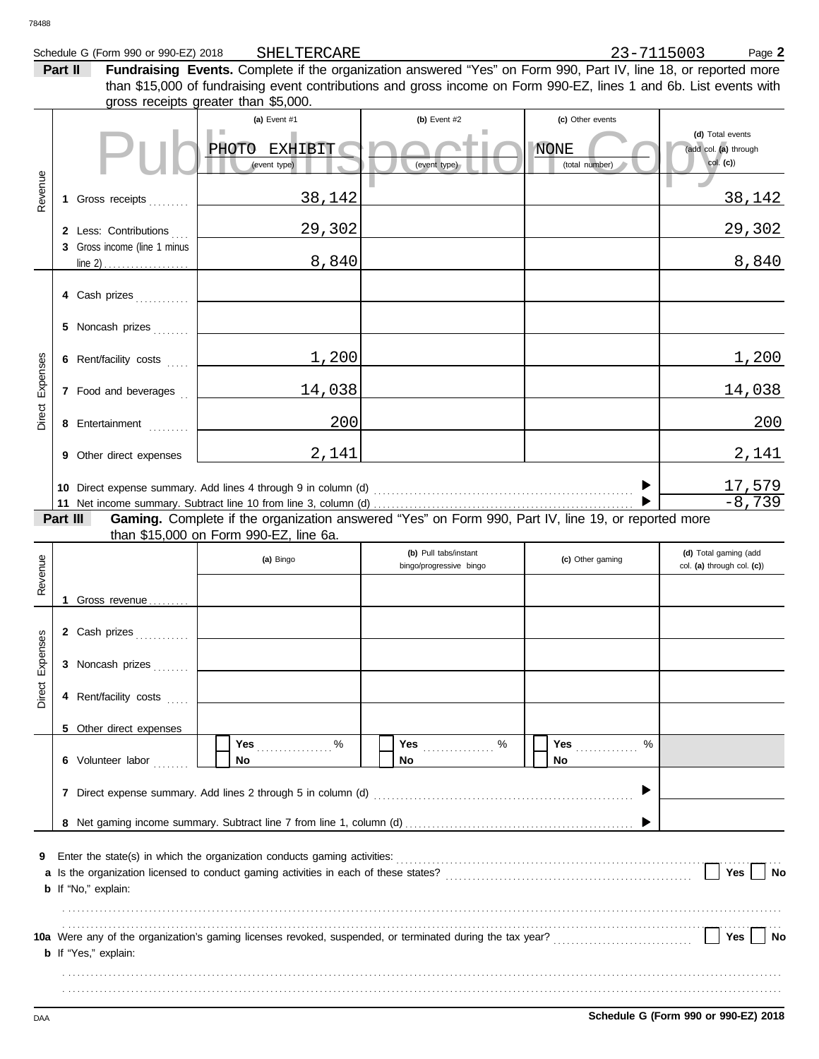| 78488           |          |                                                                  |                                                                                                                                                                                                                                                                                              |                                                  |                                                   |                                                       |
|-----------------|----------|------------------------------------------------------------------|----------------------------------------------------------------------------------------------------------------------------------------------------------------------------------------------------------------------------------------------------------------------------------------------|--------------------------------------------------|---------------------------------------------------|-------------------------------------------------------|
|                 | Part II  | Schedule G (Form 990 or 990-EZ) 2018                             | SHELTERCARE<br>Fundraising Events. Complete if the organization answered "Yes" on Form 990, Part IV, line 18, or reported more<br>than \$15,000 of fundraising event contributions and gross income on Form 990-EZ, lines 1 and 6b. List events with<br>gross receipts greater than \$5,000. |                                                  | 23-7115003                                        | Page 2                                                |
|                 |          |                                                                  | (a) Event #1<br><b>EXHIBIT</b><br><b>PHOTO</b><br>(event type)                                                                                                                                                                                                                               | (b) Event #2<br>(event type)                     | (c) Other events<br><b>NONE</b><br>(total number) | (d) Total events<br>(add col. (a) through<br>col. (c) |
| Revenue         | 1        | Gross receipts                                                   | 38,142                                                                                                                                                                                                                                                                                       |                                                  |                                                   | 38,142                                                |
|                 |          | 2 Less: Contributions<br>3 Gross income (line 1 minus<br>line 2) | 29,302<br>8,840                                                                                                                                                                                                                                                                              |                                                  |                                                   | 29,302<br>8,840                                       |
|                 |          | 4 Cash prizes                                                    |                                                                                                                                                                                                                                                                                              |                                                  |                                                   |                                                       |
|                 |          | 5 Noncash prizes                                                 |                                                                                                                                                                                                                                                                                              |                                                  |                                                   |                                                       |
|                 |          | 6 Rent/facility costs                                            | 1,200                                                                                                                                                                                                                                                                                        |                                                  |                                                   | 1,200                                                 |
| Expenses        |          | 7 Food and beverages                                             | 14,038                                                                                                                                                                                                                                                                                       |                                                  |                                                   | 14,038                                                |
| Direct          |          | 8 Entertainment                                                  | 200                                                                                                                                                                                                                                                                                          |                                                  |                                                   | 200                                                   |
|                 |          | 9 Other direct expenses                                          | 2,141                                                                                                                                                                                                                                                                                        |                                                  |                                                   | 2,141                                                 |
|                 |          |                                                                  |                                                                                                                                                                                                                                                                                              |                                                  |                                                   | <u>17,579</u><br>$-8,739$                             |
|                 | Part III |                                                                  | Gaming. Complete if the organization answered "Yes" on Form 990, Part IV, line 19, or reported more<br>than \$15,000 on Form 990-EZ, line 6a.                                                                                                                                                |                                                  |                                                   |                                                       |
| Revenue         |          |                                                                  | (a) Bingo                                                                                                                                                                                                                                                                                    | (b) Pull tabs/instant<br>bingo/progressive bingo | (c) Other gaming                                  | (d) Total gaming (add<br>col. (a) through col. (c))   |
|                 | 1        | Gross revenue                                                    |                                                                                                                                                                                                                                                                                              |                                                  |                                                   |                                                       |
|                 |          | 2 Cash prizes                                                    |                                                                                                                                                                                                                                                                                              |                                                  |                                                   |                                                       |
| Direct Expenses |          | 3 Noncash prizes                                                 |                                                                                                                                                                                                                                                                                              |                                                  |                                                   |                                                       |
|                 |          | 4 Rent/facility costs                                            |                                                                                                                                                                                                                                                                                              |                                                  |                                                   |                                                       |
|                 |          | 5 Other direct expenses                                          |                                                                                                                                                                                                                                                                                              |                                                  |                                                   |                                                       |
|                 |          | 6 Volunteer labor                                                | $\%$<br>Yes<br>No                                                                                                                                                                                                                                                                            | <b>Yes</b><br>%<br>No                            | <b>Yes</b><br>%<br><b>No</b>                      |                                                       |
|                 |          |                                                                  |                                                                                                                                                                                                                                                                                              |                                                  |                                                   |                                                       |
|                 |          |                                                                  |                                                                                                                                                                                                                                                                                              |                                                  |                                                   |                                                       |
| 9               |          | b If "No," explain:                                              | Enter the state(s) in which the organization conducts gaming activities:                                                                                                                                                                                                                     |                                                  |                                                   | <b>Yes</b><br>No                                      |
|                 |          | <b>b</b> If "Yes," explain:                                      | 10a Were any of the organization's gaming licenses revoked, suspended, or terminated during the tax year?<br>L                                                                                                                                                                               |                                                  |                                                   | Yes<br>No                                             |

. . . . . . . . . . . . . . . . . . . . . . . . . . . . . . . . . . . . . . . . . . . . . . . . . . . . . . . . . . . . . . . . . . . . . . . . . . . . . . . . . . . . . . . . . . . . . . . . . . . . . . . . . . . . . . . . . . . . . . . . . . . . . . . . . . . . . . . . . . . . . . . . . . . . . . . . . . . . . . . . . . . . . . . . . . . . . . . . . . . . . . . . . . . . . . . . . . . . . . . . . . . . . . . . . . . . . . . . . . . . . . . . . . . . . . . . . . . . . . . . . . . . . . . . . . . . . . . . . . . . . . . . . . . . . . . . . . . . . . . . . . . . . . . . . . . . . . . . . . . . . . . . . . . . . . . . . . . . . . . .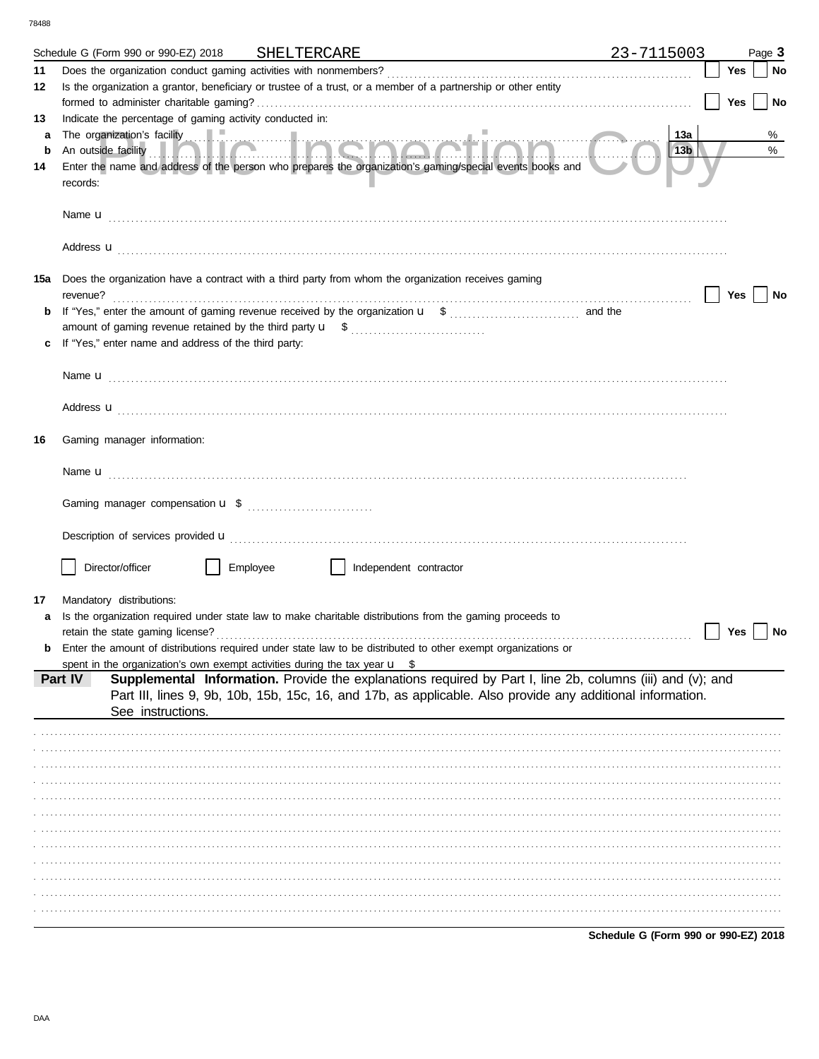78488

|    | Schedule G (Form 990 or 990-EZ) 2018 SHELTERCARE                                                        |          |                        | <u> 1980 - Johann Barbara, martxa alemaniar amerikan a</u>                                                                                                                                                                              | 23-7115003                           |     | Page 3 |
|----|---------------------------------------------------------------------------------------------------------|----------|------------------------|-----------------------------------------------------------------------------------------------------------------------------------------------------------------------------------------------------------------------------------------|--------------------------------------|-----|--------|
| 11 |                                                                                                         |          |                        |                                                                                                                                                                                                                                         |                                      | Yes | No     |
| 12 |                                                                                                         |          |                        | Is the organization a grantor, beneficiary or trustee of a trust, or a member of a partnership or other entity                                                                                                                          |                                      |     |        |
|    |                                                                                                         |          |                        |                                                                                                                                                                                                                                         |                                      | Yes | No     |
| 13 | Indicate the percentage of gaming activity conducted in:                                                |          |                        |                                                                                                                                                                                                                                         |                                      |     |        |
| a  |                                                                                                         |          |                        | The organization's facility<br>An outside facility <b>The contract of the set of the contract of the contract of the contract of the contract of the contract of the contract of the contract of the contract of the contract of th</b> | 13a                                  |     | %      |
| b  |                                                                                                         |          |                        | Enter the name and address of the person who prepares the organization's gaming/special events books and                                                                                                                                | 13b                                  |     | %      |
| 14 | records:                                                                                                |          |                        |                                                                                                                                                                                                                                         |                                      |     |        |
|    |                                                                                                         |          |                        |                                                                                                                                                                                                                                         |                                      |     |        |
|    |                                                                                                         |          |                        | Address <b>u</b>                                                                                                                                                                                                                        |                                      |     |        |
|    | 15a Does the organization have a contract with a third party from whom the organization receives gaming |          |                        |                                                                                                                                                                                                                                         |                                      |     |        |
|    |                                                                                                         |          |                        |                                                                                                                                                                                                                                         |                                      | Yes | No     |
|    |                                                                                                         |          |                        |                                                                                                                                                                                                                                         |                                      |     |        |
|    |                                                                                                         |          |                        |                                                                                                                                                                                                                                         |                                      |     |        |
|    | If "Yes," enter name and address of the third party:                                                    |          |                        |                                                                                                                                                                                                                                         |                                      |     |        |
|    |                                                                                                         |          |                        |                                                                                                                                                                                                                                         |                                      |     |        |
|    |                                                                                                         |          |                        |                                                                                                                                                                                                                                         |                                      |     |        |
|    |                                                                                                         |          |                        | Address <b>u</b>                                                                                                                                                                                                                        |                                      |     |        |
| 16 | Gaming manager information:                                                                             |          |                        |                                                                                                                                                                                                                                         |                                      |     |        |
|    |                                                                                                         |          |                        |                                                                                                                                                                                                                                         |                                      |     |        |
|    |                                                                                                         |          |                        |                                                                                                                                                                                                                                         |                                      |     |        |
|    |                                                                                                         |          |                        |                                                                                                                                                                                                                                         |                                      |     |        |
|    |                                                                                                         |          |                        | Description of services provided <b>u</b> electron contract the contract of the contract of the contract of the contract of the contract of the contract of the contract of the contract of the contract of the contract of the con     |                                      |     |        |
|    |                                                                                                         |          |                        |                                                                                                                                                                                                                                         |                                      |     |        |
|    | Director/officer                                                                                        | Employee | Independent contractor |                                                                                                                                                                                                                                         |                                      |     |        |
|    |                                                                                                         |          |                        |                                                                                                                                                                                                                                         |                                      |     |        |
| 17 | Mandatory distributions:                                                                                |          |                        |                                                                                                                                                                                                                                         |                                      |     |        |
| a  |                                                                                                         |          |                        | Is the organization required under state law to make charitable distributions from the gaming proceeds to                                                                                                                               |                                      |     |        |
|    | retain the state gaming license?                                                                        |          |                        | <b>b</b> Enter the amount of distributions required under state law to be distributed to other exempt organizations or                                                                                                                  |                                      | Yes | No     |
|    | spent in the organization's own exempt activities during the tax year $\mathbf{u}$ \$                   |          |                        |                                                                                                                                                                                                                                         |                                      |     |        |
|    | Part IV                                                                                                 |          |                        | Supplemental Information. Provide the explanations required by Part I, line 2b, columns (iii) and (v); and                                                                                                                              |                                      |     |        |
|    | See instructions.                                                                                       |          |                        | Part III, lines 9, 9b, 10b, 15b, 15c, 16, and 17b, as applicable. Also provide any additional information.                                                                                                                              |                                      |     |        |
|    |                                                                                                         |          |                        |                                                                                                                                                                                                                                         |                                      |     |        |
|    |                                                                                                         |          |                        |                                                                                                                                                                                                                                         |                                      |     |        |
|    |                                                                                                         |          |                        |                                                                                                                                                                                                                                         |                                      |     |        |
|    |                                                                                                         |          |                        |                                                                                                                                                                                                                                         |                                      |     |        |
|    |                                                                                                         |          |                        |                                                                                                                                                                                                                                         |                                      |     |        |
|    |                                                                                                         |          |                        |                                                                                                                                                                                                                                         |                                      |     |        |
|    |                                                                                                         |          |                        |                                                                                                                                                                                                                                         |                                      |     |        |
|    |                                                                                                         |          |                        |                                                                                                                                                                                                                                         |                                      |     |        |
|    |                                                                                                         |          |                        |                                                                                                                                                                                                                                         |                                      |     |        |
|    |                                                                                                         |          |                        |                                                                                                                                                                                                                                         |                                      |     |        |
|    |                                                                                                         |          |                        |                                                                                                                                                                                                                                         |                                      |     |        |
|    |                                                                                                         |          |                        |                                                                                                                                                                                                                                         |                                      |     |        |
|    |                                                                                                         |          |                        |                                                                                                                                                                                                                                         | Schedule G (Form 990 or 990-EZ) 2018 |     |        |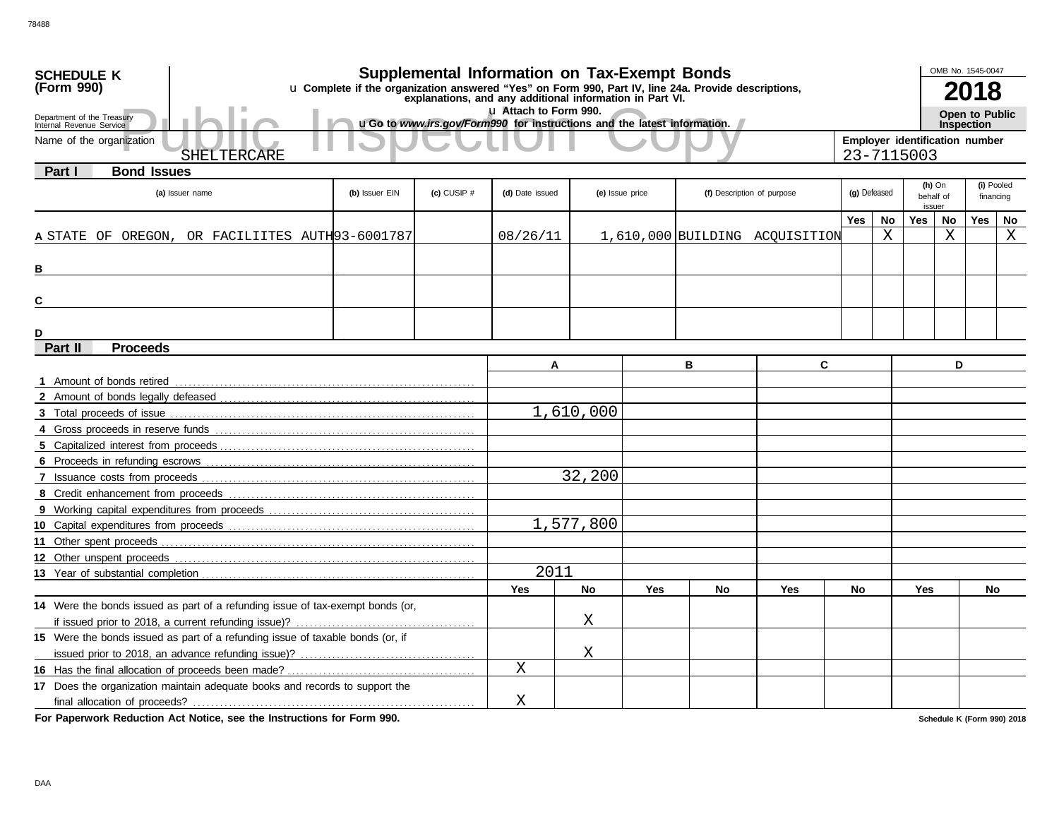| <b>SCHEDULE K</b>                                                              |                                                                                                     |                 | <b>Supplemental Information on Tax-Exempt Bonds</b>                                |           |                                               |    |                                |                                              |    |               | OMB No. 1545-0047 |                |            |
|--------------------------------------------------------------------------------|-----------------------------------------------------------------------------------------------------|-----------------|------------------------------------------------------------------------------------|-----------|-----------------------------------------------|----|--------------------------------|----------------------------------------------|----|---------------|-------------------|----------------|------------|
| (Form 990)                                                                     | u Complete if the organization answered "Yes" on Form 990, Part IV, line 24a. Provide descriptions, |                 |                                                                                    |           |                                               |    |                                |                                              |    | 2018          |                   |                |            |
|                                                                                |                                                                                                     |                 | explanations, and any additional information in Part VI.<br>Lu Attach to Form 990. |           |                                               |    |                                |                                              |    |               |                   | Open to Public |            |
| Department of the Treasury<br>Internal Revenue Service                         |                                                                                                     |                 | uGo to www.irs.gov/Form990 for instructions and the latest information.            |           |                                               |    |                                | <b>Inspection</b>                            |    |               |                   |                |            |
| Name of the organization                                                       |                                                                                                     |                 |                                                                                    |           |                                               |    |                                | Employer identification number<br>23-7115003 |    |               |                   |                |            |
| SHELTERCARE                                                                    |                                                                                                     |                 |                                                                                    |           |                                               |    |                                |                                              |    |               |                   |                |            |
| <b>Bond Issues</b><br>Part I                                                   |                                                                                                     |                 |                                                                                    |           |                                               |    |                                |                                              |    | $(h)$ On      |                   |                | (i) Pooled |
| (a) Issuer name                                                                | (b) Issuer EIN                                                                                      | $(c)$ CUSIP $#$ | (d) Date issued                                                                    |           | (f) Description of purpose<br>(e) Issue price |    |                                | (g) Defeased                                 |    |               | behalf of         |                | financing  |
|                                                                                |                                                                                                     |                 |                                                                                    |           |                                               |    |                                | Yes                                          | No | issuer<br>Yes | No                | Yes            | No         |
| A STATE OF OREGON, OR FACILIITES AUTH93-6001787                                |                                                                                                     |                 | 08/26/11                                                                           |           |                                               |    | 1,610,000 BUILDING ACQUISITION |                                              | X  |               | $\rm X$           |                | X          |
|                                                                                |                                                                                                     |                 |                                                                                    |           |                                               |    |                                |                                              |    |               |                   |                |            |
| В                                                                              |                                                                                                     |                 |                                                                                    |           |                                               |    |                                |                                              |    |               |                   |                |            |
|                                                                                |                                                                                                     |                 |                                                                                    |           |                                               |    |                                |                                              |    |               |                   |                |            |
| C                                                                              |                                                                                                     |                 |                                                                                    |           |                                               |    |                                |                                              |    |               |                   |                |            |
|                                                                                |                                                                                                     |                 |                                                                                    |           |                                               |    |                                |                                              |    |               |                   |                |            |
| D                                                                              |                                                                                                     |                 |                                                                                    |           |                                               |    |                                |                                              |    |               |                   |                |            |
| Part II<br><b>Proceeds</b>                                                     |                                                                                                     |                 |                                                                                    |           |                                               |    |                                |                                              |    |               |                   |                |            |
|                                                                                |                                                                                                     |                 | A                                                                                  |           |                                               | в  | C                              |                                              |    |               | D                 |                |            |
| 1 Amount of bonds retired                                                      |                                                                                                     |                 |                                                                                    |           |                                               |    |                                |                                              |    |               |                   |                |            |
|                                                                                |                                                                                                     |                 |                                                                                    |           |                                               |    |                                |                                              |    |               |                   |                |            |
|                                                                                |                                                                                                     |                 |                                                                                    | 1,610,000 |                                               |    |                                |                                              |    |               |                   |                |            |
|                                                                                |                                                                                                     |                 |                                                                                    |           |                                               |    |                                |                                              |    |               |                   |                |            |
|                                                                                |                                                                                                     |                 |                                                                                    |           |                                               |    |                                |                                              |    |               |                   |                |            |
|                                                                                |                                                                                                     |                 | 32,200                                                                             |           |                                               |    |                                |                                              |    |               |                   |                |            |
|                                                                                |                                                                                                     |                 |                                                                                    |           |                                               |    |                                |                                              |    |               |                   |                |            |
|                                                                                |                                                                                                     |                 |                                                                                    |           |                                               |    |                                |                                              |    |               |                   |                |            |
|                                                                                |                                                                                                     |                 |                                                                                    | 1,577,800 |                                               |    |                                |                                              |    |               |                   |                |            |
|                                                                                |                                                                                                     |                 |                                                                                    |           |                                               |    |                                |                                              |    |               |                   |                |            |
| 12 Other unspent proceeds                                                      |                                                                                                     |                 |                                                                                    |           |                                               |    |                                |                                              |    |               |                   |                |            |
|                                                                                |                                                                                                     |                 | 2011                                                                               |           |                                               |    |                                |                                              |    |               |                   |                |            |
|                                                                                |                                                                                                     |                 | Yes                                                                                | <b>No</b> | Yes                                           | No | Yes                            | No                                           |    | <b>Yes</b>    |                   | No             |            |
| 14 Were the bonds issued as part of a refunding issue of tax-exempt bonds (or, |                                                                                                     |                 |                                                                                    |           |                                               |    |                                |                                              |    |               |                   |                |            |
|                                                                                |                                                                                                     |                 |                                                                                    | Χ         |                                               |    |                                |                                              |    |               |                   |                |            |
| 15 Were the bonds issued as part of a refunding issue of taxable bonds (or, if |                                                                                                     |                 |                                                                                    |           |                                               |    |                                |                                              |    |               |                   |                |            |
|                                                                                |                                                                                                     |                 |                                                                                    | Χ         |                                               |    |                                |                                              |    |               |                   |                |            |
|                                                                                |                                                                                                     |                 | Χ                                                                                  |           |                                               |    |                                |                                              |    |               |                   |                |            |
| 17 Does the organization maintain adequate books and records to support the    |                                                                                                     |                 |                                                                                    |           |                                               |    |                                |                                              |    |               |                   |                |            |
|                                                                                |                                                                                                     |                 | Χ                                                                                  |           |                                               |    |                                |                                              |    |               |                   |                |            |

**For Paperwork Reduction Act Notice, see the Instructions for Form 990.**

**Schedule K (Form 990) 2018**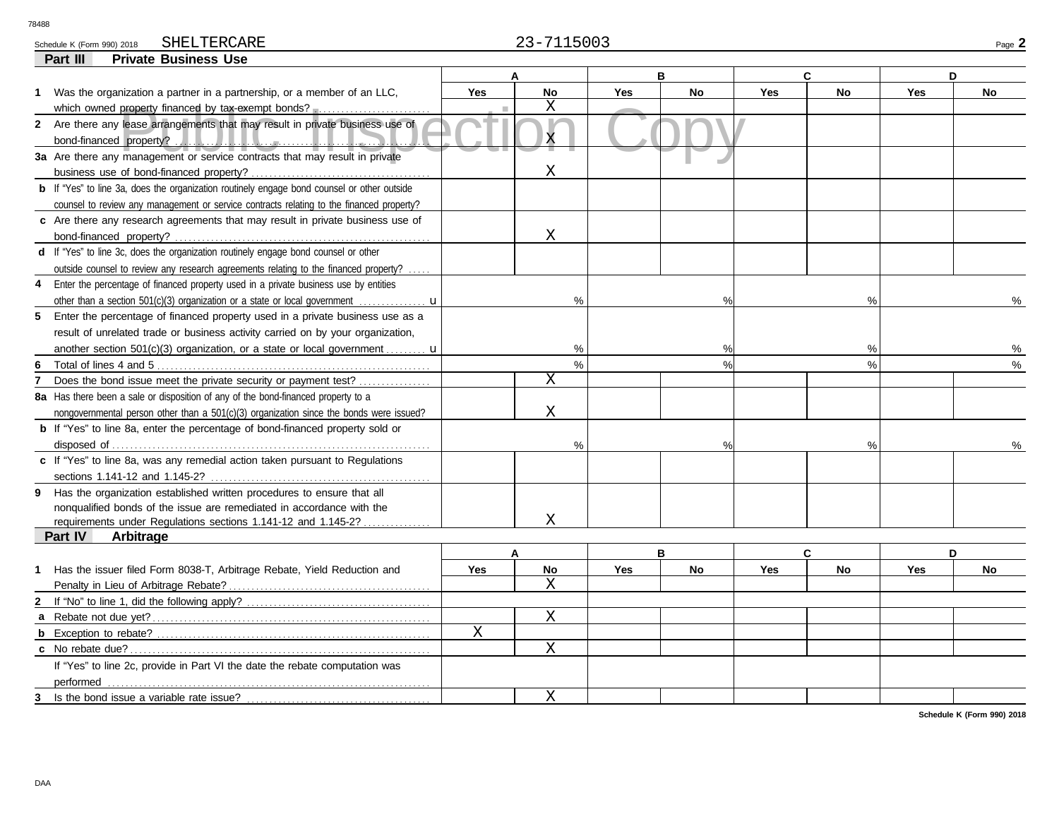# SHELTERCARE

| Schor'<br>U) ∠U R<br><b>POLICATIO</b> | $- - - - - -$<br>SHE.<br>_ARF<br>r.r | $-0.02$<br>50 U.<br>- | Doo-<br>aut |
|---------------------------------------|--------------------------------------|-----------------------|-------------|
| Part III<br>'rıvate                   | Use<br><b>Business</b>               |                       |             |

| Part III<br><b>Private Business Use</b>                                                                  |            |                         |            |               |            |               |            |           |
|----------------------------------------------------------------------------------------------------------|------------|-------------------------|------------|---------------|------------|---------------|------------|-----------|
|                                                                                                          |            |                         |            | B             |            | C.            |            | D         |
| Was the organization a partner in a partnership, or a member of an LLC,<br>1                             | <b>Yes</b> | <b>No</b>               | <b>Yes</b> | No            | <b>Yes</b> | No            | Yes        | <b>No</b> |
| which owned property financed by tax-exempt bonds?                                                       |            | Χ                       |            |               |            |               |            |           |
| 2 Are there any lease arrangements that may result in private business use of<br>bond-financed property? |            | $\overline{\mathsf{x}}$ |            |               |            |               |            |           |
| 3a Are there any management or service contracts that may result in private                              |            |                         |            |               |            |               |            |           |
|                                                                                                          |            | $\mathbf X$             |            |               |            |               |            |           |
| <b>b</b> If "Yes" to line 3a, does the organization routinely engage bond counsel or other outside       |            |                         |            |               |            |               |            |           |
| counsel to review any management or service contracts relating to the financed property?                 |            |                         |            |               |            |               |            |           |
| c Are there any research agreements that may result in private business use of                           |            |                         |            |               |            |               |            |           |
|                                                                                                          |            | $\mathbf X$             |            |               |            |               |            |           |
| d If "Yes" to line 3c, does the organization routinely engage bond counsel or other                      |            |                         |            |               |            |               |            |           |
| outside counsel to review any research agreements relating to the financed property?                     |            |                         |            |               |            |               |            |           |
| Enter the percentage of financed property used in a private business use by entities<br>4                |            |                         |            |               |            |               |            |           |
| other than a section 501(c)(3) organization or a state or local government $\ldots$                      |            | %                       |            | %             |            | %             |            | ℅         |
| 5 Enter the percentage of financed property used in a private business use as a                          |            |                         |            |               |            |               |            |           |
| result of unrelated trade or business activity carried on by your organization,                          |            |                         |            |               |            |               |            |           |
| another section 501(c)(3) organization, or a state or local government $\mathbf{u}$                      |            | %                       |            | %             |            | %             |            |           |
| 6                                                                                                        |            | $\frac{1}{2}$           |            | $\frac{1}{2}$ |            | $\frac{0}{0}$ |            | $\%$      |
| Does the bond issue meet the private security or payment test?<br>7                                      |            | $\mathbf X$             |            |               |            |               |            |           |
| 8a Has there been a sale or disposition of any of the bond-financed property to a                        |            |                         |            |               |            |               |            |           |
| nongovernmental person other than a 501(c)(3) organization since the bonds were issued?                  |            | Χ                       |            |               |            |               |            |           |
| <b>b</b> If "Yes" to line 8a, enter the percentage of bond-financed property sold or                     |            |                         |            |               |            |               |            |           |
|                                                                                                          |            | $\frac{0}{0}$           |            | $\%$          |            | $\frac{0}{0}$ |            |           |
| c If "Yes" to line 8a, was any remedial action taken pursuant to Regulations                             |            |                         |            |               |            |               |            |           |
|                                                                                                          |            |                         |            |               |            |               |            |           |
| 9 Has the organization established written procedures to ensure that all                                 |            |                         |            |               |            |               |            |           |
| nonqualified bonds of the issue are remediated in accordance with the                                    |            |                         |            |               |            |               |            |           |
| requirements under Regulations sections 1.141-12 and 1.145-2?                                            |            | X                       |            |               |            |               |            |           |
| Part IV<br>Arbitrage                                                                                     |            |                         |            |               |            |               |            |           |
|                                                                                                          |            |                         |            | B             |            | C             |            | D         |
| Has the issuer filed Form 8038-T, Arbitrage Rebate, Yield Reduction and<br>1                             | <b>Yes</b> | No                      | <b>Yes</b> | No            | <b>Yes</b> | No            | <b>Yes</b> | <b>No</b> |
|                                                                                                          |            | X                       |            |               |            |               |            |           |
|                                                                                                          |            |                         |            |               |            |               |            |           |
|                                                                                                          |            | $\mathbf X$             |            |               |            |               |            |           |
|                                                                                                          | X          |                         |            |               |            |               |            |           |
|                                                                                                          |            | $\mathbf X$             |            |               |            |               |            |           |
| If "Yes" to line 2c, provide in Part VI the date the rebate computation was                              |            |                         |            |               |            |               |            |           |
| performed                                                                                                |            |                         |            |               |            |               |            |           |
| Is the bond issue a variable rate issue?<br>3                                                            |            | X                       |            |               |            |               |            |           |

**Schedule K (Form 990) 2018**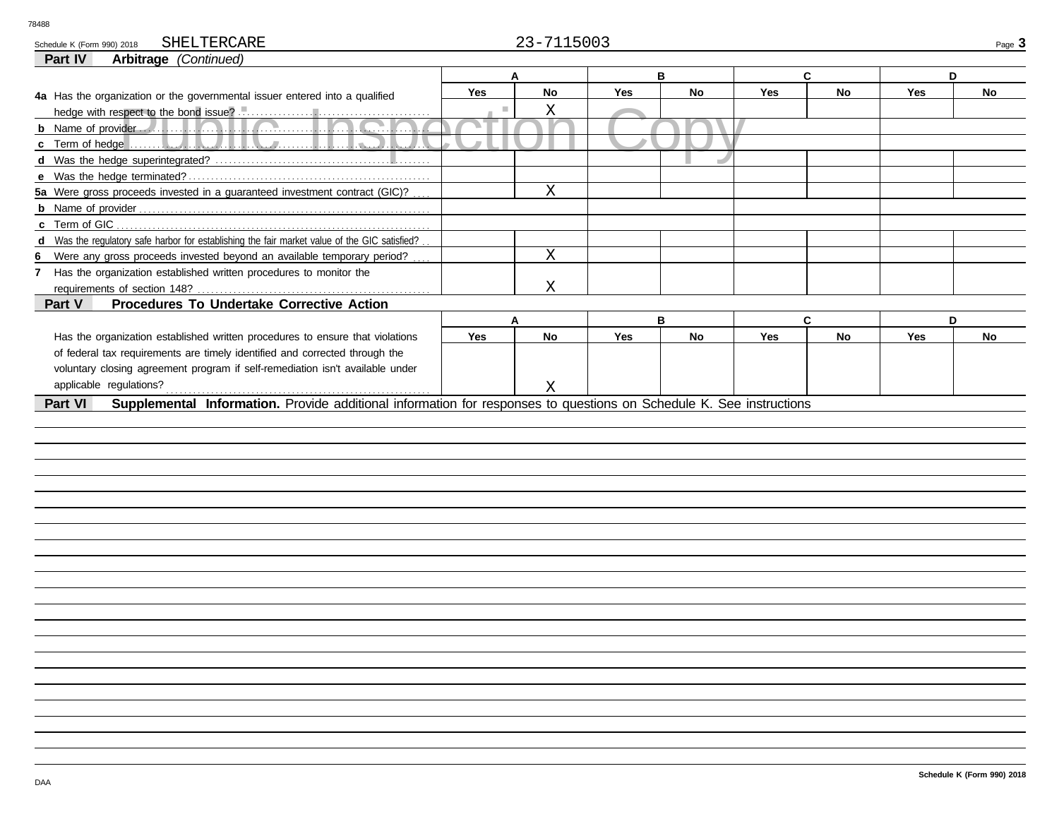Schedule K (Form 990) 2018 SHELTERCARE Page 3 SHELTERCARE

### **Part IV Arbitrage** *(Continued)*

| Andrage Command                                                                                                                |                |             |            |           |            |           |            |           |  |  |  |
|--------------------------------------------------------------------------------------------------------------------------------|----------------|-------------|------------|-----------|------------|-----------|------------|-----------|--|--|--|
|                                                                                                                                |                | A           |            | В         |            | C         | D          |           |  |  |  |
| 4a Has the organization or the governmental issuer entered into a qualified                                                    | <b>Yes</b>     | <b>No</b>   | <b>Yes</b> | <b>No</b> | <b>Yes</b> | <b>No</b> | <b>Yes</b> | <b>No</b> |  |  |  |
|                                                                                                                                | $\mathbb{R}^n$ | Χ           |            |           |            |           |            |           |  |  |  |
|                                                                                                                                |                |             |            |           |            |           |            |           |  |  |  |
| $\mathcal{M}$<br>.<br>44. L<br>ЛL.                                                                                             |                |             |            |           |            |           |            |           |  |  |  |
|                                                                                                                                |                |             |            |           |            |           |            |           |  |  |  |
|                                                                                                                                |                |             |            |           |            |           |            |           |  |  |  |
| 5a Were gross proceeds invested in a guaranteed investment contract (GIC)?                                                     |                | $\mathbf X$ |            |           |            |           |            |           |  |  |  |
|                                                                                                                                |                |             |            |           |            |           |            |           |  |  |  |
| c Term of GIC                                                                                                                  |                |             |            |           |            |           |            |           |  |  |  |
| d Was the regulatory safe harbor for establishing the fair market value of the GIC satisfied?                                  |                |             |            |           |            |           |            |           |  |  |  |
| Were any gross proceeds invested beyond an available temporary period?<br>6                                                    |                | $\mathbf X$ |            |           |            |           |            |           |  |  |  |
| 7 Has the organization established written procedures to monitor the                                                           |                |             |            |           |            |           |            |           |  |  |  |
| requirements of section 148?                                                                                                   |                | $\mathbf X$ |            |           |            |           |            |           |  |  |  |
| Procedures To Undertake Corrective Action<br>Part V                                                                            |                |             |            |           |            |           |            |           |  |  |  |
|                                                                                                                                |                | A           |            | B         |            | C         | D          |           |  |  |  |
| Has the organization established written procedures to ensure that violations                                                  | Yes            | <b>No</b>   | <b>Yes</b> | No        | <b>Yes</b> | No        | Yes        | No        |  |  |  |
| of federal tax requirements are timely identified and corrected through the                                                    |                |             |            |           |            |           |            |           |  |  |  |
| voluntary closing agreement program if self-remediation isn't available under                                                  |                |             |            |           |            |           |            |           |  |  |  |
| applicable regulations?                                                                                                        |                | X           |            |           |            |           |            |           |  |  |  |
| Supplemental Information. Provide additional information for responses to questions on Schedule K. See instructions<br>Part VI |                |             |            |           |            |           |            |           |  |  |  |
|                                                                                                                                |                |             |            |           |            |           |            |           |  |  |  |
|                                                                                                                                |                |             |            |           |            |           |            |           |  |  |  |
|                                                                                                                                |                |             |            |           |            |           |            |           |  |  |  |
|                                                                                                                                |                |             |            |           |            |           |            |           |  |  |  |
|                                                                                                                                |                |             |            |           |            |           |            |           |  |  |  |
|                                                                                                                                |                |             |            |           |            |           |            |           |  |  |  |
|                                                                                                                                |                |             |            |           |            |           |            |           |  |  |  |
|                                                                                                                                |                |             |            |           |            |           |            |           |  |  |  |
|                                                                                                                                |                |             |            |           |            |           |            |           |  |  |  |
|                                                                                                                                |                |             |            |           |            |           |            |           |  |  |  |
|                                                                                                                                |                |             |            |           |            |           |            |           |  |  |  |
|                                                                                                                                |                |             |            |           |            |           |            |           |  |  |  |
|                                                                                                                                |                |             |            |           |            |           |            |           |  |  |  |
|                                                                                                                                |                |             |            |           |            |           |            |           |  |  |  |
|                                                                                                                                |                |             |            |           |            |           |            |           |  |  |  |
|                                                                                                                                |                |             |            |           |            |           |            |           |  |  |  |
|                                                                                                                                |                |             |            |           |            |           |            |           |  |  |  |
|                                                                                                                                |                |             |            |           |            |           |            |           |  |  |  |
|                                                                                                                                |                |             |            |           |            |           |            |           |  |  |  |
|                                                                                                                                |                |             |            |           |            |           |            |           |  |  |  |
|                                                                                                                                |                |             |            |           |            |           |            |           |  |  |  |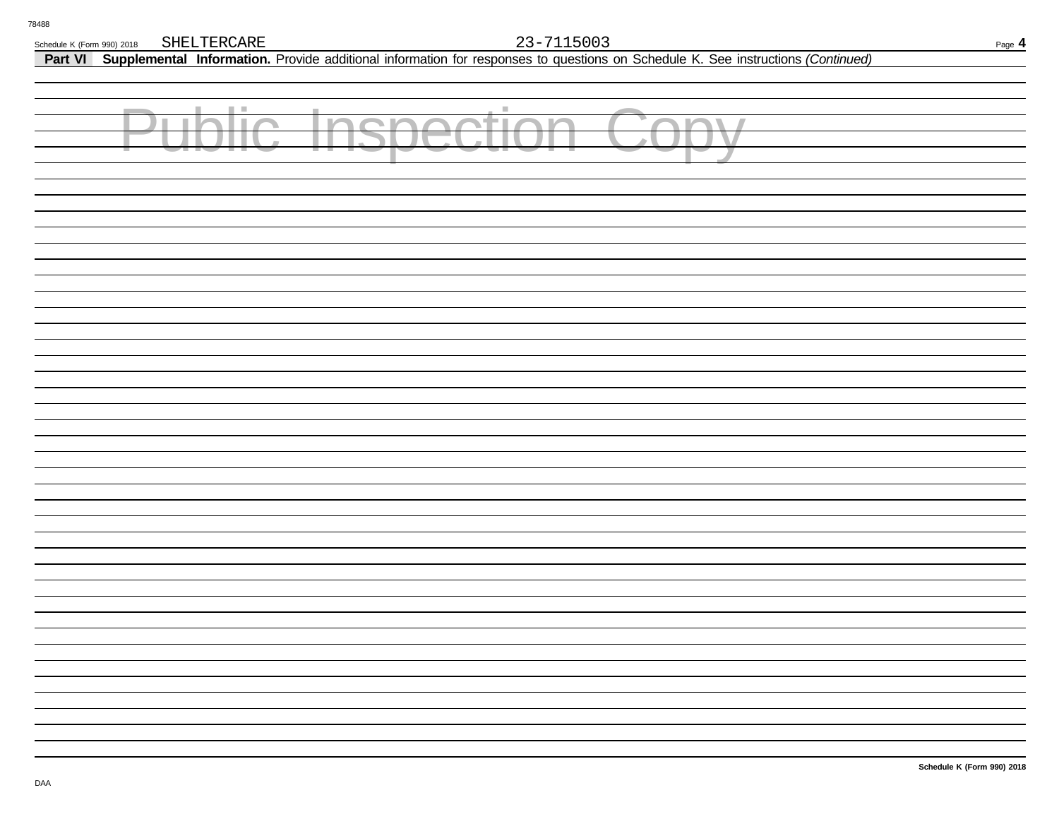**Part VI Supplemental Information.** Provide additional information for responses to questions on Schedule K. See instructions *(Continued)*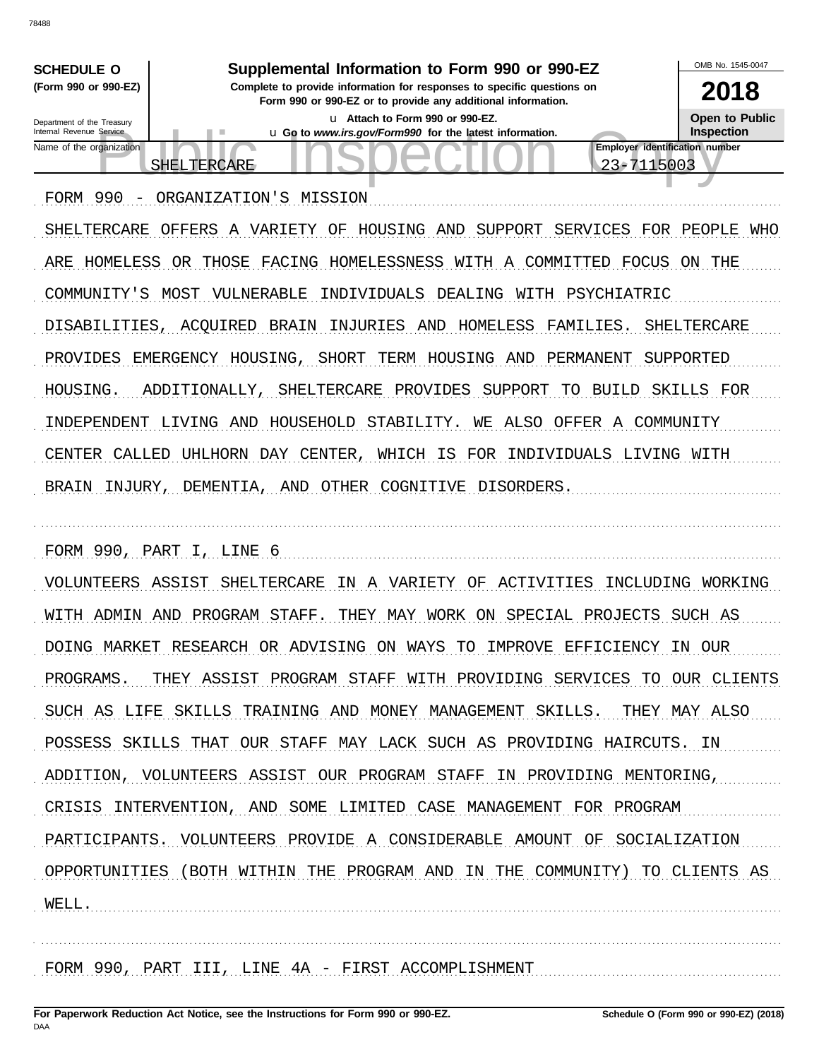OMB No 1545-0047 Supplemental Information to Form 990 or 990-EZ **SCHEDULE O** (Form 990 or 990-EZ) Complete to provide information for responses to specific questions on 2018 Form 990 or 990-EZ or to provide any additional information. **Open to Public** u Attach to Form 990 or 990-EZ. Department of the Treasury u Go to www.irs.gov/Form990 for the latest information. Internal Revenue Service Inspection Employer identification number Name of the organization 23-7115003 **SHELTERCARE** FORM 990 - ORGANIZATION'S MISSION SHELTERCARE OFFERS A VARIETY OF HOUSING AND SUPPORT SERVICES FOR PEOPLE WHO ARE HOMELESS OR THOSE FACING HOMELESSNESS WITH A COMMITTED FOCUS ON THE COMMUNITY'S MOST VULNERABLE INDIVIDUALS DEALING WITH PSYCHIATRIC DISABILITIES, ACOUIRED BRAIN INJURIES AND HOMELESS FAMILIES. SHELTERCARE PROVIDES EMERGENCY HOUSING, SHORT TERM HOUSING AND PERMANENT SUPPORTED HOUSING. ADDITIONALLY, SHELTERCARE PROVIDES SUPPORT TO BUILD SKILLS FOR INDEPENDENT LIVING AND HOUSEHOLD STABILITY. WE ALSO OFFER A COMMUNITY CENTER CALLED UHLHORN DAY CENTER, WHICH IS FOR INDIVIDUALS LIVING WITH BRAIN INJURY, DEMENTIA, AND OTHER COGNITIVE DISORDERS. FORM 990, PART I, LINE 6 VOLUNTEERS ASSIST SHELTERCARE IN A VARIETY OF ACTIVITIES INCLUDING WORKING WITH ADMIN AND PROGRAM STAFF. THEY MAY WORK ON SPECIAL PROJECTS SUCH AS DOING MARKET RESEARCH OR ADVISING ON WAYS TO IMPROVE EFFICIENCY IN OUR PROGRAMS. THEY ASSIST PROGRAM STAFF WITH PROVIDING SERVICES TO OUR CLIENTS SUCH AS LIFE SKILLS TRAINING AND MONEY MANAGEMENT SKILLS. THEY MAY ALSO POSSESS SKILLS THAT OUR STAFF MAY LACK SUCH AS PROVIDING HAIRCUTS. IN ADDITION, VOLUNTEERS ASSIST OUR PROGRAM STAFF IN PROVIDING MENTORING, CRISIS INTERVENTION, AND SOME LIMITED CASE MANAGEMENT FOR PROGRAM PARTICIPANTS. VOLUNTEERS PROVIDE A CONSIDERABLE AMOUNT OF SOCIALIZATION OPPORTUNITIES (BOTH WITHIN THE PROGRAM AND IN THE COMMUNITY) TO CLIENTS AS WELL.

FORM 990, PART III, LINE 4A - FIRST ACCOMPLISHMENT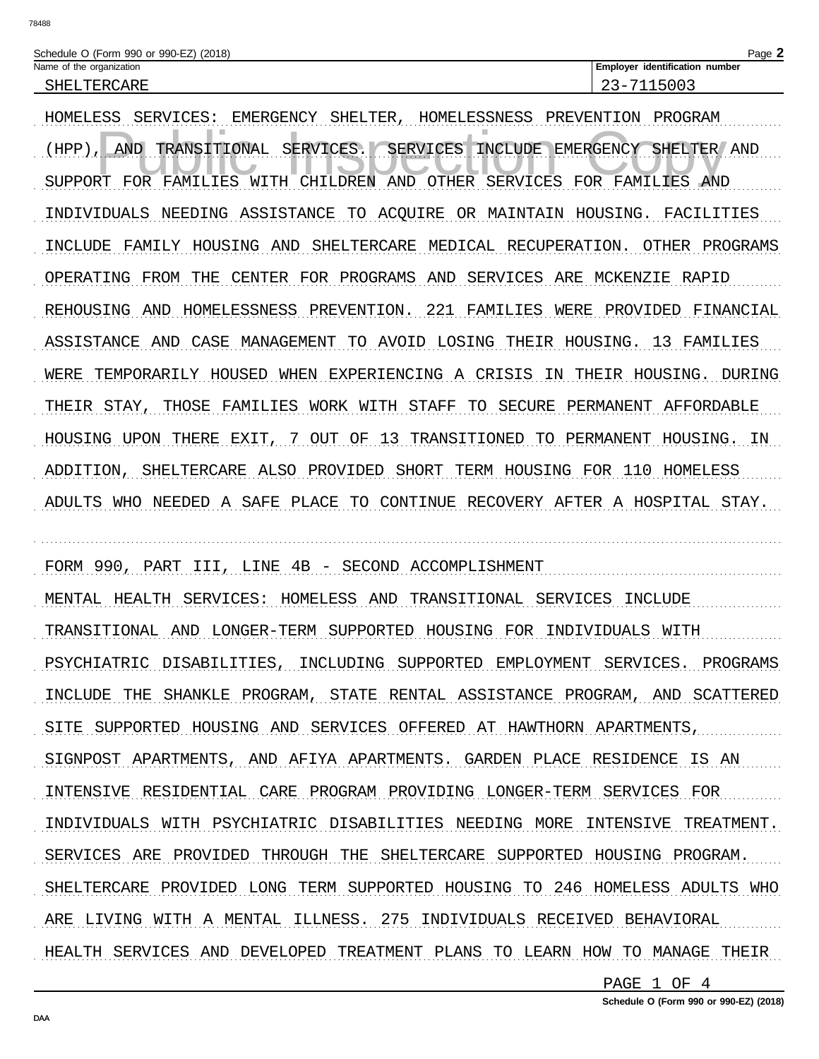| Schedule O (Form 990 or 990-EZ) (2018) |                                       | $P$ aqe $\blacktriangle$ |
|----------------------------------------|---------------------------------------|--------------------------|
| Name of the organization               | <b>Employer identification number</b> |                          |
| SHELTERCARE                            | ົ່າລົ<br>15003                        |                          |

HOMELESS SERVICES: EMERGENCY SHELTER, HOMELESSNESS PREVENTION PROGRAM AND TRANSITIONAL SERVICES. SERVICES INCLUDE EMERGENCY SHELTER AND  $(HPP)$ , SUPPORT FOR FAMILIES WITH CHILDREN AND OTHER SERVICES FOR FAMILIES AND INDIVIDUALS NEEDING ASSISTANCE TO ACQUIRE OR MAINTAIN HOUSING. FACILITIES INCLUDE FAMILY HOUSING AND SHELTERCARE MEDICAL RECUPERATION. OTHER PROGRAMS OPERATING FROM THE CENTER FOR PROGRAMS AND SERVICES ARE MCKENZIE RAPID REHOUSING AND HOMELESSNESS PREVENTION. 221 FAMILIES WERE PROVIDED FINANCIAL ASSISTANCE AND CASE MANAGEMENT TO AVOID LOSING THEIR HOUSING. 13 FAMILIES WERE TEMPORARILY HOUSED WHEN EXPERIENCING A CRISIS IN THEIR HOUSING. DURING THEIR STAY, THOSE FAMILIES WORK WITH STAFF TO SECURE PERMANENT AFFORDABLE HOUSING UPON THERE EXIT, 7 OUT OF 13 TRANSITIONED TO PERMANENT HOUSING. IN ADDITION, SHELTERCARE ALSO PROVIDED SHORT TERM HOUSING FOR 110 HOMELESS ADULTS WHO NEEDED A SAFE PLACE TO CONTINUE RECOVERY AFTER A HOSPITAL STAY.

FORM 990, PART III, LINE 4B - SECOND ACCOMPLISHMENT MENTAL HEALTH SERVICES: HOMELESS AND TRANSITIONAL SERVICES INCLUDE TRANSITIONAL AND LONGER-TERM SUPPORTED HOUSING FOR INDIVIDUALS WITH PSYCHIATRIC DISABILITIES, INCLUDING SUPPORTED EMPLOYMENT SERVICES. PROGRAMS INCLUDE THE SHANKLE PROGRAM, STATE RENTAL ASSISTANCE PROGRAM, AND SCATTERED SITE SUPPORTED HOUSING AND SERVICES OFFERED AT HAWTHORN APARTMENTS, SIGNPOST APARTMENTS, AND AFIYA APARTMENTS. GARDEN PLACE RESIDENCE IS AN INTENSIVE RESIDENTIAL CARE PROGRAM PROVIDING LONGER-TERM SERVICES FOR INDIVIDUALS WITH PSYCHIATRIC DISABILITIES NEEDING MORE INTENSIVE TREATMENT. SERVICES ARE PROVIDED THROUGH THE SHELTERCARE SUPPORTED HOUSING PROGRAM. SHELTERCARE PROVIDED LONG TERM SUPPORTED HOUSING TO 246 HOMELESS ADULTS WHO ARE LIVING WITH A MENTAL ILLNESS. 275 INDIVIDUALS RECEIVED BEHAVIORAL HEALTH SERVICES AND DEVELOPED TREATMENT PLANS TO LEARN HOW TO MANAGE THEIR

PAGE 1 OF 4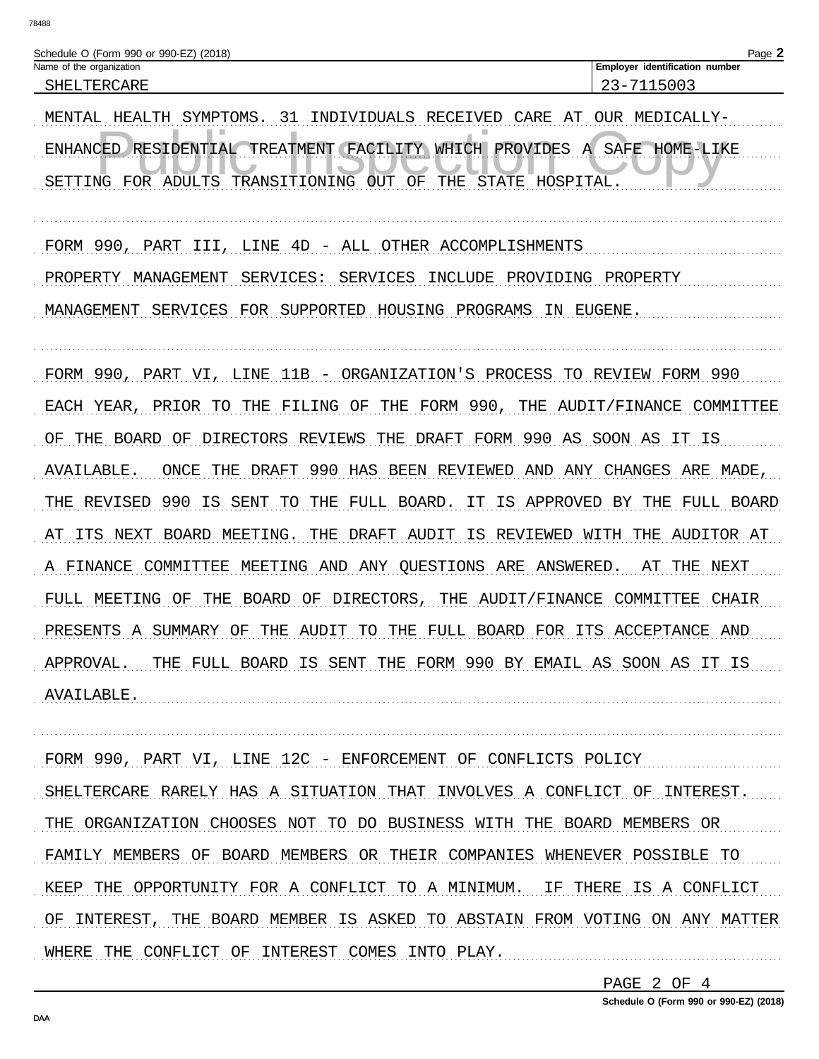| 78488                                                                                                                                                                                                                                                                                                                                                                                                                                                                                                                                                                                                                                                         |                                                                                                                                                                                    |
|---------------------------------------------------------------------------------------------------------------------------------------------------------------------------------------------------------------------------------------------------------------------------------------------------------------------------------------------------------------------------------------------------------------------------------------------------------------------------------------------------------------------------------------------------------------------------------------------------------------------------------------------------------------|------------------------------------------------------------------------------------------------------------------------------------------------------------------------------------|
| Schedule O (Form 990 or 990-EZ) (2018)<br>Name of the organization<br>SHELTERCARE<br>MENTAL HEALTH<br>SYMPTOMS.<br>31<br>INDIVIDUALS RECEIVED<br>CARE<br>ENHANCED RESIDENTIAL<br>TREATMENT (FACILITY WHICH PROVIDES<br>SETTING FOR ADULTS TRANSITIONING<br><b>STATE</b><br>OUT<br>OF<br>THE                                                                                                                                                                                                                                                                                                                                                                   | Page 2<br>Employer identification number<br>23-7115003<br>OUR MEDICALLY-<br>AT<br>SAFE<br>HOME-LIKE<br>A<br>HOSPITAL                                                               |
| FORM 990,<br>4D - ALL OTHER ACCOMPLISHMENTS<br>PART<br>III,<br>LINE<br>PROPERTY<br>MANAGEMENT<br>SERVICES:<br><b>SERVICES</b><br>INCLUDE<br>PROVIDING<br>SUPPORTED<br>MANAGEMENT<br>SERVICES<br>FOR<br>HOUSING PROGRAMS                                                                                                                                                                                                                                                                                                                                                                                                                                       | PROPERTY<br>IN EUGENE.                                                                                                                                                             |
| FORM 990,<br>LINE<br>11B - ORGANIZATION'S PROCESS TO REVIEW FORM 990<br>PART VI,<br>FORM 990,<br>THE<br>EACH YEAR,<br>PRIOR TO<br>THE<br>FILING OF<br>THE<br>DRAFT FORM 990<br>DIRECTORS REVIEWS<br>THE<br>THE<br>BOARD<br>OF<br>OF<br>990<br>AVAILABLE<br>HAS<br>BEEN REVIEWED AND ANY CHANGES<br>ONCE<br>THE<br>DRAFT<br>990<br>IS<br>THE REVISED<br>SENT<br>THE<br>FULL BOARD.<br>IS<br>APPROVED<br>TО<br>IΤ.<br>IS<br>ITS<br>NEXT<br><b>BOARD</b><br>MEETING.<br>THE<br>DRAFT<br>AUDIT<br>REVIEWED<br>AТ<br>A FINANCE<br>MEETING AND ANY QUESTIONS ARE<br>COMMITTEE<br><b>BOARD</b><br>DIRECTORS,<br>THE AUDIT/FINANCE<br>FULL MEETING<br>ΟF<br>THE<br>OF | AUDIT/FINANCE COMMITTEE<br>AS<br>SOON AS IT IS<br>ARE MADE,<br>THE<br>FULL BOARD<br>ВY<br>WITH<br>THE<br>AUDITOR AT<br>ANSWERED.<br>NEXT<br>AТ<br>THE<br>COMMITTEE<br><b>CHAIR</b> |

PRESENTS A SUMMARY OF THE AUDIT TO THE FULL BOARD FOR ITS ACCEPTANCE AND APPROVAL. THE FULL BOARD IS SENT THE FORM 990 BY EMAIL AS SOON AS IT IS AVAILABLE.

FORM 990, PART VI, LINE 12C - ENFORCEMENT OF CONFLICTS POLICY SHELTERCARE RARELY HAS A SITUATION THAT INVOLVES A CONFLICT OF INTEREST. THE ORGANIZATION CHOOSES NOT TO DO BUSINESS WITH THE BOARD MEMBERS OR FAMILY MEMBERS OF BOARD MEMBERS OR THEIR COMPANIES WHENEVER POSSIBLE TO KEEP THE OPPORTUNITY FOR A CONFLICT TO A MINIMUM. IF THERE IS A CONFLICT OF INTEREST, THE BOARD MEMBER IS ASKED TO ABSTAIN FROM VOTING ON ANY MATTER WHERE THE CONFLICT OF INTEREST COMES INTO PLAY.

PAGE 2 OF 4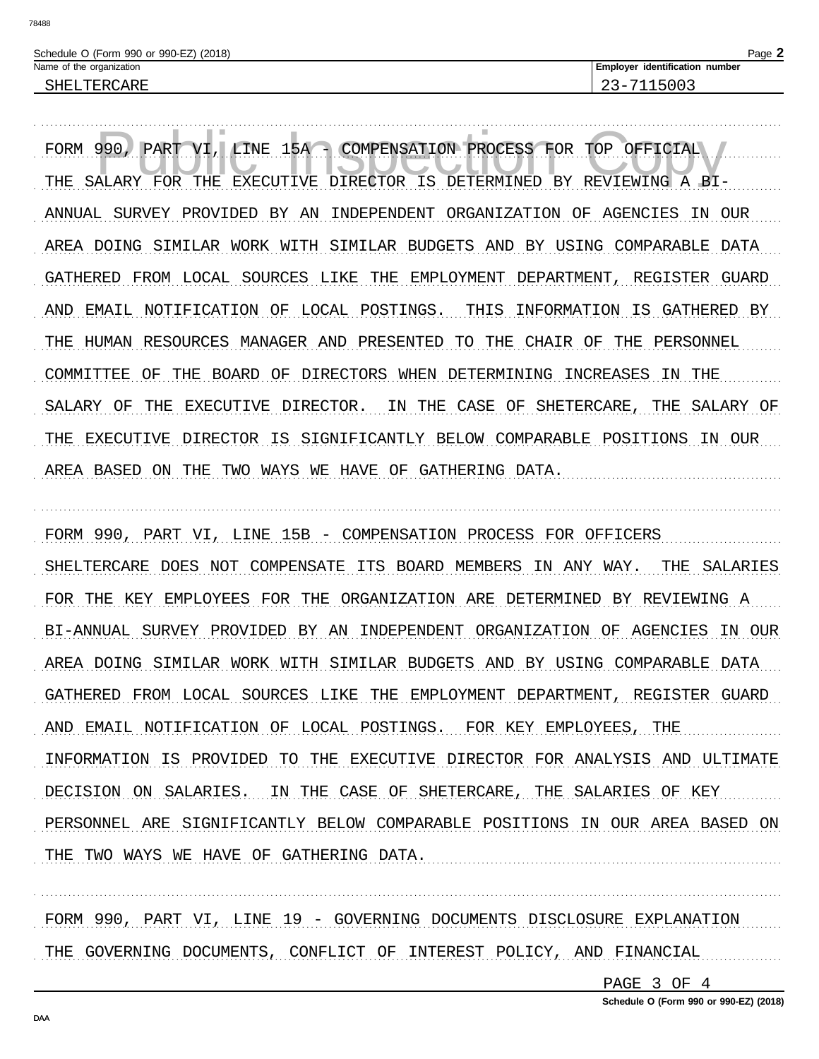Page 2

FORM  $990.$ PART VI, LINE 15A - COMPENSATION PROCESS FOR TOP OFFICIAL THE SALARY FOR THE EXECUTIVE DIRECTOR IS DETERMINED BY REVIEWING A BI-ANNUAL SURVEY PROVIDED BY AN INDEPENDENT ORGANIZATION OF AGENCIES IN OUR AREA DOING SIMILAR WORK WITH SIMILAR BUDGETS AND BY USING COMPARABLE DATA GATHERED FROM LOCAL SOURCES LIKE THE EMPLOYMENT DEPARTMENT, REGISTER GUARD AND EMAIL NOTIFICATION OF LOCAL POSTINGS. THIS INFORMATION IS GATHERED BY THE HUMAN RESOURCES MANAGER AND PRESENTED TO THE CHAIR OF THE PERSONNEL COMMITTEE OF THE BOARD OF DIRECTORS WHEN DETERMINING INCREASES IN THE SALARY OF THE EXECUTIVE DIRECTOR. IN THE CASE OF SHETERCARE, THE SALARY OF THE EXECUTIVE DIRECTOR IS SIGNIFICANTLY BELOW COMPARABLE POSITIONS IN OUR AREA BASED ON THE TWO WAYS WE HAVE OF GATHERING DATA.

FORM 990, PART VI, LINE 15B - COMPENSATION PROCESS FOR OFFICERS SHELTERCARE DOES NOT COMPENSATE ITS BOARD MEMBERS IN ANY WAY. THE SALARIES FOR THE KEY EMPLOYEES FOR THE ORGANIZATION ARE DETERMINED BY REVIEWING A BI-ANNUAL SURVEY PROVIDED BY AN INDEPENDENT ORGANIZATION OF AGENCIES IN OUR AREA DOING SIMILAR WORK WITH SIMILAR BUDGETS AND BY USING COMPARABLE DATA GATHERED FROM LOCAL SOURCES LIKE THE EMPLOYMENT DEPARTMENT, REGISTER GUARD AND EMAIL NOTIFICATION OF LOCAL POSTINGS. FOR KEY EMPLOYEES, THE INFORMATION IS PROVIDED TO THE EXECUTIVE DIRECTOR FOR ANALYSIS AND ULTIMATE DECISION ON SALARIES. IN THE CASE OF SHETERCARE, THE SALARIES OF KEY PERSONNEL ARE SIGNIFICANTLY BELOW COMPARABLE POSITIONS IN OUR AREA BASED ON THE TWO WAYS WE HAVE OF GATHERING DATA.

FORM 990, PART VI, LINE 19 - GOVERNING DOCUMENTS DISCLOSURE EXPLANATION THE GOVERNING DOCUMENTS, CONFLICT OF INTEREST POLICY, AND FINANCIAL

PAGE 3 OF 4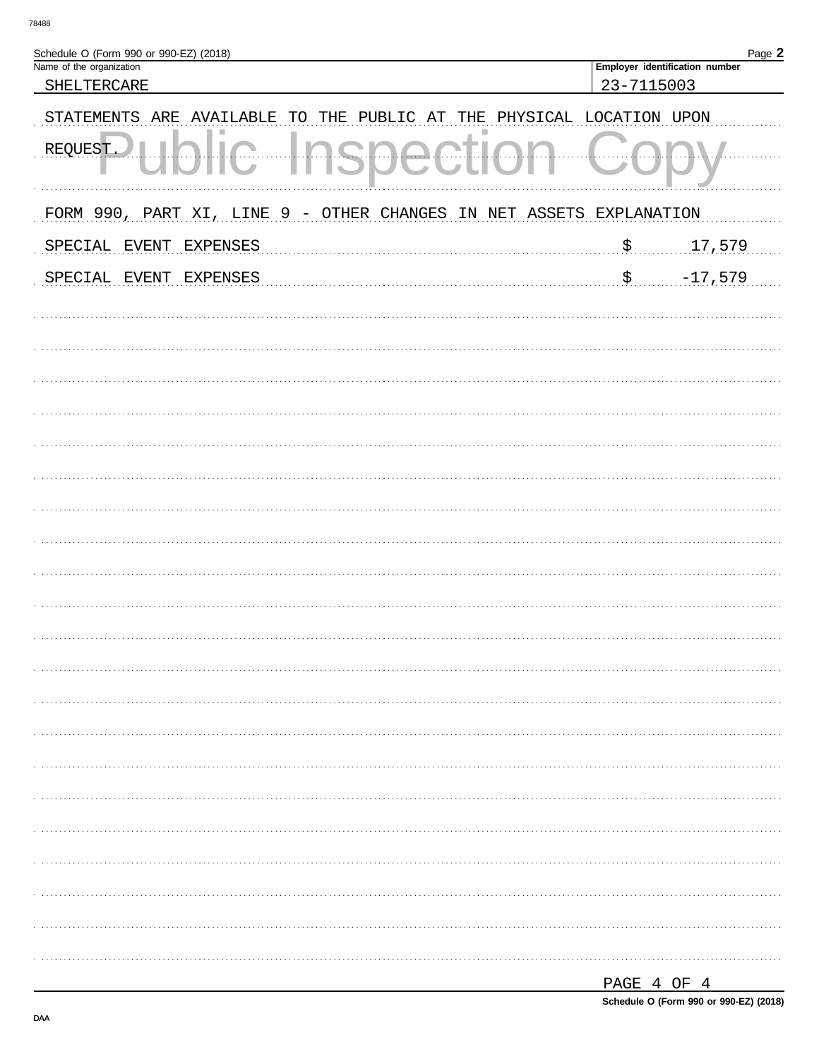| Schedule O (Form 990 or 990-EZ) (2018)                                             |                        | Page 2                         |
|------------------------------------------------------------------------------------|------------------------|--------------------------------|
| Name of the organization                                                           |                        | Employer identification number |
| SHELTERCARE                                                                        | 23-7115003             |                                |
| <b>STATEMENTS</b><br>ARE<br>AVAILABLE<br>THE<br>PUBLIC<br>AT<br>TO<br>THE          | PHYSICAL LOCATION UPON |                                |
| REQUEST.                                                                           |                        |                                |
| 9 <sub></sub><br>FORM 990, PART XI,<br>LINE<br>- OTHER CHANGES<br>ASSETS<br>IN NET | EXPLANATION            |                                |
| <b>EXPENSES</b><br>SPECIAL<br>EVENT                                                | $\boldsymbol{\xi}$     | 17,579                         |
| SPECIAL<br>EVENT<br><b>EXPENSES</b>                                                | \$                     | $-17,579$                      |
|                                                                                    |                        |                                |
|                                                                                    |                        |                                |
|                                                                                    |                        |                                |
|                                                                                    |                        |                                |
|                                                                                    |                        |                                |
|                                                                                    |                        |                                |
|                                                                                    |                        |                                |
|                                                                                    |                        |                                |
|                                                                                    |                        |                                |
|                                                                                    |                        |                                |
|                                                                                    |                        |                                |
|                                                                                    |                        |                                |
|                                                                                    |                        |                                |
|                                                                                    |                        |                                |
|                                                                                    |                        |                                |
|                                                                                    |                        |                                |
|                                                                                    |                        |                                |
|                                                                                    |                        |                                |
|                                                                                    |                        |                                |
|                                                                                    |                        |                                |
|                                                                                    | DACF 4 OF 4            |                                |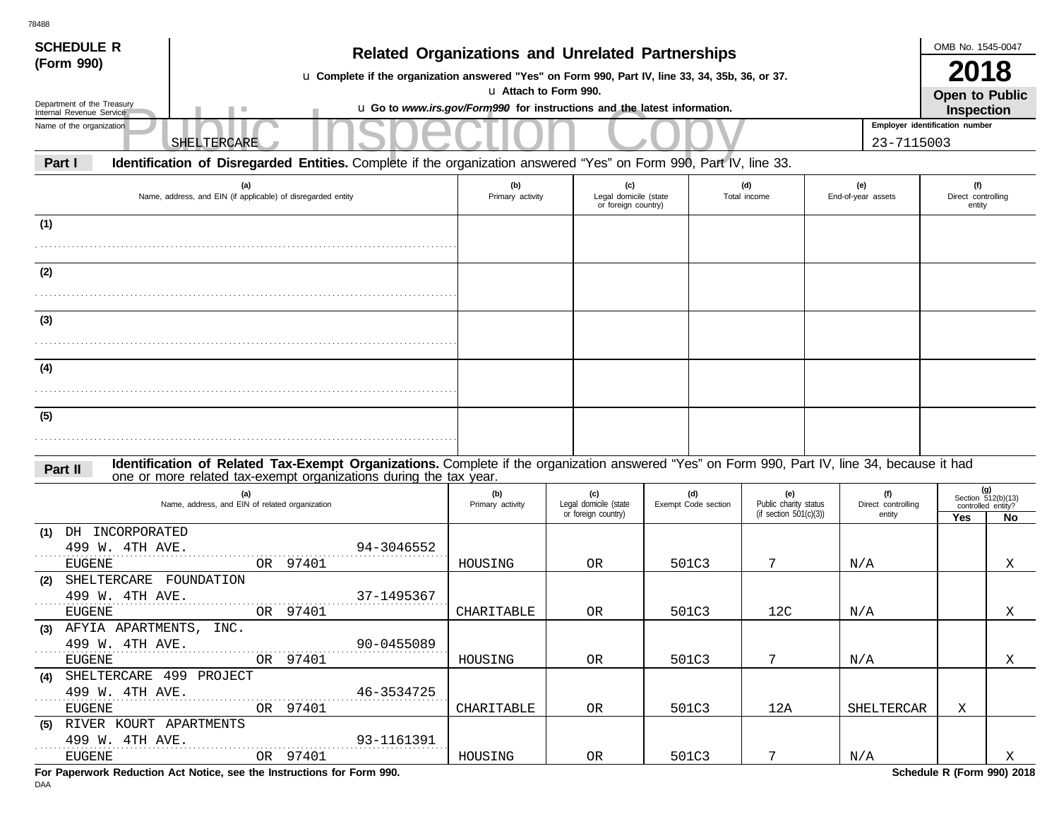| <b>SCHEDULE R</b>                                      |                                                                                                                                               |                                                                          |                                                     |                                                     |       |                            |                                                           |                                |                                     | OMB No. 1545-0047                   |                                                         |  |
|--------------------------------------------------------|-----------------------------------------------------------------------------------------------------------------------------------------------|--------------------------------------------------------------------------|-----------------------------------------------------|-----------------------------------------------------|-------|----------------------------|-----------------------------------------------------------|--------------------------------|-------------------------------------|-------------------------------------|---------------------------------------------------------|--|
| (Form 990)                                             | u Complete if the organization answered "Yes" on Form 990, Part IV, line 33, 34, 35b, 36, or 37.                                              | <b>Related Organizations and Unrelated Partnerships</b>                  |                                                     |                                                     |       |                            |                                                           |                                |                                     | 2018                                |                                                         |  |
|                                                        |                                                                                                                                               | u Attach to Form 990.                                                    |                                                     |                                                     |       |                            |                                                           |                                |                                     | <b>Open to Public</b>               |                                                         |  |
| Department of the Treasury<br>Internal Revenue Service |                                                                                                                                               | u Go to www.irs.gov/Form990 for instructions and the latest information. |                                                     |                                                     |       |                            |                                                           |                                |                                     | <b>Inspection</b>                   |                                                         |  |
| Name of the organization                               |                                                                                                                                               |                                                                          |                                                     |                                                     |       |                            |                                                           | Employer identification number |                                     |                                     |                                                         |  |
|                                                        | SHELTERCARE                                                                                                                                   |                                                                          |                                                     |                                                     |       |                            |                                                           |                                | 23-7115003                          |                                     |                                                         |  |
| Part I                                                 | Identification of Disregarded Entities. Complete if the organization answered "Yes" on Form 990, Part IV, line 33.                            |                                                                          |                                                     |                                                     |       |                            |                                                           |                                |                                     |                                     |                                                         |  |
|                                                        | (a)<br>Name, address, and EIN (if applicable) of disregarded entity                                                                           | (b)<br>Primary activity                                                  |                                                     | (c)<br>Legal domicile (state<br>or foreign country) |       |                            | (d)<br>Total income                                       |                                | (e)<br>End-of-year assets           | (f)<br>Direct controlling<br>entity |                                                         |  |
| (1)                                                    |                                                                                                                                               |                                                                          |                                                     |                                                     |       |                            |                                                           |                                |                                     |                                     |                                                         |  |
|                                                        |                                                                                                                                               |                                                                          |                                                     |                                                     |       |                            |                                                           |                                |                                     |                                     |                                                         |  |
| (2)                                                    |                                                                                                                                               |                                                                          |                                                     |                                                     |       |                            |                                                           |                                |                                     |                                     |                                                         |  |
|                                                        |                                                                                                                                               |                                                                          |                                                     |                                                     |       |                            |                                                           |                                |                                     |                                     |                                                         |  |
| (3)                                                    |                                                                                                                                               |                                                                          |                                                     |                                                     |       |                            |                                                           |                                |                                     |                                     |                                                         |  |
|                                                        |                                                                                                                                               |                                                                          |                                                     |                                                     |       |                            |                                                           |                                |                                     |                                     |                                                         |  |
| (4)                                                    |                                                                                                                                               |                                                                          |                                                     |                                                     |       |                            |                                                           |                                |                                     |                                     |                                                         |  |
|                                                        |                                                                                                                                               |                                                                          |                                                     |                                                     |       |                            |                                                           |                                |                                     |                                     |                                                         |  |
| (5)                                                    |                                                                                                                                               |                                                                          |                                                     |                                                     |       |                            |                                                           |                                |                                     |                                     |                                                         |  |
|                                                        |                                                                                                                                               |                                                                          |                                                     |                                                     |       |                            |                                                           |                                |                                     |                                     |                                                         |  |
|                                                        | Identification of Related Tax-Exempt Organizations. Complete if the organization answered "Yes" on Form 990, Part IV, line 34, because it had |                                                                          |                                                     |                                                     |       |                            |                                                           |                                |                                     |                                     |                                                         |  |
| Part II                                                | one or more related tax-exempt organizations during the tax year.                                                                             |                                                                          |                                                     |                                                     |       |                            |                                                           |                                |                                     |                                     |                                                         |  |
|                                                        | (a)<br>Name, address, and EIN of related organization                                                                                         | (b)<br>Primary activity                                                  | (c)<br>Legal domicile (state<br>or foreign country) |                                                     |       | (d)<br>Exempt Code section | (e)<br>Public charity status<br>(if section $501(c)(3)$ ) |                                | (f)<br>Direct controlling<br>entity | Yes                                 | (g)<br>Section $512(b)(13)$<br>controlled entity?<br>No |  |
| DH INCORPORATED<br>(1)                                 |                                                                                                                                               |                                                                          |                                                     |                                                     |       |                            |                                                           |                                |                                     |                                     |                                                         |  |
| 499 W. 4TH AVE.<br><b>EUGENE</b>                       | 94-3046552<br>97401<br>OR                                                                                                                     | HOUSING                                                                  | 0 <sub>R</sub>                                      |                                                     | 501C3 |                            | 7                                                         |                                | N/A                                 |                                     | Χ                                                       |  |
| SHELTERCARE FOUNDATION<br>(2)                          |                                                                                                                                               |                                                                          |                                                     |                                                     |       |                            |                                                           |                                |                                     |                                     |                                                         |  |
| 499 W. 4TH AVE.<br><b>EUGENE</b>                       | 37-1495367<br>97401<br>OR                                                                                                                     | CHARITABLE                                                               | 0R                                                  |                                                     | 501C3 |                            | 12C                                                       |                                | N/A                                 |                                     | Χ                                                       |  |
| (3) AFYIA APARTMENTS, INC.                             |                                                                                                                                               |                                                                          |                                                     |                                                     |       |                            |                                                           |                                |                                     |                                     |                                                         |  |
| 499 W. 4TH AVE.<br>.                                   | 90-0455089                                                                                                                                    |                                                                          |                                                     |                                                     |       |                            |                                                           |                                |                                     |                                     |                                                         |  |
| EUGENE<br>(4) SHELTERCARE 499 PROJECT                  | OR 97401                                                                                                                                      | HOUSING                                                                  | OR                                                  |                                                     | 501C3 |                            | $7^{\circ}$                                               |                                | $\mathrm{N}/\mathrm{A}$             |                                     | X                                                       |  |
| 499 W. 4TH AVE.                                        | 46-3534725                                                                                                                                    |                                                                          |                                                     |                                                     |       |                            |                                                           |                                |                                     |                                     |                                                         |  |
| $\alpha$ , and $\alpha$ , and $\alpha$<br>EUGENE       | OR 97401                                                                                                                                      | CHARITABLE                                                               | OR                                                  |                                                     | 501C3 |                            | 12A                                                       |                                | SHELTERCAR                          | X                                   |                                                         |  |
| (5) RIVER KOURT APARTMENTS                             |                                                                                                                                               |                                                                          |                                                     |                                                     |       |                            |                                                           |                                |                                     |                                     |                                                         |  |
| 499 W. 4TH AVE.<br>EUGENE                              | $93-1161391$<br>OR 97401                                                                                                                      | HOUSING                                                                  | OR                                                  |                                                     | 501C3 |                            | 7                                                         |                                | N/A                                 |                                     | $\boldsymbol{\mathrm{X}}$                               |  |
|                                                        |                                                                                                                                               |                                                                          |                                                     |                                                     |       |                            |                                                           |                                |                                     |                                     |                                                         |  |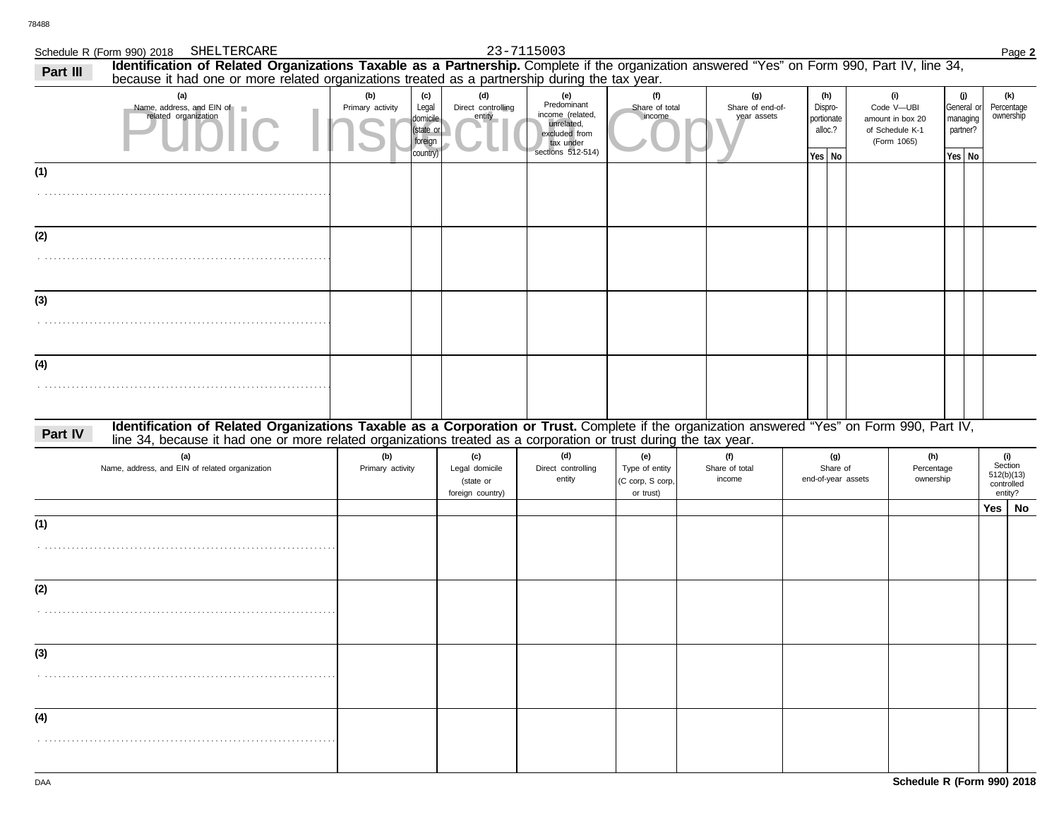# Schedule R (Form 990) 2018 SHELTERCARE 23-7115003 Page 2

## SHELTERCARE 23-7115003

| Part III | Identification of Related Organizations Taxable as a Partnership. Complete if the organization answered "Yes" on Form 990, Part IV, line 34,<br>because it had one or more related organizations treated as a partnership during the tax year.                   |                         |                                                              |                                                        |                                                                                                         |                                                        |                                        |                                                   |                                                                         |                           |                        |                                                       |  |
|----------|------------------------------------------------------------------------------------------------------------------------------------------------------------------------------------------------------------------------------------------------------------------|-------------------------|--------------------------------------------------------------|--------------------------------------------------------|---------------------------------------------------------------------------------------------------------|--------------------------------------------------------|----------------------------------------|---------------------------------------------------|-------------------------------------------------------------------------|---------------------------|------------------------|-------------------------------------------------------|--|
|          | (a)<br>Name, address, and EIN of<br>related organization                                                                                                                                                                                                         | (b)<br>Primary activity | (c)<br>Legal<br>domicile<br>(state or<br>foreign<br>country) | (d)<br>Direct controlling<br>entity                    | (e)<br>Predominant<br>income (related,<br>unrelated,<br>excluded from<br>tax under<br>sections 512-514) | (f)<br>Share of total<br>income                        | (g)<br>Share of end-of-<br>year assets | (h)<br>Dispro-<br>portionate<br>alloc.?<br>Yes No | (i)<br>Code V-UBI<br>amount in box 20<br>of Schedule K-1<br>(Form 1065) | (j)<br>partner?<br>Yes No | General or<br>managing | (k)<br>Percentage<br>ownership                        |  |
| (1)      |                                                                                                                                                                                                                                                                  |                         |                                                              |                                                        |                                                                                                         |                                                        |                                        |                                                   |                                                                         |                           |                        |                                                       |  |
| (2)      |                                                                                                                                                                                                                                                                  |                         |                                                              |                                                        |                                                                                                         |                                                        |                                        |                                                   |                                                                         |                           |                        |                                                       |  |
| (3)      |                                                                                                                                                                                                                                                                  |                         |                                                              |                                                        |                                                                                                         |                                                        |                                        |                                                   |                                                                         |                           |                        |                                                       |  |
| (4)      |                                                                                                                                                                                                                                                                  |                         |                                                              |                                                        |                                                                                                         |                                                        |                                        |                                                   |                                                                         |                           |                        |                                                       |  |
| Part IV  | Identification of Related Organizations Taxable as a Corporation or Trust. Complete if the organization answered "Yes" on Form 990, Part IV,<br>line 34, because it had one or more related organizations treated as a corporation or trust during the tax year. |                         |                                                              |                                                        |                                                                                                         |                                                        |                                        |                                                   |                                                                         |                           |                        |                                                       |  |
|          | (a)<br>Name, address, and EIN of related organization                                                                                                                                                                                                            | (b)<br>Primary activity |                                                              | (c)<br>Legal domicile<br>(state or<br>foreign country) | (d)<br>Direct controlling<br>entity                                                                     | (e)<br>Type of entity<br>(C corp, S corp,<br>or trust) | (f)<br>Share of total<br>income        | (g)<br>Share of<br>end-of-year assets             | (h)<br>Percentage<br>ownership                                          |                           |                        | (i)<br>Section<br>512(b)(13)<br>controlled<br>entity? |  |
| (1)      |                                                                                                                                                                                                                                                                  |                         |                                                              |                                                        |                                                                                                         |                                                        |                                        |                                                   |                                                                         |                           |                        | $Yes \mid No$                                         |  |
| (2)      |                                                                                                                                                                                                                                                                  |                         |                                                              |                                                        |                                                                                                         |                                                        |                                        |                                                   |                                                                         |                           |                        |                                                       |  |
| (3)      |                                                                                                                                                                                                                                                                  |                         |                                                              |                                                        |                                                                                                         |                                                        |                                        |                                                   |                                                                         |                           |                        |                                                       |  |
| (4)      |                                                                                                                                                                                                                                                                  |                         |                                                              |                                                        |                                                                                                         |                                                        |                                        |                                                   |                                                                         |                           |                        |                                                       |  |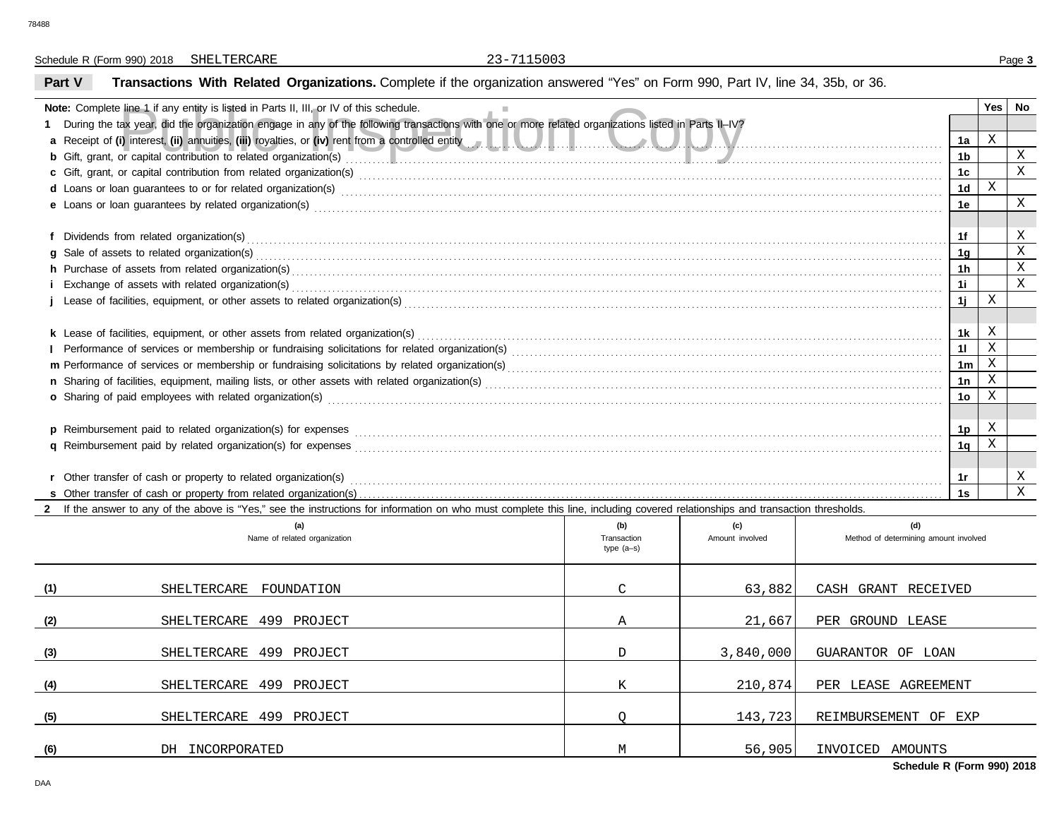Schedule R (Form 990) 2018 Page **3** SHELTERCARE 23-7115003

# **Part V Transactions With Related Organizations.** Complete if the organization answered "Yes" on Form 990, Part IV, line 34, 35b, or 36.

| <b>Note:</b> Complete line 1 if any entity is listed in Parts II, III, or IV of this schedule.                                                                                                                                 |              |                 |                                       |                | Yes          | No           |  |  |
|--------------------------------------------------------------------------------------------------------------------------------------------------------------------------------------------------------------------------------|--------------|-----------------|---------------------------------------|----------------|--------------|--------------|--|--|
| During the tax year, did the organization engage in any of the following transactions with one or more related organizations listed in Parts II-IV?                                                                            |              |                 |                                       |                |              |              |  |  |
| a Receipt of (i) interest, (ii) annuities, (iii) royalties, or (iv) rent from a controlled entity enter the controlled entity of the controlled entity of the controlled entity of the controlled entity of the controlled ent |              |                 |                                       | 1a             | $\,$ X       |              |  |  |
| b Gift, grant, or capital contribution to related organization(s) encourage contact the contribution to related organization(s)                                                                                                |              |                 |                                       | 1 <sub>b</sub> |              | $\mathbf X$  |  |  |
|                                                                                                                                                                                                                                |              |                 |                                       | 1 <sub>c</sub> |              | $\mathbf X$  |  |  |
| d Loans or loan guarantees to or for related organization(s) encourance contained and contained and contained and contained and contained and contained and contained and contained and contained and contained and contained  |              |                 |                                       | 1 <sub>d</sub> | X            |              |  |  |
|                                                                                                                                                                                                                                |              |                 |                                       | 1e             |              | X            |  |  |
|                                                                                                                                                                                                                                |              |                 |                                       |                |              |              |  |  |
|                                                                                                                                                                                                                                |              |                 |                                       | 1f             |              | X            |  |  |
|                                                                                                                                                                                                                                |              |                 |                                       |                |              |              |  |  |
| h Purchase of assets from related organization(s) encourance contains and contains a container and container and container and container and container and container and container and container and container and container a |              |                 |                                       |                |              |              |  |  |
|                                                                                                                                                                                                                                |              |                 |                                       |                |              |              |  |  |
|                                                                                                                                                                                                                                |              |                 |                                       |                |              |              |  |  |
|                                                                                                                                                                                                                                |              |                 |                                       |                |              |              |  |  |
|                                                                                                                                                                                                                                |              |                 |                                       | 1k             | Χ            |              |  |  |
|                                                                                                                                                                                                                                |              |                 |                                       | 11             | $\mathbf{X}$ |              |  |  |
|                                                                                                                                                                                                                                |              |                 |                                       | 1 <sub>m</sub> | $\mathbf X$  |              |  |  |
|                                                                                                                                                                                                                                |              |                 |                                       | 1n             | X            |              |  |  |
| o Sharing of paid employees with related organization(s) encourance contains an array contains a substantial contains and contains a starting of paid employees with related organization(s) encourance contains and contains  |              |                 |                                       | 1 <sub>o</sub> | X            |              |  |  |
|                                                                                                                                                                                                                                |              |                 |                                       |                |              |              |  |  |
|                                                                                                                                                                                                                                |              |                 |                                       | 1 <sub>p</sub> | Χ            |              |  |  |
|                                                                                                                                                                                                                                |              |                 |                                       | 1 <sub>q</sub> | X            |              |  |  |
|                                                                                                                                                                                                                                |              |                 |                                       |                |              |              |  |  |
|                                                                                                                                                                                                                                |              |                 |                                       | 1r             |              | Χ            |  |  |
|                                                                                                                                                                                                                                |              |                 |                                       | 1s             |              | $\mathbf{X}$ |  |  |
| 2 If the answer to any of the above is "Yes," see the instructions for information on who must complete this line, including covered relationships and transaction thresholds.                                                 |              |                 |                                       |                |              |              |  |  |
| (a)                                                                                                                                                                                                                            | (b)          | (c)             | (d)                                   |                |              |              |  |  |
| Name of related organization                                                                                                                                                                                                   | Transaction  | Amount involved | Method of determining amount involved |                |              |              |  |  |
|                                                                                                                                                                                                                                | type $(a-s)$ |                 |                                       |                |              |              |  |  |
|                                                                                                                                                                                                                                |              |                 |                                       |                |              |              |  |  |

| (1) | SHELTERCARE<br>FOUNDATION  | $\mathcal{C}$ | 63,882    | CASH GRANT RECEIVED  |
|-----|----------------------------|---------------|-----------|----------------------|
| (2) | SHELTERCARE 499 PROJECT    | Α             | 21,667    | PER GROUND LEASE     |
| (3) | SHELTERCARE 499 PROJECT    | D             | 3,840,000 | GUARANTOR OF LOAN    |
| (4) | SHELTERCARE 499 PROJECT    | K             | 210,874   | PER LEASE AGREEMENT  |
| (5) | 499 PROJECT<br>SHELTERCARE |               | 143,723   | REIMBURSEMENT OF EXP |
| (6) | DH INCORPORATED            | M             | 56,905    | INVOICED AMOUNTS     |

**Schedule R (Form 990) 2018**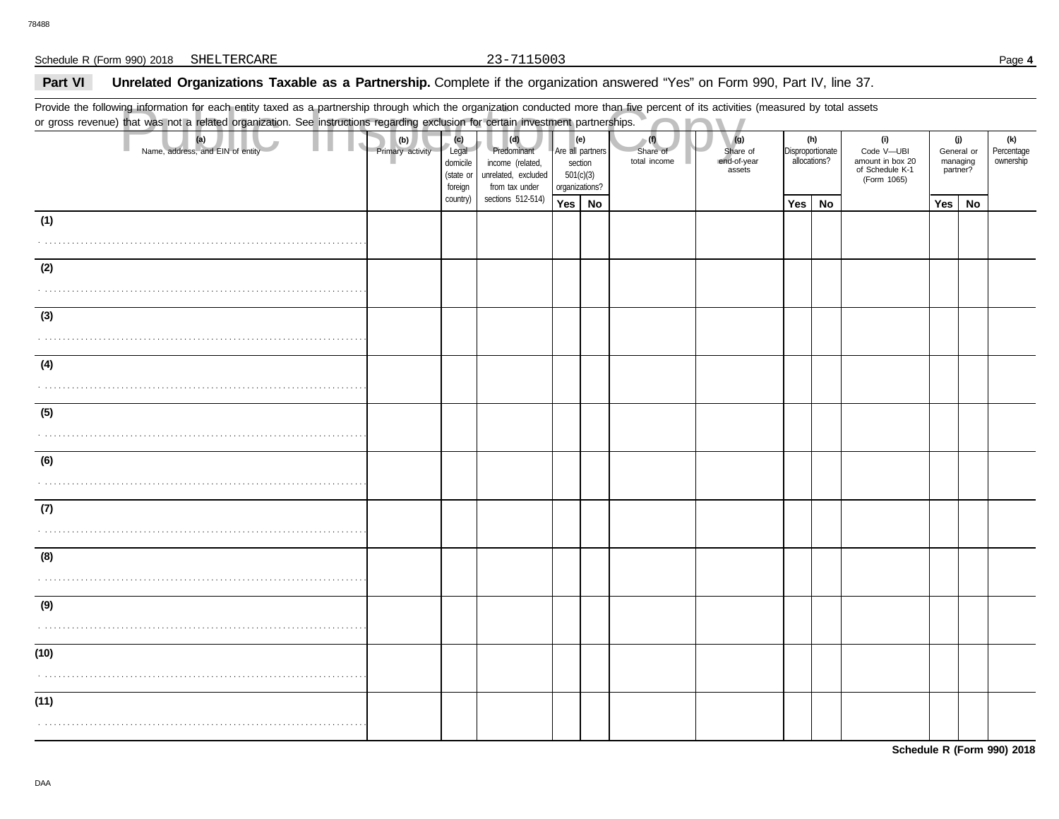## Part VI **Unrelated Organizations Taxable as a Partnership.** Complete if the organization answered "Yes" on Form 990, Part IV, line 37.

Provide the following information for each entity taxed as a partnership through which the organization conducted more than five percent of its activities (measured by total assets or gross revenue) that was not a related organization. See instructions regarding exclusion for certain investment partnerships.

|      | Provide the following information for each entity taxed as a partnership through which the organization conducted more than five percent of its activities (measured by total assets<br>or gross revenue) that was not a related organization. See instructions regarding exclusion for certain investment partnerships. |                         |                                                  |                                                                                 |                                                            |     |                                 |                                          |                  |                     |                                                                         |                                           |    |                                |
|------|--------------------------------------------------------------------------------------------------------------------------------------------------------------------------------------------------------------------------------------------------------------------------------------------------------------------------|-------------------------|--------------------------------------------------|---------------------------------------------------------------------------------|------------------------------------------------------------|-----|---------------------------------|------------------------------------------|------------------|---------------------|-------------------------------------------------------------------------|-------------------------------------------|----|--------------------------------|
|      | (a)<br>Name, address, and EIN of entity                                                                                                                                                                                                                                                                                  | (b)<br>Primary activity | (c)<br>Legal<br>domicile<br>(state or<br>foreign | (d)<br>Predominant<br>income (related,<br>unrelated, excluded<br>from tax under | Are all partners<br>section<br>501(c)(3)<br>organizations? | (e) | (1)<br>Share of<br>total income | (g)<br>Share of<br>end-of-year<br>assets | Disproportionate | (h)<br>allocations? | (i)<br>Code V-UBI<br>amount in box 20<br>of Schedule K-1<br>(Form 1065) | (j)<br>General or<br>managing<br>partner? |    | (k)<br>Percentage<br>ownership |
|      |                                                                                                                                                                                                                                                                                                                          |                         | country)                                         | sections 512-514)                                                               | Yes   No                                                   |     |                                 |                                          | Yes              | No                  |                                                                         | Yes                                       | No |                                |
| (1)  |                                                                                                                                                                                                                                                                                                                          |                         |                                                  |                                                                                 |                                                            |     |                                 |                                          |                  |                     |                                                                         |                                           |    |                                |
| (2)  |                                                                                                                                                                                                                                                                                                                          |                         |                                                  |                                                                                 |                                                            |     |                                 |                                          |                  |                     |                                                                         |                                           |    |                                |
|      |                                                                                                                                                                                                                                                                                                                          |                         |                                                  |                                                                                 |                                                            |     |                                 |                                          |                  |                     |                                                                         |                                           |    |                                |
| (3)  |                                                                                                                                                                                                                                                                                                                          |                         |                                                  |                                                                                 |                                                            |     |                                 |                                          |                  |                     |                                                                         |                                           |    |                                |
|      |                                                                                                                                                                                                                                                                                                                          |                         |                                                  |                                                                                 |                                                            |     |                                 |                                          |                  |                     |                                                                         |                                           |    |                                |
| (4)  |                                                                                                                                                                                                                                                                                                                          |                         |                                                  |                                                                                 |                                                            |     |                                 |                                          |                  |                     |                                                                         |                                           |    |                                |
| (5)  |                                                                                                                                                                                                                                                                                                                          |                         |                                                  |                                                                                 |                                                            |     |                                 |                                          |                  |                     |                                                                         |                                           |    |                                |
|      |                                                                                                                                                                                                                                                                                                                          |                         |                                                  |                                                                                 |                                                            |     |                                 |                                          |                  |                     |                                                                         |                                           |    |                                |
| (6)  |                                                                                                                                                                                                                                                                                                                          |                         |                                                  |                                                                                 |                                                            |     |                                 |                                          |                  |                     |                                                                         |                                           |    |                                |
| (7)  |                                                                                                                                                                                                                                                                                                                          |                         |                                                  |                                                                                 |                                                            |     |                                 |                                          |                  |                     |                                                                         |                                           |    |                                |
| (8)  |                                                                                                                                                                                                                                                                                                                          |                         |                                                  |                                                                                 |                                                            |     |                                 |                                          |                  |                     |                                                                         |                                           |    |                                |
| (9)  |                                                                                                                                                                                                                                                                                                                          |                         |                                                  |                                                                                 |                                                            |     |                                 |                                          |                  |                     |                                                                         |                                           |    |                                |
| (10) |                                                                                                                                                                                                                                                                                                                          |                         |                                                  |                                                                                 |                                                            |     |                                 |                                          |                  |                     |                                                                         |                                           |    |                                |
| (11) |                                                                                                                                                                                                                                                                                                                          |                         |                                                  |                                                                                 |                                                            |     |                                 |                                          |                  |                     |                                                                         |                                           |    |                                |
|      |                                                                                                                                                                                                                                                                                                                          |                         |                                                  |                                                                                 |                                                            |     |                                 |                                          |                  |                     |                                                                         |                                           |    |                                |

**Schedule R (Form 990) 2018**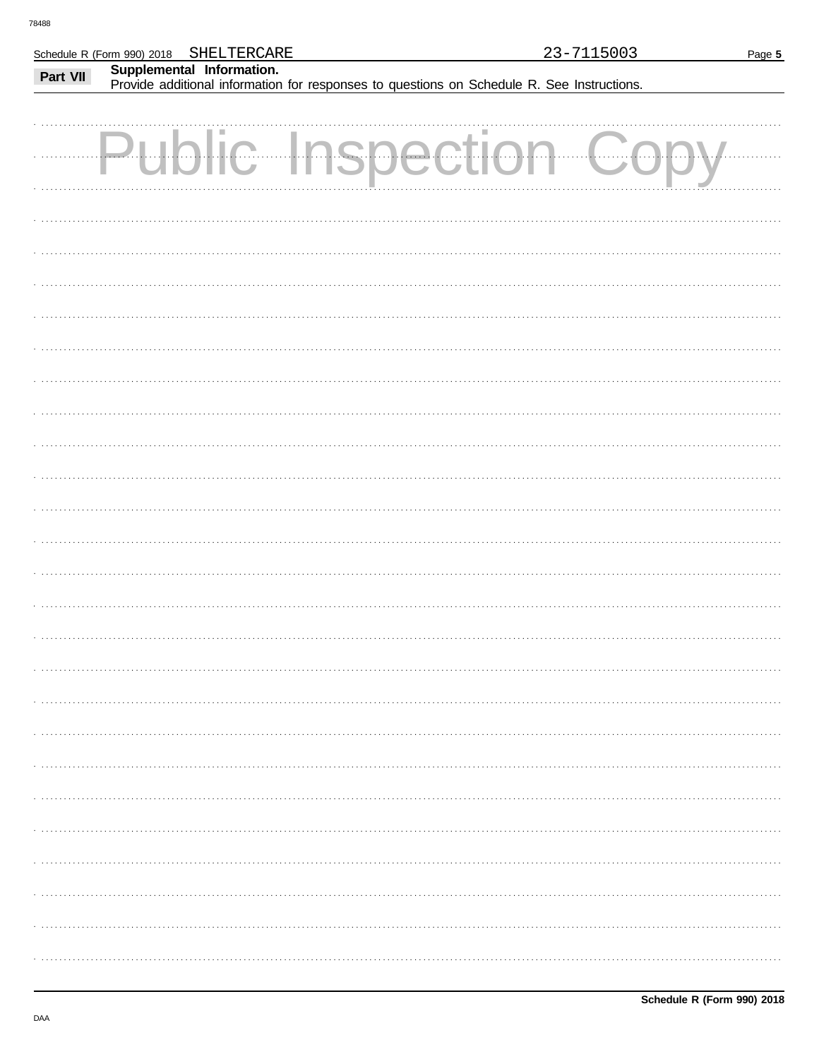|          | SHELTERCARE<br>Schedule R (Form 990) 2018                                                                               | 23-7115003 | Page 5 |
|----------|-------------------------------------------------------------------------------------------------------------------------|------------|--------|
| Part VII | Supplemental Information.<br>Provide additional information for responses to questions on Schedule R. See Instructions. |            |        |
|          | $\sum_{i=1}^{n}$                                                                                                        |            |        |
|          |                                                                                                                         |            |        |
|          |                                                                                                                         |            |        |
|          |                                                                                                                         |            |        |
|          |                                                                                                                         |            |        |
|          |                                                                                                                         |            |        |
|          |                                                                                                                         |            |        |
|          |                                                                                                                         |            |        |
|          |                                                                                                                         |            |        |
|          |                                                                                                                         |            |        |

Schedule R (Form 990) 2018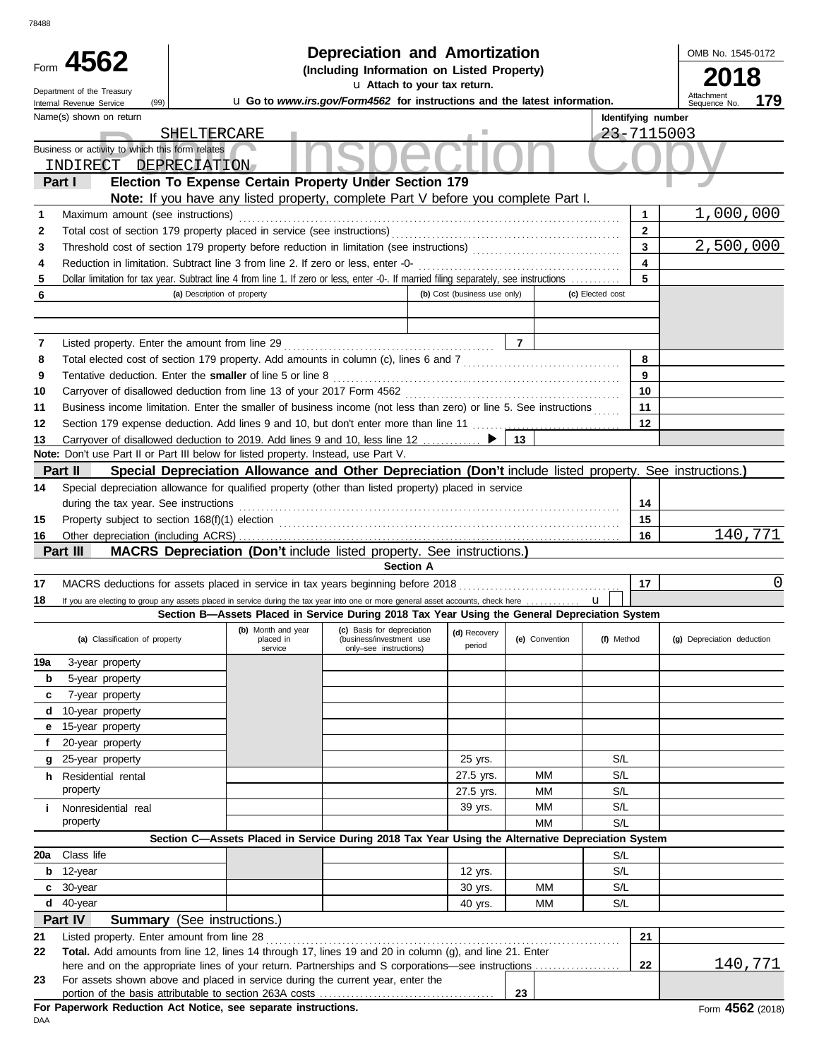| 78488  |                                                                                                     |                                                                                                                                                                                                               |                                                                                                                    |                              |                |                  |                    |                            |          |
|--------|-----------------------------------------------------------------------------------------------------|---------------------------------------------------------------------------------------------------------------------------------------------------------------------------------------------------------------|--------------------------------------------------------------------------------------------------------------------|------------------------------|----------------|------------------|--------------------|----------------------------|----------|
|        | Form 4562                                                                                           |                                                                                                                                                                                                               | <b>Depreciation and Amortization</b><br>(Including Information on Listed Property)<br>u Attach to your tax return. |                              |                |                  |                    | OMB No. 1545-0172<br>2018  |          |
|        | Department of the Treasury<br>(99)<br>Internal Revenue Service                                      |                                                                                                                                                                                                               | u Go to www.irs.gov/Form4562 for instructions and the latest information.                                          |                              |                |                  |                    | Attachment<br>Sequence No. | 179      |
|        | Name(s) shown on return<br>Business or activity to which this form relates<br>INDIRECT DEPRECIATION | SHELTERCARE                                                                                                                                                                                                   |                                                                                                                    |                              |                |                  | Identifying number | 23-7115003                 |          |
|        | Part I                                                                                              | Election To Expense Certain Property Under Section 179                                                                                                                                                        |                                                                                                                    |                              |                |                  |                    |                            |          |
| 1      | Maximum amount (see instructions)                                                                   | Note: If you have any listed property, complete Part V before you complete Part I.                                                                                                                            |                                                                                                                    |                              |                |                  | 1                  | 1,000,000                  |          |
| 2      |                                                                                                     | Total cost of section 179 property placed in service (see instructions)                                                                                                                                       |                                                                                                                    |                              |                |                  | $\mathbf{2}$       |                            |          |
| 3      |                                                                                                     |                                                                                                                                                                                                               |                                                                                                                    |                              |                |                  | 3                  | 2,500,000                  |          |
| 4      |                                                                                                     | Reduction in limitation. Subtract line 3 from line 2. If zero or less, enter -0-                                                                                                                              |                                                                                                                    |                              |                |                  | 4                  |                            |          |
| 5      |                                                                                                     | Dollar limitation for tax year. Subtract line 4 from line 1. If zero or less, enter -0-. If married filing separately, see instructions                                                                       |                                                                                                                    |                              |                |                  | 5                  |                            |          |
| 6      |                                                                                                     | (a) Description of property                                                                                                                                                                                   |                                                                                                                    | (b) Cost (business use only) |                | (c) Elected cost |                    |                            |          |
|        |                                                                                                     |                                                                                                                                                                                                               |                                                                                                                    |                              |                |                  |                    |                            |          |
| 7      | Listed property. Enter the amount from line 29                                                      |                                                                                                                                                                                                               |                                                                                                                    |                              | $\overline{7}$ |                  |                    |                            |          |
| 8      |                                                                                                     | Total elected cost of section 179 property. Add amounts in column (c), lines 6 and 7 [[[[[[[[[[[[[[[[[[[[[[[[[                                                                                                |                                                                                                                    |                              |                |                  | 8                  |                            |          |
| 9      |                                                                                                     | Tentative deduction. Enter the smaller of line 5 or line 8                                                                                                                                                    |                                                                                                                    |                              |                |                  | 9                  |                            |          |
| 10     |                                                                                                     |                                                                                                                                                                                                               |                                                                                                                    |                              |                |                  | 10                 |                            |          |
| 11     |                                                                                                     | Business income limitation. Enter the smaller of business income (not less than zero) or line 5. See instructions                                                                                             |                                                                                                                    |                              |                |                  | 11                 |                            |          |
| 12     |                                                                                                     | Section 179 expense deduction. Add lines 9 and 10, but don't enter more than line 11                                                                                                                          |                                                                                                                    |                              |                |                  | 12                 |                            |          |
| 13     |                                                                                                     | Carryover of disallowed deduction to 2019. Add lines 9 and 10, less line 12 ▶<br>Note: Don't use Part II or Part III below for listed property. Instead, use Part V.                                          |                                                                                                                    |                              | 13             |                  |                    |                            |          |
|        | Part II                                                                                             | Special Depreciation Allowance and Other Depreciation (Don't include listed property. See instructions.)                                                                                                      |                                                                                                                    |                              |                |                  |                    |                            |          |
| 14     |                                                                                                     | Special depreciation allowance for qualified property (other than listed property) placed in service                                                                                                          |                                                                                                                    |                              |                |                  |                    |                            |          |
|        | during the tax year. See instructions                                                               |                                                                                                                                                                                                               |                                                                                                                    |                              |                |                  | 14                 |                            |          |
| 15     |                                                                                                     |                                                                                                                                                                                                               |                                                                                                                    |                              |                |                  | 15                 |                            |          |
| 16     |                                                                                                     |                                                                                                                                                                                                               |                                                                                                                    |                              |                |                  | 16                 |                            | 140,771  |
|        | Part III                                                                                            | <b>MACRS Depreciation (Don't include listed property. See instructions.)</b>                                                                                                                                  |                                                                                                                    |                              |                |                  |                    |                            |          |
|        |                                                                                                     |                                                                                                                                                                                                               | <b>Section A</b>                                                                                                   |                              |                |                  |                    |                            |          |
| 17     |                                                                                                     |                                                                                                                                                                                                               |                                                                                                                    |                              |                |                  | 17                 |                            | $\Omega$ |
| 18     |                                                                                                     | If you are electing to group any assets placed in service during the tax year into one or more general asset accounts, check here                                                                             |                                                                                                                    |                              |                | $\mathbf{u}$     |                    |                            |          |
|        |                                                                                                     | Section B-Assets Placed in Service During 2018 Tax Year Using the General Depreciation System<br>(b) Month and year                                                                                           | (c) Basis for depreciation                                                                                         |                              |                |                  |                    |                            |          |
|        | (a) Classification of property                                                                      | placed in<br>service                                                                                                                                                                                          | (business/investment use<br>only-see instructions)                                                                 | (d) Recovery<br>period       | (e) Convention | (f) Method       |                    | (g) Depreciation deduction |          |
| 19a    | 3-year property                                                                                     |                                                                                                                                                                                                               |                                                                                                                    |                              |                |                  |                    |                            |          |
| b      | 5-year property                                                                                     |                                                                                                                                                                                                               |                                                                                                                    |                              |                |                  |                    |                            |          |
| c      | 7-year property                                                                                     |                                                                                                                                                                                                               |                                                                                                                    |                              |                |                  |                    |                            |          |
| d      | 10-year property                                                                                    |                                                                                                                                                                                                               |                                                                                                                    |                              |                |                  |                    |                            |          |
| е<br>f | 15-year property<br>20-year property                                                                |                                                                                                                                                                                                               |                                                                                                                    |                              |                |                  |                    |                            |          |
| g      | 25-year property                                                                                    |                                                                                                                                                                                                               |                                                                                                                    | 25 yrs.                      |                | S/L              |                    |                            |          |
|        | h Residential rental                                                                                |                                                                                                                                                                                                               |                                                                                                                    | 27.5 yrs.                    | MМ             | S/L              |                    |                            |          |
|        | property                                                                                            |                                                                                                                                                                                                               |                                                                                                                    | 27.5 yrs.                    | MМ             | S/L              |                    |                            |          |
| i.     | Nonresidential real                                                                                 |                                                                                                                                                                                                               |                                                                                                                    | 39 yrs.                      | MМ             | S/L              |                    |                            |          |
|        | property                                                                                            |                                                                                                                                                                                                               |                                                                                                                    |                              | МM             | S/L              |                    |                            |          |
|        |                                                                                                     | Section C-Assets Placed in Service During 2018 Tax Year Using the Alternative Depreciation System                                                                                                             |                                                                                                                    |                              |                |                  |                    |                            |          |
| 20a    | Class life                                                                                          |                                                                                                                                                                                                               |                                                                                                                    |                              |                | S/L              |                    |                            |          |
| b      | 12-year                                                                                             |                                                                                                                                                                                                               |                                                                                                                    | 12 yrs.                      |                | S/L              |                    |                            |          |
| c      | 30-year                                                                                             |                                                                                                                                                                                                               |                                                                                                                    | 30 yrs.                      | МM             | S/L              |                    |                            |          |
| d      | 40-year                                                                                             |                                                                                                                                                                                                               |                                                                                                                    | 40 yrs.                      | МM             | S/L              |                    |                            |          |
|        | Part IV                                                                                             | <b>Summary</b> (See instructions.)                                                                                                                                                                            |                                                                                                                    |                              |                |                  |                    |                            |          |
| 21     | Listed property. Enter amount from line 28                                                          |                                                                                                                                                                                                               |                                                                                                                    |                              |                |                  | 21                 |                            |          |
| 22     |                                                                                                     | Total. Add amounts from line 12, lines 14 through 17, lines 19 and 20 in column (g), and line 21. Enter<br>here and on the appropriate lines of your return. Partnerships and S corporations—see instructions |                                                                                                                    |                              |                |                  | 22                 |                            | 140,771  |
| 23     |                                                                                                     | For assets shown above and placed in service during the current year, enter the                                                                                                                               |                                                                                                                    |                              |                |                  |                    |                            |          |
|        |                                                                                                     |                                                                                                                                                                                                               |                                                                                                                    |                              | 23             |                  |                    |                            |          |
|        |                                                                                                     | For Paperwork Reduction Act Notice, see separate instructions.                                                                                                                                                |                                                                                                                    |                              |                |                  |                    | Form 4562 (2018            |          |